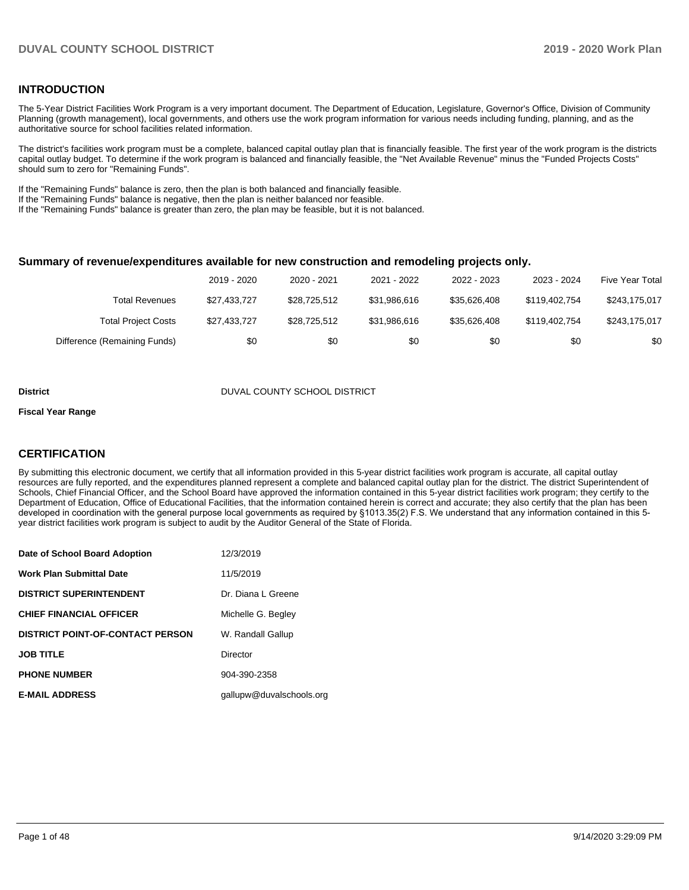### **INTRODUCTION**

The 5-Year District Facilities Work Program is a very important document. The Department of Education, Legislature, Governor's Office, Division of Community Planning (growth management), local governments, and others use the work program information for various needs including funding, planning, and as the authoritative source for school facilities related information.

The district's facilities work program must be a complete, balanced capital outlay plan that is financially feasible. The first year of the work program is the districts capital outlay budget. To determine if the work program is balanced and financially feasible, the "Net Available Revenue" minus the "Funded Projects Costs" should sum to zero for "Remaining Funds".

If the "Remaining Funds" balance is zero, then the plan is both balanced and financially feasible.

If the "Remaining Funds" balance is negative, then the plan is neither balanced nor feasible.

If the "Remaining Funds" balance is greater than zero, the plan may be feasible, but it is not balanced.

#### **Summary of revenue/expenditures available for new construction and remodeling projects only.**

|                              | 2019 - 2020  | 2020 - 2021  | 2021 - 2022  | 2022 - 2023  | 2023 - 2024   | Five Year Total |
|------------------------------|--------------|--------------|--------------|--------------|---------------|-----------------|
| Total Revenues               | \$27.433.727 | \$28,725,512 | \$31.986.616 | \$35.626.408 | \$119,402,754 | \$243,175,017   |
| <b>Total Project Costs</b>   | \$27,433,727 | \$28,725,512 | \$31.986.616 | \$35.626.408 | \$119,402,754 | \$243.175.017   |
| Difference (Remaining Funds) | \$0          | \$0          | \$0          | \$0          | \$0           | \$0             |

#### **District** District DUVAL COUNTY SCHOOL DISTRICT

#### **Fiscal Year Range**

### **CERTIFICATION**

By submitting this electronic document, we certify that all information provided in this 5-year district facilities work program is accurate, all capital outlay resources are fully reported, and the expenditures planned represent a complete and balanced capital outlay plan for the district. The district Superintendent of Schools, Chief Financial Officer, and the School Board have approved the information contained in this 5-year district facilities work program; they certify to the Department of Education, Office of Educational Facilities, that the information contained herein is correct and accurate; they also certify that the plan has been developed in coordination with the general purpose local governments as required by §1013.35(2) F.S. We understand that any information contained in this 5 year district facilities work program is subject to audit by the Auditor General of the State of Florida.

| Date of School Board Adoption           | 12/3/2019                |
|-----------------------------------------|--------------------------|
| Work Plan Submittal Date                | 11/5/2019                |
| <b>DISTRICT SUPERINTENDENT</b>          | Dr. Diana L Greene       |
| <b>CHIEF FINANCIAL OFFICER</b>          | Michelle G. Begley       |
| <b>DISTRICT POINT-OF-CONTACT PERSON</b> | W. Randall Gallup        |
| <b>JOB TITLE</b>                        | Director                 |
| <b>PHONE NUMBER</b>                     | 904-390-2358             |
| <b>E-MAIL ADDRESS</b>                   | gallupw@duvalschools.org |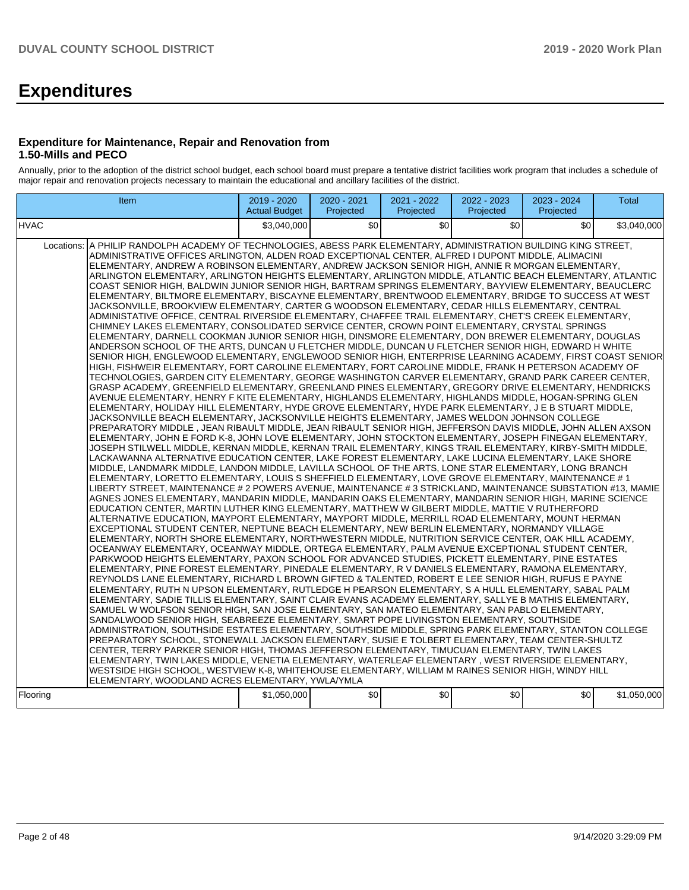# **Expenditures**

#### **Expenditure for Maintenance, Repair and Renovation from 1.50-Mills and PECO**

Annually, prior to the adoption of the district school budget, each school board must prepare a tentative district facilities work program that includes a schedule of major repair and renovation projects necessary to maintain the educational and ancillary facilities of the district.

| Item        |                                                                                                                                                                                                                                                                                                                                                                                                                                                                                                                                                                                                                                                                                                                                                                                                                                                                                                                                                                                                                                                                                                                                                                                                                                                                                                                                                                                                                                                                                                                                                                                                                                                                                                                                                                                                                                                                                                                                                                                                                                                                                                                                                                                                                                                                                                                                                                                                                                                                                                                                                                                                                                                                                                                                                                                                                                                                                                                                                                                                                                                                                                                                                                                                                                                                                                                                                                                                                                                                                                                                                                                                                                                                                                                                                                                                                                                                                                                                                                                                                                                                                                                                                                                                                                                                                                                                                                                                                                                                                                                                                                                                                                                                                              | 2019 - 2020<br><b>Actual Budget</b> | 2020 - 2021<br>Projected | 2021 - 2022<br>Projected | 2022 - 2023<br>Projected | 2023 - 2024<br>Projected | <b>Total</b> |
|-------------|----------------------------------------------------------------------------------------------------------------------------------------------------------------------------------------------------------------------------------------------------------------------------------------------------------------------------------------------------------------------------------------------------------------------------------------------------------------------------------------------------------------------------------------------------------------------------------------------------------------------------------------------------------------------------------------------------------------------------------------------------------------------------------------------------------------------------------------------------------------------------------------------------------------------------------------------------------------------------------------------------------------------------------------------------------------------------------------------------------------------------------------------------------------------------------------------------------------------------------------------------------------------------------------------------------------------------------------------------------------------------------------------------------------------------------------------------------------------------------------------------------------------------------------------------------------------------------------------------------------------------------------------------------------------------------------------------------------------------------------------------------------------------------------------------------------------------------------------------------------------------------------------------------------------------------------------------------------------------------------------------------------------------------------------------------------------------------------------------------------------------------------------------------------------------------------------------------------------------------------------------------------------------------------------------------------------------------------------------------------------------------------------------------------------------------------------------------------------------------------------------------------------------------------------------------------------------------------------------------------------------------------------------------------------------------------------------------------------------------------------------------------------------------------------------------------------------------------------------------------------------------------------------------------------------------------------------------------------------------------------------------------------------------------------------------------------------------------------------------------------------------------------------------------------------------------------------------------------------------------------------------------------------------------------------------------------------------------------------------------------------------------------------------------------------------------------------------------------------------------------------------------------------------------------------------------------------------------------------------------------------------------------------------------------------------------------------------------------------------------------------------------------------------------------------------------------------------------------------------------------------------------------------------------------------------------------------------------------------------------------------------------------------------------------------------------------------------------------------------------------------------------------------------------------------------------------------------------------------------------------------------------------------------------------------------------------------------------------------------------------------------------------------------------------------------------------------------------------------------------------------------------------------------------------------------------------------------------------------------------------------------------------------------------------------------------------|-------------------------------------|--------------------------|--------------------------|--------------------------|--------------------------|--------------|
| <b>HVAC</b> |                                                                                                                                                                                                                                                                                                                                                                                                                                                                                                                                                                                                                                                                                                                                                                                                                                                                                                                                                                                                                                                                                                                                                                                                                                                                                                                                                                                                                                                                                                                                                                                                                                                                                                                                                                                                                                                                                                                                                                                                                                                                                                                                                                                                                                                                                                                                                                                                                                                                                                                                                                                                                                                                                                                                                                                                                                                                                                                                                                                                                                                                                                                                                                                                                                                                                                                                                                                                                                                                                                                                                                                                                                                                                                                                                                                                                                                                                                                                                                                                                                                                                                                                                                                                                                                                                                                                                                                                                                                                                                                                                                                                                                                                                              | \$3.040.000                         | \$0                      | \$0                      | \$0                      | \$0                      | \$3.040.000  |
| Flooring    | Locations: A PHILIP RANDOLPH ACADEMY OF TECHNOLOGIES, ABESS PARK ELEMENTARY, ADMINISTRATION BUILDING KING STREET,<br>ADMINISTRATIVE OFFICES ARLINGTON, ALDEN ROAD EXCEPTIONAL CENTER, ALFRED I DUPONT MIDDLE, ALIMACINI<br>ELEMENTARY, ANDREW A ROBINSON ELEMENTARY, ANDREW JACKSON SENIOR HIGH, ANNIE R MORGAN ELEMENTARY,<br>ARLINGTON ELEMENTARY. ARLINGTON HEIGHTS ELEMENTARY. ARLINGTON MIDDLE. ATLANTIC BEACH ELEMENTARY. ATLANTIC<br>COAST SENIOR HIGH, BALDWIN JUNIOR SENIOR HIGH, BARTRAM SPRINGS ELEMENTARY, BAYVIEW ELEMENTARY, BEAUCLERC<br>ELEMENTARY, BILTMORE ELEMENTARY, BISCAYNE ELEMENTARY, BRENTWOOD ELEMENTARY, BRIDGE TO SUCCESS AT WEST<br>JACKSONVILLE, BROOKVIEW ELEMENTARY, CARTER G WOODSON ELEMENTARY, CEDAR HILLS ELEMENTARY, CENTRAL<br>ADMINISTATIVE OFFICE, CENTRAL RIVERSIDE ELEMENTARY, CHAFFEE TRAIL ELEMENTARY, CHET'S CREEK ELEMENTARY,<br>CHIMNEY LAKES ELEMENTARY, CONSOLIDATED SERVICE CENTER, CROWN POINT ELEMENTARY, CRYSTAL SPRINGS<br>ELEMENTARY, DARNELL COOKMAN JUNIOR SENIOR HIGH, DINSMORE ELEMENTARY, DON BREWER ELEMENTARY, DOUGLAS<br>ANDERSON SCHOOL OF THE ARTS, DUNCAN U FLETCHER MIDDLE, DUNCAN U FLETCHER SENIOR HIGH, EDWARD H WHITE<br>SENIOR HIGH, ENGLEWOOD ELEMENTARY, ENGLEWOOD SENIOR HIGH, ENTERPRISE LEARNING ACADEMY, FIRST COAST SENIOR<br>HIGH, FISHWEIR ELEMENTARY, FORT CAROLINE ELEMENTARY, FORT CAROLINE MIDDLE, FRANK H PETERSON ACADEMY OF<br>TECHNOLOGIES, GARDEN CITY ELEMENTARY, GEORGE WASHINGTON CARVER ELEMENTARY, GRAND PARK CAREER CENTER,<br>GRASP ACADEMY, GREENFIELD ELEMENTARY, GREENLAND PINES ELEMENTARY, GREGORY DRIVE ELEMENTARY, HENDRICKS<br>AVENUE ELEMENTARY, HENRY F KITE ELEMENTARY, HIGHLANDS ELEMENTARY, HIGHLANDS MIDDLE, HOGAN-SPRING GLEN<br>ELEMENTARY, HOLIDAY HILL ELEMENTARY, HYDE GROVE ELEMENTARY, HYDE PARK ELEMENTARY, J E B STUART MIDDLE,<br>JACKSONVILLE BEACH ELEMENTARY, JACKSONVILLE HEIGHTS ELEMENTARY, JAMES WELDON JOHNSON COLLEGE<br>PREPARATORY MIDDLE , JEAN RIBAULT MIDDLE, JEAN RIBAULT SENIOR HIGH, JEFFERSON DAVIS MIDDLE, JOHN ALLEN AXSON<br>ELEMENTARY, JOHN E FORD K-8, JOHN LOVE ELEMENTARY, JOHN STOCKTON ELEMENTARY, JOSEPH FINEGAN ELEMENTARY,<br>JOSEPH STILWELL MIDDLE, KERNAN MIDDLE, KERNAN TRAIL ELEMENTARY, KINGS TRAIL ELEMENTARY, KIRBY-SMITH MIDDLE,<br>LACKAWANNA ALTERNATIVE EDUCATION CENTER, LAKE FOREST ELEMENTARY, LAKE LUCINA ELEMENTARY, LAKE SHORE<br>MIDDLE, LANDMARK MIDDLE, LANDON MIDDLE, LAVILLA SCHOOL OF THE ARTS, LONE STAR ELEMENTARY, LONG BRANCH<br>ELEMENTARY, LORETTO ELEMENTARY, LOUIS S SHEFFIELD ELEMENTARY, LOVE GROVE ELEMENTARY, MAINTENANCE #1<br>LIBERTY STREET, MAINTENANCE # 2 POWERS AVENUE, MAINTENANCE # 3 STRICKLAND, MAINTENANCE SUBSTATION #13, MAMIE<br>AGNES JONES ELEMENTARY, MANDARIN MIDDLE, MANDARIN OAKS ELEMENTARY, MANDARIN SENIOR HIGH, MARINE SCIENCE<br>EDUCATION CENTER, MARTIN LUTHER KING ELEMENTARY, MATTHEW W GILBERT MIDDLE, MATTIE V RUTHERFORD<br>ALTERNATIVE EDUCATION, MAYPORT ELEMENTARY, MAYPORT MIDDLE, MERRILL ROAD ELEMENTARY, MOUNT HERMAN<br>EXCEPTIONAL STUDENT CENTER, NEPTUNE BEACH ELEMENTARY, NEW BERLIN ELEMENTARY, NORMANDY VILLAGE<br>ELEMENTARY, NORTH SHORE ELEMENTARY, NORTHWESTERN MIDDLE, NUTRITION SERVICE CENTER, OAK HILL ACADEMY,<br>OCEANWAY ELEMENTARY, OCEANWAY MIDDLE, ORTEGA ELEMENTARY, PALM AVENUE EXCEPTIONAL STUDENT CENTER,<br>PARKWOOD HEIGHTS ELEMENTARY, PAXON SCHOOL FOR ADVANCED STUDIES, PICKETT ELEMENTARY, PINE ESTATES<br>ELEMENTARY, PINE FOREST ELEMENTARY, PINEDALE ELEMENTARY, R V DANIELS ELEMENTARY, RAMONA ELEMENTARY,<br>REYNOLDS LANE ELEMENTARY, RICHARD L BROWN GIFTED & TALENTED, ROBERT E LEE SENIOR HIGH, RUFUS E PAYNE<br>ELEMENTARY, RUTH N UPSON ELEMENTARY, RUTLEDGE H PEARSON ELEMENTARY, S A HULL ELEMENTARY, SABAL PALM<br>ELEMENTARY, SADIE TILLIS ELEMENTARY, SAINT CLAIR EVANS ACADEMY ELEMENTARY, SALLYE B MATHIS ELEMENTARY.<br>SAMUEL W WOLFSON SENIOR HIGH, SAN JOSE ELEMENTARY, SAN MATEO ELEMENTARY, SAN PABLO ELEMENTARY,<br>SANDALWOOD SENIOR HIGH, SEABREEZE ELEMENTARY, SMART POPE LIVINGSTON ELEMENTARY, SOUTHSIDE<br>ADMINISTRATION, SOUTHSIDE ESTATES ELEMENTARY, SOUTHSIDE MIDDLE, SPRING PARK ELEMENTARY, STANTON COLLEGE<br>PREPARATORY SCHOOL, STONEWALL JACKSON ELEMENTARY, SUSIE E TOLBERT ELEMENTARY, TEAM CENTER-SHULTZ<br>CENTER, TERRY PARKER SENIOR HIGH, THOMAS JEFFERSON ELEMENTARY, TIMUCUAN ELEMENTARY, TWIN LAKES<br>ELEMENTARY, TWIN LAKES MIDDLE, VENETIA ELEMENTARY, WATERLEAF ELEMENTARY, WEST RIVERSIDE ELEMENTARY,<br>WESTSIDE HIGH SCHOOL, WESTVIEW K-8, WHITEHOUSE ELEMENTARY, WILLIAM M RAINES SENIOR HIGH, WINDY HILL<br>ELEMENTARY, WOODLAND ACRES ELEMENTARY, YWLA/YMLA | \$1,050,000                         | \$0                      | \$0                      | \$0                      | \$0                      | \$1,050,000  |
|             |                                                                                                                                                                                                                                                                                                                                                                                                                                                                                                                                                                                                                                                                                                                                                                                                                                                                                                                                                                                                                                                                                                                                                                                                                                                                                                                                                                                                                                                                                                                                                                                                                                                                                                                                                                                                                                                                                                                                                                                                                                                                                                                                                                                                                                                                                                                                                                                                                                                                                                                                                                                                                                                                                                                                                                                                                                                                                                                                                                                                                                                                                                                                                                                                                                                                                                                                                                                                                                                                                                                                                                                                                                                                                                                                                                                                                                                                                                                                                                                                                                                                                                                                                                                                                                                                                                                                                                                                                                                                                                                                                                                                                                                                                              |                                     |                          |                          |                          |                          |              |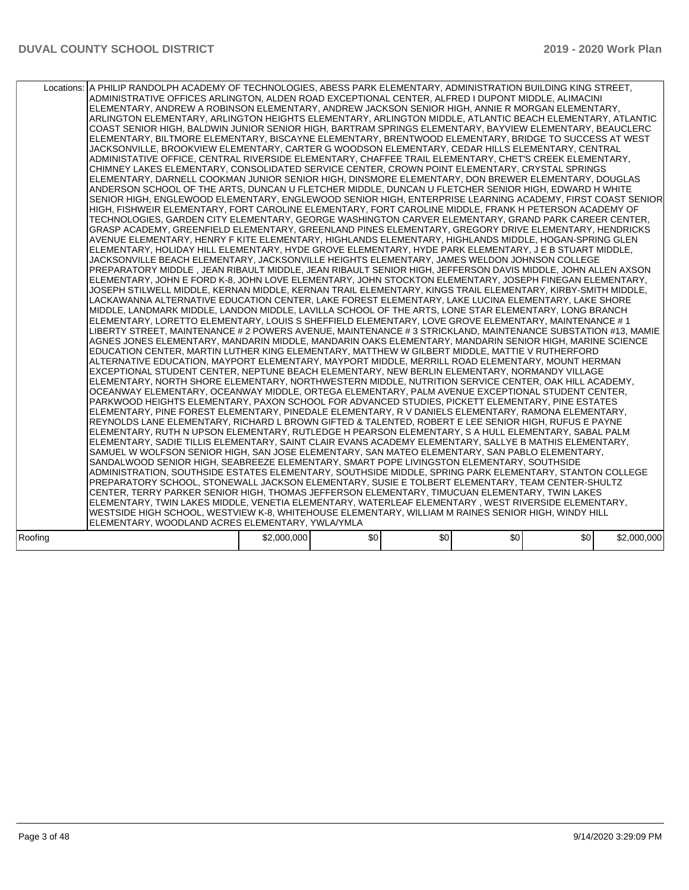|         | Locations: A PHILIP RANDOLPH ACADEMY OF TECHNOLOGIES, ABESS PARK ELEMENTARY, ADMINISTRATION BUILDING KING STREET,<br>ADMINISTRATIVE OFFICES ARLINGTON, ALDEN ROAD EXCEPTIONAL CENTER, ALFRED I DUPONT MIDDLE, ALIMACINI<br>ELEMENTARY, ANDREW A ROBINSON ELEMENTARY, ANDREW JACKSON SENIOR HIGH, ANNIE R MORGAN ELEMENTARY,<br>ARLINGTON ELEMENTARY, ARLINGTON HEIGHTS ELEMENTARY, ARLINGTON MIDDLE, ATLANTIC BEACH ELEMENTARY, ATLANTIC<br>COAST SENIOR HIGH, BALDWIN JUNIOR SENIOR HIGH, BARTRAM SPRINGS ELEMENTARY, BAYVIEW ELEMENTARY, BEAUCLERC<br>ELEMENTARY, BILTMORE ELEMENTARY, BISCAYNE ELEMENTARY, BRENTWOOD ELEMENTARY, BRIDGE TO SUCCESS AT WEST<br>JACKSONVILLE, BROOKVIEW ELEMENTARY, CARTER G WOODSON ELEMENTARY, CEDAR HILLS ELEMENTARY, CENTRAL<br>ADMINISTATIVE OFFICE, CENTRAL RIVERSIDE ELEMENTARY, CHAFFEE TRAIL ELEMENTARY, CHET'S CREEK ELEMENTARY,<br>CHIMNEY LAKES ELEMENTARY, CONSOLIDATED SERVICE CENTER, CROWN POINT ELEMENTARY, CRYSTAL SPRINGS<br>ELEMENTARY, DARNELL COOKMAN JUNIOR SENIOR HIGH, DINSMORE ELEMENTARY, DON BREWER ELEMENTARY, DOUGLAS<br>ANDERSON SCHOOL OF THE ARTS, DUNCAN U FLETCHER MIDDLE, DUNCAN U FLETCHER SENIOR HIGH, EDWARD H WHITE<br>ISENIOR HIGH. ENGLEWOOD ELEMENTARY. ENGLEWOOD SENIOR HIGH. ENTERPRISE LEARNING ACADEMY. FIRST COAST SENIOR<br>HIGH. FISHWEIR ELEMENTARY. FORT CAROLINE ELEMENTARY. FORT CAROLINE MIDDLE. FRANK H PETERSON ACADEMY OF<br>TECHNOLOGIES, GARDEN CITY ELEMENTARY, GEORGE WASHINGTON CARVER ELEMENTARY, GRAND PARK CAREER CENTER,<br>GRASP ACADEMY, GREENFIELD ELEMENTARY, GREENLAND PINES ELEMENTARY, GREGORY DRIVE ELEMENTARY, HENDRICKS<br>AVENUE ELEMENTARY, HENRY F KITE ELEMENTARY, HIGHLANDS ELEMENTARY, HIGHLANDS MIDDLE, HOGAN-SPRING GLEN<br>ELEMENTARY, HOLIDAY HILL ELEMENTARY, HYDE GROVE ELEMENTARY, HYDE PARK ELEMENTARY, J E B STUART MIDDLE,<br>JACKSONVILLE BEACH ELEMENTARY, JACKSONVILLE HEIGHTS ELEMENTARY, JAMES WELDON JOHNSON COLLEGE<br>PREPARATORY MIDDLE, JEAN RIBAULT MIDDLE, JEAN RIBAULT SENIOR HIGH, JEFFERSON DAVIS MIDDLE, JOHN ALLEN AXSON<br>ELEMENTARY, JOHN E FORD K-8, JOHN LOVE ELEMENTARY, JOHN STOCKTON ELEMENTARY, JOSEPH FINEGAN ELEMENTARY,<br>JOSEPH STILWELL MIDDLE, KERNAN MIDDLE, KERNAN TRAIL ELEMENTARY, KINGS TRAIL ELEMENTARY, KIRBY-SMITH MIDDLE,<br>LACKAWANNA ALTERNATIVE EDUCATION CENTER, LAKE FOREST ELEMENTARY, LAKE LUCINA ELEMENTARY, LAKE SHORE<br>MIDDLE, LANDMARK MIDDLE, LANDON MIDDLE, LAVILLA SCHOOL OF THE ARTS, LONE STAR ELEMENTARY, LONG BRANCH<br>ELEMENTARY, LORETTO ELEMENTARY, LOUIS S SHEFFIELD ELEMENTARY, LOVE GROVE ELEMENTARY, MAINTENANCE #1<br>LIBERTY STREET, MAINTENANCE # 2 POWERS AVENUE, MAINTENANCE # 3 STRICKLAND, MAINTENANCE SUBSTATION #13, MAMIE<br>AGNES JONES ELEMENTARY, MANDARIN MIDDLE, MANDARIN OAKS ELEMENTARY, MANDARIN SENIOR HIGH, MARINE SCIENCE<br>EDUCATION CENTER, MARTIN LUTHER KING ELEMENTARY, MATTHEW W GILBERT MIDDLE, MATTIE V RUTHERFORD<br>ALTERNATIVE EDUCATION, MAYPORT ELEMENTARY, MAYPORT MIDDLE, MERRILL ROAD ELEMENTARY, MOUNT HERMAN<br>EXCEPTIONAL STUDENT CENTER, NEPTUNE BEACH ELEMENTARY, NEW BERLIN ELEMENTARY, NORMANDY VILLAGE<br>ELEMENTARY, NORTH SHORE ELEMENTARY, NORTHWESTERN MIDDLE, NUTRITION SERVICE CENTER, OAK HILL ACADEMY,<br>OCEANWAY ELEMENTARY, OCEANWAY MIDDLE, ORTEGA ELEMENTARY, PALM AVENUE EXCEPTIONAL STUDENT CENTER,<br>PARKWOOD HEIGHTS ELEMENTARY, PAXON SCHOOL FOR ADVANCED STUDIES, PICKETT ELEMENTARY, PINE ESTATES<br>ELEMENTARY, PINE FOREST ELEMENTARY, PINEDALE ELEMENTARY, R V DANIELS ELEMENTARY, RAMONA ELEMENTARY,<br>REYNOLDS LANE ELEMENTARY, RICHARD L BROWN GIFTED & TALENTED, ROBERT E LEE SENIOR HIGH, RUFUS E PAYNE<br>ELEMENTARY, RUTH N UPSON ELEMENTARY, RUTLEDGE H PEARSON ELEMENTARY, S A HULL ELEMENTARY, SABAL PALM]<br>ELEMENTARY, SADIE TILLIS ELEMENTARY, SAINT CLAIR EVANS ACADEMY ELEMENTARY, SALLYE B MATHIS ELEMENTARY,<br>SAMUEL W WOLFSON SENIOR HIGH, SAN JOSE ELEMENTARY, SAN MATEO ELEMENTARY, SAN PABLO ELEMENTARY,<br>SANDALWOOD SENIOR HIGH, SEABREEZE ELEMENTARY, SMART POPE LIVINGSTON ELEMENTARY, SOUTHSIDE<br>ADMINISTRATION, SOUTHSIDE ESTATES ELEMENTARY, SOUTHSIDE MIDDLE, SPRING PARK ELEMENTARY, STANTON COLLEGE<br>PREPARATORY SCHOOL, STONEWALL JACKSON ELEMENTARY, SUSIE E TOLBERT ELEMENTARY, TEAM CENTER-SHULTZ<br>CENTER, TERRY PARKER SENIOR HIGH, THOMAS JEFFERSON ELEMENTARY, TIMUCUAN ELEMENTARY, TWIN LAKES<br>ELEMENTARY, TWIN LAKES MIDDLE, VENETIA ELEMENTARY, WATERLEAF ELEMENTARY, WEST RIVERSIDE ELEMENTARY,<br>WESTSIDE HIGH SCHOOL, WESTVIEW K-8, WHITEHOUSE ELEMENTARY, WILLIAM M RAINES SENIOR HIGH, WINDY HILL |             |     |     |     |     |             |
|---------|-------------------------------------------------------------------------------------------------------------------------------------------------------------------------------------------------------------------------------------------------------------------------------------------------------------------------------------------------------------------------------------------------------------------------------------------------------------------------------------------------------------------------------------------------------------------------------------------------------------------------------------------------------------------------------------------------------------------------------------------------------------------------------------------------------------------------------------------------------------------------------------------------------------------------------------------------------------------------------------------------------------------------------------------------------------------------------------------------------------------------------------------------------------------------------------------------------------------------------------------------------------------------------------------------------------------------------------------------------------------------------------------------------------------------------------------------------------------------------------------------------------------------------------------------------------------------------------------------------------------------------------------------------------------------------------------------------------------------------------------------------------------------------------------------------------------------------------------------------------------------------------------------------------------------------------------------------------------------------------------------------------------------------------------------------------------------------------------------------------------------------------------------------------------------------------------------------------------------------------------------------------------------------------------------------------------------------------------------------------------------------------------------------------------------------------------------------------------------------------------------------------------------------------------------------------------------------------------------------------------------------------------------------------------------------------------------------------------------------------------------------------------------------------------------------------------------------------------------------------------------------------------------------------------------------------------------------------------------------------------------------------------------------------------------------------------------------------------------------------------------------------------------------------------------------------------------------------------------------------------------------------------------------------------------------------------------------------------------------------------------------------------------------------------------------------------------------------------------------------------------------------------------------------------------------------------------------------------------------------------------------------------------------------------------------------------------------------------------------------------------------------------------------------------------------------------------------------------------------------------------------------------------------------------------------------------------------------------------------------------------------------------------------------------------------------------------------------------------------------------------------------------------------------------------------------------------------------------------------------------------------------------------------------------------------------------------------------------------------------------------------------------------------------------------------------------------------------------------------------------------------------------------------------------------------------------------------------------------------------------------------------------|-------------|-----|-----|-----|-----|-------------|
|         | ELEMENTARY, WOODLAND ACRES ELEMENTARY, YWLA/YMLA                                                                                                                                                                                                                                                                                                                                                                                                                                                                                                                                                                                                                                                                                                                                                                                                                                                                                                                                                                                                                                                                                                                                                                                                                                                                                                                                                                                                                                                                                                                                                                                                                                                                                                                                                                                                                                                                                                                                                                                                                                                                                                                                                                                                                                                                                                                                                                                                                                                                                                                                                                                                                                                                                                                                                                                                                                                                                                                                                                                                                                                                                                                                                                                                                                                                                                                                                                                                                                                                                                                                                                                                                                                                                                                                                                                                                                                                                                                                                                                                                                                                                                                                                                                                                                                                                                                                                                                                                                                                                                                                                                                          |             |     |     |     |     |             |
| Roofing |                                                                                                                                                                                                                                                                                                                                                                                                                                                                                                                                                                                                                                                                                                                                                                                                                                                                                                                                                                                                                                                                                                                                                                                                                                                                                                                                                                                                                                                                                                                                                                                                                                                                                                                                                                                                                                                                                                                                                                                                                                                                                                                                                                                                                                                                                                                                                                                                                                                                                                                                                                                                                                                                                                                                                                                                                                                                                                                                                                                                                                                                                                                                                                                                                                                                                                                                                                                                                                                                                                                                                                                                                                                                                                                                                                                                                                                                                                                                                                                                                                                                                                                                                                                                                                                                                                                                                                                                                                                                                                                                                                                                                                           | \$2,000,000 | \$0 | \$0 | \$0 | \$0 | \$2,000,000 |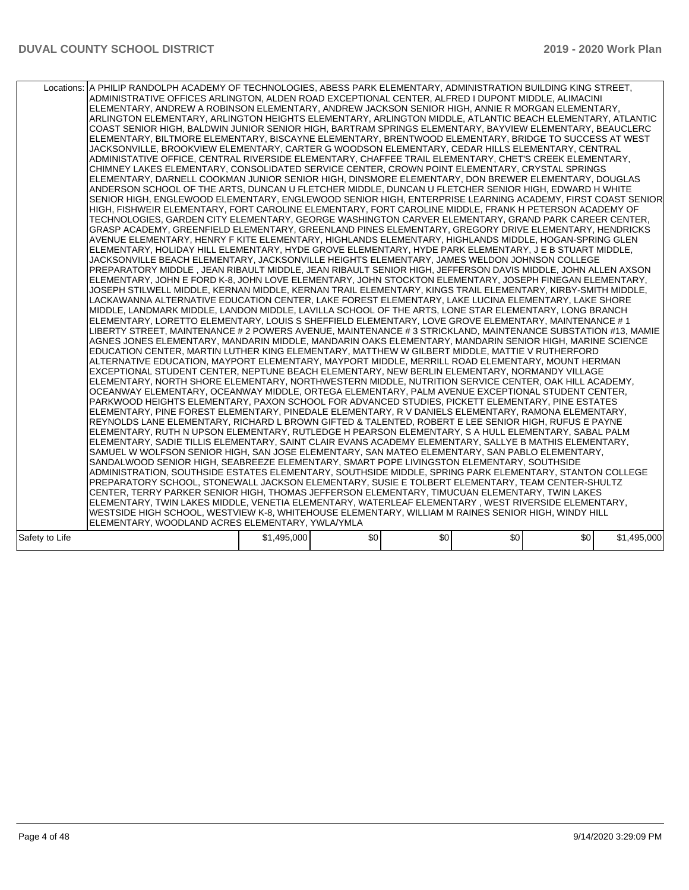|                | Locations: A PHILIP RANDOLPH ACADEMY OF TECHNOLOGIES, ABESS PARK ELEMENTARY, ADMINISTRATION BUILDING KING STREET,<br>ADMINISTRATIVE OFFICES ARLINGTON, ALDEN ROAD EXCEPTIONAL CENTER, ALFRED I DUPONT MIDDLE, ALIMACINI<br>ELEMENTARY, ANDREW A ROBINSON ELEMENTARY, ANDREW JACKSON SENIOR HIGH, ANNIE R MORGAN ELEMENTARY,<br>ARLINGTON ELEMENTARY, ARLINGTON HEIGHTS ELEMENTARY, ARLINGTON MIDDLE, ATLANTIC BEACH ELEMENTARY, ATLANTIC<br>COAST SENIOR HIGH, BALDWIN JUNIOR SENIOR HIGH, BARTRAM SPRINGS ELEMENTARY, BAYVIEW ELEMENTARY, BEAUCLERC<br>ELEMENTARY, BILTMORE ELEMENTARY, BISCAYNE ELEMENTARY, BRENTWOOD ELEMENTARY, BRIDGE TO SUCCESS AT WEST<br>JACKSONVILLE, BROOKVIEW ELEMENTARY, CARTER G WOODSON ELEMENTARY, CEDAR HILLS ELEMENTARY, CENTRAL<br>ADMINISTATIVE OFFICE, CENTRAL RIVERSIDE ELEMENTARY, CHAFFEE TRAIL ELEMENTARY, CHET'S CREEK ELEMENTARY,<br>CHIMNEY LAKES ELEMENTARY, CONSOLIDATED SERVICE CENTER, CROWN POINT ELEMENTARY, CRYSTAL SPRINGS<br>ELEMENTARY, DARNELL COOKMAN JUNIOR SENIOR HIGH, DINSMORE ELEMENTARY, DON BREWER ELEMENTARY, DOUGLAS<br>ANDERSON SCHOOL OF THE ARTS, DUNCAN U FLETCHER MIDDLE, DUNCAN U FLETCHER SENIOR HIGH, EDWARD H WHITE<br>SENIOR HIGH, ENGLEWOOD ELEMENTARY, ENGLEWOOD SENIOR HIGH, ENTERPRISE LEARNING ACADEMY, FIRST COAST SENIOR<br>HIGH. FISHWEIR ELEMENTARY. FORT CAROLINE ELEMENTARY. FORT CAROLINE MIDDLE. FRANK H PETERSON ACADEMY OF<br>TECHNOLOGIES, GARDEN CITY ELEMENTARY, GEORGE WASHINGTON CARVER ELEMENTARY, GRAND PARK CAREER CENTER,<br>GRASP ACADEMY, GREENFIELD ELEMENTARY, GREENLAND PINES ELEMENTARY, GREGORY DRIVE ELEMENTARY, HENDRICKS<br>AVENUE ELEMENTARY, HENRY F KITE ELEMENTARY, HIGHLANDS ELEMENTARY, HIGHLANDS MIDDLE, HOGAN-SPRING GLEN<br>ELEMENTARY, HOLIDAY HILL ELEMENTARY, HYDE GROVE ELEMENTARY, HYDE PARK ELEMENTARY, J E B STUART MIDDLE,<br>JACKSONVILLE BEACH ELEMENTARY, JACKSONVILLE HEIGHTS ELEMENTARY, JAMES WELDON JOHNSON COLLEGE<br>PREPARATORY MIDDLE, JEAN RIBAULT MIDDLE, JEAN RIBAULT SENIOR HIGH, JEFFERSON DAVIS MIDDLE, JOHN ALLEN AXSON<br>ELEMENTARY, JOHN E FORD K-8, JOHN LOVE ELEMENTARY, JOHN STOCKTON ELEMENTARY, JOSEPH FINEGAN ELEMENTARY,<br>JOSEPH STILWELL MIDDLE, KERNAN MIDDLE, KERNAN TRAIL ELEMENTARY, KINGS TRAIL ELEMENTARY, KIRBY-SMITH MIDDLE,<br>LACKAWANNA ALTERNATIVE EDUCATION CENTER, LAKE FOREST ELEMENTARY, LAKE LUCINA ELEMENTARY, LAKE SHORE<br>MIDDLE, LANDMARK MIDDLE, LANDON MIDDLE, LAVILLA SCHOOL OF THE ARTS, LONE STAR ELEMENTARY, LONG BRANCH<br>ELEMENTARY, LORETTO ELEMENTARY, LOUIS S SHEFFIELD ELEMENTARY, LOVE GROVE ELEMENTARY, MAINTENANCE #1<br>LIBERTY STREET, MAINTENANCE # 2 POWERS AVENUE, MAINTENANCE # 3 STRICKLAND, MAINTENANCE SUBSTATION #13, MAMIE<br>AGNES JONES ELEMENTARY, MANDARIN MIDDLE, MANDARIN OAKS ELEMENTARY, MANDARIN SENIOR HIGH, MARINE SCIENCE<br>EDUCATION CENTER, MARTIN LUTHER KING ELEMENTARY, MATTHEW W GILBERT MIDDLE, MATTIE V RUTHERFORD<br>ALTERNATIVE EDUCATION, MAYPORT ELEMENTARY, MAYPORT MIDDLE, MERRILL ROAD ELEMENTARY, MOUNT HERMAN<br>EXCEPTIONAL STUDENT CENTER, NEPTUNE BEACH ELEMENTARY, NEW BERLIN ELEMENTARY, NORMANDY VILLAGE<br>ELEMENTARY, NORTH SHORE ELEMENTARY, NORTHWESTERN MIDDLE, NUTRITION SERVICE CENTER, OAK HILL ACADEMY,<br>OCEANWAY ELEMENTARY, OCEANWAY MIDDLE, ORTEGA ELEMENTARY, PALM AVENUE EXCEPTIONAL STUDENT CENTER,<br>PARKWOOD HEIGHTS ELEMENTARY, PAXON SCHOOL FOR ADVANCED STUDIES, PICKETT ELEMENTARY, PINE ESTATES<br>ELEMENTARY, PINE FOREST ELEMENTARY, PINEDALE ELEMENTARY, R V DANIELS ELEMENTARY, RAMONA ELEMENTARY,<br>REYNOLDS LANE ELEMENTARY, RICHARD L BROWN GIFTED & TALENTED, ROBERT E LEE SENIOR HIGH, RUFUS E PAYNE<br>ELEMENTARY, RUTH N UPSON ELEMENTARY, RUTLEDGE H PEARSON ELEMENTARY, S A HULL ELEMENTARY, SABAL PALM]<br>ELEMENTARY, SADIE TILLIS ELEMENTARY, SAINT CLAIR EVANS ACADEMY ELEMENTARY, SALLYE B MATHIS ELEMENTARY,<br>SAMUEL W WOLFSON SENIOR HIGH, SAN JOSE ELEMENTARY, SAN MATEO ELEMENTARY, SAN PABLO ELEMENTARY,<br>SANDALWOOD SENIOR HIGH, SEABREEZE ELEMENTARY, SMART POPE LIVINGSTON ELEMENTARY, SOUTHSIDE<br>ADMINISTRATION, SOUTHSIDE ESTATES ELEMENTARY, SOUTHSIDE MIDDLE, SPRING PARK ELEMENTARY, STANTON COLLEGE<br>PREPARATORY SCHOOL, STONEWALL JACKSON ELEMENTARY, SUSIE E TOLBERT ELEMENTARY, TEAM CENTER-SHULTZ<br>CENTER, TERRY PARKER SENIOR HIGH, THOMAS JEFFERSON ELEMENTARY, TIMUCUAN ELEMENTARY, TWIN LAKES<br>ELEMENTARY, TWIN LAKES MIDDLE, VENETIA ELEMENTARY, WATERLEAF ELEMENTARY, WEST RIVERSIDE ELEMENTARY,<br>WESTSIDE HIGH SCHOOL, WESTVIEW K-8, WHITEHOUSE ELEMENTARY, WILLIAM M RAINES SENIOR HIGH, WINDY HILL<br>ELEMENTARY, WOODLAND ACRES ELEMENTARY, YWLA/YMLA |             |     |     |     |     |             |
|----------------|----------------------------------------------------------------------------------------------------------------------------------------------------------------------------------------------------------------------------------------------------------------------------------------------------------------------------------------------------------------------------------------------------------------------------------------------------------------------------------------------------------------------------------------------------------------------------------------------------------------------------------------------------------------------------------------------------------------------------------------------------------------------------------------------------------------------------------------------------------------------------------------------------------------------------------------------------------------------------------------------------------------------------------------------------------------------------------------------------------------------------------------------------------------------------------------------------------------------------------------------------------------------------------------------------------------------------------------------------------------------------------------------------------------------------------------------------------------------------------------------------------------------------------------------------------------------------------------------------------------------------------------------------------------------------------------------------------------------------------------------------------------------------------------------------------------------------------------------------------------------------------------------------------------------------------------------------------------------------------------------------------------------------------------------------------------------------------------------------------------------------------------------------------------------------------------------------------------------------------------------------------------------------------------------------------------------------------------------------------------------------------------------------------------------------------------------------------------------------------------------------------------------------------------------------------------------------------------------------------------------------------------------------------------------------------------------------------------------------------------------------------------------------------------------------------------------------------------------------------------------------------------------------------------------------------------------------------------------------------------------------------------------------------------------------------------------------------------------------------------------------------------------------------------------------------------------------------------------------------------------------------------------------------------------------------------------------------------------------------------------------------------------------------------------------------------------------------------------------------------------------------------------------------------------------------------------------------------------------------------------------------------------------------------------------------------------------------------------------------------------------------------------------------------------------------------------------------------------------------------------------------------------------------------------------------------------------------------------------------------------------------------------------------------------------------------------------------------------------------------------------------------------------------------------------------------------------------------------------------------------------------------------------------------------------------------------------------------------------------------------------------------------------------------------------------------------------------------------------------------------------------------------------------------------------------------------------------------------------------------------------------------------------------------------------------------------|-------------|-----|-----|-----|-----|-------------|
| Safety to Life |                                                                                                                                                                                                                                                                                                                                                                                                                                                                                                                                                                                                                                                                                                                                                                                                                                                                                                                                                                                                                                                                                                                                                                                                                                                                                                                                                                                                                                                                                                                                                                                                                                                                                                                                                                                                                                                                                                                                                                                                                                                                                                                                                                                                                                                                                                                                                                                                                                                                                                                                                                                                                                                                                                                                                                                                                                                                                                                                                                                                                                                                                                                                                                                                                                                                                                                                                                                                                                                                                                                                                                                                                                                                                                                                                                                                                                                                                                                                                                                                                                                                                                                                                                                                                                                                                                                                                                                                                                                                                                                                                                                                                                                                                              | \$1,495,000 | \$0 | \$0 | \$0 | \$0 | \$1,495,000 |
|                |                                                                                                                                                                                                                                                                                                                                                                                                                                                                                                                                                                                                                                                                                                                                                                                                                                                                                                                                                                                                                                                                                                                                                                                                                                                                                                                                                                                                                                                                                                                                                                                                                                                                                                                                                                                                                                                                                                                                                                                                                                                                                                                                                                                                                                                                                                                                                                                                                                                                                                                                                                                                                                                                                                                                                                                                                                                                                                                                                                                                                                                                                                                                                                                                                                                                                                                                                                                                                                                                                                                                                                                                                                                                                                                                                                                                                                                                                                                                                                                                                                                                                                                                                                                                                                                                                                                                                                                                                                                                                                                                                                                                                                                                                              |             |     |     |     |     |             |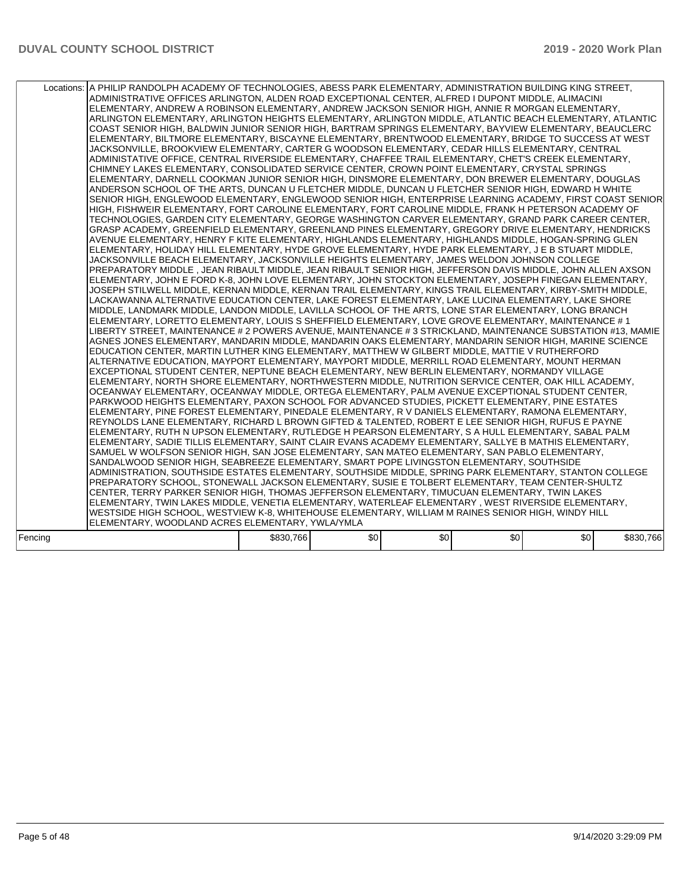|         | Locations: A PHILIP RANDOLPH ACADEMY OF TECHNOLOGIES, ABESS PARK ELEMENTARY, ADMINISTRATION BUILDING KING STREET,<br>ADMINISTRATIVE OFFICES ARLINGTON, ALDEN ROAD EXCEPTIONAL CENTER, ALFRED I DUPONT MIDDLE, ALIMACINI<br>ELEMENTARY, ANDREW A ROBINSON ELEMENTARY, ANDREW JACKSON SENIOR HIGH, ANNIE R MORGAN ELEMENTARY,<br>ARLINGTON ELEMENTARY, ARLINGTON HEIGHTS ELEMENTARY, ARLINGTON MIDDLE, ATLANTIC BEACH ELEMENTARY, ATLANTIC<br>COAST SENIOR HIGH, BALDWIN JUNIOR SENIOR HIGH, BARTRAM SPRINGS ELEMENTARY, BAYVIEW ELEMENTARY, BEAUCLERC<br>ELEMENTARY, BILTMORE ELEMENTARY, BISCAYNE ELEMENTARY, BRENTWOOD ELEMENTARY, BRIDGE TO SUCCESS AT WEST<br>JACKSONVILLE, BROOKVIEW ELEMENTARY, CARTER G WOODSON ELEMENTARY, CEDAR HILLS ELEMENTARY, CENTRAL<br>ADMINISTATIVE OFFICE, CENTRAL RIVERSIDE ELEMENTARY, CHAFFEE TRAIL ELEMENTARY, CHET'S CREEK ELEMENTARY,<br>CHIMNEY LAKES ELEMENTARY, CONSOLIDATED SERVICE CENTER, CROWN POINT ELEMENTARY, CRYSTAL SPRINGS<br>ELEMENTARY, DARNELL COOKMAN JUNIOR SENIOR HIGH, DINSMORE ELEMENTARY, DON BREWER ELEMENTARY, DOUGLAS<br>ANDERSON SCHOOL OF THE ARTS, DUNCAN U FLETCHER MIDDLE, DUNCAN U FLETCHER SENIOR HIGH, EDWARD H WHITE<br>SENIOR HIGH, ENGLEWOOD ELEMENTARY, ENGLEWOOD SENIOR HIGH, ENTERPRISE LEARNING ACADEMY, FIRST COAST SENIOR<br>HIGH. FISHWEIR ELEMENTARY. FORT CAROLINE ELEMENTARY. FORT CAROLINE MIDDLE. FRANK H PETERSON ACADEMY OF<br>TECHNOLOGIES, GARDEN CITY ELEMENTARY, GEORGE WASHINGTON CARVER ELEMENTARY, GRAND PARK CAREER CENTER,<br>GRASP ACADEMY, GREENFIELD ELEMENTARY, GREENLAND PINES ELEMENTARY, GREGORY DRIVE ELEMENTARY, HENDRICKS<br>AVENUE ELEMENTARY, HENRY F KITE ELEMENTARY, HIGHLANDS ELEMENTARY, HIGHLANDS MIDDLE, HOGAN-SPRING GLEN<br>IELEMENTARY. HOLIDAY HILL ELEMENTARY. HYDE GROVE ELEMENTARY. HYDE PARK ELEMENTARY. J E B STUART MIDDLE.<br>JACKSONVILLE BEACH ELEMENTARY, JACKSONVILLE HEIGHTS ELEMENTARY, JAMES WELDON JOHNSON COLLEGE<br>PREPARATORY MIDDLE, JEAN RIBAULT MIDDLE, JEAN RIBAULT SENIOR HIGH, JEFFERSON DAVIS MIDDLE, JOHN ALLEN AXSON<br>ELEMENTARY, JOHN E FORD K-8, JOHN LOVE ELEMENTARY, JOHN STOCKTON ELEMENTARY, JOSEPH FINEGAN ELEMENTARY,<br>JOSEPH STILWELL MIDDLE, KERNAN MIDDLE, KERNAN TRAIL ELEMENTARY, KINGS TRAIL ELEMENTARY, KIRBY-SMITH MIDDLE,<br>LACKAWANNA ALTERNATIVE EDUCATION CENTER, LAKE FOREST ELEMENTARY, LAKE LUCINA ELEMENTARY, LAKE SHORE<br>MIDDLE, LANDMARK MIDDLE, LANDON MIDDLE, LAVILLA SCHOOL OF THE ARTS, LONE STAR ELEMENTARY, LONG BRANCH<br>ELEMENTARY, LORETTO ELEMENTARY, LOUIS S SHEFFIELD ELEMENTARY, LOVE GROVE ELEMENTARY, MAINTENANCE # 1<br>LIBERTY STREET, MAINTENANCE # 2 POWERS AVENUE, MAINTENANCE # 3 STRICKLAND, MAINTENANCE SUBSTATION #13, MAMIE<br>AGNES JONES ELEMENTARY, MANDARIN MIDDLE, MANDARIN OAKS ELEMENTARY, MANDARIN SENIOR HIGH, MARINE SCIENCE<br>EDUCATION CENTER, MARTIN LUTHER KING ELEMENTARY, MATTHEW W GILBERT MIDDLE, MATTIE V RUTHERFORD<br>ALTERNATIVE EDUCATION, MAYPORT ELEMENTARY, MAYPORT MIDDLE, MERRILL ROAD ELEMENTARY, MOUNT HERMAN<br>EXCEPTIONAL STUDENT CENTER, NEPTUNE BEACH ELEMENTARY, NEW BERLIN ELEMENTARY, NORMANDY VILLAGE<br>ELEMENTARY, NORTH SHORE ELEMENTARY, NORTHWESTERN MIDDLE, NUTRITION SERVICE CENTER, OAK HILL ACADEMY,<br>OCEANWAY ELEMENTARY, OCEANWAY MIDDLE, ORTEGA ELEMENTARY, PALM AVENUE EXCEPTIONAL STUDENT CENTER.<br>PARKWOOD HEIGHTS ELEMENTARY, PAXON SCHOOL FOR ADVANCED STUDIES, PICKETT ELEMENTARY, PINE ESTATES<br>ELEMENTARY, PINE FOREST ELEMENTARY, PINEDALE ELEMENTARY, R V DANIELS ELEMENTARY, RAMONA ELEMENTARY,<br>REYNOLDS LANE ELEMENTARY, RICHARD L BROWN GIFTED & TALENTED, ROBERT E LEE SENIOR HIGH, RUFUS E PAYNE<br>ELEMENTARY, RUTH N UPSON ELEMENTARY, RUTLEDGE H PEARSON ELEMENTARY, S A HULL ELEMENTARY, SABAL PALM <br>ELEMENTARY, SADIE TILLIS ELEMENTARY, SAINT CLAIR EVANS ACADEMY ELEMENTARY, SALLYE B MATHIS ELEMENTARY,<br>SAMUEL W WOLFSON SENIOR HIGH, SAN JOSE ELEMENTARY, SAN MATEO ELEMENTARY, SAN PABLO ELEMENTARY,<br>SANDALWOOD SENIOR HIGH, SEABREEZE ELEMENTARY, SMART POPE LIVINGSTON ELEMENTARY, SOUTHSIDE<br>ADMINISTRATION, SOUTHSIDE ESTATES ELEMENTARY, SOUTHSIDE MIDDLE, SPRING PARK ELEMENTARY, STANTON COLLEGE<br>PREPARATORY SCHOOL, STONEWALL JACKSON ELEMENTARY, SUSIE E TOLBERT ELEMENTARY, TEAM CENTER-SHULTZ<br>CENTER, TERRY PARKER SENIOR HIGH, THOMAS JEFFERSON ELEMENTARY, TIMUCUAN ELEMENTARY, TWIN LAKES<br>ELEMENTARY, TWIN LAKES MIDDLE, VENETIA ELEMENTARY, WATERLEAF ELEMENTARY , WEST RIVERSIDE ELEMENTARY,<br>WESTSIDE HIGH SCHOOL, WESTVIEW K-8, WHITEHOUSE ELEMENTARY, WILLIAM M RAINES SENIOR HIGH, WINDY HILL<br>ELEMENTARY, WOODLAND ACRES ELEMENTARY, YWLA/YMLA |           |     |     |     |     |           |
|---------|-------------------------------------------------------------------------------------------------------------------------------------------------------------------------------------------------------------------------------------------------------------------------------------------------------------------------------------------------------------------------------------------------------------------------------------------------------------------------------------------------------------------------------------------------------------------------------------------------------------------------------------------------------------------------------------------------------------------------------------------------------------------------------------------------------------------------------------------------------------------------------------------------------------------------------------------------------------------------------------------------------------------------------------------------------------------------------------------------------------------------------------------------------------------------------------------------------------------------------------------------------------------------------------------------------------------------------------------------------------------------------------------------------------------------------------------------------------------------------------------------------------------------------------------------------------------------------------------------------------------------------------------------------------------------------------------------------------------------------------------------------------------------------------------------------------------------------------------------------------------------------------------------------------------------------------------------------------------------------------------------------------------------------------------------------------------------------------------------------------------------------------------------------------------------------------------------------------------------------------------------------------------------------------------------------------------------------------------------------------------------------------------------------------------------------------------------------------------------------------------------------------------------------------------------------------------------------------------------------------------------------------------------------------------------------------------------------------------------------------------------------------------------------------------------------------------------------------------------------------------------------------------------------------------------------------------------------------------------------------------------------------------------------------------------------------------------------------------------------------------------------------------------------------------------------------------------------------------------------------------------------------------------------------------------------------------------------------------------------------------------------------------------------------------------------------------------------------------------------------------------------------------------------------------------------------------------------------------------------------------------------------------------------------------------------------------------------------------------------------------------------------------------------------------------------------------------------------------------------------------------------------------------------------------------------------------------------------------------------------------------------------------------------------------------------------------------------------------------------------------------------------------------------------------------------------------------------------------------------------------------------------------------------------------------------------------------------------------------------------------------------------------------------------------------------------------------------------------------------------------------------------------------------------------------------------------------------------------------------------------------------------------------------------------------------------------------|-----------|-----|-----|-----|-----|-----------|
| Fencing |                                                                                                                                                                                                                                                                                                                                                                                                                                                                                                                                                                                                                                                                                                                                                                                                                                                                                                                                                                                                                                                                                                                                                                                                                                                                                                                                                                                                                                                                                                                                                                                                                                                                                                                                                                                                                                                                                                                                                                                                                                                                                                                                                                                                                                                                                                                                                                                                                                                                                                                                                                                                                                                                                                                                                                                                                                                                                                                                                                                                                                                                                                                                                                                                                                                                                                                                                                                                                                                                                                                                                                                                                                                                                                                                                                                                                                                                                                                                                                                                                                                                                                                                                                                                                                                                                                                                                                                                                                                                                                                                                                                                                                                                                                 | \$830,766 | \$0 | \$0 | \$0 | \$0 | \$830,766 |
|         |                                                                                                                                                                                                                                                                                                                                                                                                                                                                                                                                                                                                                                                                                                                                                                                                                                                                                                                                                                                                                                                                                                                                                                                                                                                                                                                                                                                                                                                                                                                                                                                                                                                                                                                                                                                                                                                                                                                                                                                                                                                                                                                                                                                                                                                                                                                                                                                                                                                                                                                                                                                                                                                                                                                                                                                                                                                                                                                                                                                                                                                                                                                                                                                                                                                                                                                                                                                                                                                                                                                                                                                                                                                                                                                                                                                                                                                                                                                                                                                                                                                                                                                                                                                                                                                                                                                                                                                                                                                                                                                                                                                                                                                                                                 |           |     |     |     |     |           |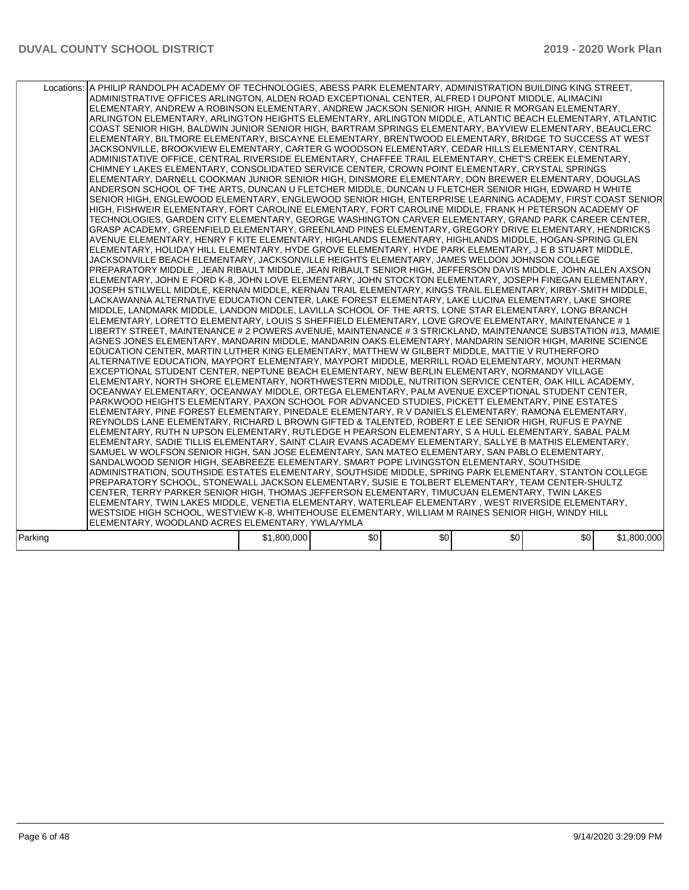|         | Locations: A PHILIP RANDOLPH ACADEMY OF TECHNOLOGIES, ABESS PARK ELEMENTARY, ADMINISTRATION BUILDING KING STREET,<br>ADMINISTRATIVE OFFICES ARLINGTON, ALDEN ROAD EXCEPTIONAL CENTER, ALFRED I DUPONT MIDDLE, ALIMACINI<br>ELEMENTARY, ANDREW A ROBINSON ELEMENTARY, ANDREW JACKSON SENIOR HIGH, ANNIE R MORGAN ELEMENTARY,<br>ARLINGTON ELEMENTARY, ARLINGTON HEIGHTS ELEMENTARY, ARLINGTON MIDDLE, ATLANTIC BEACH ELEMENTARY, ATLANTIC<br>COAST SENIOR HIGH, BALDWIN JUNIOR SENIOR HIGH, BARTRAM SPRINGS ELEMENTARY, BAYVIEW ELEMENTARY, BEAUCLERC<br>ELEMENTARY, BILTMORE ELEMENTARY, BISCAYNE ELEMENTARY, BRENTWOOD ELEMENTARY, BRIDGE TO SUCCESS AT WEST<br>JACKSONVILLE, BROOKVIEW ELEMENTARY, CARTER G WOODSON ELEMENTARY, CEDAR HILLS ELEMENTARY, CENTRAL<br>ADMINISTATIVE OFFICE, CENTRAL RIVERSIDE ELEMENTARY, CHAFFEE TRAIL ELEMENTARY, CHET'S CREEK ELEMENTARY,<br>CHIMNEY LAKES ELEMENTARY, CONSOLIDATED SERVICE CENTER, CROWN POINT ELEMENTARY, CRYSTAL SPRINGS<br>ELEMENTARY, DARNELL COOKMAN JUNIOR SENIOR HIGH, DINSMORE ELEMENTARY, DON BREWER ELEMENTARY, DOUGLAS<br>ANDERSON SCHOOL OF THE ARTS, DUNCAN U FLETCHER MIDDLE, DUNCAN U FLETCHER SENIOR HIGH, EDWARD H WHITE<br>ISENIOR HIGH. ENGLEWOOD ELEMENTARY. ENGLEWOOD SENIOR HIGH. ENTERPRISE LEARNING ACADEMY. FIRST COAST SENIOR<br>HIGH. FISHWEIR ELEMENTARY. FORT CAROLINE ELEMENTARY. FORT CAROLINE MIDDLE. FRANK H PETERSON ACADEMY OF<br>TECHNOLOGIES, GARDEN CITY ELEMENTARY, GEORGE WASHINGTON CARVER ELEMENTARY, GRAND PARK CAREER CENTER,<br>GRASP ACADEMY, GREENFIELD ELEMENTARY, GREENLAND PINES ELEMENTARY, GREGORY DRIVE ELEMENTARY, HENDRICKS<br>AVENUE ELEMENTARY, HENRY F KITE ELEMENTARY, HIGHLANDS ELEMENTARY, HIGHLANDS MIDDLE, HOGAN-SPRING GLEN<br>ELEMENTARY, HOLIDAY HILL ELEMENTARY, HYDE GROVE ELEMENTARY, HYDE PARK ELEMENTARY, J E B STUART MIDDLE,<br>JACKSONVILLE BEACH ELEMENTARY, JACKSONVILLE HEIGHTS ELEMENTARY, JAMES WELDON JOHNSON COLLEGE<br>PREPARATORY MIDDLE, JEAN RIBAULT MIDDLE, JEAN RIBAULT SENIOR HIGH, JEFFERSON DAVIS MIDDLE, JOHN ALLEN AXSON<br>ELEMENTARY, JOHN E FORD K-8, JOHN LOVE ELEMENTARY, JOHN STOCKTON ELEMENTARY, JOSEPH FINEGAN ELEMENTARY,<br>JOSEPH STILWELL MIDDLE, KERNAN MIDDLE, KERNAN TRAIL ELEMENTARY, KINGS TRAIL ELEMENTARY, KIRBY-SMITH MIDDLE,<br>LACKAWANNA ALTERNATIVE EDUCATION CENTER, LAKE FOREST ELEMENTARY, LAKE LUCINA ELEMENTARY, LAKE SHORE<br>MIDDLE, LANDMARK MIDDLE, LANDON MIDDLE, LAVILLA SCHOOL OF THE ARTS, LONE STAR ELEMENTARY, LONG BRANCH<br>ELEMENTARY, LORETTO ELEMENTARY, LOUIS S SHEFFIELD ELEMENTARY, LOVE GROVE ELEMENTARY, MAINTENANCE #1<br>LIBERTY STREET, MAINTENANCE # 2 POWERS AVENUE, MAINTENANCE # 3 STRICKLAND, MAINTENANCE SUBSTATION #13, MAMIE<br>AGNES JONES ELEMENTARY, MANDARIN MIDDLE, MANDARIN OAKS ELEMENTARY, MANDARIN SENIOR HIGH, MARINE SCIENCE<br>EDUCATION CENTER, MARTIN LUTHER KING ELEMENTARY, MATTHEW W GILBERT MIDDLE, MATTIE V RUTHERFORD<br>ALTERNATIVE EDUCATION, MAYPORT ELEMENTARY, MAYPORT MIDDLE, MERRILL ROAD ELEMENTARY, MOUNT HERMAN<br>EXCEPTIONAL STUDENT CENTER, NEPTUNE BEACH ELEMENTARY, NEW BERLIN ELEMENTARY, NORMANDY VILLAGE<br>ELEMENTARY, NORTH SHORE ELEMENTARY, NORTHWESTERN MIDDLE, NUTRITION SERVICE CENTER, OAK HILL ACADEMY,<br>OCEANWAY ELEMENTARY, OCEANWAY MIDDLE, ORTEGA ELEMENTARY, PALM AVENUE EXCEPTIONAL STUDENT CENTER,<br>PARKWOOD HEIGHTS ELEMENTARY, PAXON SCHOOL FOR ADVANCED STUDIES, PICKETT ELEMENTARY, PINE ESTATES<br>ELEMENTARY, PINE FOREST ELEMENTARY, PINEDALE ELEMENTARY, R V DANIELS ELEMENTARY, RAMONA ELEMENTARY,<br>REYNOLDS LANE ELEMENTARY, RICHARD L BROWN GIFTED & TALENTED, ROBERT E LEE SENIOR HIGH, RUFUS E PAYNE<br>ELEMENTARY, RUTH N UPSON ELEMENTARY, RUTLEDGE H PEARSON ELEMENTARY, S A HULL ELEMENTARY, SABAL PALM]<br>ELEMENTARY, SADIE TILLIS ELEMENTARY, SAINT CLAIR EVANS ACADEMY ELEMENTARY, SALLYE B MATHIS ELEMENTARY,<br>SAMUEL W WOLFSON SENIOR HIGH, SAN JOSE ELEMENTARY, SAN MATEO ELEMENTARY, SAN PABLO ELEMENTARY,<br>SANDALWOOD SENIOR HIGH, SEABREEZE ELEMENTARY, SMART POPE LIVINGSTON ELEMENTARY, SOUTHSIDE<br>ADMINISTRATION, SOUTHSIDE ESTATES ELEMENTARY, SOUTHSIDE MIDDLE, SPRING PARK ELEMENTARY, STANTON COLLEGE<br>PREPARATORY SCHOOL, STONEWALL JACKSON ELEMENTARY, SUSIE E TOLBERT ELEMENTARY, TEAM CENTER-SHULTZ<br>CENTER. TERRY PARKER SENIOR HIGH. THOMAS JEFFERSON ELEMENTARY. TIMUCUAN ELEMENTARY. TWIN LAKES<br>ELEMENTARY, TWIN LAKES MIDDLE, VENETIA ELEMENTARY, WATERLEAF ELEMENTARY, WEST RIVERSIDE ELEMENTARY,<br>WESTSIDE HIGH SCHOOL, WESTVIEW K-8, WHITEHOUSE ELEMENTARY, WILLIAM M RAINES SENIOR HIGH, WINDY HILL<br>ELEMENTARY, WOODLAND ACRES ELEMENTARY, YWLA/YMLA |             |     |     |     |     |             |
|---------|-----------------------------------------------------------------------------------------------------------------------------------------------------------------------------------------------------------------------------------------------------------------------------------------------------------------------------------------------------------------------------------------------------------------------------------------------------------------------------------------------------------------------------------------------------------------------------------------------------------------------------------------------------------------------------------------------------------------------------------------------------------------------------------------------------------------------------------------------------------------------------------------------------------------------------------------------------------------------------------------------------------------------------------------------------------------------------------------------------------------------------------------------------------------------------------------------------------------------------------------------------------------------------------------------------------------------------------------------------------------------------------------------------------------------------------------------------------------------------------------------------------------------------------------------------------------------------------------------------------------------------------------------------------------------------------------------------------------------------------------------------------------------------------------------------------------------------------------------------------------------------------------------------------------------------------------------------------------------------------------------------------------------------------------------------------------------------------------------------------------------------------------------------------------------------------------------------------------------------------------------------------------------------------------------------------------------------------------------------------------------------------------------------------------------------------------------------------------------------------------------------------------------------------------------------------------------------------------------------------------------------------------------------------------------------------------------------------------------------------------------------------------------------------------------------------------------------------------------------------------------------------------------------------------------------------------------------------------------------------------------------------------------------------------------------------------------------------------------------------------------------------------------------------------------------------------------------------------------------------------------------------------------------------------------------------------------------------------------------------------------------------------------------------------------------------------------------------------------------------------------------------------------------------------------------------------------------------------------------------------------------------------------------------------------------------------------------------------------------------------------------------------------------------------------------------------------------------------------------------------------------------------------------------------------------------------------------------------------------------------------------------------------------------------------------------------------------------------------------------------------------------------------------------------------------------------------------------------------------------------------------------------------------------------------------------------------------------------------------------------------------------------------------------------------------------------------------------------------------------------------------------------------------------------------------------------------------------------------------------------------------------------------------------------------------------------------|-------------|-----|-----|-----|-----|-------------|
| Parking |                                                                                                                                                                                                                                                                                                                                                                                                                                                                                                                                                                                                                                                                                                                                                                                                                                                                                                                                                                                                                                                                                                                                                                                                                                                                                                                                                                                                                                                                                                                                                                                                                                                                                                                                                                                                                                                                                                                                                                                                                                                                                                                                                                                                                                                                                                                                                                                                                                                                                                                                                                                                                                                                                                                                                                                                                                                                                                                                                                                                                                                                                                                                                                                                                                                                                                                                                                                                                                                                                                                                                                                                                                                                                                                                                                                                                                                                                                                                                                                                                                                                                                                                                                                                                                                                                                                                                                                                                                                                                                                                                                                                                                                                                               | \$1,800,000 | \$0 | \$0 | \$0 | \$0 | \$1,800,000 |
|         |                                                                                                                                                                                                                                                                                                                                                                                                                                                                                                                                                                                                                                                                                                                                                                                                                                                                                                                                                                                                                                                                                                                                                                                                                                                                                                                                                                                                                                                                                                                                                                                                                                                                                                                                                                                                                                                                                                                                                                                                                                                                                                                                                                                                                                                                                                                                                                                                                                                                                                                                                                                                                                                                                                                                                                                                                                                                                                                                                                                                                                                                                                                                                                                                                                                                                                                                                                                                                                                                                                                                                                                                                                                                                                                                                                                                                                                                                                                                                                                                                                                                                                                                                                                                                                                                                                                                                                                                                                                                                                                                                                                                                                                                                               |             |     |     |     |     |             |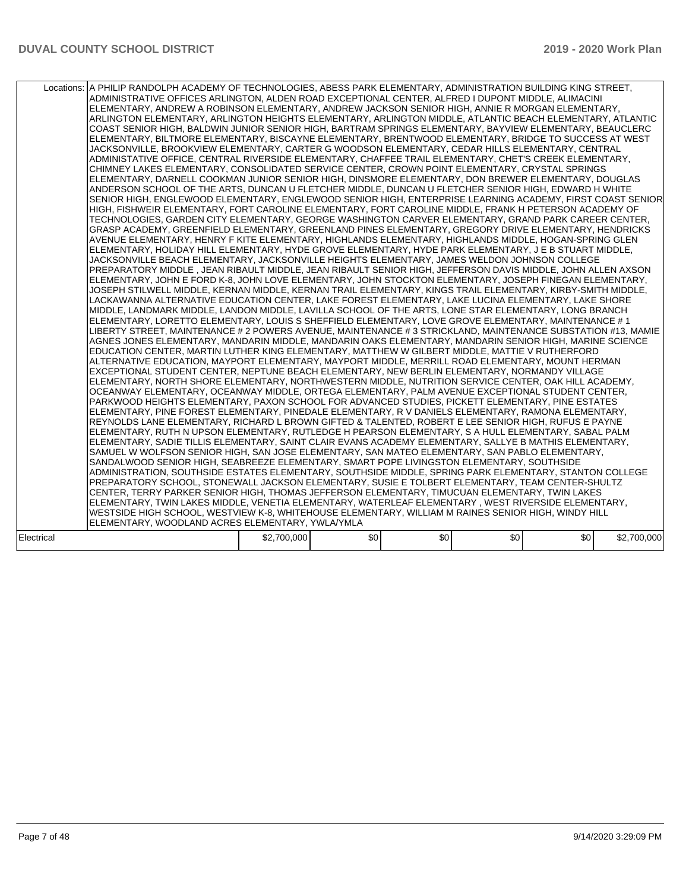|            | Locations: A PHILIP RANDOLPH ACADEMY OF TECHNOLOGIES, ABESS PARK ELEMENTARY, ADMINISTRATION BUILDING KING STREET,<br>ADMINISTRATIVE OFFICES ARLINGTON, ALDEN ROAD EXCEPTIONAL CENTER, ALFRED I DUPONT MIDDLE, ALIMACINI<br>ELEMENTARY, ANDREW A ROBINSON ELEMENTARY, ANDREW JACKSON SENIOR HIGH, ANNIE R MORGAN ELEMENTARY,<br>ARLINGTON ELEMENTARY, ARLINGTON HEIGHTS ELEMENTARY, ARLINGTON MIDDLE, ATLANTIC BEACH ELEMENTARY, ATLANTIC<br>COAST SENIOR HIGH, BALDWIN JUNIOR SENIOR HIGH, BARTRAM SPRINGS ELEMENTARY, BAYVIEW ELEMENTARY, BEAUCLERC<br>ELEMENTARY, BILTMORE ELEMENTARY, BISCAYNE ELEMENTARY, BRENTWOOD ELEMENTARY, BRIDGE TO SUCCESS AT WEST<br>JACKSONVILLE, BROOKVIEW ELEMENTARY, CARTER G WOODSON ELEMENTARY, CEDAR HILLS ELEMENTARY, CENTRAL<br>ADMINISTATIVE OFFICE, CENTRAL RIVERSIDE ELEMENTARY, CHAFFEE TRAIL ELEMENTARY, CHET'S CREEK ELEMENTARY,<br>CHIMNEY LAKES ELEMENTARY, CONSOLIDATED SERVICE CENTER, CROWN POINT ELEMENTARY, CRYSTAL SPRINGS<br>ELEMENTARY, DARNELL COOKMAN JUNIOR SENIOR HIGH, DINSMORE ELEMENTARY, DON BREWER ELEMENTARY, DOUGLAS<br>ANDERSON SCHOOL OF THE ARTS, DUNCAN U FLETCHER MIDDLE, DUNCAN U FLETCHER SENIOR HIGH, EDWARD H WHITE<br>ISENIOR HIGH. ENGLEWOOD ELEMENTARY. ENGLEWOOD SENIOR HIGH. ENTERPRISE LEARNING ACADEMY. FIRST COAST SENIOR<br>HIGH. FISHWEIR ELEMENTARY. FORT CAROLINE ELEMENTARY. FORT CAROLINE MIDDLE. FRANK H PETERSON ACADEMY OF<br>TECHNOLOGIES, GARDEN CITY ELEMENTARY, GEORGE WASHINGTON CARVER ELEMENTARY, GRAND PARK CAREER CENTER,<br>GRASP ACADEMY, GREENFIELD ELEMENTARY, GREENLAND PINES ELEMENTARY, GREGORY DRIVE ELEMENTARY, HENDRICKS<br>AVENUE ELEMENTARY, HENRY F KITE ELEMENTARY, HIGHLANDS ELEMENTARY, HIGHLANDS MIDDLE, HOGAN-SPRING GLEN<br>ELEMENTARY, HOLIDAY HILL ELEMENTARY, HYDE GROVE ELEMENTARY, HYDE PARK ELEMENTARY, J E B STUART MIDDLE,<br>JACKSONVILLE BEACH ELEMENTARY, JACKSONVILLE HEIGHTS ELEMENTARY, JAMES WELDON JOHNSON COLLEGE<br>PREPARATORY MIDDLE, JEAN RIBAULT MIDDLE, JEAN RIBAULT SENIOR HIGH, JEFFERSON DAVIS MIDDLE, JOHN ALLEN AXSON<br>ELEMENTARY, JOHN E FORD K-8, JOHN LOVE ELEMENTARY, JOHN STOCKTON ELEMENTARY, JOSEPH FINEGAN ELEMENTARY,<br>JOSEPH STILWELL MIDDLE, KERNAN MIDDLE, KERNAN TRAIL ELEMENTARY, KINGS TRAIL ELEMENTARY, KIRBY-SMITH MIDDLE,<br>LACKAWANNA ALTERNATIVE EDUCATION CENTER, LAKE FOREST ELEMENTARY, LAKE LUCINA ELEMENTARY, LAKE SHORE<br>MIDDLE, LANDMARK MIDDLE, LANDON MIDDLE, LAVILLA SCHOOL OF THE ARTS, LONE STAR ELEMENTARY, LONG BRANCH<br>ELEMENTARY, LORETTO ELEMENTARY, LOUIS S SHEFFIELD ELEMENTARY, LOVE GROVE ELEMENTARY, MAINTENANCE #1<br>LIBERTY STREET, MAINTENANCE # 2 POWERS AVENUE, MAINTENANCE # 3 STRICKLAND, MAINTENANCE SUBSTATION #13, MAMIE<br>AGNES JONES ELEMENTARY, MANDARIN MIDDLE, MANDARIN OAKS ELEMENTARY, MANDARIN SENIOR HIGH, MARINE SCIENCE<br>EDUCATION CENTER, MARTIN LUTHER KING ELEMENTARY, MATTHEW W GILBERT MIDDLE, MATTIE V RUTHERFORD<br>ALTERNATIVE EDUCATION, MAYPORT ELEMENTARY, MAYPORT MIDDLE, MERRILL ROAD ELEMENTARY, MOUNT HERMAN<br>EXCEPTIONAL STUDENT CENTER, NEPTUNE BEACH ELEMENTARY, NEW BERLIN ELEMENTARY, NORMANDY VILLAGE<br>ELEMENTARY, NORTH SHORE ELEMENTARY, NORTHWESTERN MIDDLE, NUTRITION SERVICE CENTER, OAK HILL ACADEMY,<br>OCEANWAY ELEMENTARY, OCEANWAY MIDDLE, ORTEGA ELEMENTARY, PALM AVENUE EXCEPTIONAL STUDENT CENTER,<br>PARKWOOD HEIGHTS ELEMENTARY, PAXON SCHOOL FOR ADVANCED STUDIES, PICKETT ELEMENTARY, PINE ESTATES<br>ELEMENTARY, PINE FOREST ELEMENTARY, PINEDALE ELEMENTARY, R V DANIELS ELEMENTARY, RAMONA ELEMENTARY,<br>REYNOLDS LANE ELEMENTARY, RICHARD L BROWN GIFTED & TALENTED, ROBERT E LEE SENIOR HIGH, RUFUS E PAYNE<br>ELEMENTARY, RUTH N UPSON ELEMENTARY, RUTLEDGE H PEARSON ELEMENTARY, S A HULL ELEMENTARY, SABAL PALM]<br>ELEMENTARY, SADIE TILLIS ELEMENTARY, SAINT CLAIR EVANS ACADEMY ELEMENTARY, SALLYE B MATHIS ELEMENTARY,<br>SAMUEL W WOLFSON SENIOR HIGH, SAN JOSE ELEMENTARY, SAN MATEO ELEMENTARY, SAN PABLO ELEMENTARY,<br>SANDALWOOD SENIOR HIGH, SEABREEZE ELEMENTARY, SMART POPE LIVINGSTON ELEMENTARY, SOUTHSIDE<br>ADMINISTRATION, SOUTHSIDE ESTATES ELEMENTARY, SOUTHSIDE MIDDLE, SPRING PARK ELEMENTARY, STANTON COLLEGE<br>PREPARATORY SCHOOL, STONEWALL JACKSON ELEMENTARY, SUSIE E TOLBERT ELEMENTARY, TEAM CENTER-SHULTZ<br>CENTER, TERRY PARKER SENIOR HIGH, THOMAS JEFFERSON ELEMENTARY, TIMUCUAN ELEMENTARY, TWIN LAKES<br>ELEMENTARY, TWIN LAKES MIDDLE, VENETIA ELEMENTARY, WATERLEAF ELEMENTARY, WEST RIVERSIDE ELEMENTARY,<br>WESTSIDE HIGH SCHOOL, WESTVIEW K-8, WHITEHOUSE ELEMENTARY, WILLIAM M RAINES SENIOR HIGH, WINDY HILL<br>ELEMENTARY, WOODLAND ACRES ELEMENTARY, YWLA/YMLA |             |     |     |     |     |             |
|------------|-----------------------------------------------------------------------------------------------------------------------------------------------------------------------------------------------------------------------------------------------------------------------------------------------------------------------------------------------------------------------------------------------------------------------------------------------------------------------------------------------------------------------------------------------------------------------------------------------------------------------------------------------------------------------------------------------------------------------------------------------------------------------------------------------------------------------------------------------------------------------------------------------------------------------------------------------------------------------------------------------------------------------------------------------------------------------------------------------------------------------------------------------------------------------------------------------------------------------------------------------------------------------------------------------------------------------------------------------------------------------------------------------------------------------------------------------------------------------------------------------------------------------------------------------------------------------------------------------------------------------------------------------------------------------------------------------------------------------------------------------------------------------------------------------------------------------------------------------------------------------------------------------------------------------------------------------------------------------------------------------------------------------------------------------------------------------------------------------------------------------------------------------------------------------------------------------------------------------------------------------------------------------------------------------------------------------------------------------------------------------------------------------------------------------------------------------------------------------------------------------------------------------------------------------------------------------------------------------------------------------------------------------------------------------------------------------------------------------------------------------------------------------------------------------------------------------------------------------------------------------------------------------------------------------------------------------------------------------------------------------------------------------------------------------------------------------------------------------------------------------------------------------------------------------------------------------------------------------------------------------------------------------------------------------------------------------------------------------------------------------------------------------------------------------------------------------------------------------------------------------------------------------------------------------------------------------------------------------------------------------------------------------------------------------------------------------------------------------------------------------------------------------------------------------------------------------------------------------------------------------------------------------------------------------------------------------------------------------------------------------------------------------------------------------------------------------------------------------------------------------------------------------------------------------------------------------------------------------------------------------------------------------------------------------------------------------------------------------------------------------------------------------------------------------------------------------------------------------------------------------------------------------------------------------------------------------------------------------------------------------------------------------------------------------------------------------|-------------|-----|-----|-----|-----|-------------|
| Electrical |                                                                                                                                                                                                                                                                                                                                                                                                                                                                                                                                                                                                                                                                                                                                                                                                                                                                                                                                                                                                                                                                                                                                                                                                                                                                                                                                                                                                                                                                                                                                                                                                                                                                                                                                                                                                                                                                                                                                                                                                                                                                                                                                                                                                                                                                                                                                                                                                                                                                                                                                                                                                                                                                                                                                                                                                                                                                                                                                                                                                                                                                                                                                                                                                                                                                                                                                                                                                                                                                                                                                                                                                                                                                                                                                                                                                                                                                                                                                                                                                                                                                                                                                                                                                                                                                                                                                                                                                                                                                                                                                                                                                                                                                                               | \$2,700,000 | \$0 | \$0 | \$0 | \$0 | \$2,700,000 |
|            |                                                                                                                                                                                                                                                                                                                                                                                                                                                                                                                                                                                                                                                                                                                                                                                                                                                                                                                                                                                                                                                                                                                                                                                                                                                                                                                                                                                                                                                                                                                                                                                                                                                                                                                                                                                                                                                                                                                                                                                                                                                                                                                                                                                                                                                                                                                                                                                                                                                                                                                                                                                                                                                                                                                                                                                                                                                                                                                                                                                                                                                                                                                                                                                                                                                                                                                                                                                                                                                                                                                                                                                                                                                                                                                                                                                                                                                                                                                                                                                                                                                                                                                                                                                                                                                                                                                                                                                                                                                                                                                                                                                                                                                                                               |             |     |     |     |     |             |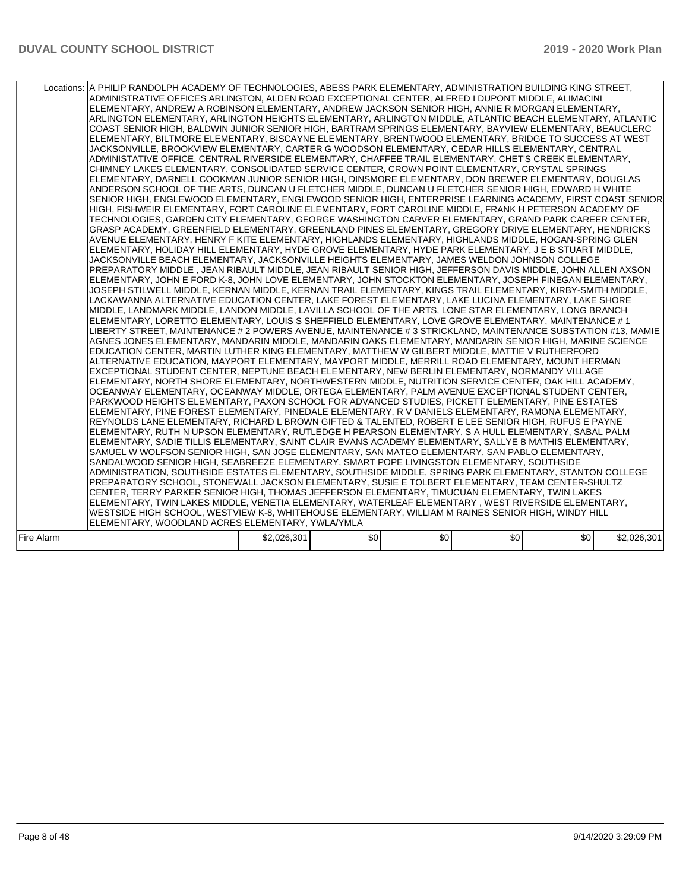|            | Locations: A PHILIP RANDOLPH ACADEMY OF TECHNOLOGIES, ABESS PARK ELEMENTARY, ADMINISTRATION BUILDING KING STREET,<br>ADMINISTRATIVE OFFICES ARLINGTON, ALDEN ROAD EXCEPTIONAL CENTER, ALFRED I DUPONT MIDDLE, ALIMACINI<br>ELEMENTARY, ANDREW A ROBINSON ELEMENTARY, ANDREW JACKSON SENIOR HIGH, ANNIE R MORGAN ELEMENTARY,<br>ARLINGTON ELEMENTARY, ARLINGTON HEIGHTS ELEMENTARY, ARLINGTON MIDDLE, ATLANTIC BEACH ELEMENTARY, ATLANTIC<br>COAST SENIOR HIGH, BALDWIN JUNIOR SENIOR HIGH, BARTRAM SPRINGS ELEMENTARY, BAYVIEW ELEMENTARY, BEAUCLERC<br>ELEMENTARY, BILTMORE ELEMENTARY, BISCAYNE ELEMENTARY, BRENTWOOD ELEMENTARY, BRIDGE TO SUCCESS AT WEST<br>JACKSONVILLE, BROOKVIEW ELEMENTARY, CARTER G WOODSON ELEMENTARY, CEDAR HILLS ELEMENTARY, CENTRAL<br>ADMINISTATIVE OFFICE, CENTRAL RIVERSIDE ELEMENTARY, CHAFFEE TRAIL ELEMENTARY, CHET'S CREEK ELEMENTARY,<br>CHIMNEY LAKES ELEMENTARY, CONSOLIDATED SERVICE CENTER, CROWN POINT ELEMENTARY, CRYSTAL SPRINGS<br>ELEMENTARY, DARNELL COOKMAN JUNIOR SENIOR HIGH, DINSMORE ELEMENTARY, DON BREWER ELEMENTARY, DOUGLAS<br>ANDERSON SCHOOL OF THE ARTS, DUNCAN U FLETCHER MIDDLE, DUNCAN U FLETCHER SENIOR HIGH, EDWARD H WHITE<br>ISENIOR HIGH. ENGLEWOOD ELEMENTARY. ENGLEWOOD SENIOR HIGH. ENTERPRISE LEARNING ACADEMY. FIRST COAST SENIOR<br>HIGH. FISHWEIR ELEMENTARY. FORT CAROLINE ELEMENTARY. FORT CAROLINE MIDDLE. FRANK H PETERSON ACADEMY OF<br>TECHNOLOGIES, GARDEN CITY ELEMENTARY, GEORGE WASHINGTON CARVER ELEMENTARY, GRAND PARK CAREER CENTER,<br>GRASP ACADEMY, GREENFIELD ELEMENTARY, GREENLAND PINES ELEMENTARY, GREGORY DRIVE ELEMENTARY, HENDRICKS<br>AVENUE ELEMENTARY, HENRY F KITE ELEMENTARY, HIGHLANDS ELEMENTARY, HIGHLANDS MIDDLE, HOGAN-SPRING GLEN<br>ELEMENTARY, HOLIDAY HILL ELEMENTARY, HYDE GROVE ELEMENTARY, HYDE PARK ELEMENTARY, J E B STUART MIDDLE,<br>JACKSONVILLE BEACH ELEMENTARY, JACKSONVILLE HEIGHTS ELEMENTARY, JAMES WELDON JOHNSON COLLEGE<br>PREPARATORY MIDDLE, JEAN RIBAULT MIDDLE, JEAN RIBAULT SENIOR HIGH, JEFFERSON DAVIS MIDDLE, JOHN ALLEN AXSON<br>ELEMENTARY, JOHN E FORD K-8, JOHN LOVE ELEMENTARY, JOHN STOCKTON ELEMENTARY, JOSEPH FINEGAN ELEMENTARY,<br>JOSEPH STILWELL MIDDLE, KERNAN MIDDLE, KERNAN TRAIL ELEMENTARY, KINGS TRAIL ELEMENTARY, KIRBY-SMITH MIDDLE,<br>LACKAWANNA ALTERNATIVE EDUCATION CENTER, LAKE FOREST ELEMENTARY, LAKE LUCINA ELEMENTARY, LAKE SHORE<br>MIDDLE, LANDMARK MIDDLE, LANDON MIDDLE, LAVILLA SCHOOL OF THE ARTS, LONE STAR ELEMENTARY, LONG BRANCH<br>ELEMENTARY, LORETTO ELEMENTARY, LOUIS S SHEFFIELD ELEMENTARY, LOVE GROVE ELEMENTARY, MAINTENANCE #1<br>LIBERTY STREET, MAINTENANCE # 2 POWERS AVENUE, MAINTENANCE # 3 STRICKLAND, MAINTENANCE SUBSTATION #13, MAMIE<br>AGNES JONES ELEMENTARY, MANDARIN MIDDLE, MANDARIN OAKS ELEMENTARY, MANDARIN SENIOR HIGH, MARINE SCIENCE<br>EDUCATION CENTER, MARTIN LUTHER KING ELEMENTARY, MATTHEW W GILBERT MIDDLE, MATTIE V RUTHERFORD<br>ALTERNATIVE EDUCATION, MAYPORT ELEMENTARY, MAYPORT MIDDLE, MERRILL ROAD ELEMENTARY, MOUNT HERMAN<br>EXCEPTIONAL STUDENT CENTER, NEPTUNE BEACH ELEMENTARY, NEW BERLIN ELEMENTARY, NORMANDY VILLAGE<br>ELEMENTARY, NORTH SHORE ELEMENTARY, NORTHWESTERN MIDDLE, NUTRITION SERVICE CENTER, OAK HILL ACADEMY,<br>OCEANWAY ELEMENTARY, OCEANWAY MIDDLE, ORTEGA ELEMENTARY, PALM AVENUE EXCEPTIONAL STUDENT CENTER,<br>PARKWOOD HEIGHTS ELEMENTARY, PAXON SCHOOL FOR ADVANCED STUDIES, PICKETT ELEMENTARY, PINE ESTATES<br>ELEMENTARY, PINE FOREST ELEMENTARY, PINEDALE ELEMENTARY, R V DANIELS ELEMENTARY, RAMONA ELEMENTARY,<br>REYNOLDS LANE ELEMENTARY, RICHARD L BROWN GIFTED & TALENTED, ROBERT E LEE SENIOR HIGH, RUFUS E PAYNE<br>ELEMENTARY, RUTH N UPSON ELEMENTARY, RUTLEDGE H PEARSON ELEMENTARY, S A HULL ELEMENTARY, SABAL PALM]<br>ELEMENTARY, SADIE TILLIS ELEMENTARY, SAINT CLAIR EVANS ACADEMY ELEMENTARY, SALLYE B MATHIS ELEMENTARY,<br>SAMUEL W WOLFSON SENIOR HIGH, SAN JOSE ELEMENTARY, SAN MATEO ELEMENTARY, SAN PABLO ELEMENTARY,<br>SANDALWOOD SENIOR HIGH, SEABREEZE ELEMENTARY, SMART POPE LIVINGSTON ELEMENTARY, SOUTHSIDE<br>ADMINISTRATION, SOUTHSIDE ESTATES ELEMENTARY, SOUTHSIDE MIDDLE, SPRING PARK ELEMENTARY, STANTON COLLEGE<br>PREPARATORY SCHOOL, STONEWALL JACKSON ELEMENTARY, SUSIE E TOLBERT ELEMENTARY, TEAM CENTER-SHULTZ<br>CENTER. TERRY PARKER SENIOR HIGH. THOMAS JEFFERSON ELEMENTARY. TIMUCUAN ELEMENTARY. TWIN LAKES<br>ELEMENTARY, TWIN LAKES MIDDLE, VENETIA ELEMENTARY, WATERLEAF ELEMENTARY, WEST RIVERSIDE ELEMENTARY,<br>WESTSIDE HIGH SCHOOL, WESTVIEW K-8, WHITEHOUSE ELEMENTARY, WILLIAM M RAINES SENIOR HIGH, WINDY HILL<br>ELEMENTARY, WOODLAND ACRES ELEMENTARY, YWLA/YMLA |             |     |     |     |     |             |
|------------|-----------------------------------------------------------------------------------------------------------------------------------------------------------------------------------------------------------------------------------------------------------------------------------------------------------------------------------------------------------------------------------------------------------------------------------------------------------------------------------------------------------------------------------------------------------------------------------------------------------------------------------------------------------------------------------------------------------------------------------------------------------------------------------------------------------------------------------------------------------------------------------------------------------------------------------------------------------------------------------------------------------------------------------------------------------------------------------------------------------------------------------------------------------------------------------------------------------------------------------------------------------------------------------------------------------------------------------------------------------------------------------------------------------------------------------------------------------------------------------------------------------------------------------------------------------------------------------------------------------------------------------------------------------------------------------------------------------------------------------------------------------------------------------------------------------------------------------------------------------------------------------------------------------------------------------------------------------------------------------------------------------------------------------------------------------------------------------------------------------------------------------------------------------------------------------------------------------------------------------------------------------------------------------------------------------------------------------------------------------------------------------------------------------------------------------------------------------------------------------------------------------------------------------------------------------------------------------------------------------------------------------------------------------------------------------------------------------------------------------------------------------------------------------------------------------------------------------------------------------------------------------------------------------------------------------------------------------------------------------------------------------------------------------------------------------------------------------------------------------------------------------------------------------------------------------------------------------------------------------------------------------------------------------------------------------------------------------------------------------------------------------------------------------------------------------------------------------------------------------------------------------------------------------------------------------------------------------------------------------------------------------------------------------------------------------------------------------------------------------------------------------------------------------------------------------------------------------------------------------------------------------------------------------------------------------------------------------------------------------------------------------------------------------------------------------------------------------------------------------------------------------------------------------------------------------------------------------------------------------------------------------------------------------------------------------------------------------------------------------------------------------------------------------------------------------------------------------------------------------------------------------------------------------------------------------------------------------------------------------------------------------------------------------------------------------------------|-------------|-----|-----|-----|-----|-------------|
| Fire Alarm |                                                                                                                                                                                                                                                                                                                                                                                                                                                                                                                                                                                                                                                                                                                                                                                                                                                                                                                                                                                                                                                                                                                                                                                                                                                                                                                                                                                                                                                                                                                                                                                                                                                                                                                                                                                                                                                                                                                                                                                                                                                                                                                                                                                                                                                                                                                                                                                                                                                                                                                                                                                                                                                                                                                                                                                                                                                                                                                                                                                                                                                                                                                                                                                                                                                                                                                                                                                                                                                                                                                                                                                                                                                                                                                                                                                                                                                                                                                                                                                                                                                                                                                                                                                                                                                                                                                                                                                                                                                                                                                                                                                                                                                                                               | \$2,026,301 | \$0 | \$0 | \$0 | \$0 | \$2,026,301 |
|            |                                                                                                                                                                                                                                                                                                                                                                                                                                                                                                                                                                                                                                                                                                                                                                                                                                                                                                                                                                                                                                                                                                                                                                                                                                                                                                                                                                                                                                                                                                                                                                                                                                                                                                                                                                                                                                                                                                                                                                                                                                                                                                                                                                                                                                                                                                                                                                                                                                                                                                                                                                                                                                                                                                                                                                                                                                                                                                                                                                                                                                                                                                                                                                                                                                                                                                                                                                                                                                                                                                                                                                                                                                                                                                                                                                                                                                                                                                                                                                                                                                                                                                                                                                                                                                                                                                                                                                                                                                                                                                                                                                                                                                                                                               |             |     |     |     |     |             |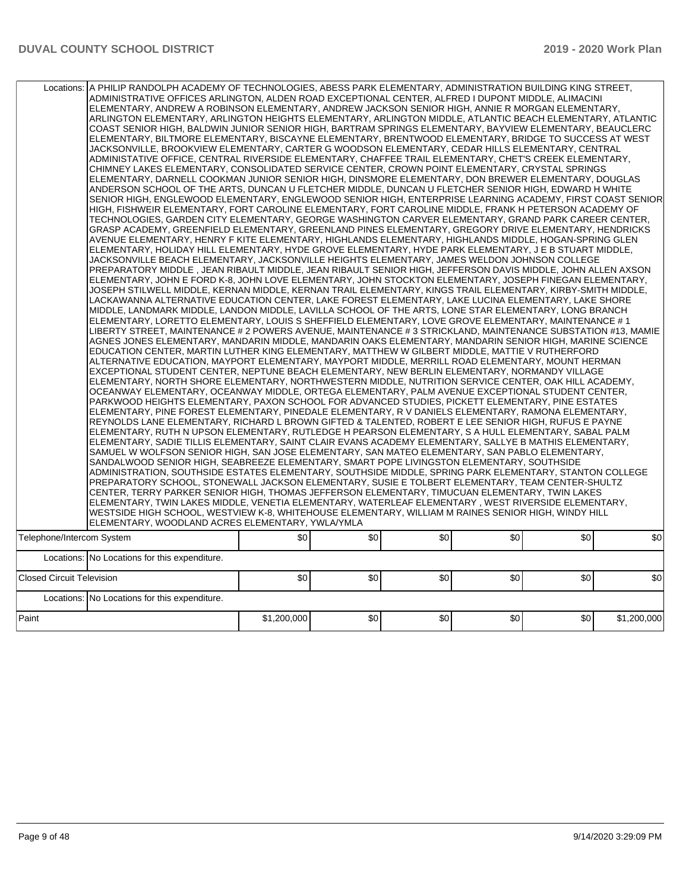|                                  | Locations: A PHILIP RANDOLPH ACADEMY OF TECHNOLOGIES, ABESS PARK ELEMENTARY, ADMINISTRATION BUILDING KING STREET,<br>ADMINISTRATIVE OFFICES ARLINGTON, ALDEN ROAD EXCEPTIONAL CENTER, ALFRED I DUPONT MIDDLE, ALIMACINI<br>ELEMENTARY, ANDREW A ROBINSON ELEMENTARY, ANDREW JACKSON SENIOR HIGH, ANNIE R MORGAN ELEMENTARY,<br>ARLINGTON ELEMENTARY, ARLINGTON HEIGHTS ELEMENTARY, ARLINGTON MIDDLE, ATLANTIC BEACH ELEMENTARY, ATLANTIC<br>COAST SENIOR HIGH, BALDWIN JUNIOR SENIOR HIGH, BARTRAM SPRINGS ELEMENTARY, BAYVIEW ELEMENTARY, BEAUCLERC<br>ELEMENTARY, BILTMORE ELEMENTARY, BISCAYNE ELEMENTARY, BRENTWOOD ELEMENTARY, BRIDGE TO SUCCESS AT WEST<br>JACKSONVILLE, BROOKVIEW ELEMENTARY, CARTER G WOODSON ELEMENTARY, CEDAR HILLS ELEMENTARY, CENTRAL<br>ADMINISTATIVE OFFICE, CENTRAL RIVERSIDE ELEMENTARY, CHAFFEE TRAIL ELEMENTARY, CHET'S CREEK ELEMENTARY,<br>CHIMNEY LAKES ELEMENTARY, CONSOLIDATED SERVICE CENTER, CROWN POINT ELEMENTARY, CRYSTAL SPRINGS<br>ELEMENTARY, DARNELL COOKMAN JUNIOR SENIOR HIGH, DINSMORE ELEMENTARY, DON BREWER ELEMENTARY, DOUGLAS<br>ANDERSON SCHOOL OF THE ARTS, DUNCAN U FLETCHER MIDDLE, DUNCAN U FLETCHER SENIOR HIGH, EDWARD H WHITE<br>SENIOR HIGH, ENGLEWOOD ELEMENTARY, ENGLEWOOD SENIOR HIGH, ENTERPRISE LEARNING ACADEMY, FIRST COAST SENIOR<br>HIGH, FISHWEIR ELEMENTARY, FORT CAROLINE ELEMENTARY, FORT CAROLINE MIDDLE, FRANK H PETERSON ACADEMY OF<br>TECHNOLOGIES, GARDEN CITY ELEMENTARY, GEORGE WASHINGTON CARVER ELEMENTARY, GRAND PARK CAREER CENTER,<br>GRASP ACADEMY, GREENFIELD ELEMENTARY, GREENLAND PINES ELEMENTARY, GREGORY DRIVE ELEMENTARY, HENDRICKS<br>AVENUE ELEMENTARY, HENRY F KITE ELEMENTARY, HIGHLANDS ELEMENTARY, HIGHLANDS MIDDLE, HOGAN-SPRING GLEN<br>ELEMENTARY, HOLIDAY HILL ELEMENTARY, HYDE GROVE ELEMENTARY, HYDE PARK ELEMENTARY, J E B STUART MIDDLE,<br>JACKSONVILLE BEACH ELEMENTARY, JACKSONVILLE HEIGHTS ELEMENTARY, JAMES WELDON JOHNSON COLLEGE<br>PREPARATORY MIDDLE , JEAN RIBAULT MIDDLE, JEAN RIBAULT SENIOR HIGH, JEFFERSON DAVIS MIDDLE, JOHN ALLEN AXSON<br>ELEMENTARY, JOHN E FORD K-8, JOHN LOVE ELEMENTARY, JOHN STOCKTON ELEMENTARY, JOSEPH FINEGAN ELEMENTARY,<br>JOSEPH STILWELL MIDDLE, KERNAN MIDDLE, KERNAN TRAIL ELEMENTARY, KINGS TRAIL ELEMENTARY, KIRBY-SMITH MIDDLE,<br>LACKAWANNA ALTERNATIVE EDUCATION CENTER, LAKE FOREST ELEMENTARY, LAKE LUCINA ELEMENTARY, LAKE SHORE<br>MIDDLE, LANDMARK MIDDLE, LANDON MIDDLE, LAVILLA SCHOOL OF THE ARTS, LONE STAR ELEMENTARY, LONG BRANCH<br>ELEMENTARY, LORETTO ELEMENTARY, LOUIS S SHEFFIELD ELEMENTARY, LOVE GROVE ELEMENTARY, MAINTENANCE #1<br>LIBERTY STREET, MAINTENANCE # 2 POWERS AVENUE, MAINTENANCE # 3 STRICKLAND, MAINTENANCE SUBSTATION #13, MAMIE<br>AGNES JONES ELEMENTARY, MANDARIN MIDDLE, MANDARIN OAKS ELEMENTARY, MANDARIN SENIOR HIGH, MARINE SCIENCE<br>EDUCATION CENTER, MARTIN LUTHER KING ELEMENTARY, MATTHEW W GILBERT MIDDLE, MATTIE V RUTHERFORD<br>ALTERNATIVE EDUCATION, MAYPORT ELEMENTARY, MAYPORT MIDDLE, MERRILL ROAD ELEMENTARY, MOUNT HERMAN<br>EXCEPTIONAL STUDENT CENTER, NEPTUNE BEACH ELEMENTARY, NEW BERLIN ELEMENTARY, NORMANDY VILLAGE<br>ELEMENTARY, NORTH SHORE ELEMENTARY, NORTHWESTERN MIDDLE, NUTRITION SERVICE CENTER, OAK HILL ACADEMY,<br>OCEANWAY ELEMENTARY, OCEANWAY MIDDLE, ORTEGA ELEMENTARY, PALM AVENUE EXCEPTIONAL STUDENT CENTER,<br>PARKWOOD HEIGHTS ELEMENTARY, PAXON SCHOOL FOR ADVANCED STUDIES, PICKETT ELEMENTARY, PINE ESTATES<br>ELEMENTARY, PINE FOREST ELEMENTARY, PINEDALE ELEMENTARY, R V DANIELS ELEMENTARY, RAMONA ELEMENTARY,<br>REYNOLDS LANE ELEMENTARY. RICHARD L BROWN GIFTED & TALENTED. ROBERT E LEE SENIOR HIGH. RUFUS E PAYNE<br>ELEMENTARY, RUTH N UPSON ELEMENTARY, RUTLEDGE H PEARSON ELEMENTARY, S A HULL ELEMENTARY, SABAL PALM<br>ELEMENTARY, SADIE TILLIS ELEMENTARY, SAINT CLAIR EVANS ACADEMY ELEMENTARY, SALLYE B MATHIS ELEMENTARY,<br>SAMUEL W WOLFSON SENIOR HIGH, SAN JOSE ELEMENTARY, SAN MATEO ELEMENTARY, SAN PABLO ELEMENTARY,<br>SANDALWOOD SENIOR HIGH, SEABREEZE ELEMENTARY, SMART POPE LIVINGSTON ELEMENTARY, SOUTHSIDE<br>ADMINISTRATION, SOUTHSIDE ESTATES ELEMENTARY, SOUTHSIDE MIDDLE, SPRING PARK ELEMENTARY, STANTON COLLEGE<br>PREPARATORY SCHOOL, STONEWALL JACKSON ELEMENTARY, SUSIE E TOLBERT ELEMENTARY, TEAM CENTER-SHULTZ<br>CENTER, TERRY PARKER SENIOR HIGH, THOMAS JEFFERSON ELEMENTARY, TIMUCUAN ELEMENTARY, TWIN LAKES<br>ELEMENTARY, TWIN LAKES MIDDLE, VENETIA ELEMENTARY, WATERLEAF ELEMENTARY, WEST RIVERSIDE ELEMENTARY,<br>WESTSIDE HIGH SCHOOL, WESTVIEW K-8, WHITEHOUSE ELEMENTARY, WILLIAM M RAINES SENIOR HIGH, WINDY HILL<br>ELEMENTARY, WOODLAND ACRES ELEMENTARY, YWLA/YMLA |             |     |     |     |     |             |
|----------------------------------|----------------------------------------------------------------------------------------------------------------------------------------------------------------------------------------------------------------------------------------------------------------------------------------------------------------------------------------------------------------------------------------------------------------------------------------------------------------------------------------------------------------------------------------------------------------------------------------------------------------------------------------------------------------------------------------------------------------------------------------------------------------------------------------------------------------------------------------------------------------------------------------------------------------------------------------------------------------------------------------------------------------------------------------------------------------------------------------------------------------------------------------------------------------------------------------------------------------------------------------------------------------------------------------------------------------------------------------------------------------------------------------------------------------------------------------------------------------------------------------------------------------------------------------------------------------------------------------------------------------------------------------------------------------------------------------------------------------------------------------------------------------------------------------------------------------------------------------------------------------------------------------------------------------------------------------------------------------------------------------------------------------------------------------------------------------------------------------------------------------------------------------------------------------------------------------------------------------------------------------------------------------------------------------------------------------------------------------------------------------------------------------------------------------------------------------------------------------------------------------------------------------------------------------------------------------------------------------------------------------------------------------------------------------------------------------------------------------------------------------------------------------------------------------------------------------------------------------------------------------------------------------------------------------------------------------------------------------------------------------------------------------------------------------------------------------------------------------------------------------------------------------------------------------------------------------------------------------------------------------------------------------------------------------------------------------------------------------------------------------------------------------------------------------------------------------------------------------------------------------------------------------------------------------------------------------------------------------------------------------------------------------------------------------------------------------------------------------------------------------------------------------------------------------------------------------------------------------------------------------------------------------------------------------------------------------------------------------------------------------------------------------------------------------------------------------------------------------------------------------------------------------------------------------------------------------------------------------------------------------------------------------------------------------------------------------------------------------------------------------------------------------------------------------------------------------------------------------------------------------------------------------------------------------------------------------------------------------------------------------------------------------------------------------------------------------------|-------------|-----|-----|-----|-----|-------------|
| Telephone/Intercom System        |                                                                                                                                                                                                                                                                                                                                                                                                                                                                                                                                                                                                                                                                                                                                                                                                                                                                                                                                                                                                                                                                                                                                                                                                                                                                                                                                                                                                                                                                                                                                                                                                                                                                                                                                                                                                                                                                                                                                                                                                                                                                                                                                                                                                                                                                                                                                                                                                                                                                                                                                                                                                                                                                                                                                                                                                                                                                                                                                                                                                                                                                                                                                                                                                                                                                                                                                                                                                                                                                                                                                                                                                                                                                                                                                                                                                                                                                                                                                                                                                                                                                                                                                                                                                                                                                                                                                                                                                                                                                                                                                                                                                                                                                                              | \$0         | \$0 | \$0 | \$0 | \$0 | \$0         |
|                                  | Locations: No Locations for this expenditure.                                                                                                                                                                                                                                                                                                                                                                                                                                                                                                                                                                                                                                                                                                                                                                                                                                                                                                                                                                                                                                                                                                                                                                                                                                                                                                                                                                                                                                                                                                                                                                                                                                                                                                                                                                                                                                                                                                                                                                                                                                                                                                                                                                                                                                                                                                                                                                                                                                                                                                                                                                                                                                                                                                                                                                                                                                                                                                                                                                                                                                                                                                                                                                                                                                                                                                                                                                                                                                                                                                                                                                                                                                                                                                                                                                                                                                                                                                                                                                                                                                                                                                                                                                                                                                                                                                                                                                                                                                                                                                                                                                                                                                                |             |     |     |     |     |             |
| <b>Closed Circuit Television</b> |                                                                                                                                                                                                                                                                                                                                                                                                                                                                                                                                                                                                                                                                                                                                                                                                                                                                                                                                                                                                                                                                                                                                                                                                                                                                                                                                                                                                                                                                                                                                                                                                                                                                                                                                                                                                                                                                                                                                                                                                                                                                                                                                                                                                                                                                                                                                                                                                                                                                                                                                                                                                                                                                                                                                                                                                                                                                                                                                                                                                                                                                                                                                                                                                                                                                                                                                                                                                                                                                                                                                                                                                                                                                                                                                                                                                                                                                                                                                                                                                                                                                                                                                                                                                                                                                                                                                                                                                                                                                                                                                                                                                                                                                                              | \$0         | \$0 | \$0 | \$0 | \$0 | \$0         |
|                                  | Locations: No Locations for this expenditure.                                                                                                                                                                                                                                                                                                                                                                                                                                                                                                                                                                                                                                                                                                                                                                                                                                                                                                                                                                                                                                                                                                                                                                                                                                                                                                                                                                                                                                                                                                                                                                                                                                                                                                                                                                                                                                                                                                                                                                                                                                                                                                                                                                                                                                                                                                                                                                                                                                                                                                                                                                                                                                                                                                                                                                                                                                                                                                                                                                                                                                                                                                                                                                                                                                                                                                                                                                                                                                                                                                                                                                                                                                                                                                                                                                                                                                                                                                                                                                                                                                                                                                                                                                                                                                                                                                                                                                                                                                                                                                                                                                                                                                                |             |     |     |     |     |             |
| Paint                            |                                                                                                                                                                                                                                                                                                                                                                                                                                                                                                                                                                                                                                                                                                                                                                                                                                                                                                                                                                                                                                                                                                                                                                                                                                                                                                                                                                                                                                                                                                                                                                                                                                                                                                                                                                                                                                                                                                                                                                                                                                                                                                                                                                                                                                                                                                                                                                                                                                                                                                                                                                                                                                                                                                                                                                                                                                                                                                                                                                                                                                                                                                                                                                                                                                                                                                                                                                                                                                                                                                                                                                                                                                                                                                                                                                                                                                                                                                                                                                                                                                                                                                                                                                                                                                                                                                                                                                                                                                                                                                                                                                                                                                                                                              | \$1,200,000 | \$0 | \$0 | \$0 | \$0 | \$1,200,000 |
|                                  |                                                                                                                                                                                                                                                                                                                                                                                                                                                                                                                                                                                                                                                                                                                                                                                                                                                                                                                                                                                                                                                                                                                                                                                                                                                                                                                                                                                                                                                                                                                                                                                                                                                                                                                                                                                                                                                                                                                                                                                                                                                                                                                                                                                                                                                                                                                                                                                                                                                                                                                                                                                                                                                                                                                                                                                                                                                                                                                                                                                                                                                                                                                                                                                                                                                                                                                                                                                                                                                                                                                                                                                                                                                                                                                                                                                                                                                                                                                                                                                                                                                                                                                                                                                                                                                                                                                                                                                                                                                                                                                                                                                                                                                                                              |             |     |     |     |     |             |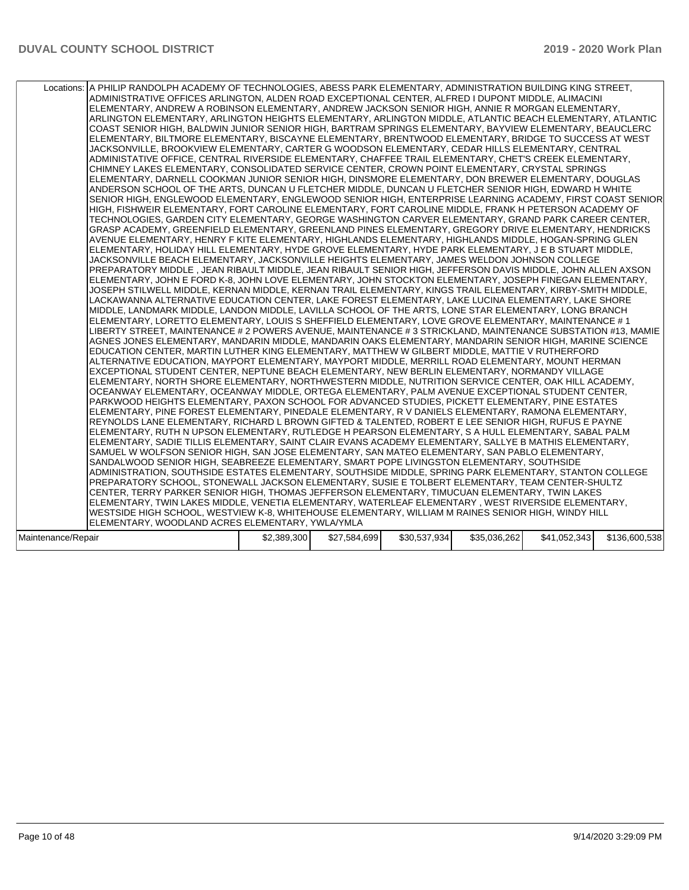| Locations:   A PHILIP RANDOLPH ACADEMY OF TECHNOLOGIES, ABESS PARK ELEMENTARY, ADMINISTRATION BUILDING KING STREET,<br>ADMINISTRATIVE OFFICES ARLINGTON, ALDEN ROAD EXCEPTIONAL CENTER, ALFRED I DUPONT MIDDLE, ALIMACINI<br>ELEMENTARY, ANDREW A ROBINSON ELEMENTARY, ANDREW JACKSON SENIOR HIGH, ANNIE R MORGAN ELEMENTARY,<br>ARLINGTON ELEMENTARY, ARLINGTON HEIGHTS ELEMENTARY, ARLINGTON MIDDLE, ATLANTIC BEACH ELEMENTARY, ATLANTIC<br>COAST SENIOR HIGH, BALDWIN JUNIOR SENIOR HIGH, BARTRAM SPRINGS ELEMENTARY, BAYVIEW ELEMENTARY, BEAUCLERC<br>ELEMENTARY, BILTMORE ELEMENTARY, BISCAYNE ELEMENTARY, BRENTWOOD ELEMENTARY, BRIDGE TO SUCCESS AT WEST<br>JACKSONVILLE, BROOKVIEW ELEMENTARY, CARTER G WOODSON ELEMENTARY, CEDAR HILLS ELEMENTARY, CENTRAL<br>ADMINISTATIVE OFFICE, CENTRAL RIVERSIDE ELEMENTARY, CHAFFEE TRAIL ELEMENTARY, CHET'S CREEK ELEMENTARY,<br>CHIMNEY LAKES ELEMENTARY, CONSOLIDATED SERVICE CENTER, CROWN POINT ELEMENTARY, CRYSTAL SPRINGS<br>ELEMENTARY, DARNELL COOKMAN JUNIOR SENIOR HIGH, DINSMORE ELEMENTARY, DON BREWER ELEMENTARY, DOUGLAS<br>ANDERSON SCHOOL OF THE ARTS, DUNCAN U FLETCHER MIDDLE, DUNCAN U FLETCHER SENIOR HIGH, EDWARD H WHITE<br>SENIOR HIGH, ENGLEWOOD ELEMENTARY, ENGLEWOOD SENIOR HIGH, ENTERPRISE LEARNING ACADEMY, FIRST COAST SENIOR<br>HIGH, FISHWEIR ELEMENTARY, FORT CAROLINE ELEMENTARY, FORT CAROLINE MIDDLE, FRANK H PETERSON ACADEMY OF<br>TECHNOLOGIES, GARDEN CITY ELEMENTARY, GEORGE WASHINGTON CARVER ELEMENTARY, GRAND PARK CAREER CENTER,<br>GRASP ACADEMY, GREENFIELD ELEMENTARY, GREENLAND PINES ELEMENTARY, GREGORY DRIVE ELEMENTARY, HENDRICKS<br>AVENUE ELEMENTARY, HENRY F KITE ELEMENTARY, HIGHLANDS ELEMENTARY, HIGHLANDS MIDDLE, HOGAN-SPRING GLEN<br>ELEMENTARY, HOLIDAY HILL ELEMENTARY, HYDE GROVE ELEMENTARY, HYDE PARK ELEMENTARY, J E B STUART MIDDLE,<br>JACKSONVILLE BEACH ELEMENTARY, JACKSONVILLE HEIGHTS ELEMENTARY, JAMES WELDON JOHNSON COLLEGE<br>PREPARATORY MIDDLE, JEAN RIBAULT MIDDLE, JEAN RIBAULT SENIOR HIGH, JEFFERSON DAVIS MIDDLE, JOHN ALLEN AXSON<br>ELEMENTARY, JOHN E FORD K-8, JOHN LOVE ELEMENTARY, JOHN STOCKTON ELEMENTARY, JOSEPH FINEGAN ELEMENTARY,<br>JOSEPH STILWELL MIDDLE, KERNAN MIDDLE, KERNAN TRAIL ELEMENTARY, KINGS TRAIL ELEMENTARY, KIRBY-SMITH MIDDLE,<br>LACKAWANNA ALTERNATIVE EDUCATION CENTER, LAKE FOREST ELEMENTARY, LAKE LUCINA ELEMENTARY, LAKE SHORE<br>MIDDLE, LANDMARK MIDDLE, LANDON MIDDLE, LAVILLA SCHOOL OF THE ARTS, LONE STAR ELEMENTARY, LONG BRANCH<br>ELEMENTARY, LORETTO ELEMENTARY, LOUIS S SHEFFIELD ELEMENTARY, LOVE GROVE ELEMENTARY, MAINTENANCE # 1<br>LIBERTY STREET, MAINTENANCE # 2 POWERS AVENUE, MAINTENANCE # 3 STRICKLAND, MAINTENANCE SUBSTATION #13, MAMIE<br>AGNES JONES ELEMENTARY, MANDARIN MIDDLE, MANDARIN OAKS ELEMENTARY, MANDARIN SENIOR HIGH, MARINE SCIENCE<br>EDUCATION CENTER, MARTIN LUTHER KING ELEMENTARY, MATTHEW W GILBERT MIDDLE, MATTIE V RUTHERFORD<br>ALTERNATIVE EDUCATION, MAYPORT ELEMENTARY, MAYPORT MIDDLE, MERRILL ROAD ELEMENTARY, MOUNT HERMAN<br>EXCEPTIONAL STUDENT CENTER, NEPTUNE BEACH ELEMENTARY, NEW BERLIN ELEMENTARY, NORMANDY VILLAGE<br>ELEMENTARY, NORTH SHORE ELEMENTARY, NORTHWESTERN MIDDLE, NUTRITION SERVICE CENTER, OAK HILL ACADEMY,<br>OCEANWAY ELEMENTARY, OCEANWAY MIDDLE, ORTEGA ELEMENTARY, PALM AVENUE EXCEPTIONAL STUDENT CENTER,<br>PARKWOOD HEIGHTS ELEMENTARY, PAXON SCHOOL FOR ADVANCED STUDIES, PICKETT ELEMENTARY, PINE ESTATES<br>ELEMENTARY, PINE FOREST ELEMENTARY, PINEDALE ELEMENTARY, R V DANIELS ELEMENTARY, RAMONA ELEMENTARY,<br>REYNOLDS LANE ELEMENTARY, RICHARD L BROWN GIFTED & TALENTED, ROBERT E LEE SENIOR HIGH, RUFUS E PAYNE<br>ELEMENTARY, RUTH N UPSON ELEMENTARY, RUTLEDGE H PEARSON ELEMENTARY, S A HULL ELEMENTARY, SABAL PALM<br>ELEMENTARY, SADIE TILLIS ELEMENTARY, SAINT CLAIR EVANS ACADEMY ELEMENTARY, SALLYE B MATHIS ELEMENTARY,<br>SAMUEL W WOLFSON SENIOR HIGH, SAN JOSE ELEMENTARY, SAN MATEO ELEMENTARY, SAN PABLO ELEMENTARY,<br>SANDALWOOD SENIOR HIGH, SEABREEZE ELEMENTARY, SMART POPE LIVINGSTON ELEMENTARY, SOUTHSIDE<br>ADMINISTRATION, SOUTHSIDE ESTATES ELEMENTARY, SOUTHSIDE MIDDLE, SPRING PARK ELEMENTARY, STANTON COLLEGE<br>PREPARATORY SCHOOL, STONEWALL JACKSON ELEMENTARY, SUSIE E TOLBERT ELEMENTARY, TEAM CENTER-SHULTZ<br>CENTER, TERRY PARKER SENIOR HIGH, THOMAS JEFFERSON ELEMENTARY, TIMUCUAN ELEMENTARY, TWIN LAKES<br>ELEMENTARY, TWIN LAKES MIDDLE, VENETIA ELEMENTARY, WATERLEAF ELEMENTARY, WEST RIVERSIDE ELEMENTARY,<br>WESTSIDE HIGH SCHOOL, WESTVIEW K-8, WHITEHOUSE ELEMENTARY, WILLIAM M RAINES SENIOR HIGH, WINDY HILL<br>ELEMENTARY, WOODLAND ACRES ELEMENTARY, YWLA/YMLA |             |              |              |              |              |               |
|------------------------------------------------------------------------------------------------------------------------------------------------------------------------------------------------------------------------------------------------------------------------------------------------------------------------------------------------------------------------------------------------------------------------------------------------------------------------------------------------------------------------------------------------------------------------------------------------------------------------------------------------------------------------------------------------------------------------------------------------------------------------------------------------------------------------------------------------------------------------------------------------------------------------------------------------------------------------------------------------------------------------------------------------------------------------------------------------------------------------------------------------------------------------------------------------------------------------------------------------------------------------------------------------------------------------------------------------------------------------------------------------------------------------------------------------------------------------------------------------------------------------------------------------------------------------------------------------------------------------------------------------------------------------------------------------------------------------------------------------------------------------------------------------------------------------------------------------------------------------------------------------------------------------------------------------------------------------------------------------------------------------------------------------------------------------------------------------------------------------------------------------------------------------------------------------------------------------------------------------------------------------------------------------------------------------------------------------------------------------------------------------------------------------------------------------------------------------------------------------------------------------------------------------------------------------------------------------------------------------------------------------------------------------------------------------------------------------------------------------------------------------------------------------------------------------------------------------------------------------------------------------------------------------------------------------------------------------------------------------------------------------------------------------------------------------------------------------------------------------------------------------------------------------------------------------------------------------------------------------------------------------------------------------------------------------------------------------------------------------------------------------------------------------------------------------------------------------------------------------------------------------------------------------------------------------------------------------------------------------------------------------------------------------------------------------------------------------------------------------------------------------------------------------------------------------------------------------------------------------------------------------------------------------------------------------------------------------------------------------------------------------------------------------------------------------------------------------------------------------------------------------------------------------------------------------------------------------------------------------------------------------------------------------------------------------------------------------------------------------------------------------------------------------------------------------------------------------------------------------------------------------------------------------------------------------------------------------------------------------------------------------------------------------------------------------|-------------|--------------|--------------|--------------|--------------|---------------|
| Maintenance/Repair                                                                                                                                                                                                                                                                                                                                                                                                                                                                                                                                                                                                                                                                                                                                                                                                                                                                                                                                                                                                                                                                                                                                                                                                                                                                                                                                                                                                                                                                                                                                                                                                                                                                                                                                                                                                                                                                                                                                                                                                                                                                                                                                                                                                                                                                                                                                                                                                                                                                                                                                                                                                                                                                                                                                                                                                                                                                                                                                                                                                                                                                                                                                                                                                                                                                                                                                                                                                                                                                                                                                                                                                                                                                                                                                                                                                                                                                                                                                                                                                                                                                                                                                                                                                                                                                                                                                                                                                                                                                                                                                                                                                                                                                             | \$2,389,300 | \$27,584,699 | \$30,537,934 | \$35,036,262 | \$41,052,343 | \$136,600,538 |
|                                                                                                                                                                                                                                                                                                                                                                                                                                                                                                                                                                                                                                                                                                                                                                                                                                                                                                                                                                                                                                                                                                                                                                                                                                                                                                                                                                                                                                                                                                                                                                                                                                                                                                                                                                                                                                                                                                                                                                                                                                                                                                                                                                                                                                                                                                                                                                                                                                                                                                                                                                                                                                                                                                                                                                                                                                                                                                                                                                                                                                                                                                                                                                                                                                                                                                                                                                                                                                                                                                                                                                                                                                                                                                                                                                                                                                                                                                                                                                                                                                                                                                                                                                                                                                                                                                                                                                                                                                                                                                                                                                                                                                                                                                |             |              |              |              |              |               |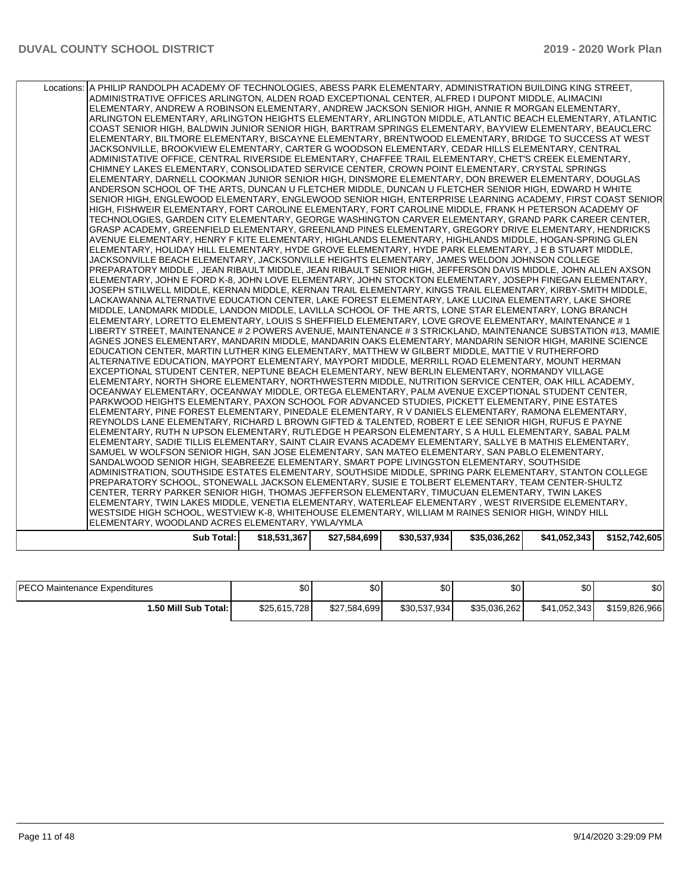|  |            | Locations: A PHILIP RANDOLPH ACADEMY OF TECHNOLOGIES, ABESS PARK ELEMENTARY, ADMINISTRATION BUILDING KING STREET,<br>ADMINISTRATIVE OFFICES ARLINGTON, ALDEN ROAD EXCEPTIONAL CENTER, ALFRED I DUPONT MIDDLE, ALIMACINI<br>ELEMENTARY, ANDREW A ROBINSON ELEMENTARY, ANDREW JACKSON SENIOR HIGH, ANNIE R MORGAN ELEMENTARY,<br>ARLINGTON ELEMENTARY, ARLINGTON HEIGHTS ELEMENTARY, ARLINGTON MIDDLE, ATLANTIC BEACH ELEMENTARY, ATLANTIC<br>COAST SENIOR HIGH, BALDWIN JUNIOR SENIOR HIGH, BARTRAM SPRINGS ELEMENTARY, BAYVIEW ELEMENTARY, BEAUCLERC<br>ELEMENTARY, BILTMORE ELEMENTARY, BISCAYNE ELEMENTARY, BRENTWOOD ELEMENTARY, BRIDGE TO SUCCESS AT WEST<br>JACKSONVILLE, BROOKVIEW ELEMENTARY, CARTER G WOODSON ELEMENTARY, CEDAR HILLS ELEMENTARY, CENTRAL<br>ADMINISTATIVE OFFICE, CENTRAL RIVERSIDE ELEMENTARY, CHAFFEE TRAIL ELEMENTARY, CHET'S CREEK ELEMENTARY,<br>CHIMNEY LAKES ELEMENTARY, CONSOLIDATED SERVICE CENTER, CROWN POINT ELEMENTARY, CRYSTAL SPRINGS<br>ELEMENTARY, DARNELL COOKMAN JUNIOR SENIOR HIGH, DINSMORE ELEMENTARY, DON BREWER ELEMENTARY, DOUGLAS<br>ANDERSON SCHOOL OF THE ARTS, DUNCAN U FLETCHER MIDDLE, DUNCAN U FLETCHER SENIOR HIGH, EDWARD H WHITE<br>SENIOR HIGH, ENGLEWOOD ELEMENTARY, ENGLEWOOD SENIOR HIGH, ENTERPRISE LEARNING ACADEMY, FIRST COAST SENIOR<br>HIGH. FISHWEIR ELEMENTARY. FORT CAROLINE ELEMENTARY. FORT CAROLINE MIDDLE. FRANK H PETERSON ACADEMY OF<br>TECHNOLOGIES, GARDEN CITY ELEMENTARY, GEORGE WASHINGTON CARVER ELEMENTARY, GRAND PARK CAREER CENTER,<br>GRASP ACADEMY, GREENFIELD ELEMENTARY, GREENLAND PINES ELEMENTARY, GREGORY DRIVE ELEMENTARY, HENDRICKS<br>AVENUE ELEMENTARY, HENRY F KITE ELEMENTARY, HIGHLANDS ELEMENTARY, HIGHLANDS MIDDLE, HOGAN-SPRING GLEN<br>ELEMENTARY, HOLIDAY HILL ELEMENTARY, HYDE GROVE ELEMENTARY, HYDE PARK ELEMENTARY, J E B STUART MIDDLE,<br>JACKSONVILLE BEACH ELEMENTARY, JACKSONVILLE HEIGHTS ELEMENTARY, JAMES WELDON JOHNSON COLLEGE<br>PREPARATORY MIDDLE, JEAN RIBAULT MIDDLE, JEAN RIBAULT SENIOR HIGH, JEFFERSON DAVIS MIDDLE, JOHN ALLEN AXSON<br>ELEMENTARY, JOHN E FORD K-8, JOHN LOVE ELEMENTARY, JOHN STOCKTON ELEMENTARY, JOSEPH FINEGAN ELEMENTARY,<br>JOSEPH STILWELL MIDDLE, KERNAN MIDDLE, KERNAN TRAIL ELEMENTARY, KINGS TRAIL ELEMENTARY, KIRBY-SMITH MIDDLE,<br>LACKAWANNA ALTERNATIVE EDUCATION CENTER, LAKE FOREST ELEMENTARY, LAKE LUCINA ELEMENTARY, LAKE SHORE<br>MIDDLE, LANDMARK MIDDLE, LANDON MIDDLE, LAVILLA SCHOOL OF THE ARTS, LONE STAR ELEMENTARY, LONG BRANCH<br>ELEMENTARY, LORETTO ELEMENTARY, LOUIS S SHEFFIELD ELEMENTARY, LOVE GROVE ELEMENTARY, MAINTENANCE # 1<br>LIBERTY STREET, MAINTENANCE # 2 POWERS AVENUE, MAINTENANCE # 3 STRICKLAND, MAINTENANCE SUBSTATION #13, MAMIE<br>AGNES JONES ELEMENTARY, MANDARIN MIDDLE, MANDARIN OAKS ELEMENTARY, MANDARIN SENIOR HIGH, MARINE SCIENCE<br>EDUCATION CENTER, MARTIN LUTHER KING ELEMENTARY, MATTHEW W GILBERT MIDDLE, MATTIE V RUTHERFORD<br>ALTERNATIVE EDUCATION, MAYPORT ELEMENTARY, MAYPORT MIDDLE, MERRILL ROAD ELEMENTARY, MOUNT HERMAN<br>EXCEPTIONAL STUDENT CENTER, NEPTUNE BEACH ELEMENTARY, NEW BERLIN ELEMENTARY, NORMANDY VILLAGE<br>ELEMENTARY, NORTH SHORE ELEMENTARY, NORTHWESTERN MIDDLE, NUTRITION SERVICE CENTER, OAK HILL ACADEMY,<br>OCEANWAY ELEMENTARY, OCEANWAY MIDDLE, ORTEGA ELEMENTARY, PALM AVENUE EXCEPTIONAL STUDENT CENTER,<br>PARKWOOD HEIGHTS ELEMENTARY. PAXON SCHOOL FOR ADVANCED STUDIES. PICKETT ELEMENTARY. PINE ESTATES<br>ELEMENTARY, PINE FOREST ELEMENTARY, PINEDALE ELEMENTARY, R V DANIELS ELEMENTARY, RAMONA ELEMENTARY,<br>REYNOLDS LANE ELEMENTARY, RICHARD L BROWN GIFTED & TALENTED, ROBERT E LEE SENIOR HIGH, RUFUS E PAYNE<br>ELEMENTARY, RUTH N UPSON ELEMENTARY, RUTLEDGE H PEARSON ELEMENTARY, S A HULL ELEMENTARY, SABAL PALM<br>ELEMENTARY, SADIE TILLIS ELEMENTARY, SAINT CLAIR EVANS ACADEMY ELEMENTARY, SALLYE B MATHIS ELEMENTARY,<br>SAMUEL W WOLFSON SENIOR HIGH, SAN JOSE ELEMENTARY, SAN MATEO ELEMENTARY, SAN PABLO ELEMENTARY,<br>SANDALWOOD SENIOR HIGH, SEABREEZE ELEMENTARY, SMART POPE LIVINGSTON ELEMENTARY, SOUTHSIDE<br>ADMINISTRATION, SOUTHSIDE ESTATES ELEMENTARY, SOUTHSIDE MIDDLE, SPRING PARK ELEMENTARY, STANTON COLLEGE<br>PREPARATORY SCHOOL, STONEWALL JACKSON ELEMENTARY, SUSIE E TOLBERT ELEMENTARY, TEAM CENTER-SHULTZ<br>CENTER, TERRY PARKER SENIOR HIGH, THOMAS JEFFERSON ELEMENTARY, TIMUCUAN ELEMENTARY, TWIN LAKES<br>ELEMENTARY, TWIN LAKES MIDDLE, VENETIA ELEMENTARY, WATERLEAF ELEMENTARY , WEST RIVERSIDE ELEMENTARY,<br>WESTSIDE HIGH SCHOOL, WESTVIEW K-8, WHITEHOUSE ELEMENTARY, WILLIAM M RAINES SENIOR HIGH, WINDY HILL<br>ELEMENTARY, WOODLAND ACRES ELEMENTARY, YWLA/YMLA |              |              |              |              |               |
|--|------------|-----------------------------------------------------------------------------------------------------------------------------------------------------------------------------------------------------------------------------------------------------------------------------------------------------------------------------------------------------------------------------------------------------------------------------------------------------------------------------------------------------------------------------------------------------------------------------------------------------------------------------------------------------------------------------------------------------------------------------------------------------------------------------------------------------------------------------------------------------------------------------------------------------------------------------------------------------------------------------------------------------------------------------------------------------------------------------------------------------------------------------------------------------------------------------------------------------------------------------------------------------------------------------------------------------------------------------------------------------------------------------------------------------------------------------------------------------------------------------------------------------------------------------------------------------------------------------------------------------------------------------------------------------------------------------------------------------------------------------------------------------------------------------------------------------------------------------------------------------------------------------------------------------------------------------------------------------------------------------------------------------------------------------------------------------------------------------------------------------------------------------------------------------------------------------------------------------------------------------------------------------------------------------------------------------------------------------------------------------------------------------------------------------------------------------------------------------------------------------------------------------------------------------------------------------------------------------------------------------------------------------------------------------------------------------------------------------------------------------------------------------------------------------------------------------------------------------------------------------------------------------------------------------------------------------------------------------------------------------------------------------------------------------------------------------------------------------------------------------------------------------------------------------------------------------------------------------------------------------------------------------------------------------------------------------------------------------------------------------------------------------------------------------------------------------------------------------------------------------------------------------------------------------------------------------------------------------------------------------------------------------------------------------------------------------------------------------------------------------------------------------------------------------------------------------------------------------------------------------------------------------------------------------------------------------------------------------------------------------------------------------------------------------------------------------------------------------------------------------------------------------------------------------------------------------------------------------------------------------------------------------------------------------------------------------------------------------------------------------------------------------------------------------------------------------------------------------------------------------------------------------------------------------------------------------------------------------------------------------------------------------------------------------------------------------------------------|--------------|--------------|--------------|--------------|---------------|
|  | Sub Total: | \$18,531,367                                                                                                                                                                                                                                                                                                                                                                                                                                                                                                                                                                                                                                                                                                                                                                                                                                                                                                                                                                                                                                                                                                                                                                                                                                                                                                                                                                                                                                                                                                                                                                                                                                                                                                                                                                                                                                                                                                                                                                                                                                                                                                                                                                                                                                                                                                                                                                                                                                                                                                                                                                                                                                                                                                                                                                                                                                                                                                                                                                                                                                                                                                                                                                                                                                                                                                                                                                                                                                                                                                                                                                                                                                                                                                                                                                                                                                                                                                                                                                                                                                                                                                                                                                                                                                                                                                                                                                                                                                                                                                                                                                                                                                                                                  | \$27,584,699 | \$30,537,934 | \$35,036,262 | \$41,052,343 | \$152,742,605 |
|  |            |                                                                                                                                                                                                                                                                                                                                                                                                                                                                                                                                                                                                                                                                                                                                                                                                                                                                                                                                                                                                                                                                                                                                                                                                                                                                                                                                                                                                                                                                                                                                                                                                                                                                                                                                                                                                                                                                                                                                                                                                                                                                                                                                                                                                                                                                                                                                                                                                                                                                                                                                                                                                                                                                                                                                                                                                                                                                                                                                                                                                                                                                                                                                                                                                                                                                                                                                                                                                                                                                                                                                                                                                                                                                                                                                                                                                                                                                                                                                                                                                                                                                                                                                                                                                                                                                                                                                                                                                                                                                                                                                                                                                                                                                                               |              |              |              |              |               |

| <b>PECO Maintenance Expenditures</b> | ሖ<br>.DU     | \$0          | \$0          | ¢∩<br>υu     | \$0          | \$0           |
|--------------------------------------|--------------|--------------|--------------|--------------|--------------|---------------|
| 1.50 Mill Sub Total: I               | \$25,615,728 | \$27,584,699 | \$30,537,934 | \$35,036,262 | \$41,052,343 | \$159,826,966 |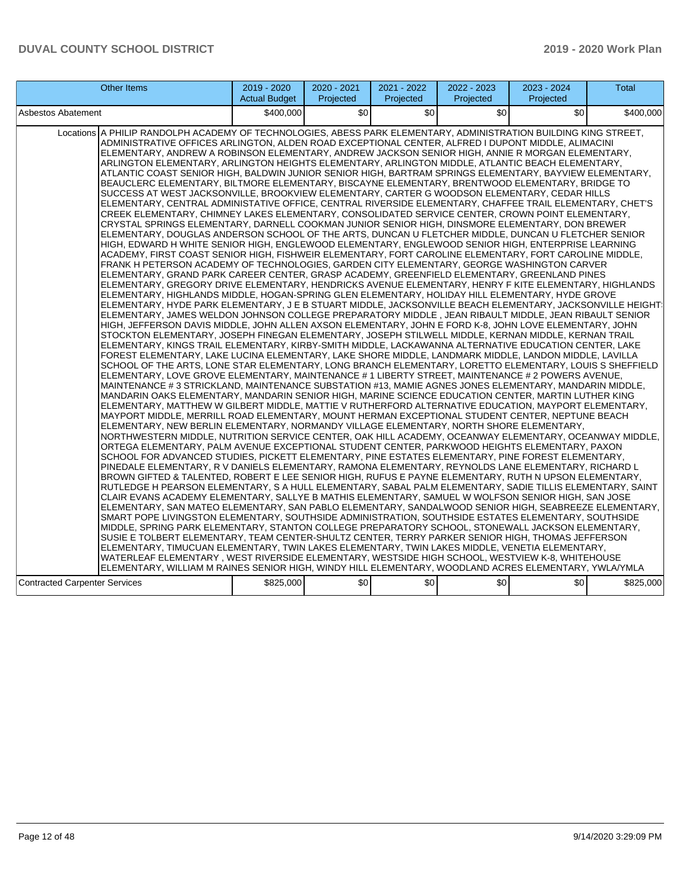| Other Items                                                                                                                                                                                                                                                                                                                                                                                                                                                                                                                                                                                                                                                                                                                                                                                                                                                                                                                                                                                                                                                                                                                                                                                                                                                                                                                                                                                                                                                                                                                                                                                                                                                                                                                                                                                                                                                                                                                                                                                                                                                                                                                                                                                                                                                                                                                                                                                                                                                                                                                                                                                                                                                                                                                                                                                                                                                                                                                                                                                                                                                                                                                                                                                                                                                                                                                                                                                                                                                                                                                                                                                                                                                                                                                                                                                                                                                                                                                                                                                                                                                                                                                                                                                                                                                                                                                                                                                                                                                                                                                                                                                                                                                                               | 2019 - 2020<br><b>Actual Budget</b> | 2020 - 2021<br>Projected | 2021 - 2022<br>Projected | 2022 - 2023<br>Projected | 2023 - 2024<br>Projected | Total     |
|-------------------------------------------------------------------------------------------------------------------------------------------------------------------------------------------------------------------------------------------------------------------------------------------------------------------------------------------------------------------------------------------------------------------------------------------------------------------------------------------------------------------------------------------------------------------------------------------------------------------------------------------------------------------------------------------------------------------------------------------------------------------------------------------------------------------------------------------------------------------------------------------------------------------------------------------------------------------------------------------------------------------------------------------------------------------------------------------------------------------------------------------------------------------------------------------------------------------------------------------------------------------------------------------------------------------------------------------------------------------------------------------------------------------------------------------------------------------------------------------------------------------------------------------------------------------------------------------------------------------------------------------------------------------------------------------------------------------------------------------------------------------------------------------------------------------------------------------------------------------------------------------------------------------------------------------------------------------------------------------------------------------------------------------------------------------------------------------------------------------------------------------------------------------------------------------------------------------------------------------------------------------------------------------------------------------------------------------------------------------------------------------------------------------------------------------------------------------------------------------------------------------------------------------------------------------------------------------------------------------------------------------------------------------------------------------------------------------------------------------------------------------------------------------------------------------------------------------------------------------------------------------------------------------------------------------------------------------------------------------------------------------------------------------------------------------------------------------------------------------------------------------------------------------------------------------------------------------------------------------------------------------------------------------------------------------------------------------------------------------------------------------------------------------------------------------------------------------------------------------------------------------------------------------------------------------------------------------------------------------------------------------------------------------------------------------------------------------------------------------------------------------------------------------------------------------------------------------------------------------------------------------------------------------------------------------------------------------------------------------------------------------------------------------------------------------------------------------------------------------------------------------------------------------------------------------------------------------------------------------------------------------------------------------------------------------------------------------------------------------------------------------------------------------------------------------------------------------------------------------------------------------------------------------------------------------------------------------------------------------------------------------------------------------------------------------|-------------------------------------|--------------------------|--------------------------|--------------------------|--------------------------|-----------|
| Asbestos Abatement                                                                                                                                                                                                                                                                                                                                                                                                                                                                                                                                                                                                                                                                                                                                                                                                                                                                                                                                                                                                                                                                                                                                                                                                                                                                                                                                                                                                                                                                                                                                                                                                                                                                                                                                                                                                                                                                                                                                                                                                                                                                                                                                                                                                                                                                                                                                                                                                                                                                                                                                                                                                                                                                                                                                                                                                                                                                                                                                                                                                                                                                                                                                                                                                                                                                                                                                                                                                                                                                                                                                                                                                                                                                                                                                                                                                                                                                                                                                                                                                                                                                                                                                                                                                                                                                                                                                                                                                                                                                                                                                                                                                                                                                        | \$400,000                           | \$0                      | \$0                      | \$0                      | \$0                      | \$400,000 |
| Locations A PHILIP RANDOLPH ACADEMY OF TECHNOLOGIES, ABESS PARK ELEMENTARY, ADMINISTRATION BUILDING KING STREET,<br>ADMINISTRATIVE OFFICES ARLINGTON, ALDEN ROAD EXCEPTIONAL CENTER, ALFRED I DUPONT MIDDLE, ALIMACINI<br>ELEMENTARY, ANDREW A ROBINSON ELEMENTARY, ANDREW JACKSON SENIOR HIGH, ANNIE R MORGAN ELEMENTARY,<br>ARLINGTON ELEMENTARY, ARLINGTON HEIGHTS ELEMENTARY, ARLINGTON MIDDLE, ATLANTIC BEACH ELEMENTARY,<br>ATLANTIC COAST SENIOR HIGH, BALDWIN JUNIOR SENIOR HIGH, BARTRAM SPRINGS ELEMENTARY, BAYVIEW ELEMENTARY,<br>BEAUCLERC ELEMENTARY, BILTMORE ELEMENTARY, BISCAYNE ELEMENTARY, BRENTWOOD ELEMENTARY, BRIDGE TO<br>SUCCESS AT WEST JACKSONVILLE, BROOKVIEW ELEMENTARY, CARTER G WOODSON ELEMENTARY, CEDAR HILLS<br>ELEMENTARY, CENTRAL ADMINISTATIVE OFFICE, CENTRAL RIVERSIDE ELEMENTARY, CHAFFEE TRAIL ELEMENTARY, CHET'S<br>CREEK ELEMENTARY, CHIMNEY LAKES ELEMENTARY, CONSOLIDATED SERVICE CENTER, CROWN POINT ELEMENTARY,<br>CRYSTAL SPRINGS ELEMENTARY, DARNELL COOKMAN JUNIOR SENIOR HIGH, DINSMORE ELEMENTARY, DON BREWER<br>ELEMENTARY, DOUGLAS ANDERSON SCHOOL OF THE ARTS, DUNCAN U FLETCHER MIDDLE, DUNCAN U FLETCHER SENIOR<br>HIGH, EDWARD H WHITE SENIOR HIGH, ENGLEWOOD ELEMENTARY, ENGLEWOOD SENIOR HIGH, ENTERPRISE LEARNING<br>ACADEMY, FIRST COAST SENIOR HIGH, FISHWEIR ELEMENTARY, FORT CAROLINE ELEMENTARY, FORT CAROLINE MIDDLE,<br>FRANK H PETERSON ACADEMY OF TECHNOLOGIES, GARDEN CITY ELEMENTARY, GEORGE WASHINGTON CARVER<br>ELEMENTARY, GRAND PARK CAREER CENTER, GRASP ACADEMY, GREENFIELD ELEMENTARY, GREENLAND PINES<br>ELEMENTARY, GREGORY DRIVE ELEMENTARY, HENDRICKS AVENUE ELEMENTARY, HENRY F KITE ELEMENTARY, HIGHLANDS<br>ELEMENTARY, HIGHLANDS MIDDLE, HOGAN-SPRING GLEN ELEMENTARY, HOLIDAY HILL ELEMENTARY, HYDE GROVE<br>ELEMENTARY, HYDE PARK ELEMENTARY, J E B STUART MIDDLE, JACKSONVILLE BEACH ELEMENTARY, JACKSONVILLE HEIGHT<br>ELEMENTARY, JAMES WELDON JOHNSON COLLEGE PREPARATORY MIDDLE, JEAN RIBAULT MIDDLE, JEAN RIBAULT SENIOR<br>HIGH, JEFFERSON DAVIS MIDDLE, JOHN ALLEN AXSON ELEMENTARY, JOHN E FORD K-8, JOHN LOVE ELEMENTARY, JOHN<br>STOCKTON ELEMENTARY, JOSEPH FINEGAN ELEMENTARY, JOSEPH STILWELL MIDDLE, KERNAN MIDDLE, KERNAN TRAIL<br>ELEMENTARY, KINGS TRAIL ELEMENTARY, KIRBY-SMITH MIDDLE, LACKAWANNA ALTERNATIVE EDUCATION CENTER, LAKE<br>FOREST ELEMENTARY, LAKE LUCINA ELEMENTARY, LAKE SHORE MIDDLE, LANDMARK MIDDLE, LANDON MIDDLE, LAVILLA<br>SCHOOL OF THE ARTS, LONE STAR ELEMENTARY, LONG BRANCH ELEMENTARY, LORETTO ELEMENTARY, LOUIS S SHEFFIELD<br>ELEMENTARY, LOVE GROVE ELEMENTARY, MAINTENANCE # 1 LIBERTY STREET, MAINTENANCE # 2 POWERS AVENUE,<br>MAINTENANCE # 3 STRICKLAND, MAINTENANCE SUBSTATION #13, MAMIE AGNES JONES ELEMENTARY, MANDARIN MIDDLE,<br>MANDARIN OAKS ELEMENTARY, MANDARIN SENIOR HIGH, MARINE SCIENCE EDUCATION CENTER, MARTIN LUTHER KING<br>ELEMENTARY, MATTHEW W GILBERT MIDDLE, MATTIE V RUTHERFORD ALTERNATIVE EDUCATION, MAYPORT ELEMENTARY,<br>MAYPORT MIDDLE, MERRILL ROAD ELEMENTARY, MOUNT HERMAN EXCEPTIONAL STUDENT CENTER, NEPTUNE BEACH<br>ELEMENTARY, NEW BERLIN ELEMENTARY, NORMANDY VILLAGE ELEMENTARY, NORTH SHORE ELEMENTARY,<br>NORTHWESTERN MIDDLE, NUTRITION SERVICE CENTER, OAK HILL ACADEMY, OCEANWAY ELEMENTARY, OCEANWAY MIDDLE,<br>ORTEGA ELEMENTARY, PALM AVENUE EXCEPTIONAL STUDENT CENTER, PARKWOOD HEIGHTS ELEMENTARY, PAXON<br>SCHOOL FOR ADVANCED STUDIES, PICKETT ELEMENTARY, PINE ESTATES ELEMENTARY, PINE FOREST ELEMENTARY,<br>PINEDALE ELEMENTARY, R V DANIELS ELEMENTARY, RAMONA ELEMENTARY, REYNOLDS LANE ELEMENTARY, RICHARD L<br>BROWN GIFTED & TALENTED, ROBERT E LEE SENIOR HIGH, RUFUS E PAYNE ELEMENTARY, RUTH N UPSON ELEMENTARY,<br>RUTLEDGE H PEARSON ELEMENTARY, S A HULL ELEMENTARY, SABAL PALM ELEMENTARY, SADIE TILLIS ELEMENTARY, SAINT<br>CLAIR EVANS ACADEMY ELEMENTARY, SALLYE B MATHIS ELEMENTARY, SAMUEL W WOLFSON SENIOR HIGH, SAN JOSE<br>ELEMENTARY, SAN MATEO ELEMENTARY, SAN PABLO ELEMENTARY, SANDALWOOD SENIOR HIGH, SEABREEZE ELEMENTARY,<br>SMART POPE LIVINGSTON ELEMENTARY, SOUTHSIDE ADMINISTRATION, SOUTHSIDE ESTATES ELEMENTARY, SOUTHSIDE<br>MIDDLE, SPRING PARK ELEMENTARY, STANTON COLLEGE PREPARATORY SCHOOL, STONEWALL JACKSON ELEMENTARY,<br>SUSIE E TOLBERT ELEMENTARY, TEAM CENTER-SHULTZ CENTER, TERRY PARKER SENIOR HIGH, THOMAS JEFFERSON<br>ELEMENTARY, TIMUCUAN ELEMENTARY, TWIN LAKES ELEMENTARY, TWIN LAKES MIDDLE, VENETIA ELEMENTARY,<br>WATERLEAF ELEMENTARY, WEST RIVERSIDE ELEMENTARY, WESTSIDE HIGH SCHOOL, WESTVIEW K-8, WHITEHOUSE<br>ELEMENTARY, WILLIAM M RAINES SENIOR HIGH, WINDY HILL ELEMENTARY, WOODLAND ACRES ELEMENTARY, YWLAYMLA |                                     |                          |                          |                          |                          |           |
| <b>Contracted Carpenter Services</b>                                                                                                                                                                                                                                                                                                                                                                                                                                                                                                                                                                                                                                                                                                                                                                                                                                                                                                                                                                                                                                                                                                                                                                                                                                                                                                                                                                                                                                                                                                                                                                                                                                                                                                                                                                                                                                                                                                                                                                                                                                                                                                                                                                                                                                                                                                                                                                                                                                                                                                                                                                                                                                                                                                                                                                                                                                                                                                                                                                                                                                                                                                                                                                                                                                                                                                                                                                                                                                                                                                                                                                                                                                                                                                                                                                                                                                                                                                                                                                                                                                                                                                                                                                                                                                                                                                                                                                                                                                                                                                                                                                                                                                                      | \$825,000                           | \$0                      | \$0                      | \$0                      | \$0                      | \$825,000 |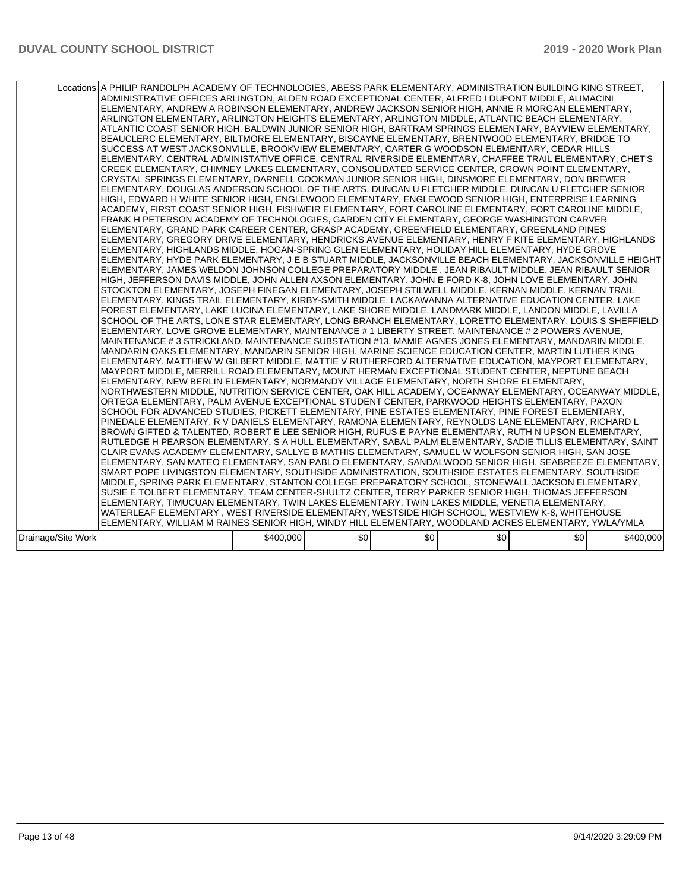|                    | Locations A PHILIP RANDOLPH ACADEMY OF TECHNOLOGIES, ABESS PARK ELEMENTARY, ADMINISTRATION BUILDING KING STREET,<br>ADMINISTRATIVE OFFICES ARLINGTON, ALDEN ROAD EXCEPTIONAL CENTER, ALFRED I DUPONT MIDDLE, ALIMACINI<br>ELEMENTARY, ANDREW A ROBINSON ELEMENTARY, ANDREW JACKSON SENIOR HIGH, ANNIE R MORGAN ELEMENTARY,<br>ARLINGTON ELEMENTARY, ARLINGTON HEIGHTS ELEMENTARY, ARLINGTON MIDDLE, ATLANTIC BEACH ELEMENTARY,<br>ATLANTIC COAST SENIOR HIGH, BALDWIN JUNIOR SENIOR HIGH, BARTRAM SPRINGS ELEMENTARY, BAYVIEW ELEMENTARY,<br>BEAUCLERC ELEMENTARY, BILTMORE ELEMENTARY, BISCAYNE ELEMENTARY, BRENTWOOD ELEMENTARY, BRIDGE TO<br>SUCCESS AT WEST JACKSONVILLE, BROOKVIEW ELEMENTARY, CARTER G WOODSON ELEMENTARY, CEDAR HILLS<br>ELEMENTARY, CENTRAL ADMINISTATIVE OFFICE, CENTRAL RIVERSIDE ELEMENTARY, CHAFFEE TRAIL ELEMENTARY, CHET'S<br>CREEK ELEMENTARY, CHIMNEY LAKES ELEMENTARY, CONSOLIDATED SERVICE CENTER, CROWN POINT ELEMENTARY,<br>CRYSTAL SPRINGS ELEMENTARY, DARNELL COOKMAN JUNIOR SENIOR HIGH, DINSMORE ELEMENTARY, DON BREWER<br>ELEMENTARY, DOUGLAS ANDERSON SCHOOL OF THE ARTS, DUNCAN U FLETCHER MIDDLE, DUNCAN U FLETCHER SENIOR<br>HIGH, EDWARD H WHITE SENIOR HIGH, ENGLEWOOD ELEMENTARY, ENGLEWOOD SENIOR HIGH, ENTERPRISE LEARNING<br>ACADEMY, FIRST COAST SENIOR HIGH, FISHWEIR ELEMENTARY, FORT CAROLINE ELEMENTARY, FORT CAROLINE MIDDLE,<br>FRANK H PETERSON ACADEMY OF TECHNOLOGIES, GARDEN CITY ELEMENTARY, GEORGE WASHINGTON CARVER<br>ELEMENTARY, GRAND PARK CAREER CENTER, GRASP ACADEMY, GREENFIELD ELEMENTARY, GREENLAND PINES<br>ELEMENTARY, GREGORY DRIVE ELEMENTARY, HENDRICKS AVENUE ELEMENTARY, HENRY F KITE ELEMENTARY, HIGHLANDS<br>IELEMENTARY. HIGHLANDS MIDDLE. HOGAN-SPRING GLEN ELEMENTARY. HOLIDAY HILL ELEMENTARY. HYDE GROVE<br> ELEMENTARY, HYDE PARK ELEMENTARY, J E B STUART MIDDLE, JACKSONVILLE BEACH ELEMENTARY, JACKSONVILLE HEIGHT!<br>ELEMENTARY, JAMES WELDON JOHNSON COLLEGE PREPARATORY MIDDLE , JEAN RIBAULT MIDDLE, JEAN RIBAULT SENIOR<br>HIGH, JEFFERSON DAVIS MIDDLE, JOHN ALLEN AXSON ELEMENTARY, JOHN E FORD K-8, JOHN LOVE ELEMENTARY, JOHN<br>ISTOCKTON ELEMENTARY. JOSEPH FINEGAN ELEMENTARY. JOSEPH STILWELL MIDDLE. KERNAN MIDDLE. KERNAN TRAIL<br>ELEMENTARY, KINGS TRAIL ELEMENTARY, KIRBY-SMITH MIDDLE, LACKAWANNA ALTERNATIVE EDUCATION CENTER, LAKE<br>FOREST ELEMENTARY, LAKE LUCINA ELEMENTARY, LAKE SHORE MIDDLE, LANDMARK MIDDLE, LANDON MIDDLE, LAVILLA<br>SCHOOL OF THE ARTS, LONE STAR ELEMENTARY, LONG BRANCH ELEMENTARY, LORETTO ELEMENTARY, LOUIS S SHEFFIELD<br>ELEMENTARY, LOVE GROVE ELEMENTARY, MAINTENANCE # 1 LIBERTY STREET, MAINTENANCE # 2 POWERS AVENUE,<br>MAINTENANCE # 3 STRICKLAND. MAINTENANCE SUBSTATION #13. MAMIE AGNES JONES ELEMENTARY. MANDARIN MIDDLE.<br>IMANDARIN OAKS ELEMENTARY. MANDARIN SENIOR HIGH. MARINE SCIENCE EDUCATION CENTER. MARTIN LUTHER KING<br>ELEMENTARY, MATTHEW W GILBERT MIDDLE, MATTIE V RUTHERFORD ALTERNATIVE EDUCATION, MAYPORT ELEMENTARY,<br>MAYPORT MIDDLE, MERRILL ROAD ELEMENTARY, MOUNT HERMAN EXCEPTIONAL STUDENT CENTER, NEPTUNE BEACH<br>IELEMENTARY. NEW BERLIN ELEMENTARY. NORMANDY VILLAGE ELEMENTARY. NORTH SHORE ELEMENTARY.<br>NORTHWESTERN MIDDLE, NUTRITION SERVICE CENTER, OAK HILL ACADEMY, OCEANWAY ELEMENTARY, OCEANWAY MIDDLE,<br>ORTEGA ELEMENTARY, PALM AVENUE EXCEPTIONAL STUDENT CENTER, PARKWOOD HEIGHTS ELEMENTARY, PAXON<br>SCHOOL FOR ADVANCED STUDIES, PICKETT ELEMENTARY, PINE ESTATES ELEMENTARY, PINE FOREST ELEMENTARY,<br>PINEDALE ELEMENTARY, R V DANIELS ELEMENTARY, RAMONA ELEMENTARY, REYNOLDS LANE ELEMENTARY, RICHARD L<br>BROWN GIFTED & TALENTED, ROBERT E LEE SENIOR HIGH, RUFUS E PAYNE ELEMENTARY, RUTH N UPSON ELEMENTARY,<br>IRUTLEDGE H PEARSON ELEMENTARY. S A HULL ELEMENTARY. SABAL PALM ELEMENTARY. SADIE TILLIS ELEMENTARY. SAINT<br>CLAIR EVANS ACADEMY ELEMENTARY, SALLYE B MATHIS ELEMENTARY, SAMUEL W WOLFSON SENIOR HIGH, SAN JOSE<br>ELEMENTARY, SAN MATEO ELEMENTARY, SAN PABLO ELEMENTARY, SANDALWOOD SENIOR HIGH, SEABREEZE ELEMENTARY,<br>SMART POPE LIVINGSTON ELEMENTARY, SOUTHSIDE ADMINISTRATION, SOUTHSIDE ESTATES ELEMENTARY, SOUTHSIDE<br>MIDDLE, SPRING PARK ELEMENTARY, STANTON COLLEGE PREPARATORY SCHOOL, STONEWALL JACKSON ELEMENTARY,<br>SUSIE E TOLBERT ELEMENTARY, TEAM CENTER-SHULTZ CENTER, TERRY PARKER SENIOR HIGH, THOMAS JEFFERSON<br>IELEMENTARY. TIMUCUAN ELEMENTARY. TWIN LAKES ELEMENTARY. TWIN LAKES MIDDLE. VENETIA ELEMENTARY.<br>WATERLEAF ELEMENTARY , WEST RIVERSIDE ELEMENTARY, WESTSIDE HIGH SCHOOL, WESTVIEW K-8, WHITEHOUSE<br>ELEMENTARY, WILLIAM M RAINES SENIOR HIGH, WINDY HILL ELEMENTARY, WOODLAND ACRES ELEMENTARY, YWLA/YMLA |           |     |     |     |     |           |
|--------------------|------------------------------------------------------------------------------------------------------------------------------------------------------------------------------------------------------------------------------------------------------------------------------------------------------------------------------------------------------------------------------------------------------------------------------------------------------------------------------------------------------------------------------------------------------------------------------------------------------------------------------------------------------------------------------------------------------------------------------------------------------------------------------------------------------------------------------------------------------------------------------------------------------------------------------------------------------------------------------------------------------------------------------------------------------------------------------------------------------------------------------------------------------------------------------------------------------------------------------------------------------------------------------------------------------------------------------------------------------------------------------------------------------------------------------------------------------------------------------------------------------------------------------------------------------------------------------------------------------------------------------------------------------------------------------------------------------------------------------------------------------------------------------------------------------------------------------------------------------------------------------------------------------------------------------------------------------------------------------------------------------------------------------------------------------------------------------------------------------------------------------------------------------------------------------------------------------------------------------------------------------------------------------------------------------------------------------------------------------------------------------------------------------------------------------------------------------------------------------------------------------------------------------------------------------------------------------------------------------------------------------------------------------------------------------------------------------------------------------------------------------------------------------------------------------------------------------------------------------------------------------------------------------------------------------------------------------------------------------------------------------------------------------------------------------------------------------------------------------------------------------------------------------------------------------------------------------------------------------------------------------------------------------------------------------------------------------------------------------------------------------------------------------------------------------------------------------------------------------------------------------------------------------------------------------------------------------------------------------------------------------------------------------------------------------------------------------------------------------------------------------------------------------------------------------------------------------------------------------------------------------------------------------------------------------------------------------------------------------------------------------------------------------------------------------------------------------------------------------------------------------------------------------------------------------------------------------------------------------------------------------------------------------------------------------------------------------------------------------------------------------------------------------------------------------------------------------------------------------------------------------------------------------------------------------------------------------------------------------------------------------------------------------------------------------------------------------|-----------|-----|-----|-----|-----|-----------|
| Drainage/Site Work |                                                                                                                                                                                                                                                                                                                                                                                                                                                                                                                                                                                                                                                                                                                                                                                                                                                                                                                                                                                                                                                                                                                                                                                                                                                                                                                                                                                                                                                                                                                                                                                                                                                                                                                                                                                                                                                                                                                                                                                                                                                                                                                                                                                                                                                                                                                                                                                                                                                                                                                                                                                                                                                                                                                                                                                                                                                                                                                                                                                                                                                                                                                                                                                                                                                                                                                                                                                                                                                                                                                                                                                                                                                                                                                                                                                                                                                                                                                                                                                                                                                                                                                                                                                                                                                                                                                                                                                                                                                                                                                                                                                                                                                                                                      | \$400,000 | \$0 | \$0 | \$0 | \$0 | \$400,000 |
|                    |                                                                                                                                                                                                                                                                                                                                                                                                                                                                                                                                                                                                                                                                                                                                                                                                                                                                                                                                                                                                                                                                                                                                                                                                                                                                                                                                                                                                                                                                                                                                                                                                                                                                                                                                                                                                                                                                                                                                                                                                                                                                                                                                                                                                                                                                                                                                                                                                                                                                                                                                                                                                                                                                                                                                                                                                                                                                                                                                                                                                                                                                                                                                                                                                                                                                                                                                                                                                                                                                                                                                                                                                                                                                                                                                                                                                                                                                                                                                                                                                                                                                                                                                                                                                                                                                                                                                                                                                                                                                                                                                                                                                                                                                                                      |           |     |     |     |     |           |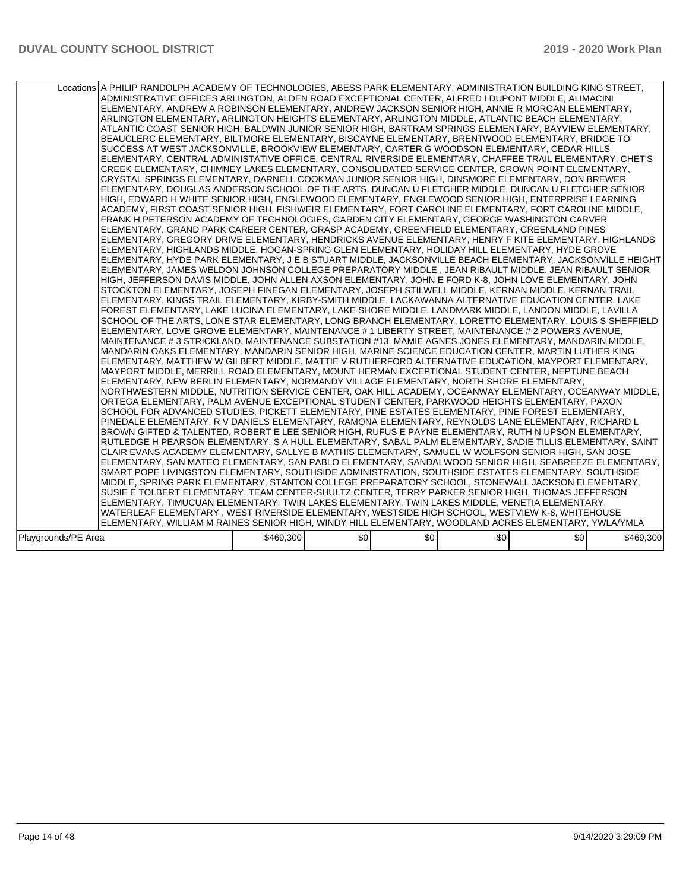|                     | Locations A PHILIP RANDOLPH ACADEMY OF TECHNOLOGIES, ABESS PARK ELEMENTARY, ADMINISTRATION BUILDING KING STREET,<br>ADMINISTRATIVE OFFICES ARLINGTON, ALDEN ROAD EXCEPTIONAL CENTER, ALFRED I DUPONT MIDDLE, ALIMACINI<br>ELEMENTARY, ANDREW A ROBINSON ELEMENTARY, ANDREW JACKSON SENIOR HIGH, ANNIE R MORGAN ELEMENTARY,<br>ARLINGTON ELEMENTARY, ARLINGTON HEIGHTS ELEMENTARY, ARLINGTON MIDDLE, ATLANTIC BEACH ELEMENTARY,<br>ATLANTIC COAST SENIOR HIGH, BALDWIN JUNIOR SENIOR HIGH, BARTRAM SPRINGS ELEMENTARY, BAYVIEW ELEMENTARY,<br>BEAUCLERC ELEMENTARY, BILTMORE ELEMENTARY, BISCAYNE ELEMENTARY, BRENTWOOD ELEMENTARY, BRIDGE TO<br>SUCCESS AT WEST JACKSONVILLE, BROOKVIEW ELEMENTARY, CARTER G WOODSON ELEMENTARY, CEDAR HILLS<br>ELEMENTARY, CENTRAL ADMINISTATIVE OFFICE, CENTRAL RIVERSIDE ELEMENTARY, CHAFFEE TRAIL ELEMENTARY, CHET'S<br>CREEK ELEMENTARY, CHIMNEY LAKES ELEMENTARY, CONSOLIDATED SERVICE CENTER, CROWN POINT ELEMENTARY,<br>CRYSTAL SPRINGS ELEMENTARY, DARNELL COOKMAN JUNIOR SENIOR HIGH, DINSMORE ELEMENTARY, DON BREWER<br>ELEMENTARY, DOUGLAS ANDERSON SCHOOL OF THE ARTS, DUNCAN U FLETCHER MIDDLE, DUNCAN U FLETCHER SENIOR<br>HIGH, EDWARD H WHITE SENIOR HIGH, ENGLEWOOD ELEMENTARY, ENGLEWOOD SENIOR HIGH, ENTERPRISE LEARNING<br>ACADEMY, FIRST COAST SENIOR HIGH, FISHWEIR ELEMENTARY, FORT CAROLINE ELEMENTARY, FORT CAROLINE MIDDLE,<br>FRANK H PETERSON ACADEMY OF TECHNOLOGIES, GARDEN CITY ELEMENTARY, GEORGE WASHINGTON CARVER<br>ELEMENTARY, GRAND PARK CAREER CENTER, GRASP ACADEMY, GREENFIELD ELEMENTARY, GREENLAND PINES<br>ELEMENTARY, GREGORY DRIVE ELEMENTARY, HENDRICKS AVENUE ELEMENTARY, HENRY F KITE ELEMENTARY, HIGHLANDS<br>IELEMENTARY. HIGHLANDS MIDDLE. HOGAN-SPRING GLEN ELEMENTARY. HOLIDAY HILL ELEMENTARY. HYDE GROVE<br> ELEMENTARY, HYDE PARK ELEMENTARY, J E B STUART MIDDLE, JACKSONVILLE BEACH ELEMENTARY, JACKSONVILLE HEIGHT <sup>;</sup><br>ELEMENTARY, JAMES WELDON JOHNSON COLLEGE PREPARATORY MIDDLE , JEAN RIBAULT MIDDLE, JEAN RIBAULT SENIOR<br>HIGH, JEFFERSON DAVIS MIDDLE, JOHN ALLEN AXSON ELEMENTARY, JOHN E FORD K-8, JOHN LOVE ELEMENTARY, JOHN<br>ISTOCKTON ELEMENTARY. JOSEPH FINEGAN ELEMENTARY. JOSEPH STILWELL MIDDLE. KERNAN MIDDLE. KERNAN TRAIL<br>ELEMENTARY, KINGS TRAIL ELEMENTARY, KIRBY-SMITH MIDDLE, LACKAWANNA ALTERNATIVE EDUCATION CENTER, LAKE<br>FOREST ELEMENTARY, LAKE LUCINA ELEMENTARY, LAKE SHORE MIDDLE, LANDMARK MIDDLE, LANDON MIDDLE, LAVILLA<br>SCHOOL OF THE ARTS, LONE STAR ELEMENTARY, LONG BRANCH ELEMENTARY, LORETTO ELEMENTARY, LOUIS S SHEFFIELD<br>ELEMENTARY, LOVE GROVE ELEMENTARY, MAINTENANCE # 1 LIBERTY STREET, MAINTENANCE # 2 POWERS AVENUE,<br>MAINTENANCE # 3 STRICKLAND. MAINTENANCE SUBSTATION #13. MAMIE AGNES JONES ELEMENTARY. MANDARIN MIDDLE.<br>IMANDARIN OAKS ELEMENTARY. MANDARIN SENIOR HIGH. MARINE SCIENCE EDUCATION CENTER. MARTIN LUTHER KING<br>ELEMENTARY, MATTHEW W GILBERT MIDDLE, MATTIE V RUTHERFORD ALTERNATIVE EDUCATION, MAYPORT ELEMENTARY,<br>MAYPORT MIDDLE, MERRILL ROAD ELEMENTARY, MOUNT HERMAN EXCEPTIONAL STUDENT CENTER, NEPTUNE BEACH<br>IELEMENTARY. NEW BERLIN ELEMENTARY. NORMANDY VILLAGE ELEMENTARY. NORTH SHORE ELEMENTARY.<br>NORTHWESTERN MIDDLE, NUTRITION SERVICE CENTER, OAK HILL ACADEMY, OCEANWAY ELEMENTARY, OCEANWAY MIDDLE,<br>ORTEGA ELEMENTARY, PALM AVENUE EXCEPTIONAL STUDENT CENTER, PARKWOOD HEIGHTS ELEMENTARY, PAXON<br>SCHOOL FOR ADVANCED STUDIES, PICKETT ELEMENTARY, PINE ESTATES ELEMENTARY, PINE FOREST ELEMENTARY,<br>PINEDALE ELEMENTARY, R V DANIELS ELEMENTARY, RAMONA ELEMENTARY, REYNOLDS LANE ELEMENTARY, RICHARD L<br>BROWN GIFTED & TALENTED, ROBERT E LEE SENIOR HIGH, RUFUS E PAYNE ELEMENTARY, RUTH N UPSON ELEMENTARY,<br>IRUTLEDGE H PEARSON ELEMENTARY. S A HULL ELEMENTARY. SABAL PALM ELEMENTARY. SADIE TILLIS ELEMENTARY. SAINT<br>CLAIR EVANS ACADEMY ELEMENTARY, SALLYE B MATHIS ELEMENTARY, SAMUEL W WOLFSON SENIOR HIGH, SAN JOSE<br>ELEMENTARY, SAN MATEO ELEMENTARY, SAN PABLO ELEMENTARY, SANDALWOOD SENIOR HIGH, SEABREEZE ELEMENTARY,<br>SMART POPE LIVINGSTON ELEMENTARY, SOUTHSIDE ADMINISTRATION, SOUTHSIDE ESTATES ELEMENTARY, SOUTHSIDE<br>MIDDLE, SPRING PARK ELEMENTARY, STANTON COLLEGE PREPARATORY SCHOOL, STONEWALL JACKSON ELEMENTARY,<br>SUSIE E TOLBERT ELEMENTARY, TEAM CENTER-SHULTZ CENTER, TERRY PARKER SENIOR HIGH, THOMAS JEFFERSON<br>IELEMENTARY. TIMUCUAN ELEMENTARY. TWIN LAKES ELEMENTARY. TWIN LAKES MIDDLE. VENETIA ELEMENTARY.<br>WATERLEAF ELEMENTARY , WEST RIVERSIDE ELEMENTARY, WESTSIDE HIGH SCHOOL, WESTVIEW K-8, WHITEHOUSE<br>ELEMENTARY, WILLIAM M RAINES SENIOR HIGH, WINDY HILL ELEMENTARY, WOODLAND ACRES ELEMENTARY, YWLA/YMLA |           |     |     |     |     |           |
|---------------------|------------------------------------------------------------------------------------------------------------------------------------------------------------------------------------------------------------------------------------------------------------------------------------------------------------------------------------------------------------------------------------------------------------------------------------------------------------------------------------------------------------------------------------------------------------------------------------------------------------------------------------------------------------------------------------------------------------------------------------------------------------------------------------------------------------------------------------------------------------------------------------------------------------------------------------------------------------------------------------------------------------------------------------------------------------------------------------------------------------------------------------------------------------------------------------------------------------------------------------------------------------------------------------------------------------------------------------------------------------------------------------------------------------------------------------------------------------------------------------------------------------------------------------------------------------------------------------------------------------------------------------------------------------------------------------------------------------------------------------------------------------------------------------------------------------------------------------------------------------------------------------------------------------------------------------------------------------------------------------------------------------------------------------------------------------------------------------------------------------------------------------------------------------------------------------------------------------------------------------------------------------------------------------------------------------------------------------------------------------------------------------------------------------------------------------------------------------------------------------------------------------------------------------------------------------------------------------------------------------------------------------------------------------------------------------------------------------------------------------------------------------------------------------------------------------------------------------------------------------------------------------------------------------------------------------------------------------------------------------------------------------------------------------------------------------------------------------------------------------------------------------------------------------------------------------------------------------------------------------------------------------------------------------------------------------------------------------------------------------------------------------------------------------------------------------------------------------------------------------------------------------------------------------------------------------------------------------------------------------------------------------------------------------------------------------------------------------------------------------------------------------------------------------------------------------------------------------------------------------------------------------------------------------------------------------------------------------------------------------------------------------------------------------------------------------------------------------------------------------------------------------------------------------------------------------------------------------------------------------------------------------------------------------------------------------------------------------------------------------------------------------------------------------------------------------------------------------------------------------------------------------------------------------------------------------------------------------------------------------------------------------------------------------------------------------------------------------------|-----------|-----|-----|-----|-----|-----------|
| Playgrounds/PE Area |                                                                                                                                                                                                                                                                                                                                                                                                                                                                                                                                                                                                                                                                                                                                                                                                                                                                                                                                                                                                                                                                                                                                                                                                                                                                                                                                                                                                                                                                                                                                                                                                                                                                                                                                                                                                                                                                                                                                                                                                                                                                                                                                                                                                                                                                                                                                                                                                                                                                                                                                                                                                                                                                                                                                                                                                                                                                                                                                                                                                                                                                                                                                                                                                                                                                                                                                                                                                                                                                                                                                                                                                                                                                                                                                                                                                                                                                                                                                                                                                                                                                                                                                                                                                                                                                                                                                                                                                                                                                                                                                                                                                                                                                                                                  | \$469,300 | \$0 | \$0 | \$0 | \$0 | \$469,300 |
|                     |                                                                                                                                                                                                                                                                                                                                                                                                                                                                                                                                                                                                                                                                                                                                                                                                                                                                                                                                                                                                                                                                                                                                                                                                                                                                                                                                                                                                                                                                                                                                                                                                                                                                                                                                                                                                                                                                                                                                                                                                                                                                                                                                                                                                                                                                                                                                                                                                                                                                                                                                                                                                                                                                                                                                                                                                                                                                                                                                                                                                                                                                                                                                                                                                                                                                                                                                                                                                                                                                                                                                                                                                                                                                                                                                                                                                                                                                                                                                                                                                                                                                                                                                                                                                                                                                                                                                                                                                                                                                                                                                                                                                                                                                                                                  |           |     |     |     |     |           |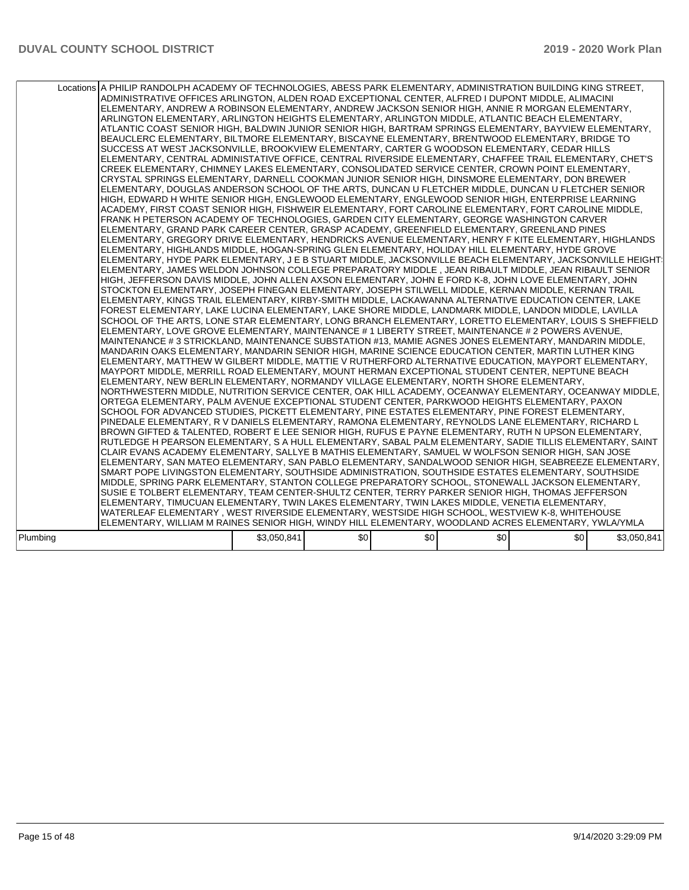|          | Locations A PHILIP RANDOLPH ACADEMY OF TECHNOLOGIES, ABESS PARK ELEMENTARY, ADMINISTRATION BUILDING KING STREET,<br>ADMINISTRATIVE OFFICES ARLINGTON. ALDEN ROAD EXCEPTIONAL CENTER. ALFRED I DUPONT MIDDLE. ALIMACINI<br>ELEMENTARY, ANDREW A ROBINSON ELEMENTARY, ANDREW JACKSON SENIOR HIGH, ANNIE R MORGAN ELEMENTARY,<br>ARLINGTON ELEMENTARY, ARLINGTON HEIGHTS ELEMENTARY, ARLINGTON MIDDLE, ATLANTIC BEACH ELEMENTARY,<br>ATLANTIC COAST SENIOR HIGH, BALDWIN JUNIOR SENIOR HIGH, BARTRAM SPRINGS ELEMENTARY, BAYVIEW ELEMENTARY,<br>BEAUCLERC ELEMENTARY, BILTMORE ELEMENTARY, BISCAYNE ELEMENTARY, BRENTWOOD ELEMENTARY, BRIDGE TO<br>SUCCESS AT WEST JACKSONVILLE, BROOKVIEW ELEMENTARY, CARTER G WOODSON ELEMENTARY, CEDAR HILLS<br>ELEMENTARY, CENTRAL ADMINISTATIVE OFFICE, CENTRAL RIVERSIDE ELEMENTARY, CHAFFEE TRAIL ELEMENTARY, CHET'S<br>CREEK ELEMENTARY, CHIMNEY LAKES ELEMENTARY, CONSOLIDATED SERVICE CENTER, CROWN POINT ELEMENTARY,<br>CRYSTAL SPRINGS ELEMENTARY, DARNELL COOKMAN JUNIOR SENIOR HIGH, DINSMORE ELEMENTARY, DON BREWER<br>ELEMENTARY, DOUGLAS ANDERSON SCHOOL OF THE ARTS, DUNCAN U FLETCHER MIDDLE, DUNCAN U FLETCHER SENIOR<br>HIGH, EDWARD H WHITE SENIOR HIGH, ENGLEWOOD ELEMENTARY, ENGLEWOOD SENIOR HIGH, ENTERPRISE LEARNING<br>ACADEMY, FIRST COAST SENIOR HIGH, FISHWEIR ELEMENTARY, FORT CAROLINE ELEMENTARY, FORT CAROLINE MIDDLE,<br>FRANK H PETERSON ACADEMY OF TECHNOLOGIES, GARDEN CITY ELEMENTARY, GEORGE WASHINGTON CARVER<br>ELEMENTARY, GRAND PARK CAREER CENTER, GRASP ACADEMY, GREENFIELD ELEMENTARY, GREENLAND PINES<br>ELEMENTARY, GREGORY DRIVE ELEMENTARY, HENDRICKS AVENUE ELEMENTARY, HENRY F KITE ELEMENTARY, HIGHLANDS<br>ELEMENTARY, HIGHLANDS MIDDLE, HOGAN-SPRING GLEN ELEMENTARY, HOLIDAY HILL ELEMENTARY, HYDE GROVE<br>ELEMENTARY, HYDE PARK ELEMENTARY, J E B STUART MIDDLE, JACKSONVILLE BEACH ELEMENTARY, JACKSONVILLE HEIGHT:<br>ELEMENTARY, JAMES WELDON JOHNSON COLLEGE PREPARATORY MIDDLE , JEAN RIBAULT MIDDLE, JEAN RIBAULT SENIOR<br>HIGH, JEFFERSON DAVIS MIDDLE, JOHN ALLEN AXSON ELEMENTARY, JOHN E FORD K-8, JOHN LOVE ELEMENTARY, JOHN<br>STOCKTON ELEMENTARY, JOSEPH FINEGAN ELEMENTARY, JOSEPH STILWELL MIDDLE, KERNAN MIDDLE, KERNAN TRAIL<br>ELEMENTARY, KINGS TRAIL ELEMENTARY, KIRBY-SMITH MIDDLE, LACKAWANNA ALTERNATIVE EDUCATION CENTER, LAKE<br>FOREST ELEMENTARY, LAKE LUCINA ELEMENTARY, LAKE SHORE MIDDLE, LANDMARK MIDDLE, LANDON MIDDLE, LAVILLA<br>SCHOOL OF THE ARTS, LONE STAR ELEMENTARY, LONG BRANCH ELEMENTARY, LORETTO ELEMENTARY, LOUIS S SHEFFIELD<br>ELEMENTARY, LOVE GROVE ELEMENTARY, MAINTENANCE # 1 LIBERTY STREET, MAINTENANCE # 2 POWERS AVENUE,<br>MAINTENANCE # 3 STRICKLAND, MAINTENANCE SUBSTATION #13, MAMIE AGNES JONES ELEMENTARY, MANDARIN MIDDLE,<br>MANDARIN OAKS ELEMENTARY, MANDARIN SENIOR HIGH, MARINE SCIENCE EDUCATION CENTER, MARTIN LUTHER KING<br>IELEMENTARY. MATTHEW W GILBERT MIDDLE. MATTIE V RUTHERFORD ALTERNATIVE EDUCATION. MAYPORT ELEMENTARY.<br>MAYPORT MIDDLE, MERRILL ROAD ELEMENTARY, MOUNT HERMAN EXCEPTIONAL STUDENT CENTER, NEPTUNE BEACH<br>ELEMENTARY. NEW BERLIN ELEMENTARY. NORMANDY VILLAGE ELEMENTARY. NORTH SHORE ELEMENTARY.<br>NORTHWESTERN MIDDLE, NUTRITION SERVICE CENTER, OAK HILL ACADEMY, OCEANWAY ELEMENTARY, OCEANWAY MIDDLE,<br>ORTEGA ELEMENTARY, PALM AVENUE EXCEPTIONAL STUDENT CENTER, PARKWOOD HEIGHTS ELEMENTARY, PAXON<br>SCHOOL FOR ADVANCED STUDIES, PICKETT ELEMENTARY, PINE ESTATES ELEMENTARY, PINE FOREST ELEMENTARY,<br>PINEDALE ELEMENTARY, R V DANIELS ELEMENTARY, RAMONA ELEMENTARY, REYNOLDS LANE ELEMENTARY, RICHARD L<br>BROWN GIFTED & TALENTED, ROBERT E LEE SENIOR HIGH, RUFUS E PAYNE ELEMENTARY, RUTH N UPSON ELEMENTARY,<br>RUTLEDGE H PEARSON ELEMENTARY, S A HULL ELEMENTARY, SABAL PALM ELEMENTARY, SADIE TILLIS ELEMENTARY, SAINT<br>CLAIR EVANS ACADEMY ELEMENTARY, SALLYE B MATHIS ELEMENTARY, SAMUEL W WOLFSON SENIOR HIGH, SAN JOSE<br>ELEMENTARY, SAN MATEO ELEMENTARY, SAN PABLO ELEMENTARY, SANDALWOOD SENIOR HIGH, SEABREEZE ELEMENTARY,<br>SMART POPE LIVINGSTON ELEMENTARY, SOUTHSIDE ADMINISTRATION, SOUTHSIDE ESTATES ELEMENTARY, SOUTHSIDE<br>MIDDLE. SPRING PARK ELEMENTARY. STANTON COLLEGE PREPARATORY SCHOOL. STONEWALL JACKSON ELEMENTARY.<br>SUSIE E TOLBERT ELEMENTARY, TEAM CENTER-SHULTZ CENTER, TERRY PARKER SENIOR HIGH, THOMAS JEFFERSON<br>ELEMENTARY, TIMUCUAN ELEMENTARY, TWIN LAKES ELEMENTARY, TWIN LAKES MIDDLE, VENETIA ELEMENTARY,<br>WATERLEAF ELEMENTARY , WEST RIVERSIDE ELEMENTARY, WESTSIDE HIGH SCHOOL, WESTVIEW K-8, WHITEHOUSE<br>ELEMENTARY, WILLIAM M RAINES SENIOR HIGH, WINDY HILL ELEMENTARY, WOODLAND ACRES ELEMENTARY, YWLA/YMLA |             |     |     |     |     |             |
|----------|------------------------------------------------------------------------------------------------------------------------------------------------------------------------------------------------------------------------------------------------------------------------------------------------------------------------------------------------------------------------------------------------------------------------------------------------------------------------------------------------------------------------------------------------------------------------------------------------------------------------------------------------------------------------------------------------------------------------------------------------------------------------------------------------------------------------------------------------------------------------------------------------------------------------------------------------------------------------------------------------------------------------------------------------------------------------------------------------------------------------------------------------------------------------------------------------------------------------------------------------------------------------------------------------------------------------------------------------------------------------------------------------------------------------------------------------------------------------------------------------------------------------------------------------------------------------------------------------------------------------------------------------------------------------------------------------------------------------------------------------------------------------------------------------------------------------------------------------------------------------------------------------------------------------------------------------------------------------------------------------------------------------------------------------------------------------------------------------------------------------------------------------------------------------------------------------------------------------------------------------------------------------------------------------------------------------------------------------------------------------------------------------------------------------------------------------------------------------------------------------------------------------------------------------------------------------------------------------------------------------------------------------------------------------------------------------------------------------------------------------------------------------------------------------------------------------------------------------------------------------------------------------------------------------------------------------------------------------------------------------------------------------------------------------------------------------------------------------------------------------------------------------------------------------------------------------------------------------------------------------------------------------------------------------------------------------------------------------------------------------------------------------------------------------------------------------------------------------------------------------------------------------------------------------------------------------------------------------------------------------------------------------------------------------------------------------------------------------------------------------------------------------------------------------------------------------------------------------------------------------------------------------------------------------------------------------------------------------------------------------------------------------------------------------------------------------------------------------------------------------------------------------------------------------------------------------------------------------------------------------------------------------------------------------------------------------------------------------------------------------------------------------------------------------------------------------------------------------------------------------------------------------------------------------------------------------------------------------------------------------------------------------------------------------------------------------|-------------|-----|-----|-----|-----|-------------|
| Plumbing |                                                                                                                                                                                                                                                                                                                                                                                                                                                                                                                                                                                                                                                                                                                                                                                                                                                                                                                                                                                                                                                                                                                                                                                                                                                                                                                                                                                                                                                                                                                                                                                                                                                                                                                                                                                                                                                                                                                                                                                                                                                                                                                                                                                                                                                                                                                                                                                                                                                                                                                                                                                                                                                                                                                                                                                                                                                                                                                                                                                                                                                                                                                                                                                                                                                                                                                                                                                                                                                                                                                                                                                                                                                                                                                                                                                                                                                                                                                                                                                                                                                                                                                                                                                                                                                                                                                                                                                                                                                                                                                                                                                                                                                                                                | \$3,050,841 | \$0 | \$0 | \$0 | \$0 | \$3,050,841 |
|          |                                                                                                                                                                                                                                                                                                                                                                                                                                                                                                                                                                                                                                                                                                                                                                                                                                                                                                                                                                                                                                                                                                                                                                                                                                                                                                                                                                                                                                                                                                                                                                                                                                                                                                                                                                                                                                                                                                                                                                                                                                                                                                                                                                                                                                                                                                                                                                                                                                                                                                                                                                                                                                                                                                                                                                                                                                                                                                                                                                                                                                                                                                                                                                                                                                                                                                                                                                                                                                                                                                                                                                                                                                                                                                                                                                                                                                                                                                                                                                                                                                                                                                                                                                                                                                                                                                                                                                                                                                                                                                                                                                                                                                                                                                |             |     |     |     |     |             |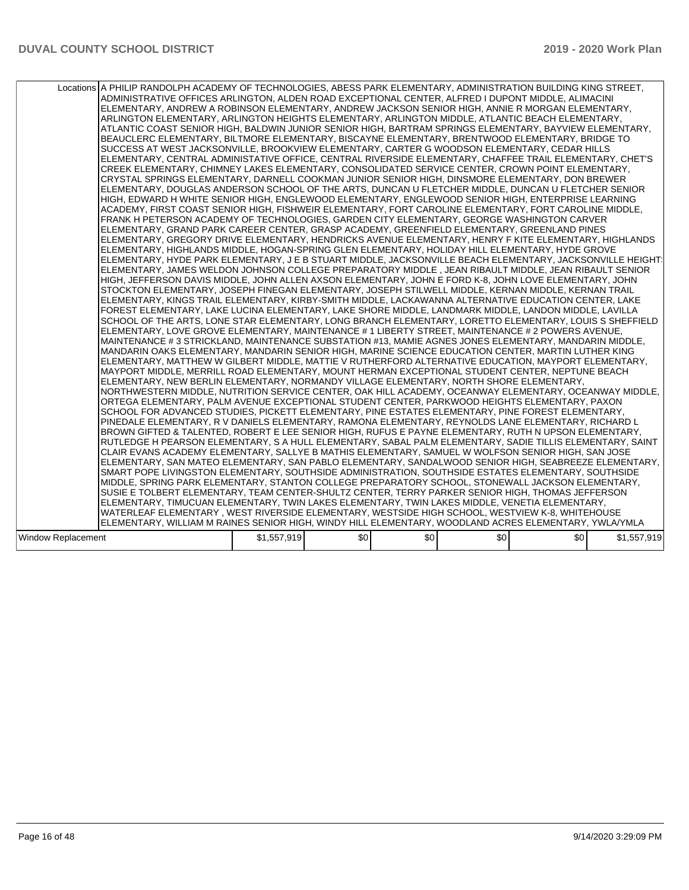|                    | Locations A PHILIP RANDOLPH ACADEMY OF TECHNOLOGIES, ABESS PARK ELEMENTARY, ADMINISTRATION BUILDING KING STREET,<br>ADMINISTRATIVE OFFICES ARLINGTON, ALDEN ROAD EXCEPTIONAL CENTER, ALFRED I DUPONT MIDDLE, ALIMACINI<br>ELEMENTARY, ANDREW A ROBINSON ELEMENTARY, ANDREW JACKSON SENIOR HIGH, ANNIE R MORGAN ELEMENTARY,<br>ARLINGTON ELEMENTARY, ARLINGTON HEIGHTS ELEMENTARY, ARLINGTON MIDDLE, ATLANTIC BEACH ELEMENTARY,<br>ATLANTIC COAST SENIOR HIGH, BALDWIN JUNIOR SENIOR HIGH, BARTRAM SPRINGS ELEMENTARY, BAYVIEW ELEMENTARY,<br>BEAUCLERC ELEMENTARY, BILTMORE ELEMENTARY, BISCAYNE ELEMENTARY, BRENTWOOD ELEMENTARY, BRIDGE TO<br>SUCCESS AT WEST JACKSONVILLE, BROOKVIEW ELEMENTARY, CARTER G WOODSON ELEMENTARY, CEDAR HILLS<br>ELEMENTARY, CENTRAL ADMINISTATIVE OFFICE, CENTRAL RIVERSIDE ELEMENTARY, CHAFFEE TRAIL ELEMENTARY, CHET'S<br>CREEK ELEMENTARY, CHIMNEY LAKES ELEMENTARY, CONSOLIDATED SERVICE CENTER, CROWN POINT ELEMENTARY,<br>CRYSTAL SPRINGS ELEMENTARY, DARNELL COOKMAN JUNIOR SENIOR HIGH, DINSMORE ELEMENTARY, DON BREWER<br>ELEMENTARY, DOUGLAS ANDERSON SCHOOL OF THE ARTS, DUNCAN U FLETCHER MIDDLE, DUNCAN U FLETCHER SENIOR<br>HIGH, EDWARD H WHITE SENIOR HIGH, ENGLEWOOD ELEMENTARY, ENGLEWOOD SENIOR HIGH, ENTERPRISE LEARNING<br>ACADEMY, FIRST COAST SENIOR HIGH, FISHWEIR ELEMENTARY, FORT CAROLINE ELEMENTARY, FORT CAROLINE MIDDLE,<br>FRANK H PETERSON ACADEMY OF TECHNOLOGIES, GARDEN CITY ELEMENTARY, GEORGE WASHINGTON CARVER<br>ELEMENTARY, GRAND PARK CAREER CENTER, GRASP ACADEMY, GREENFIELD ELEMENTARY, GREENLAND PINES<br>ELEMENTARY, GREGORY DRIVE ELEMENTARY, HENDRICKS AVENUE ELEMENTARY, HENRY F KITE ELEMENTARY, HIGHLANDS<br>IELEMENTARY. HIGHLANDS MIDDLE. HOGAN-SPRING GLEN ELEMENTARY. HOLIDAY HILL ELEMENTARY. HYDE GROVE<br> ELEMENTARY, HYDE PARK ELEMENTARY, J E B STUART MIDDLE, JACKSONVILLE BEACH ELEMENTARY, JACKSONVILLE HEIGHT <sup>;</sup><br>ELEMENTARY, JAMES WELDON JOHNSON COLLEGE PREPARATORY MIDDLE , JEAN RIBAULT MIDDLE, JEAN RIBAULT SENIOR<br>HIGH, JEFFERSON DAVIS MIDDLE, JOHN ALLEN AXSON ELEMENTARY, JOHN E FORD K-8, JOHN LOVE ELEMENTARY, JOHN<br>ISTOCKTON ELEMENTARY. JOSEPH FINEGAN ELEMENTARY. JOSEPH STILWELL MIDDLE. KERNAN MIDDLE. KERNAN TRAIL<br>ELEMENTARY, KINGS TRAIL ELEMENTARY, KIRBY-SMITH MIDDLE, LACKAWANNA ALTERNATIVE EDUCATION CENTER, LAKE<br>FOREST ELEMENTARY, LAKE LUCINA ELEMENTARY, LAKE SHORE MIDDLE, LANDMARK MIDDLE, LANDON MIDDLE, LAVILLA<br>SCHOOL OF THE ARTS, LONE STAR ELEMENTARY, LONG BRANCH ELEMENTARY, LORETTO ELEMENTARY, LOUIS S SHEFFIELD<br>ELEMENTARY, LOVE GROVE ELEMENTARY, MAINTENANCE # 1 LIBERTY STREET, MAINTENANCE # 2 POWERS AVENUE,<br>MAINTENANCE # 3 STRICKLAND. MAINTENANCE SUBSTATION #13. MAMIE AGNES JONES ELEMENTARY. MANDARIN MIDDLE.<br>IMANDARIN OAKS ELEMENTARY. MANDARIN SENIOR HIGH. MARINE SCIENCE EDUCATION CENTER. MARTIN LUTHER KING<br>ELEMENTARY, MATTHEW W GILBERT MIDDLE, MATTIE V RUTHERFORD ALTERNATIVE EDUCATION, MAYPORT ELEMENTARY,<br>MAYPORT MIDDLE, MERRILL ROAD ELEMENTARY, MOUNT HERMAN EXCEPTIONAL STUDENT CENTER, NEPTUNE BEACH<br>IELEMENTARY. NEW BERLIN ELEMENTARY. NORMANDY VILLAGE ELEMENTARY. NORTH SHORE ELEMENTARY.<br>NORTHWESTERN MIDDLE, NUTRITION SERVICE CENTER, OAK HILL ACADEMY, OCEANWAY ELEMENTARY, OCEANWAY MIDDLE,<br>ORTEGA ELEMENTARY, PALM AVENUE EXCEPTIONAL STUDENT CENTER, PARKWOOD HEIGHTS ELEMENTARY, PAXON<br>SCHOOL FOR ADVANCED STUDIES, PICKETT ELEMENTARY, PINE ESTATES ELEMENTARY, PINE FOREST ELEMENTARY,<br>PINEDALE ELEMENTARY, R V DANIELS ELEMENTARY, RAMONA ELEMENTARY, REYNOLDS LANE ELEMENTARY, RICHARD L<br>BROWN GIFTED & TALENTED, ROBERT E LEE SENIOR HIGH, RUFUS E PAYNE ELEMENTARY, RUTH N UPSON ELEMENTARY,<br>IRUTLEDGE H PEARSON ELEMENTARY. S A HULL ELEMENTARY. SABAL PALM ELEMENTARY. SADIE TILLIS ELEMENTARY. SAINT<br>CLAIR EVANS ACADEMY ELEMENTARY, SALLYE B MATHIS ELEMENTARY, SAMUEL W WOLFSON SENIOR HIGH, SAN JOSE<br>ELEMENTARY, SAN MATEO ELEMENTARY, SAN PABLO ELEMENTARY, SANDALWOOD SENIOR HIGH, SEABREEZE ELEMENTARY,<br>SMART POPE LIVINGSTON ELEMENTARY, SOUTHSIDE ADMINISTRATION, SOUTHSIDE ESTATES ELEMENTARY, SOUTHSIDE<br>MIDDLE, SPRING PARK ELEMENTARY, STANTON COLLEGE PREPARATORY SCHOOL, STONEWALL JACKSON ELEMENTARY,<br>SUSIE E TOLBERT ELEMENTARY, TEAM CENTER-SHULTZ CENTER, TERRY PARKER SENIOR HIGH, THOMAS JEFFERSON<br>IELEMENTARY. TIMUCUAN ELEMENTARY. TWIN LAKES ELEMENTARY. TWIN LAKES MIDDLE. VENETIA ELEMENTARY.<br>WATERLEAF ELEMENTARY , WEST RIVERSIDE ELEMENTARY, WESTSIDE HIGH SCHOOL, WESTVIEW K-8, WHITEHOUSE<br>ELEMENTARY, WILLIAM M RAINES SENIOR HIGH, WINDY HILL ELEMENTARY, WOODLAND ACRES ELEMENTARY, YWLA/YMLA |             |     |     |     |     |             |
|--------------------|------------------------------------------------------------------------------------------------------------------------------------------------------------------------------------------------------------------------------------------------------------------------------------------------------------------------------------------------------------------------------------------------------------------------------------------------------------------------------------------------------------------------------------------------------------------------------------------------------------------------------------------------------------------------------------------------------------------------------------------------------------------------------------------------------------------------------------------------------------------------------------------------------------------------------------------------------------------------------------------------------------------------------------------------------------------------------------------------------------------------------------------------------------------------------------------------------------------------------------------------------------------------------------------------------------------------------------------------------------------------------------------------------------------------------------------------------------------------------------------------------------------------------------------------------------------------------------------------------------------------------------------------------------------------------------------------------------------------------------------------------------------------------------------------------------------------------------------------------------------------------------------------------------------------------------------------------------------------------------------------------------------------------------------------------------------------------------------------------------------------------------------------------------------------------------------------------------------------------------------------------------------------------------------------------------------------------------------------------------------------------------------------------------------------------------------------------------------------------------------------------------------------------------------------------------------------------------------------------------------------------------------------------------------------------------------------------------------------------------------------------------------------------------------------------------------------------------------------------------------------------------------------------------------------------------------------------------------------------------------------------------------------------------------------------------------------------------------------------------------------------------------------------------------------------------------------------------------------------------------------------------------------------------------------------------------------------------------------------------------------------------------------------------------------------------------------------------------------------------------------------------------------------------------------------------------------------------------------------------------------------------------------------------------------------------------------------------------------------------------------------------------------------------------------------------------------------------------------------------------------------------------------------------------------------------------------------------------------------------------------------------------------------------------------------------------------------------------------------------------------------------------------------------------------------------------------------------------------------------------------------------------------------------------------------------------------------------------------------------------------------------------------------------------------------------------------------------------------------------------------------------------------------------------------------------------------------------------------------------------------------------------------------------------------------------------------------------------|-------------|-----|-----|-----|-----|-------------|
| Window Replacement |                                                                                                                                                                                                                                                                                                                                                                                                                                                                                                                                                                                                                                                                                                                                                                                                                                                                                                                                                                                                                                                                                                                                                                                                                                                                                                                                                                                                                                                                                                                                                                                                                                                                                                                                                                                                                                                                                                                                                                                                                                                                                                                                                                                                                                                                                                                                                                                                                                                                                                                                                                                                                                                                                                                                                                                                                                                                                                                                                                                                                                                                                                                                                                                                                                                                                                                                                                                                                                                                                                                                                                                                                                                                                                                                                                                                                                                                                                                                                                                                                                                                                                                                                                                                                                                                                                                                                                                                                                                                                                                                                                                                                                                                                                                  | \$1,557,919 | \$0 | \$0 | \$0 | \$0 | \$1,557,919 |
|                    |                                                                                                                                                                                                                                                                                                                                                                                                                                                                                                                                                                                                                                                                                                                                                                                                                                                                                                                                                                                                                                                                                                                                                                                                                                                                                                                                                                                                                                                                                                                                                                                                                                                                                                                                                                                                                                                                                                                                                                                                                                                                                                                                                                                                                                                                                                                                                                                                                                                                                                                                                                                                                                                                                                                                                                                                                                                                                                                                                                                                                                                                                                                                                                                                                                                                                                                                                                                                                                                                                                                                                                                                                                                                                                                                                                                                                                                                                                                                                                                                                                                                                                                                                                                                                                                                                                                                                                                                                                                                                                                                                                                                                                                                                                                  |             |     |     |     |     |             |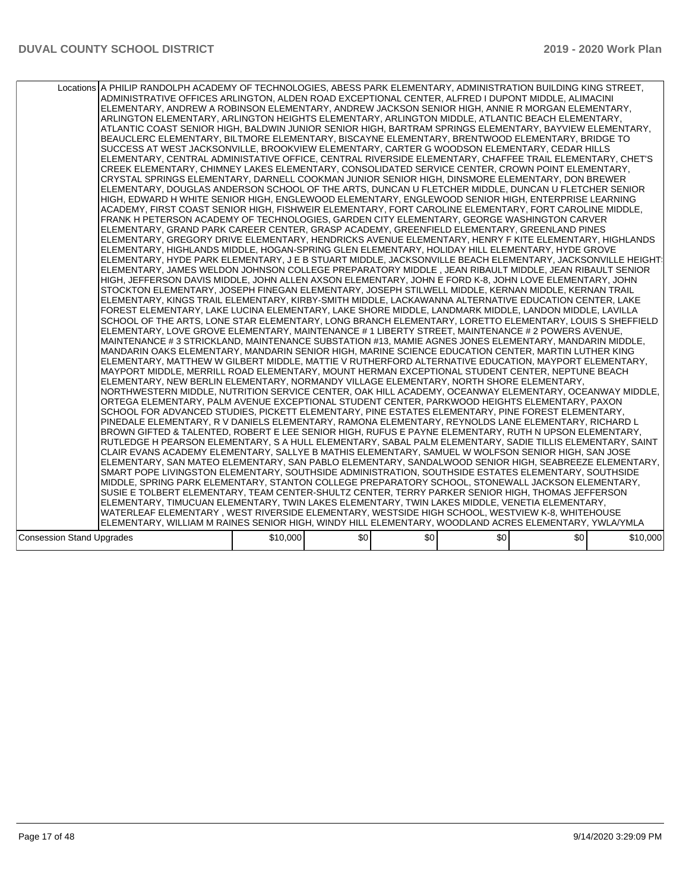|                                  | Locations A PHILIP RANDOLPH ACADEMY OF TECHNOLOGIES, ABESS PARK ELEMENTARY, ADMINISTRATION BUILDING KING STREET,<br>ADMINISTRATIVE OFFICES ARLINGTON, ALDEN ROAD EXCEPTIONAL CENTER, ALFRED I DUPONT MIDDLE, ALIMACINI<br>ELEMENTARY, ANDREW A ROBINSON ELEMENTARY, ANDREW JACKSON SENIOR HIGH, ANNIE R MORGAN ELEMENTARY,<br>ARLINGTON ELEMENTARY, ARLINGTON HEIGHTS ELEMENTARY, ARLINGTON MIDDLE, ATLANTIC BEACH ELEMENTARY,<br>ATLANTIC COAST SENIOR HIGH, BALDWIN JUNIOR SENIOR HIGH, BARTRAM SPRINGS ELEMENTARY, BAYVIEW ELEMENTARY,<br>BEAUCLERC ELEMENTARY, BILTMORE ELEMENTARY, BISCAYNE ELEMENTARY, BRENTWOOD ELEMENTARY, BRIDGE TO<br>SUCCESS AT WEST JACKSONVILLE, BROOKVIEW ELEMENTARY, CARTER G WOODSON ELEMENTARY, CEDAR HILLS<br>ELEMENTARY, CENTRAL ADMINISTATIVE OFFICE, CENTRAL RIVERSIDE ELEMENTARY, CHAFFEE TRAIL ELEMENTARY, CHET'S<br>CREEK ELEMENTARY, CHIMNEY LAKES ELEMENTARY, CONSOLIDATED SERVICE CENTER, CROWN POINT ELEMENTARY,<br>CRYSTAL SPRINGS ELEMENTARY, DARNELL COOKMAN JUNIOR SENIOR HIGH, DINSMORE ELEMENTARY, DON BREWER<br>ELEMENTARY, DOUGLAS ANDERSON SCHOOL OF THE ARTS, DUNCAN U FLETCHER MIDDLE, DUNCAN U FLETCHER SENIOR<br>HIGH. EDWARD H WHITE SENIOR HIGH. ENGLEWOOD ELEMENTARY. ENGLEWOOD SENIOR HIGH. ENTERPRISE LEARNING<br>ACADEMY, FIRST COAST SENIOR HIGH, FISHWEIR ELEMENTARY, FORT CAROLINE ELEMENTARY, FORT CAROLINE MIDDLE,<br>FRANK H PETERSON ACADEMY OF TECHNOLOGIES, GARDEN CITY ELEMENTARY, GEORGE WASHINGTON CARVER<br>ELEMENTARY, GRAND PARK CAREER CENTER, GRASP ACADEMY, GREENFIELD ELEMENTARY, GREENLAND PINES<br>IELEMENTARY. GREGORY DRIVE ELEMENTARY. HENDRICKS AVENUE ELEMENTARY. HENRY F KITE ELEMENTARY. HIGHLANDS<br>ELEMENTARY, HIGHLANDS MIDDLE, HOGAN-SPRING GLEN ELEMENTARY, HOLIDAY HILL ELEMENTARY, HYDE GROVE<br>ELEMENTARY, HYDE PARK ELEMENTARY, J E B STUART MIDDLE, JACKSONVILLE BEACH ELEMENTARY, JACKSONVILLE HEIGHT!<br>IELEMENTARY. JAMES WELDON JOHNSON COLLEGE PREPARATORY MIDDLE . JEAN RIBAULT MIDDLE. JEAN RIBAULT SENIOR<br>HIGH, JEFFERSON DAVIS MIDDLE, JOHN ALLEN AXSON ELEMENTARY, JOHN E FORD K-8, JOHN LOVE ELEMENTARY, JOHN<br>STOCKTON ELEMENTARY, JOSEPH FINEGAN ELEMENTARY, JOSEPH STILWELL MIDDLE, KERNAN MIDDLE, KERNAN TRAIL<br>ELEMENTARY, KINGS TRAIL ELEMENTARY, KIRBY-SMITH MIDDLE, LACKAWANNA ALTERNATIVE EDUCATION CENTER, LAKE<br>FOREST ELEMENTARY, LAKE LUCINA ELEMENTARY, LAKE SHORE MIDDLE, LANDMARK MIDDLE, LANDON MIDDLE, LAVILLA<br>SCHOOL OF THE ARTS, LONE STAR ELEMENTARY, LONG BRANCH ELEMENTARY, LORETTO ELEMENTARY, LOUIS S SHEFFIELD<br>ELEMENTARY, LOVE GROVE ELEMENTARY, MAINTENANCE # 1 LIBERTY STREET, MAINTENANCE # 2 POWERS AVENUE,<br>MAINTENANCE # 3 STRICKLAND, MAINTENANCE SUBSTATION #13, MAMIE AGNES JONES ELEMENTARY, MANDARIN MIDDLE,<br>MANDARIN OAKS ELEMENTARY, MANDARIN SENIOR HIGH, MARINE SCIENCE EDUCATION CENTER, MARTIN LUTHER KING<br>ELEMENTARY, MATTHEW W GILBERT MIDDLE, MATTIE V RUTHERFORD ALTERNATIVE EDUCATION, MAYPORT ELEMENTARY,<br>MAYPORT MIDDLE, MERRILL ROAD ELEMENTARY, MOUNT HERMAN EXCEPTIONAL STUDENT CENTER, NEPTUNE BEACH<br>ELEMENTARY, NEW BERLIN ELEMENTARY, NORMANDY VILLAGE ELEMENTARY, NORTH SHORE ELEMENTARY,<br>NORTHWESTERN MIDDLE, NUTRITION SERVICE CENTER, OAK HILL ACADEMY, OCEANWAY ELEMENTARY, OCEANWAY MIDDLE,<br>ORTEGA ELEMENTARY, PALM AVENUE EXCEPTIONAL STUDENT CENTER, PARKWOOD HEIGHTS ELEMENTARY, PAXON<br>SCHOOL FOR ADVANCED STUDIES, PICKETT ELEMENTARY, PINE ESTATES ELEMENTARY, PINE FOREST ELEMENTARY,<br>PINEDALE ELEMENTARY, R V DANIELS ELEMENTARY, RAMONA ELEMENTARY, REYNOLDS LANE ELEMENTARY, RICHARD L<br>IBROWN GIFTED & TALENTED. ROBERT E LEE SENIOR HIGH. RUFUS E PAYNE ELEMENTARY. RUTH N UPSON ELEMENTARY.<br>RUTLEDGE H PEARSON ELEMENTARY, S A HULL ELEMENTARY, SABAL PALM ELEMENTARY, SADIE TILLIS ELEMENTARY, SAINT<br>CLAIR EVANS ACADEMY ELEMENTARY, SALLYE B MATHIS ELEMENTARY, SAMUEL W WOLFSON SENIOR HIGH, SAN JOSE<br>ELEMENTARY, SAN MATEO ELEMENTARY, SAN PABLO ELEMENTARY, SANDALWOOD SENIOR HIGH, SEABREEZE ELEMENTARY,<br>SMART POPE LIVINGSTON ELEMENTARY, SOUTHSIDE ADMINISTRATION, SOUTHSIDE ESTATES ELEMENTARY, SOUTHSIDE<br>MIDDLE, SPRING PARK ELEMENTARY, STANTON COLLEGE PREPARATORY SCHOOL, STONEWALL JACKSON ELEMENTARY,<br>SUSIE E TOLBERT ELEMENTARY, TEAM CENTER-SHULTZ CENTER, TERRY PARKER SENIOR HIGH, THOMAS JEFFERSON<br>IELEMENTARY. TIMUCUAN ELEMENTARY. TWIN LAKES ELEMENTARY. TWIN LAKES MIDDLE. VENETIA ELEMENTARY.<br>WATERLEAF ELEMENTARY , WEST RIVERSIDE ELEMENTARY, WESTSIDE HIGH SCHOOL, WESTVIEW K-8, WHITEHOUSE<br>ELEMENTARY, WILLIAM M RAINES SENIOR HIGH, WINDY HILL ELEMENTARY, WOODLAND ACRES ELEMENTARY, YWLA/YMLA |          |     |     |     |     |          |
|----------------------------------|---------------------------------------------------------------------------------------------------------------------------------------------------------------------------------------------------------------------------------------------------------------------------------------------------------------------------------------------------------------------------------------------------------------------------------------------------------------------------------------------------------------------------------------------------------------------------------------------------------------------------------------------------------------------------------------------------------------------------------------------------------------------------------------------------------------------------------------------------------------------------------------------------------------------------------------------------------------------------------------------------------------------------------------------------------------------------------------------------------------------------------------------------------------------------------------------------------------------------------------------------------------------------------------------------------------------------------------------------------------------------------------------------------------------------------------------------------------------------------------------------------------------------------------------------------------------------------------------------------------------------------------------------------------------------------------------------------------------------------------------------------------------------------------------------------------------------------------------------------------------------------------------------------------------------------------------------------------------------------------------------------------------------------------------------------------------------------------------------------------------------------------------------------------------------------------------------------------------------------------------------------------------------------------------------------------------------------------------------------------------------------------------------------------------------------------------------------------------------------------------------------------------------------------------------------------------------------------------------------------------------------------------------------------------------------------------------------------------------------------------------------------------------------------------------------------------------------------------------------------------------------------------------------------------------------------------------------------------------------------------------------------------------------------------------------------------------------------------------------------------------------------------------------------------------------------------------------------------------------------------------------------------------------------------------------------------------------------------------------------------------------------------------------------------------------------------------------------------------------------------------------------------------------------------------------------------------------------------------------------------------------------------------------------------------------------------------------------------------------------------------------------------------------------------------------------------------------------------------------------------------------------------------------------------------------------------------------------------------------------------------------------------------------------------------------------------------------------------------------------------------------------------------------------------------------------------------------------------------------------------------------------------------------------------------------------------------------------------------------------------------------------------------------------------------------------------------------------------------------------------------------------------------------------------------------------------------------------------------------------------------------------------------------------------------------------------------|----------|-----|-----|-----|-----|----------|
| <b>Consession Stand Upgrades</b> |                                                                                                                                                                                                                                                                                                                                                                                                                                                                                                                                                                                                                                                                                                                                                                                                                                                                                                                                                                                                                                                                                                                                                                                                                                                                                                                                                                                                                                                                                                                                                                                                                                                                                                                                                                                                                                                                                                                                                                                                                                                                                                                                                                                                                                                                                                                                                                                                                                                                                                                                                                                                                                                                                                                                                                                                                                                                                                                                                                                                                                                                                                                                                                                                                                                                                                                                                                                                                                                                                                                                                                                                                                                                                                                                                                                                                                                                                                                                                                                                                                                                                                                                                                                                                                                                                                                                                                                                                                                                                                                                                                                                                                                                                                   | \$10,000 | \$0 | \$0 | \$0 | \$0 | \$10,000 |
|                                  |                                                                                                                                                                                                                                                                                                                                                                                                                                                                                                                                                                                                                                                                                                                                                                                                                                                                                                                                                                                                                                                                                                                                                                                                                                                                                                                                                                                                                                                                                                                                                                                                                                                                                                                                                                                                                                                                                                                                                                                                                                                                                                                                                                                                                                                                                                                                                                                                                                                                                                                                                                                                                                                                                                                                                                                                                                                                                                                                                                                                                                                                                                                                                                                                                                                                                                                                                                                                                                                                                                                                                                                                                                                                                                                                                                                                                                                                                                                                                                                                                                                                                                                                                                                                                                                                                                                                                                                                                                                                                                                                                                                                                                                                                                   |          |     |     |     |     |          |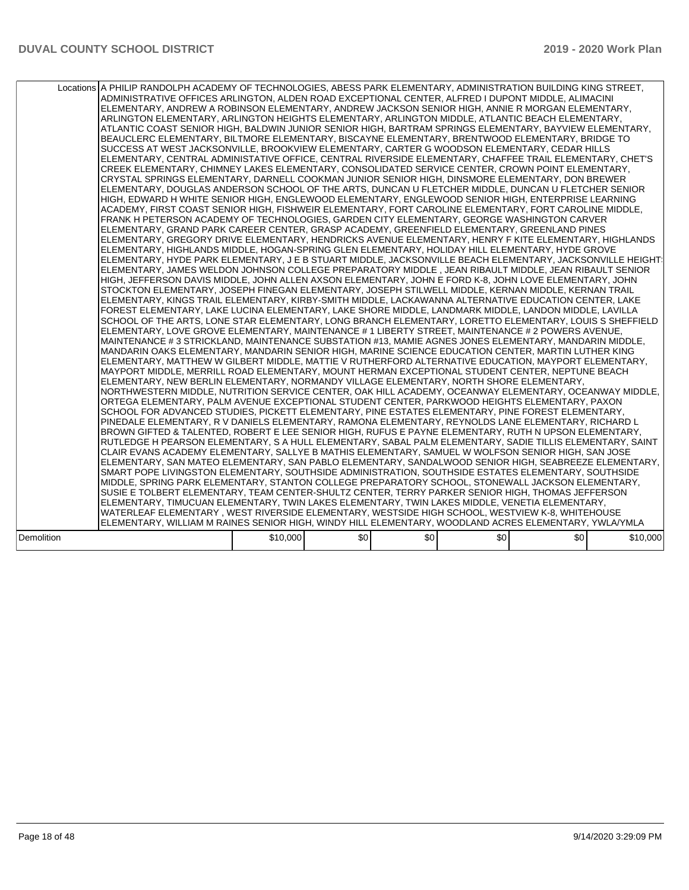|            | Locations A PHILIP RANDOLPH ACADEMY OF TECHNOLOGIES, ABESS PARK ELEMENTARY, ADMINISTRATION BUILDING KING STREET,<br>ADMINISTRATIVE OFFICES ARLINGTON. ALDEN ROAD EXCEPTIONAL CENTER. ALFRED I DUPONT MIDDLE. ALIMACINI<br>ELEMENTARY, ANDREW A ROBINSON ELEMENTARY, ANDREW JACKSON SENIOR HIGH, ANNIE R MORGAN ELEMENTARY,<br>ARLINGTON ELEMENTARY, ARLINGTON HEIGHTS ELEMENTARY, ARLINGTON MIDDLE, ATLANTIC BEACH ELEMENTARY,<br>ATLANTIC COAST SENIOR HIGH, BALDWIN JUNIOR SENIOR HIGH, BARTRAM SPRINGS ELEMENTARY, BAYVIEW ELEMENTARY,<br>BEAUCLERC ELEMENTARY, BILTMORE ELEMENTARY, BISCAYNE ELEMENTARY, BRENTWOOD ELEMENTARY, BRIDGE TO<br>SUCCESS AT WEST JACKSONVILLE, BROOKVIEW ELEMENTARY, CARTER G WOODSON ELEMENTARY, CEDAR HILLS<br>ELEMENTARY, CENTRAL ADMINISTATIVE OFFICE, CENTRAL RIVERSIDE ELEMENTARY, CHAFFEE TRAIL ELEMENTARY, CHET'S<br>CREEK ELEMENTARY, CHIMNEY LAKES ELEMENTARY, CONSOLIDATED SERVICE CENTER, CROWN POINT ELEMENTARY,<br>CRYSTAL SPRINGS ELEMENTARY, DARNELL COOKMAN JUNIOR SENIOR HIGH, DINSMORE ELEMENTARY, DON BREWER<br>ELEMENTARY, DOUGLAS ANDERSON SCHOOL OF THE ARTS, DUNCAN U FLETCHER MIDDLE, DUNCAN U FLETCHER SENIOR<br>HIGH, EDWARD H WHITE SENIOR HIGH, ENGLEWOOD ELEMENTARY, ENGLEWOOD SENIOR HIGH, ENTERPRISE LEARNING<br>ACADEMY, FIRST COAST SENIOR HIGH, FISHWEIR ELEMENTARY, FORT CAROLINE ELEMENTARY, FORT CAROLINE MIDDLE,<br>FRANK H PETERSON ACADEMY OF TECHNOLOGIES, GARDEN CITY ELEMENTARY, GEORGE WASHINGTON CARVER<br>ELEMENTARY, GRAND PARK CAREER CENTER, GRASP ACADEMY, GREENFIELD ELEMENTARY, GREENLAND PINES<br>ELEMENTARY, GREGORY DRIVE ELEMENTARY, HENDRICKS AVENUE ELEMENTARY, HENRY F KITE ELEMENTARY, HIGHLANDS<br>ELEMENTARY, HIGHLANDS MIDDLE, HOGAN-SPRING GLEN ELEMENTARY, HOLIDAY HILL ELEMENTARY, HYDE GROVE<br>ELEMENTARY, HYDE PARK ELEMENTARY, J E B STUART MIDDLE, JACKSONVILLE BEACH ELEMENTARY, JACKSONVILLE HEIGHT:<br>ELEMENTARY, JAMES WELDON JOHNSON COLLEGE PREPARATORY MIDDLE , JEAN RIBAULT MIDDLE, JEAN RIBAULT SENIOR<br>HIGH, JEFFERSON DAVIS MIDDLE, JOHN ALLEN AXSON ELEMENTARY, JOHN E FORD K-8, JOHN LOVE ELEMENTARY, JOHN<br>STOCKTON ELEMENTARY, JOSEPH FINEGAN ELEMENTARY, JOSEPH STILWELL MIDDLE, KERNAN MIDDLE, KERNAN TRAIL<br>ELEMENTARY, KINGS TRAIL ELEMENTARY, KIRBY-SMITH MIDDLE, LACKAWANNA ALTERNATIVE EDUCATION CENTER, LAKE<br>FOREST ELEMENTARY, LAKE LUCINA ELEMENTARY, LAKE SHORE MIDDLE, LANDMARK MIDDLE, LANDON MIDDLE, LAVILLA<br>SCHOOL OF THE ARTS, LONE STAR ELEMENTARY, LONG BRANCH ELEMENTARY, LORETTO ELEMENTARY, LOUIS S SHEFFIELD<br>ELEMENTARY, LOVE GROVE ELEMENTARY, MAINTENANCE # 1 LIBERTY STREET, MAINTENANCE # 2 POWERS AVENUE,<br>MAINTENANCE # 3 STRICKLAND, MAINTENANCE SUBSTATION #13, MAMIE AGNES JONES ELEMENTARY, MANDARIN MIDDLE,<br>MANDARIN OAKS ELEMENTARY, MANDARIN SENIOR HIGH, MARINE SCIENCE EDUCATION CENTER, MARTIN LUTHER KING<br>IELEMENTARY. MATTHEW W GILBERT MIDDLE. MATTIE V RUTHERFORD ALTERNATIVE EDUCATION. MAYPORT ELEMENTARY.<br>MAYPORT MIDDLE, MERRILL ROAD ELEMENTARY, MOUNT HERMAN EXCEPTIONAL STUDENT CENTER, NEPTUNE BEACH<br>ELEMENTARY. NEW BERLIN ELEMENTARY. NORMANDY VILLAGE ELEMENTARY. NORTH SHORE ELEMENTARY.<br>NORTHWESTERN MIDDLE, NUTRITION SERVICE CENTER, OAK HILL ACADEMY, OCEANWAY ELEMENTARY, OCEANWAY MIDDLE,<br>ORTEGA ELEMENTARY, PALM AVENUE EXCEPTIONAL STUDENT CENTER, PARKWOOD HEIGHTS ELEMENTARY, PAXON<br>SCHOOL FOR ADVANCED STUDIES, PICKETT ELEMENTARY, PINE ESTATES ELEMENTARY, PINE FOREST ELEMENTARY,<br>PINEDALE ELEMENTARY, R V DANIELS ELEMENTARY, RAMONA ELEMENTARY, REYNOLDS LANE ELEMENTARY, RICHARD L<br>BROWN GIFTED & TALENTED, ROBERT E LEE SENIOR HIGH, RUFUS E PAYNE ELEMENTARY, RUTH N UPSON ELEMENTARY,<br>RUTLEDGE H PEARSON ELEMENTARY, S A HULL ELEMENTARY, SABAL PALM ELEMENTARY, SADIE TILLIS ELEMENTARY, SAINT<br>CLAIR EVANS ACADEMY ELEMENTARY, SALLYE B MATHIS ELEMENTARY, SAMUEL W WOLFSON SENIOR HIGH, SAN JOSE<br>ELEMENTARY, SAN MATEO ELEMENTARY, SAN PABLO ELEMENTARY, SANDALWOOD SENIOR HIGH, SEABREEZE ELEMENTARY,<br>SMART POPE LIVINGSTON ELEMENTARY, SOUTHSIDE ADMINISTRATION, SOUTHSIDE ESTATES ELEMENTARY, SOUTHSIDE<br>MIDDLE. SPRING PARK ELEMENTARY. STANTON COLLEGE PREPARATORY SCHOOL. STONEWALL JACKSON ELEMENTARY.<br>SUSIE E TOLBERT ELEMENTARY, TEAM CENTER-SHULTZ CENTER, TERRY PARKER SENIOR HIGH, THOMAS JEFFERSON<br>ELEMENTARY, TIMUCUAN ELEMENTARY, TWIN LAKES ELEMENTARY, TWIN LAKES MIDDLE, VENETIA ELEMENTARY,<br>WATERLEAF ELEMENTARY , WEST RIVERSIDE ELEMENTARY, WESTSIDE HIGH SCHOOL, WESTVIEW K-8, WHITEHOUSE<br>ELEMENTARY, WILLIAM M RAINES SENIOR HIGH, WINDY HILL ELEMENTARY, WOODLAND ACRES ELEMENTARY, YWLA/YMLA |          |                  |     |     |     |          |
|------------|------------------------------------------------------------------------------------------------------------------------------------------------------------------------------------------------------------------------------------------------------------------------------------------------------------------------------------------------------------------------------------------------------------------------------------------------------------------------------------------------------------------------------------------------------------------------------------------------------------------------------------------------------------------------------------------------------------------------------------------------------------------------------------------------------------------------------------------------------------------------------------------------------------------------------------------------------------------------------------------------------------------------------------------------------------------------------------------------------------------------------------------------------------------------------------------------------------------------------------------------------------------------------------------------------------------------------------------------------------------------------------------------------------------------------------------------------------------------------------------------------------------------------------------------------------------------------------------------------------------------------------------------------------------------------------------------------------------------------------------------------------------------------------------------------------------------------------------------------------------------------------------------------------------------------------------------------------------------------------------------------------------------------------------------------------------------------------------------------------------------------------------------------------------------------------------------------------------------------------------------------------------------------------------------------------------------------------------------------------------------------------------------------------------------------------------------------------------------------------------------------------------------------------------------------------------------------------------------------------------------------------------------------------------------------------------------------------------------------------------------------------------------------------------------------------------------------------------------------------------------------------------------------------------------------------------------------------------------------------------------------------------------------------------------------------------------------------------------------------------------------------------------------------------------------------------------------------------------------------------------------------------------------------------------------------------------------------------------------------------------------------------------------------------------------------------------------------------------------------------------------------------------------------------------------------------------------------------------------------------------------------------------------------------------------------------------------------------------------------------------------------------------------------------------------------------------------------------------------------------------------------------------------------------------------------------------------------------------------------------------------------------------------------------------------------------------------------------------------------------------------------------------------------------------------------------------------------------------------------------------------------------------------------------------------------------------------------------------------------------------------------------------------------------------------------------------------------------------------------------------------------------------------------------------------------------------------------------------------------------------------------------------------------------------------------------------|----------|------------------|-----|-----|-----|----------|
| Demolition |                                                                                                                                                                                                                                                                                                                                                                                                                                                                                                                                                                                                                                                                                                                                                                                                                                                                                                                                                                                                                                                                                                                                                                                                                                                                                                                                                                                                                                                                                                                                                                                                                                                                                                                                                                                                                                                                                                                                                                                                                                                                                                                                                                                                                                                                                                                                                                                                                                                                                                                                                                                                                                                                                                                                                                                                                                                                                                                                                                                                                                                                                                                                                                                                                                                                                                                                                                                                                                                                                                                                                                                                                                                                                                                                                                                                                                                                                                                                                                                                                                                                                                                                                                                                                                                                                                                                                                                                                                                                                                                                                                                                                                                                                                | \$10,000 | \$0 <sub>1</sub> | \$0 | \$0 | \$0 | \$10,000 |
|            |                                                                                                                                                                                                                                                                                                                                                                                                                                                                                                                                                                                                                                                                                                                                                                                                                                                                                                                                                                                                                                                                                                                                                                                                                                                                                                                                                                                                                                                                                                                                                                                                                                                                                                                                                                                                                                                                                                                                                                                                                                                                                                                                                                                                                                                                                                                                                                                                                                                                                                                                                                                                                                                                                                                                                                                                                                                                                                                                                                                                                                                                                                                                                                                                                                                                                                                                                                                                                                                                                                                                                                                                                                                                                                                                                                                                                                                                                                                                                                                                                                                                                                                                                                                                                                                                                                                                                                                                                                                                                                                                                                                                                                                                                                |          |                  |     |     |     |          |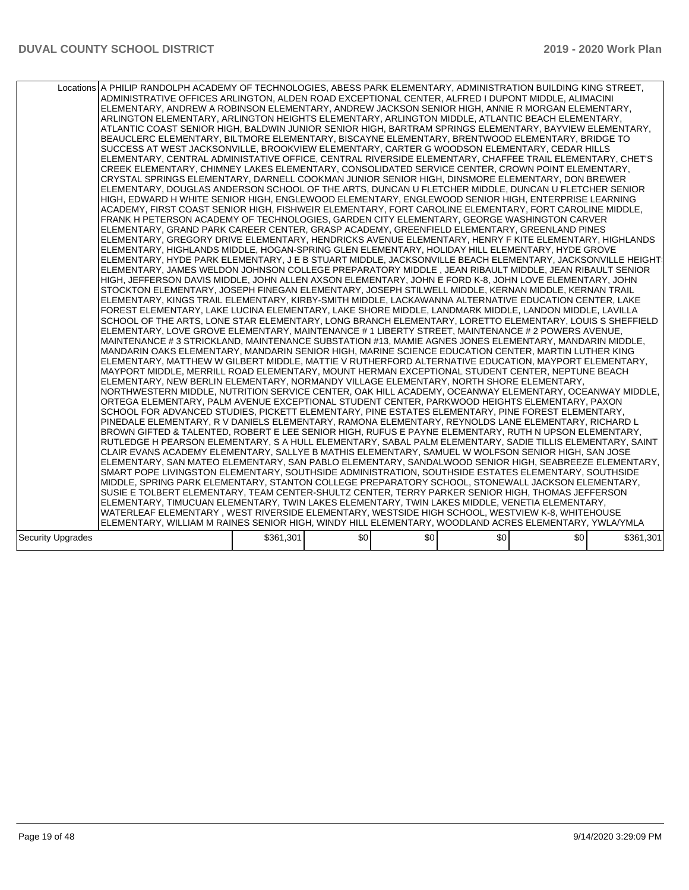|                          | Locations A PHILIP RANDOLPH ACADEMY OF TECHNOLOGIES, ABESS PARK ELEMENTARY, ADMINISTRATION BUILDING KING STREET,<br>ADMINISTRATIVE OFFICES ARLINGTON. ALDEN ROAD EXCEPTIONAL CENTER. ALFRED I DUPONT MIDDLE. ALIMACINI<br>ELEMENTARY, ANDREW A ROBINSON ELEMENTARY, ANDREW JACKSON SENIOR HIGH, ANNIE R MORGAN ELEMENTARY,<br>ARLINGTON ELEMENTARY, ARLINGTON HEIGHTS ELEMENTARY, ARLINGTON MIDDLE, ATLANTIC BEACH ELEMENTARY,<br>ATLANTIC COAST SENIOR HIGH, BALDWIN JUNIOR SENIOR HIGH, BARTRAM SPRINGS ELEMENTARY, BAYVIEW ELEMENTARY,<br>BEAUCLERC ELEMENTARY, BILTMORE ELEMENTARY, BISCAYNE ELEMENTARY, BRENTWOOD ELEMENTARY, BRIDGE TO<br>SUCCESS AT WEST JACKSONVILLE, BROOKVIEW ELEMENTARY, CARTER G WOODSON ELEMENTARY, CEDAR HILLS<br>ELEMENTARY, CENTRAL ADMINISTATIVE OFFICE, CENTRAL RIVERSIDE ELEMENTARY, CHAFFEE TRAIL ELEMENTARY, CHET'S<br>CREEK ELEMENTARY, CHIMNEY LAKES ELEMENTARY, CONSOLIDATED SERVICE CENTER, CROWN POINT ELEMENTARY,<br>CRYSTAL SPRINGS ELEMENTARY, DARNELL COOKMAN JUNIOR SENIOR HIGH, DINSMORE ELEMENTARY, DON BREWER<br>ELEMENTARY, DOUGLAS ANDERSON SCHOOL OF THE ARTS, DUNCAN U FLETCHER MIDDLE, DUNCAN U FLETCHER SENIOR<br>HIGH, EDWARD H WHITE SENIOR HIGH, ENGLEWOOD ELEMENTARY, ENGLEWOOD SENIOR HIGH, ENTERPRISE LEARNING<br>ACADEMY, FIRST COAST SENIOR HIGH, FISHWEIR ELEMENTARY, FORT CAROLINE ELEMENTARY, FORT CAROLINE MIDDLE,<br>FRANK H PETERSON ACADEMY OF TECHNOLOGIES, GARDEN CITY ELEMENTARY, GEORGE WASHINGTON CARVER<br>ELEMENTARY, GRAND PARK CAREER CENTER, GRASP ACADEMY, GREENFIELD ELEMENTARY, GREENLAND PINES<br>ELEMENTARY, GREGORY DRIVE ELEMENTARY, HENDRICKS AVENUE ELEMENTARY, HENRY F KITE ELEMENTARY, HIGHLANDS<br>ELEMENTARY, HIGHLANDS MIDDLE, HOGAN-SPRING GLEN ELEMENTARY, HOLIDAY HILL ELEMENTARY, HYDE GROVE<br> ELEMENTARY, HYDE PARK ELEMENTARY, J E B STUART MIDDLE, JACKSONVILLE BEACH ELEMENTARY, JACKSONVILLE HEIGHT <sup>;</sup><br>ELEMENTARY, JAMES WELDON JOHNSON COLLEGE PREPARATORY MIDDLE , JEAN RIBAULT MIDDLE, JEAN RIBAULT SENIOR<br>HIGH, JEFFERSON DAVIS MIDDLE, JOHN ALLEN AXSON ELEMENTARY, JOHN E FORD K-8, JOHN LOVE ELEMENTARY, JOHN<br>ISTOCKTON ELEMENTARY. JOSEPH FINEGAN ELEMENTARY. JOSEPH STILWELL MIDDLE. KERNAN MIDDLE. KERNAN TRAIL<br>ELEMENTARY, KINGS TRAIL ELEMENTARY, KIRBY-SMITH MIDDLE, LACKAWANNA ALTERNATIVE EDUCATION CENTER, LAKE<br>FOREST ELEMENTARY, LAKE LUCINA ELEMENTARY, LAKE SHORE MIDDLE, LANDMARK MIDDLE, LANDON MIDDLE, LAVILLA<br>SCHOOL OF THE ARTS, LONE STAR ELEMENTARY, LONG BRANCH ELEMENTARY, LORETTO ELEMENTARY, LOUIS S SHEFFIELD<br>ELEMENTARY, LOVE GROVE ELEMENTARY, MAINTENANCE # 1 LIBERTY STREET, MAINTENANCE # 2 POWERS AVENUE,<br>MAINTENANCE # 3 STRICKLAND, MAINTENANCE SUBSTATION #13, MAMIE AGNES JONES ELEMENTARY, MANDARIN MIDDLE,<br>MANDARIN OAKS ELEMENTARY, MANDARIN SENIOR HIGH, MARINE SCIENCE EDUCATION CENTER, MARTIN LUTHER KING<br>ELEMENTARY, MATTHEW W GILBERT MIDDLE, MATTIE V RUTHERFORD ALTERNATIVE EDUCATION, MAYPORT ELEMENTARY,<br>MAYPORT MIDDLE, MERRILL ROAD ELEMENTARY, MOUNT HERMAN EXCEPTIONAL STUDENT CENTER, NEPTUNE BEACH<br>ELEMENTARY, NEW BERLIN ELEMENTARY, NORMANDY VILLAGE ELEMENTARY, NORTH SHORE ELEMENTARY,<br>NORTHWESTERN MIDDLE, NUTRITION SERVICE CENTER, OAK HILL ACADEMY, OCEANWAY ELEMENTARY, OCEANWAY MIDDLE,<br>ORTEGA ELEMENTARY, PALM AVENUE EXCEPTIONAL STUDENT CENTER, PARKWOOD HEIGHTS ELEMENTARY, PAXON<br>SCHOOL FOR ADVANCED STUDIES, PICKETT ELEMENTARY, PINE ESTATES ELEMENTARY, PINE FOREST ELEMENTARY,<br>PINEDALE ELEMENTARY, R V DANIELS ELEMENTARY, RAMONA ELEMENTARY, REYNOLDS LANE ELEMENTARY, RICHARD L<br>BROWN GIFTED & TALENTED, ROBERT E LEE SENIOR HIGH, RUFUS E PAYNE ELEMENTARY, RUTH N UPSON ELEMENTARY,<br>RUTLEDGE H PEARSON ELEMENTARY, S A HULL ELEMENTARY, SABAL PALM ELEMENTARY, SADIE TILLIS ELEMENTARY, SAINT<br>CLAIR EVANS ACADEMY ELEMENTARY, SALLYE B MATHIS ELEMENTARY, SAMUEL W WOLFSON SENIOR HIGH, SAN JOSE<br>ELEMENTARY, SAN MATEO ELEMENTARY, SAN PABLO ELEMENTARY, SANDALWOOD SENIOR HIGH, SEABREEZE ELEMENTARY,<br>SMART POPE LIVINGSTON ELEMENTARY, SOUTHSIDE ADMINISTRATION, SOUTHSIDE ESTATES ELEMENTARY, SOUTHSIDE<br>MIDDLE, SPRING PARK ELEMENTARY, STANTON COLLEGE PREPARATORY SCHOOL, STONEWALL JACKSON ELEMENTARY,<br>SUSIE E TOLBERT ELEMENTARY, TEAM CENTER-SHULTZ CENTER, TERRY PARKER SENIOR HIGH, THOMAS JEFFERSON<br>IELEMENTARY. TIMUCUAN ELEMENTARY. TWIN LAKES ELEMENTARY. TWIN LAKES MIDDLE. VENETIA ELEMENTARY.<br>WATERLEAF ELEMENTARY , WEST RIVERSIDE ELEMENTARY, WESTSIDE HIGH SCHOOL, WESTVIEW K-8, WHITEHOUSE<br>ELEMENTARY, WILLIAM M RAINES SENIOR HIGH, WINDY HILL ELEMENTARY, WOODLAND ACRES ELEMENTARY, YWLA/YMLA |           |     |     |     |     |           |
|--------------------------|--------------------------------------------------------------------------------------------------------------------------------------------------------------------------------------------------------------------------------------------------------------------------------------------------------------------------------------------------------------------------------------------------------------------------------------------------------------------------------------------------------------------------------------------------------------------------------------------------------------------------------------------------------------------------------------------------------------------------------------------------------------------------------------------------------------------------------------------------------------------------------------------------------------------------------------------------------------------------------------------------------------------------------------------------------------------------------------------------------------------------------------------------------------------------------------------------------------------------------------------------------------------------------------------------------------------------------------------------------------------------------------------------------------------------------------------------------------------------------------------------------------------------------------------------------------------------------------------------------------------------------------------------------------------------------------------------------------------------------------------------------------------------------------------------------------------------------------------------------------------------------------------------------------------------------------------------------------------------------------------------------------------------------------------------------------------------------------------------------------------------------------------------------------------------------------------------------------------------------------------------------------------------------------------------------------------------------------------------------------------------------------------------------------------------------------------------------------------------------------------------------------------------------------------------------------------------------------------------------------------------------------------------------------------------------------------------------------------------------------------------------------------------------------------------------------------------------------------------------------------------------------------------------------------------------------------------------------------------------------------------------------------------------------------------------------------------------------------------------------------------------------------------------------------------------------------------------------------------------------------------------------------------------------------------------------------------------------------------------------------------------------------------------------------------------------------------------------------------------------------------------------------------------------------------------------------------------------------------------------------------------------------------------------------------------------------------------------------------------------------------------------------------------------------------------------------------------------------------------------------------------------------------------------------------------------------------------------------------------------------------------------------------------------------------------------------------------------------------------------------------------------------------------------------------------------------------------------------------------------------------------------------------------------------------------------------------------------------------------------------------------------------------------------------------------------------------------------------------------------------------------------------------------------------------------------------------------------------------------------------------------------------------------------------------------------------------------------|-----------|-----|-----|-----|-----|-----------|
| <b>Security Upgrades</b> |                                                                                                                                                                                                                                                                                                                                                                                                                                                                                                                                                                                                                                                                                                                                                                                                                                                                                                                                                                                                                                                                                                                                                                                                                                                                                                                                                                                                                                                                                                                                                                                                                                                                                                                                                                                                                                                                                                                                                                                                                                                                                                                                                                                                                                                                                                                                                                                                                                                                                                                                                                                                                                                                                                                                                                                                                                                                                                                                                                                                                                                                                                                                                                                                                                                                                                                                                                                                                                                                                                                                                                                                                                                                                                                                                                                                                                                                                                                                                                                                                                                                                                                                                                                                                                                                                                                                                                                                                                                                                                                                                                                                                                                                                                              | \$361,301 | \$0 | \$0 | \$0 | \$0 | \$361,301 |
|                          |                                                                                                                                                                                                                                                                                                                                                                                                                                                                                                                                                                                                                                                                                                                                                                                                                                                                                                                                                                                                                                                                                                                                                                                                                                                                                                                                                                                                                                                                                                                                                                                                                                                                                                                                                                                                                                                                                                                                                                                                                                                                                                                                                                                                                                                                                                                                                                                                                                                                                                                                                                                                                                                                                                                                                                                                                                                                                                                                                                                                                                                                                                                                                                                                                                                                                                                                                                                                                                                                                                                                                                                                                                                                                                                                                                                                                                                                                                                                                                                                                                                                                                                                                                                                                                                                                                                                                                                                                                                                                                                                                                                                                                                                                                              |           |     |     |     |     |           |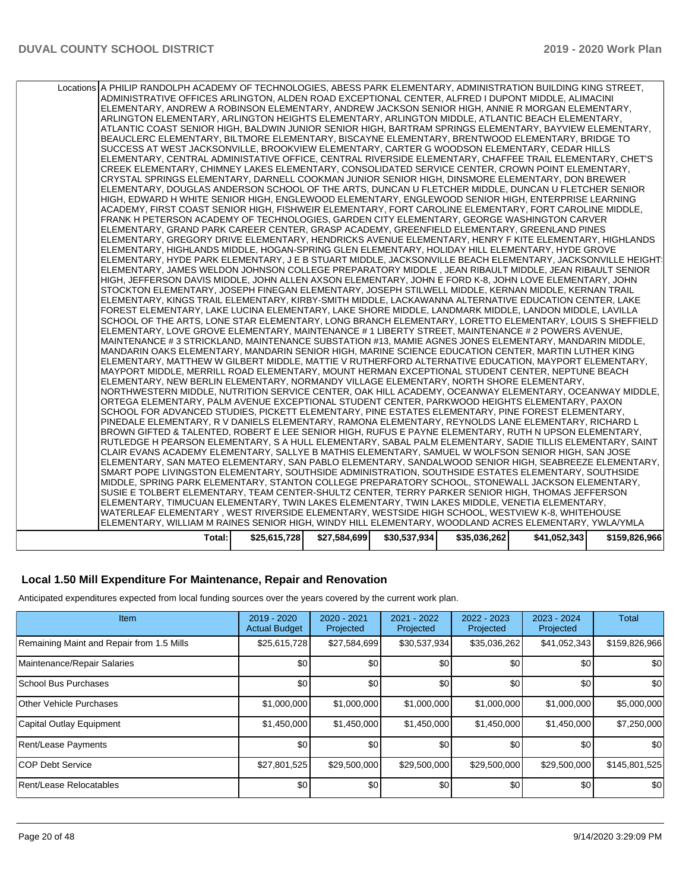| Total:                                                                                                                                                                                                          | \$25,615,728 | \$27,584,699 | \$30,537,934 | \$35,036,262 | \$41,052,343 | \$159,826,966 |
|-----------------------------------------------------------------------------------------------------------------------------------------------------------------------------------------------------------------|--------------|--------------|--------------|--------------|--------------|---------------|
| ELEMENTARY, WILLIAM M RAINES SENIOR HIGH, WINDY HILL ELEMENTARY, WOODLAND ACRES ELEMENTARY, YWLAYMLA                                                                                                            |              |              |              |              |              |               |
| WATERLEAF ELEMENTARY, WEST RIVERSIDE ELEMENTARY, WESTSIDE HIGH SCHOOL, WESTVIEW K-8, WHITEHOUSE                                                                                                                 |              |              |              |              |              |               |
| ELEMENTARY, TIMUCUAN ELEMENTARY, TWIN LAKES ELEMENTARY, TWIN LAKES MIDDLE, VENETIA ELEMENTARY,                                                                                                                  |              |              |              |              |              |               |
| SUSIE E TOLBERT ELEMENTARY, TEAM CENTER-SHULTZ CENTER, TERRY PARKER SENIOR HIGH, THOMAS JEFFERSON                                                                                                               |              |              |              |              |              |               |
| MIDDLE, SPRING PARK ELEMENTARY, STANTON COLLEGE PREPARATORY SCHOOL, STONEWALL JACKSON ELEMENTARY,                                                                                                               |              |              |              |              |              |               |
| SMART POPE LIVINGSTON ELEMENTARY, SOUTHSIDE ADMINISTRATION, SOUTHSIDE ESTATES ELEMENTARY, SOUTHSIDE                                                                                                             |              |              |              |              |              |               |
| ELEMENTARY, SAN MATEO ELEMENTARY, SAN PABLO ELEMENTARY, SANDALWOOD SENIOR HIGH, SEABREEZE ELEMENTARY,                                                                                                           |              |              |              |              |              |               |
| RUTLEDGE H PEARSON ELEMENTARY, S A HULL ELEMENTARY, SABAL PALM ELEMENTARY, SADIE TILLIS ELEMENTARY, SAINT<br>CLAIR EVANS ACADEMY ELEMENTARY, SALLYE B MATHIS ELEMENTARY, SAMUEL W WOLFSON SENIOR HIGH, SAN JOSE |              |              |              |              |              |               |
| BROWN GIFTED & TALENTED, ROBERT E LEE SENIOR HIGH, RUFUS E PAYNE ELEMENTARY, RUTH N UPSON ELEMENTARY,                                                                                                           |              |              |              |              |              |               |
| PINEDALE ELEMENTARY, R V DANIELS ELEMENTARY, RAMONA ELEMENTARY, REYNOLDS LANE ELEMENTARY, RICHARD L                                                                                                             |              |              |              |              |              |               |
| SCHOOL FOR ADVANCED STUDIES, PICKETT ELEMENTARY, PINE ESTATES ELEMENTARY, PINE FOREST ELEMENTARY,                                                                                                               |              |              |              |              |              |               |
| ORTEGA ELEMENTARY, PALM AVENUE EXCEPTIONAL STUDENT CENTER, PARKWOOD HEIGHTS ELEMENTARY, PAXON                                                                                                                   |              |              |              |              |              |               |
| NORTHWESTERN MIDDLE, NUTRITION SERVICE CENTER, OAK HILL ACADEMY, OCEANWAY ELEMENTARY, OCEANWAY MIDDLE,                                                                                                          |              |              |              |              |              |               |
| ELEMENTARY, NEW BERLIN ELEMENTARY, NORMANDY VILLAGE ELEMENTARY, NORTH SHORE ELEMENTARY,                                                                                                                         |              |              |              |              |              |               |
| MAYPORT MIDDLE, MERRILL ROAD ELEMENTARY, MOUNT HERMAN EXCEPTIONAL STUDENT CENTER, NEPTUNE BEACH                                                                                                                 |              |              |              |              |              |               |
| MANDARIN OAKS ELEMENTARY. MANDARIN SENIOR HIGH, MARINE SCIENCE EDUCATION CENTER, MARTIN LUTHER KING<br>ELEMENTARY, MATTHEW W GILBERT MIDDLE, MATTIE V RUTHERFORD ALTERNATIVE EDUCATION, MAYPORT ELEMENTARY,     |              |              |              |              |              |               |
| MAINTENANCE # 3 STRICKLAND, MAINTENANCE SUBSTATION #13, MAMIE AGNES JONES ELEMENTARY, MANDARIN MIDDLE,                                                                                                          |              |              |              |              |              |               |
| ELEMENTARY, LOVE GROVE ELEMENTARY, MAINTENANCE #1 LIBERTY STREET, MAINTENANCE #2 POWERS AVENUE,                                                                                                                 |              |              |              |              |              |               |
| SCHOOL OF THE ARTS, LONE STAR ELEMENTARY, LONG BRANCH ELEMENTARY, LORETTO ELEMENTARY, LOUIS S SHEFFIELD                                                                                                         |              |              |              |              |              |               |
| FOREST ELEMENTARY, LAKE LUCINA ELEMENTARY, LAKE SHORE MIDDLE, LANDMARK MIDDLE, LANDON MIDDLE, LAVILLA                                                                                                           |              |              |              |              |              |               |
| ELEMENTARY, KINGS TRAIL ELEMENTARY, KIRBY-SMITH MIDDLE, LACKAWANNA ALTERNATIVE EDUCATION CENTER, LAKE                                                                                                           |              |              |              |              |              |               |
| STOCKTON ELEMENTARY, JOSEPH FINEGAN ELEMENTARY, JOSEPH STILWELL MIDDLE, KERNAN MIDDLE, KERNAN TRAIL                                                                                                             |              |              |              |              |              |               |
| HIGH, JEFFERSON DAVIS MIDDLE, JOHN ALLEN AXSON ELEMENTARY, JOHN E FORD K-8, JOHN LOVE ELEMENTARY, JOHN                                                                                                          |              |              |              |              |              |               |
| ELEMENTARY, JAMES WELDON JOHNSON COLLEGE PREPARATORY MIDDLE, JEAN RIBAULT MIDDLE, JEAN RIBAULT SENIOR                                                                                                           |              |              |              |              |              |               |
| ELEMENTARY, HIGHLANDS MIDDLE, HOGAN-SPRING GLEN ELEMENTARY, HOLIDAY HILL ELEMENTARY, HYDE GROVE<br>ELEMENTARY, HYDE PARK ELEMENTARY, J E B STUART MIDDLE, JACKSONVILLE BEACH ELEMENTARY, JACKSONVILLE HEIGHT:   |              |              |              |              |              |               |
| ELEMENTARY, GREGORY DRIVE ELEMENTARY, HENDRICKS AVENUE ELEMENTARY, HENRY F KITE ELEMENTARY, HIGHLANDS                                                                                                           |              |              |              |              |              |               |
| ELEMENTARY, GRAND PARK CAREER CENTER, GRASP ACADEMY, GREENFIELD ELEMENTARY, GREENLAND PINES                                                                                                                     |              |              |              |              |              |               |
| FRANK H PETERSON ACADEMY OF TECHNOLOGIES, GARDEN CITY ELEMENTARY, GEORGE WASHINGTON CARVER                                                                                                                      |              |              |              |              |              |               |
| ACADEMY, FIRST COAST SENIOR HIGH, FISHWEIR ELEMENTARY, FORT CAROLINE ELEMENTARY, FORT CAROLINE MIDDLE,                                                                                                          |              |              |              |              |              |               |
| HIGH, EDWARD H WHITE SENIOR HIGH, ENGLEWOOD ELEMENTARY, ENGLEWOOD SENIOR HIGH, ENTERPRISE LEARNING                                                                                                              |              |              |              |              |              |               |
| ELEMENTARY, DOUGLAS ANDERSON SCHOOL OF THE ARTS, DUNCAN U FLETCHER MIDDLE, DUNCAN U FLETCHER SENIOR                                                                                                             |              |              |              |              |              |               |
| CRYSTAL SPRINGS ELEMENTARY, DARNELL COOKMAN JUNIOR SENIOR HIGH, DINSMORE ELEMENTARY, DON BREWER                                                                                                                 |              |              |              |              |              |               |
| ELEMENTARY, CENTRAL ADMINISTATIVE OFFICE, CENTRAL RIVERSIDE ELEMENTARY, CHAFFEE TRAIL ELEMENTARY, CHET'S<br>CREEK ELEMENTARY, CHIMNEY LAKES ELEMENTARY, CONSOLIDATED SERVICE CENTER, CROWN POINT ELEMENTARY,    |              |              |              |              |              |               |
| SUCCESS AT WEST JACKSONVILLE. BROOKVIEW ELEMENTARY, CARTER G WOODSON ELEMENTARY, CEDAR HILLS                                                                                                                    |              |              |              |              |              |               |
| BEAUCLERC ELEMENTARY, BILTMORE ELEMENTARY, BISCAYNE ELEMENTARY, BRENTWOOD ELEMENTARY, BRIDGE TO                                                                                                                 |              |              |              |              |              |               |
| ATLANTIC COAST SENIOR HIGH, BALDWIN JUNIOR SENIOR HIGH, BARTRAM SPRINGS ELEMENTARY, BAYVIEW ELEMENTARY,                                                                                                         |              |              |              |              |              |               |
| ARLINGTON ELEMENTARY, ARLINGTON HEIGHTS ELEMENTARY, ARLINGTON MIDDLE, ATLANTIC BEACH ELEMENTARY,                                                                                                                |              |              |              |              |              |               |
| ELEMENTARY, ANDREW A ROBINSON ELEMENTARY, ANDREW JACKSON SENIOR HIGH, ANNIE R MORGAN ELEMENTARY,                                                                                                                |              |              |              |              |              |               |
| ADMINISTRATIVE OFFICES ARLINGTON, ALDEN ROAD EXCEPTIONAL CENTER, ALFRED I DUPONT MIDDLE, ALIMACINI                                                                                                              |              |              |              |              |              |               |
| Locations A PHILIP RANDOLPH ACADEMY OF TECHNOLOGIES, ABESS PARK ELEMENTARY, ADMINISTRATION BUILDING KING STREET,                                                                                                |              |              |              |              |              |               |
|                                                                                                                                                                                                                 |              |              |              |              |              |               |

### **Local 1.50 Mill Expenditure For Maintenance, Repair and Renovation**

Anticipated expenditures expected from local funding sources over the years covered by the current work plan.

| Item                                      | $2019 - 2020$<br><b>Actual Budget</b> | 2020 - 2021<br>Projected | $2021 - 2022$<br>Projected | 2022 - 2023<br>Projected | 2023 - 2024<br>Projected | Total         |
|-------------------------------------------|---------------------------------------|--------------------------|----------------------------|--------------------------|--------------------------|---------------|
| Remaining Maint and Repair from 1.5 Mills | \$25,615,728                          | \$27,584,699             | \$30,537,934               | \$35,036,262             | \$41,052,343             | \$159,826,966 |
| Maintenance/Repair Salaries               | \$0                                   | \$0                      | \$0                        | \$0                      | \$0                      | \$0           |
| School Bus Purchases                      | \$0                                   | \$0                      | \$0                        | \$0                      | \$0                      | \$0           |
| Other Vehicle Purchases                   | \$1,000,000                           | \$1,000,000              | \$1,000,000                | \$1,000,000              | \$1,000,000              | \$5,000,000   |
| Capital Outlay Equipment                  | \$1,450,000                           | \$1,450,000              | \$1,450,000                | \$1,450,000              | \$1,450,000              | \$7,250,000   |
| Rent/Lease Payments                       | \$0                                   | \$0                      | \$0                        | \$0                      | \$0                      | \$0           |
| <b>COP Debt Service</b>                   | \$27,801,525                          | \$29,500,000             | \$29,500,000               | \$29,500,000             | \$29,500,000             | \$145,801,525 |
| <b>Rent/Lease Relocatables</b>            | \$0                                   | \$0                      | \$0                        | \$0                      | \$0                      | \$0           |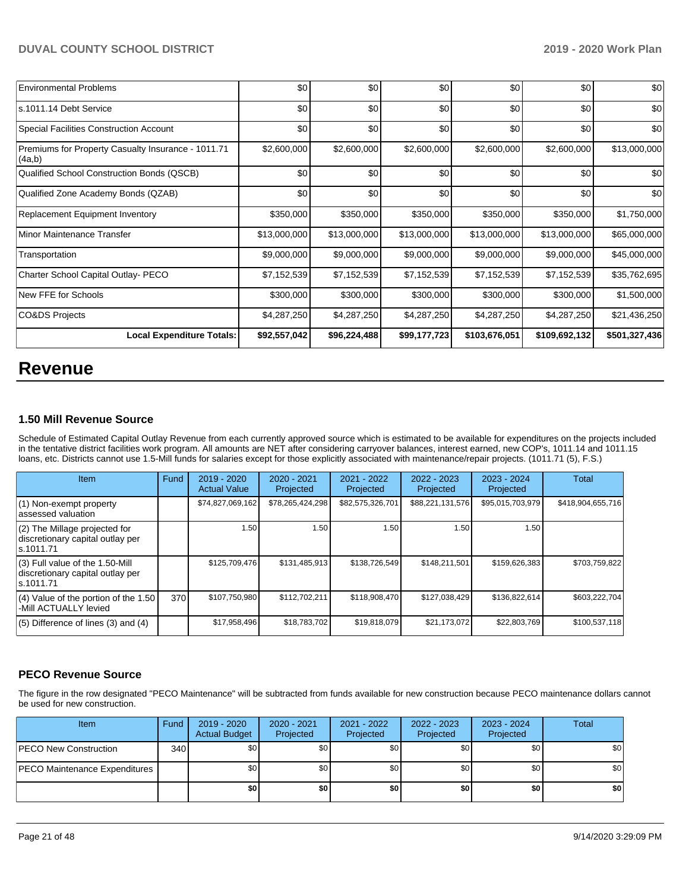| <b>Environmental Problems</b>                                | \$0          | \$0          | \$0          | \$0           | \$0           | \$0           |
|--------------------------------------------------------------|--------------|--------------|--------------|---------------|---------------|---------------|
| ls.1011.14 Debt Service                                      | \$0          | \$0          | \$0          | \$0           | \$0           | \$0           |
| Special Facilities Construction Account                      | \$0          | \$0          | \$0          | \$0           | \$0           | \$0           |
| Premiums for Property Casualty Insurance - 1011.71<br>(4a,b) | \$2,600,000  | \$2,600,000  | \$2,600,000  | \$2,600,000   | \$2,600,000   | \$13,000,000  |
| Qualified School Construction Bonds (QSCB)                   | \$0          | \$0          | \$0          | \$0           | \$0           | \$0           |
| Qualified Zone Academy Bonds (QZAB)                          | \$0          | \$0          | \$0          | \$0           | \$0           | \$0           |
| Replacement Equipment Inventory                              | \$350,000    | \$350,000    | \$350,000    | \$350,000     | \$350,000     | \$1,750,000   |
| Minor Maintenance Transfer                                   | \$13,000,000 | \$13,000,000 | \$13,000,000 | \$13,000,000  | \$13,000,000  | \$65,000,000  |
| Transportation                                               | \$9,000,000  | \$9,000,000  | \$9,000,000  | \$9,000,000   | \$9,000,000   | \$45,000,000  |
| Charter School Capital Outlay- PECO                          | \$7,152,539  | \$7,152,539  | \$7,152,539  | \$7,152,539   | \$7,152,539   | \$35,762,695  |
| New FFE for Schools                                          | \$300,000    | \$300,000    | \$300,000    | \$300,000     | \$300,000     | \$1,500,000   |
| CO&DS Projects                                               | \$4,287,250  | \$4,287,250  | \$4,287,250  | \$4,287,250   | \$4,287,250   | \$21,436,250  |
| <b>Local Expenditure Totals:</b>                             | \$92,557,042 | \$96,224,488 | \$99,177,723 | \$103,676,051 | \$109,692,132 | \$501,327,436 |

# **Revenue**

### **1.50 Mill Revenue Source**

Schedule of Estimated Capital Outlay Revenue from each currently approved source which is estimated to be available for expenditures on the projects included in the tentative district facilities work program. All amounts are NET after considering carryover balances, interest earned, new COP's, 1011.14 and 1011.15 loans, etc. Districts cannot use 1.5-Mill funds for salaries except for those explicitly associated with maintenance/repair projects. (1011.71 (5), F.S.)

| <b>Item</b>                                                                         | Fund | $2019 - 2020$<br><b>Actual Value</b> | $2020 - 2021$<br>Projected | $2021 - 2022$<br>Projected | $2022 - 2023$<br>Projected | $2023 - 2024$<br>Projected | Total             |
|-------------------------------------------------------------------------------------|------|--------------------------------------|----------------------------|----------------------------|----------------------------|----------------------------|-------------------|
| $(1)$ Non-exempt property<br>lassessed valuation                                    |      | \$74,827,069,162                     | \$78,265,424,298           | \$82,575,326,701           | \$88,221,131,576           | \$95,015,703,979           | \$418,904,655,716 |
| $(2)$ The Millage projected for<br>discretionary capital outlay per<br>ls.1011.71   |      | 1.50                                 | 1.50                       | 1.50                       | 1.50                       | 1.50                       |                   |
| $(3)$ Full value of the 1.50-Mill<br>discretionary capital outlay per<br>ls.1011.71 |      | \$125,709,476                        | \$131,485,913              | \$138,726,549              | \$148.211.501              | \$159,626,383              | \$703,759,822     |
| $(4)$ Value of the portion of the 1.50<br>-Mill ACTUALLY levied                     | 370  | \$107,750,980                        | \$112,702,211              | \$118,908,470              | \$127,038,429              | \$136,822,614              | \$603,222,704     |
| $(5)$ Difference of lines $(3)$ and $(4)$                                           |      | \$17,958,496                         | \$18,783,702               | \$19,818,079               | \$21,173,072               | \$22,803,769               | \$100,537,118     |

## **PECO Revenue Source**

The figure in the row designated "PECO Maintenance" will be subtracted from funds available for new construction because PECO maintenance dollars cannot be used for new construction.

| Item                          | Fund | $2019 - 2020$<br><b>Actual Budget</b> | $2020 - 2021$<br>Projected | 2021 - 2022<br>Projected | 2022 - 2023<br>Projected | 2023 - 2024<br>Projected | Total |
|-------------------------------|------|---------------------------------------|----------------------------|--------------------------|--------------------------|--------------------------|-------|
| PECO New Construction         | 340  | \$0                                   | \$0                        | \$0                      | \$0                      | \$0                      | \$0   |
| PECO Maintenance Expenditures |      | \$0                                   | \$0 <sub>1</sub>           | \$0                      | \$0 <sub>1</sub>         | \$0                      | \$0   |
|                               |      | \$0                                   | \$0                        | \$0                      | \$0                      | \$0                      | \$0   |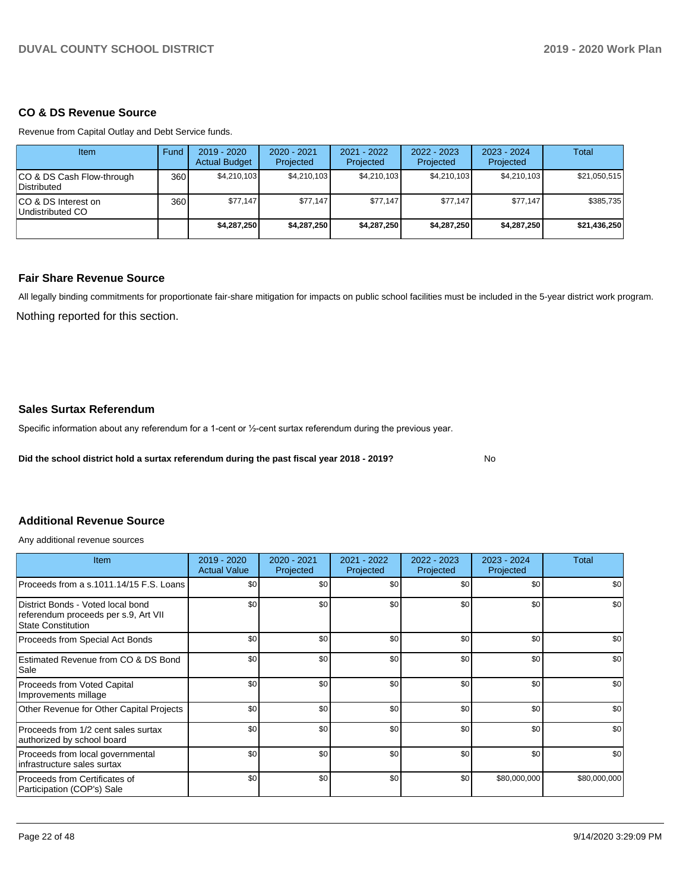#### **CO & DS Revenue Source**

Revenue from Capital Outlay and Debt Service funds.

| Item                                     | Fund | $2019 - 2020$<br><b>Actual Budget</b> | $2020 - 2021$<br>Projected | 2021 - 2022<br>Projected | $2022 - 2023$<br>Projected | $2023 - 2024$<br>Projected | Total        |
|------------------------------------------|------|---------------------------------------|----------------------------|--------------------------|----------------------------|----------------------------|--------------|
| CO & DS Cash Flow-through<br>Distributed | 360  | \$4.210.103                           | \$4.210.103                | \$4.210.103              | \$4.210.103                | \$4.210.103                | \$21,050,515 |
| CO & DS Interest on<br>Undistributed CO  | 360  | \$77.147                              | \$77.147                   | \$77.147                 | \$77.147                   | \$77.147                   | \$385,735    |
|                                          |      | \$4.287.250                           | \$4,287,250                | \$4,287,250              | \$4,287,250                | \$4,287,250                | \$21,436,250 |

## **Fair Share Revenue Source**

Nothing reported for this section. All legally binding commitments for proportionate fair-share mitigation for impacts on public school facilities must be included in the 5-year district work program.

#### **Sales Surtax Referendum**

Specific information about any referendum for a 1-cent or 1/2-cent surtax referendum during the previous year.

**Did the school district hold a surtax referendum during the past fiscal year 2018 - 2019?**

No

## **Additional Revenue Source**

Any additional revenue sources

| <b>Item</b>                                                                                            | $2019 - 2020$<br><b>Actual Value</b> | 2020 - 2021<br>Projected | 2021 - 2022<br>Projected | 2022 - 2023<br>Projected | $2023 - 2024$<br>Projected | Total        |
|--------------------------------------------------------------------------------------------------------|--------------------------------------|--------------------------|--------------------------|--------------------------|----------------------------|--------------|
| Proceeds from a s.1011.14/15 F.S. Loans                                                                | \$0                                  | \$0                      | \$0                      | \$0                      | \$0                        | \$0          |
| District Bonds - Voted local bond<br>referendum proceeds per s.9, Art VII<br><b>State Constitution</b> | \$0                                  | \$0                      | \$0                      | \$0                      | \$0                        | \$0          |
| Proceeds from Special Act Bonds                                                                        | \$0                                  | \$0                      | \$0                      | \$0                      | \$0                        | \$0          |
| Estimated Revenue from CO & DS Bond<br>Sale                                                            | \$0                                  | \$0                      | \$0                      | \$0                      | \$0                        | \$0          |
| Proceeds from Voted Capital<br>Improvements millage                                                    | \$0                                  | \$0                      | \$0                      | \$0                      | \$0                        | \$0          |
| Other Revenue for Other Capital Projects                                                               | \$0                                  | \$0                      | \$0                      | \$0                      | \$0                        | \$0          |
| Proceeds from 1/2 cent sales surtax<br>authorized by school board                                      | \$0                                  | \$0                      | \$0                      | \$0                      | \$0                        | \$0          |
| Proceeds from local governmental<br>infrastructure sales surtax                                        | \$0                                  | \$0                      | \$0                      | \$0                      | \$0                        | \$0          |
| Proceeds from Certificates of<br>Participation (COP's) Sale                                            | \$0                                  | \$0                      | \$0                      | \$0                      | \$80,000,000               | \$80,000,000 |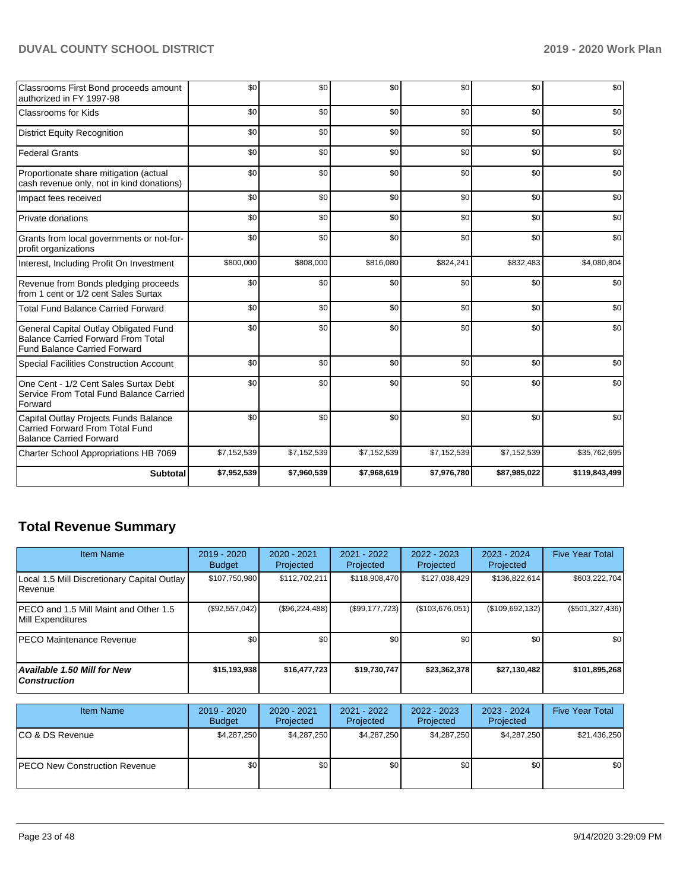| <b>Subtotal</b>                                                                                                           | \$7,952,539 | \$7,960,539 | \$7,968,619 | \$7,976,780 | \$87,985,022 | \$119,843,499 |
|---------------------------------------------------------------------------------------------------------------------------|-------------|-------------|-------------|-------------|--------------|---------------|
| Charter School Appropriations HB 7069                                                                                     | \$7,152,539 | \$7,152,539 | \$7,152,539 | \$7,152,539 | \$7,152,539  | \$35,762,695  |
| Capital Outlay Projects Funds Balance<br><b>Carried Forward From Total Fund</b><br><b>Balance Carried Forward</b>         | \$0         | \$0         | \$0         | \$0         | \$0          | \$0           |
| One Cent - 1/2 Cent Sales Surtax Debt<br>Service From Total Fund Balance Carried<br>Forward                               | \$0         | \$0         | \$0         | \$0         | \$0          | \$0           |
| <b>Special Facilities Construction Account</b>                                                                            | \$0         | \$0         | \$0         | \$0         | \$0          | \$0           |
| General Capital Outlay Obligated Fund<br><b>Balance Carried Forward From Total</b><br><b>Fund Balance Carried Forward</b> | \$0         | \$0         | \$0         | \$0         | \$0          | \$0           |
| <b>Total Fund Balance Carried Forward</b>                                                                                 | \$0         | \$0         | \$0         | \$0         | \$0          | \$0           |
| Revenue from Bonds pledging proceeds<br>from 1 cent or 1/2 cent Sales Surtax                                              | \$0         | \$0         | \$0         | \$0         | \$0          | \$0           |
| Interest, Including Profit On Investment                                                                                  | \$800,000   | \$808,000   | \$816,080   | \$824,241   | \$832,483    | \$4,080,804   |
| Grants from local governments or not-for-<br>profit organizations                                                         | \$0         | \$0         | \$0         | \$0         | \$0          | \$0           |
| Private donations                                                                                                         | \$0         | \$0         | \$0         | \$0         | \$0          | \$0           |
| Impact fees received                                                                                                      | \$0         | \$0         | \$0         | \$0         | \$0          | \$0           |
| Proportionate share mitigation (actual<br>cash revenue only, not in kind donations)                                       | \$0         | \$0         | \$0         | \$0         | \$0          | \$0           |
| <b>Federal Grants</b>                                                                                                     | \$0         | \$0         | \$0         | \$0         | \$0          | \$0           |
| <b>District Equity Recognition</b>                                                                                        | \$0         | \$0         | \$0         | \$0         | \$0          | \$0           |
| <b>Classrooms for Kids</b>                                                                                                | \$0         | \$0         | \$0         | \$0         | \$0          | \$0           |
| Classrooms First Bond proceeds amount<br>authorized in FY 1997-98                                                         | \$0         | \$0         | \$0         | \$0         | \$0          | \$0           |

# **Total Revenue Summary**

| <b>Item Name</b>                                              | $2019 - 2020$<br><b>Budget</b> | 2020 - 2021<br>Projected | 2021 - 2022<br>Projected | $2022 - 2023$<br>Projected | $2023 - 2024$<br>Projected | <b>Five Year Total</b> |
|---------------------------------------------------------------|--------------------------------|--------------------------|--------------------------|----------------------------|----------------------------|------------------------|
| Local 1.5 Mill Discretionary Capital Outlay<br><b>Revenue</b> | \$107,750,980                  | \$112,702,211            | \$118,908,470            | \$127,038,429              | \$136,822,614              | \$603,222,704          |
| PECO and 1.5 Mill Maint and Other 1.5<br>Mill Expenditures    | (\$92,557,042)                 | (\$96,224,488)           | (\$99,177,723)           | (\$103,676,051)            | (\$109,692,132)            | $(\$501,327,436)$      |
| <b>IPECO Maintenance Revenue</b>                              | \$0                            | \$0                      | \$0                      | \$0                        | \$0                        | \$0                    |
| Available 1.50 Mill for New<br>  Construction                 | \$15,193,938                   | \$16,477,723             | \$19,730,747             | \$23,362,378               | \$27,130,482               | \$101,895,268          |

| <b>Item Name</b>                      | 2019 - 2020<br><b>Budget</b> | 2020 - 2021<br>Projected | $2021 - 2022$<br>Projected | 2022 - 2023<br>Projected | 2023 - 2024<br>Projected | <b>Five Year Total</b> |
|---------------------------------------|------------------------------|--------------------------|----------------------------|--------------------------|--------------------------|------------------------|
| ICO & DS Revenue                      | \$4,287,250                  | \$4,287,250              | \$4,287,250                | \$4,287,250              | \$4,287,250              | \$21,436,250           |
| <b>IPECO New Construction Revenue</b> | \$0                          | \$0 <sub>1</sub>         | \$0                        | \$0                      | \$0                      | \$0                    |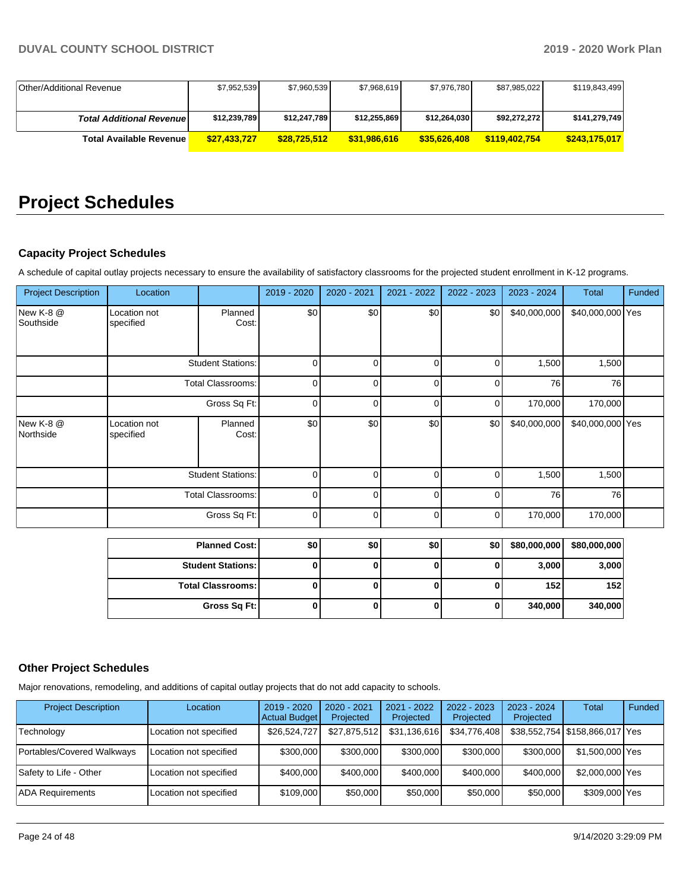| Other/Additional Revenue         | \$7,952,539  | \$7,960,539  | \$7.968.619  | \$7.976.780  | \$87,985,022  | \$119,843,499 |
|----------------------------------|--------------|--------------|--------------|--------------|---------------|---------------|
|                                  |              |              |              |              |               |               |
| <b>Total Additional Revenuel</b> | \$12,239,789 | \$12,247,789 | \$12,255,869 | \$12,264,030 | \$92,272,272  | \$141,279,749 |
| <b>Total Available Revenue</b>   | \$27,433,727 | \$28.725.512 | \$31.986.616 | \$35,626,408 | \$119,402.754 | \$243,175,017 |

# **Project Schedules**

## **Capacity Project Schedules**

A schedule of capital outlay projects necessary to ensure the availability of satisfactory classrooms for the projected student enrollment in K-12 programs.

| <b>Project Description</b> | Location                  |                          | 2019 - 2020    | 2020 - 2021 | 2021 - 2022 | 2022 - 2023 | 2023 - 2024  | <b>Total</b>     | Funded |
|----------------------------|---------------------------|--------------------------|----------------|-------------|-------------|-------------|--------------|------------------|--------|
| New K-8 @<br>Southside     | Location not<br>specified | Planned<br>Cost:         | \$0            | \$0         | \$0         | \$0         | \$40,000,000 | \$40,000,000 Yes |        |
|                            |                           | <b>Student Stations:</b> | $\overline{0}$ | 0           | 0           | 0           | 1,500        | 1,500            |        |
|                            |                           | Total Classrooms:        | $\overline{0}$ | 0           | 0           | O           | 76           | 76               |        |
|                            |                           | Gross Sq Ft:             | $\mathbf 0$    | 0           | $\mathbf 0$ | ŋ           | 170,000      | 170,000          |        |
| New K-8 @<br>Northside     | Location not<br>specified | Planned<br>Cost:         | \$0            | \$0         | \$0         | \$0         | \$40,000,000 | \$40,000,000 Yes |        |
|                            |                           | <b>Student Stations:</b> | 0              | 0           | 0           |             | 1,500        | 1,500            |        |
|                            |                           | <b>Total Classrooms:</b> | $\overline{0}$ | 0           | 0           | 0           | 76           | 76               |        |
|                            |                           | Gross Sq Ft:             | $\overline{0}$ | $\Omega$    | $\mathbf 0$ | $\Omega$    | 170,000      | 170,000          |        |
|                            |                           | <b>Planned Cost:</b>     | \$0            | \$0         | \$0         | \$0         | \$80,000,000 | \$80,000,000     |        |
|                            |                           | <b>Student Stations:</b> | $\mathbf 0$    | 0           | $\mathbf 0$ | 0           | 3,000        | 3,000            |        |
|                            |                           | <b>Total Classrooms:</b> | 0              | 0           | $\mathbf 0$ | 0           | 152          | 152              |        |
|                            |                           | Gross Sq Ft:             | 0              | 0           | 0           | 0           | 340,000      | 340,000          |        |

#### **Other Project Schedules**

Major renovations, remodeling, and additions of capital outlay projects that do not add capacity to schools.

| <b>Project Description</b> | Location               | 2019 - 2020<br><b>Actual Budget</b> | 2020 - 2021<br>Projected | 2021 - 2022<br>Projected | $2022 - 2023$<br>Projected | 2023 - 2024<br>Projected | <b>Total</b>                   | Funded |
|----------------------------|------------------------|-------------------------------------|--------------------------|--------------------------|----------------------------|--------------------------|--------------------------------|--------|
| Technology                 | Location not specified | \$26,524,727                        | \$27,875,512             | \$31,136,616             | \$34,776,408               |                          | \$38,552,754 \$158,866,017 Yes |        |
| Portables/Covered Walkways | Location not specified | \$300,000                           | \$300,000                | \$300,000                | \$300,000                  | \$300,000                | \$1,500,000 Yes                |        |
| Safety to Life - Other     | Location not specified | \$400,000                           | \$400,000                | \$400,000                | \$400,000                  | \$400,000                | \$2,000,000 Yes                |        |
| <b>ADA Requirements</b>    | Location not specified | \$109,000                           | \$50,000                 | \$50,000                 | \$50,000                   | \$50,000                 | \$309,000 Yes                  |        |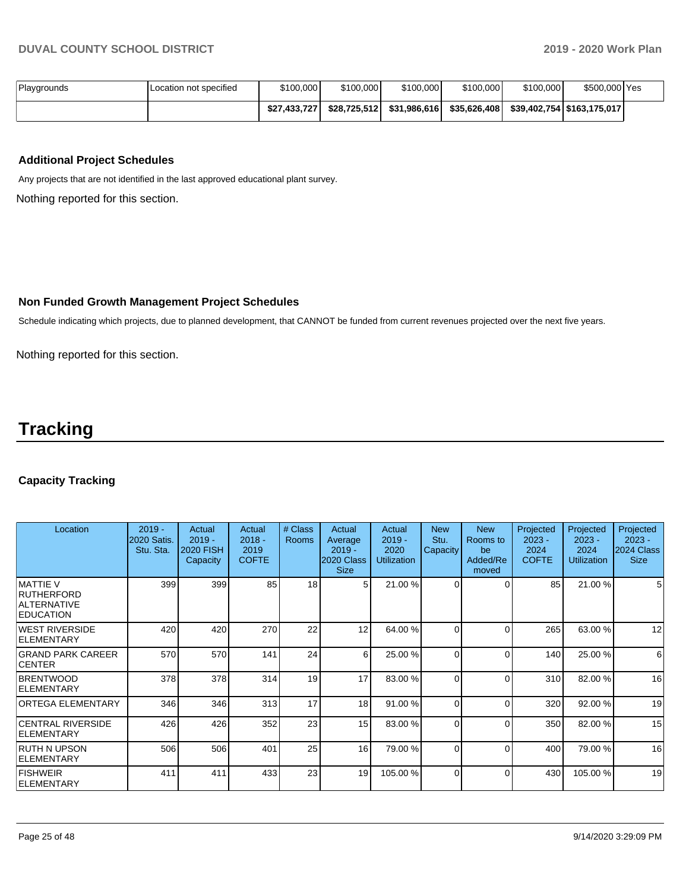| Playgrounds | Location not specified | \$100,000    | \$100,000    | \$100,000    | \$100,000    | \$100,000 | \$500,000 Yes                |  |
|-------------|------------------------|--------------|--------------|--------------|--------------|-----------|------------------------------|--|
|             |                        | \$27.433.727 | \$28.725.512 | \$31.986.616 | \$35.626.408 |           | \$39,402,754   \$163,175,017 |  |

### **Additional Project Schedules**

Any projects that are not identified in the last approved educational plant survey.

Nothing reported for this section.

#### **Non Funded Growth Management Project Schedules**

Schedule indicating which projects, due to planned development, that CANNOT be funded from current revenues projected over the next five years.

Nothing reported for this section.

# **Tracking**

#### **Capacity Tracking**

| Location                                                                       | $2019 -$<br>2020 Satis.<br>Stu. Sta. | Actual<br>$2019 -$<br><b>2020 FISH</b><br>Capacity | Actual<br>$2018 -$<br>2019<br><b>COFTE</b> | # Class<br>Rooms | Actual<br>Average<br>$2019 -$<br>2020 Class<br><b>Size</b> | Actual<br>$2019 -$<br>2020<br><b>Utilization</b> | <b>New</b><br>Stu.<br>Capacity | <b>New</b><br>Rooms to<br>be<br>Added/Re<br>moved | Projected<br>$2023 -$<br>2024<br><b>COFTE</b> | Projected<br>$2023 -$<br>2024<br><b>Utilization</b> | Projected<br>$2023 -$<br>2024 Class<br><b>Size</b> |
|--------------------------------------------------------------------------------|--------------------------------------|----------------------------------------------------|--------------------------------------------|------------------|------------------------------------------------------------|--------------------------------------------------|--------------------------------|---------------------------------------------------|-----------------------------------------------|-----------------------------------------------------|----------------------------------------------------|
| <b>MATTIE V</b><br><b>RUTHERFORD</b><br><b>ALTERNATIVE</b><br><b>EDUCATION</b> | 399                                  | 399                                                | 85                                         | 18               | 51                                                         | 21.00 %                                          | $\Omega$                       | 0                                                 | 85                                            | 21.00 %                                             | $5\overline{)}$                                    |
| <b>WEST RIVERSIDE</b><br><b>ELEMENTARY</b>                                     | 420                                  | 420                                                | 270                                        | 22               | 12                                                         | 64.00 %                                          | $\Omega$                       | C                                                 | 265                                           | 63.00 %                                             | 12                                                 |
| <b>GRAND PARK CAREER</b><br>CENTER                                             | 570                                  | 570                                                | 141                                        | 24               | 6                                                          | 25.00 %                                          | $\Omega$                       | C                                                 | 140                                           | 25.00 %                                             | $6 \mid$                                           |
| <b>BRENTWOOD</b><br><b>ELEMENTARY</b>                                          | 378                                  | 378                                                | 314                                        | 19               | 17                                                         | 83.00 %                                          | $\Omega$                       | 0                                                 | 310                                           | 82.00 %                                             | 16                                                 |
| <b>ORTEGA ELEMENTARY</b>                                                       | 346                                  | 346                                                | 313                                        | 17               | 18                                                         | 91.00 %                                          | $\Omega$                       | 0                                                 | 320                                           | 92.00 %                                             | 19                                                 |
| <b>CENTRAL RIVERSIDE</b><br><b>ELEMENTARY</b>                                  | 426                                  | 426                                                | 352                                        | 23               | 15                                                         | 83.00 %                                          | $\Omega$                       | $\Omega$                                          | 350                                           | 82.00 %                                             | 15                                                 |
| <b>RUTH N UPSON</b><br><b>ELEMENTARY</b>                                       | 506                                  | 506                                                | 401                                        | 25               | 16                                                         | 79.00 %                                          | $\Omega$                       | 0                                                 | 400                                           | 79.00 %                                             | 16                                                 |
| <b>FISHWEIR</b><br><b>ELEMENTARY</b>                                           | 411                                  | 411                                                | 433                                        | 23               | 19                                                         | 105.00 %                                         | $\Omega$                       | 0                                                 | 430                                           | 105.00 %                                            | 19                                                 |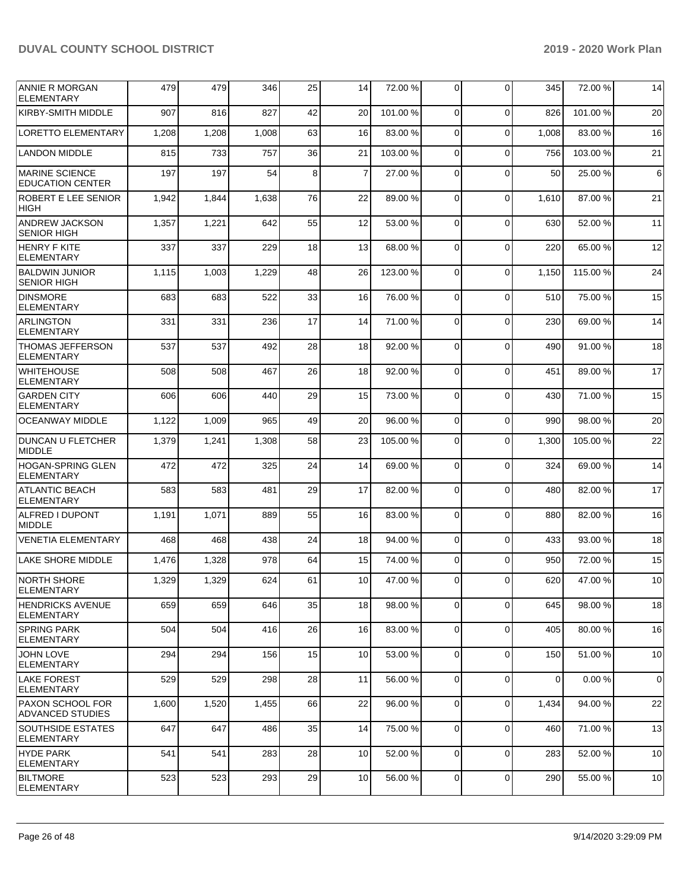| <b>ANNIE R MORGAN</b><br><b>ELEMENTARY</b>         | 479   | 479   | 346   | 25 | 14              | 72.00 %  | 0           | $\Omega$    | 345            | 72.00 %  | 14              |
|----------------------------------------------------|-------|-------|-------|----|-----------------|----------|-------------|-------------|----------------|----------|-----------------|
| <b>KIRBY-SMITH MIDDLE</b>                          | 907   | 816   | 827   | 42 | 20              | 101.00%  | $\Omega$    | $\Omega$    | 826            | 101.00%  | 20              |
| <b>LORETTO ELEMENTARY</b>                          | 1,208 | 1,208 | 1,008 | 63 | 16              | 83.00 %  | $\mathbf 0$ | $\mathbf 0$ | 1,008          | 83.00 %  | 16              |
| <b>LANDON MIDDLE</b>                               | 815   | 733   | 757   | 36 | 21              | 103.00 % | 0           | $\Omega$    | 756            | 103.00%  | 21              |
| <b>MARINE SCIENCE</b><br><b>EDUCATION CENTER</b>   | 197   | 197   | 54    | 8  | $\overline{7}$  | 27.00 %  | $\Omega$    | $\Omega$    | 50             | 25.00 %  | $6 \mid$        |
| <b>ROBERT E LEE SENIOR</b><br><b>HIGH</b>          | 1,942 | 1,844 | 1,638 | 76 | 22              | 89.00 %  | $\Omega$    | $\Omega$    | 1,610          | 87.00 %  | 21              |
| <b>ANDREW JACKSON</b><br><b>SENIOR HIGH</b>        | 1,357 | 1,221 | 642   | 55 | 12              | 53.00 %  | 0           | $\Omega$    | 630            | 52.00 %  | 11              |
| <b>HENRY F KITE</b><br><b>ELEMENTARY</b>           | 337   | 337   | 229   | 18 | 13              | 68.00 %  | $\Omega$    | $\Omega$    | 220            | 65.00 %  | 12              |
| <b>BALDWIN JUNIOR</b><br><b>SENIOR HIGH</b>        | 1,115 | 1,003 | 1,229 | 48 | 26              | 123.00 % | $\Omega$    | $\Omega$    | 1,150          | 115.00 % | 24              |
| <b>DINSMORE</b><br><b>ELEMENTARY</b>               | 683   | 683   | 522   | 33 | 16              | 76.00 %  | $\Omega$    | $\Omega$    | 510            | 75.00 %  | 15              |
| <b>ARLINGTON</b><br><b>ELEMENTARY</b>              | 331   | 331   | 236   | 17 | 14              | 71.00 %  | $\Omega$    | $\Omega$    | 230            | 69.00 %  | 14              |
| THOMAS JEFFERSON<br><b>ELEMENTARY</b>              | 537   | 537   | 492   | 28 | 18              | 92.00%   | $\Omega$    | $\Omega$    | 490            | 91.00%   | 18              |
| <b>WHITEHOUSE</b><br><b>ELEMENTARY</b>             | 508   | 508   | 467   | 26 | 18              | 92.00 %  | $\Omega$    | $\Omega$    | 451            | 89.00 %  | 17              |
| <b>GARDEN CITY</b><br><b>ELEMENTARY</b>            | 606   | 606   | 440   | 29 | 15              | 73.00 %  | $\Omega$    | $\Omega$    | 430            | 71.00 %  | 15              |
| <b>OCEANWAY MIDDLE</b>                             | 1,122 | 1,009 | 965   | 49 | 20              | 96.00%   | $\Omega$    | $\Omega$    | 990            | 98.00 %  | 20              |
| <b>DUNCAN U FLETCHER</b><br><b>MIDDLE</b>          | 1,379 | 1,241 | 1,308 | 58 | 23              | 105.00 % | $\Omega$    | $\Omega$    | 1,300          | 105.00%  | 22              |
| <b>HOGAN-SPRING GLEN</b><br><b>ELEMENTARY</b>      | 472   | 472   | 325   | 24 | 14              | 69.00 %  | $\Omega$    | $\Omega$    | 324            | 69.00 %  | 14              |
| <b>ATLANTIC BEACH</b><br><b>ELEMENTARY</b>         | 583   | 583   | 481   | 29 | 17              | 82.00 %  | $\Omega$    | $\Omega$    | 480            | 82.00 %  | 17              |
| ALFRED I DUPONT<br>MIDDLE                          | 1,191 | 1,071 | 889   | 55 | 16              | 83.00 %  | $\Omega$    | $\Omega$    | 880            | 82.00 %  | 16              |
| <b>VENETIA ELEMENTARY</b>                          | 468   | 468   | 438   | 24 | 18              | 94.00 %  | 0           | $\Omega$    | 433            | 93.00 %  | 18              |
| <b>LAKE SHORE MIDDLE</b>                           | 1,476 | 1,328 | 978   | 64 | 15              | 74.00 %  | $\Omega$    | $\Omega$    | 950            | 72.00 %  | 15              |
| <b>INORTH SHORE</b><br> ELEMENTARY                 | 1.329 | 1,329 | 624   | 61 | 10 <sup>1</sup> | 47.00 %  | $\Omega$    | $\Omega$    | 620            | 47.00 %  | 10 <sup>1</sup> |
| <b>HENDRICKS AVENUE</b><br><b>ELEMENTARY</b>       | 659   | 659   | 646   | 35 | 18              | 98.00 %  | $\mathbf 0$ | $\mathbf 0$ | 645            | 98.00 %  | 18              |
| <b>SPRING PARK</b><br><b>ELEMENTARY</b>            | 504   | 504   | 416   | 26 | 16              | 83.00 %  | $\Omega$    | $\mathbf 0$ | 405            | 80.00 %  | 16              |
| <b>JOHN LOVE</b><br>ELEMENTARY                     | 294   | 294   | 156   | 15 | 10              | 53.00 %  | 0           | $\mathbf 0$ | 150            | 51.00 %  | 10 <sup>1</sup> |
| lLAKE FOREST<br><b>ELEMENTARY</b>                  | 529   | 529   | 298   | 28 | 11              | 56.00 %  | $\Omega$    | $\Omega$    | $\overline{0}$ | 0.00%    | $\overline{0}$  |
| <b>PAXON SCHOOL FOR</b><br><b>ADVANCED STUDIES</b> | 1,600 | 1,520 | 1,455 | 66 | 22              | 96.00 %  | $\Omega$    | 0           | 1,434          | 94.00 %  | 22              |
| <b>SOUTHSIDE ESTATES</b><br>ELEMENTARY             | 647   | 647   | 486   | 35 | 14              | 75.00 %  | 0           | $\mathbf 0$ | 460            | 71.00 %  | 13              |
| <b>HYDE PARK</b><br><b>ELEMENTARY</b>              | 541   | 541   | 283   | 28 | 10              | 52.00 %  | 0           | $\mathbf 0$ | 283            | 52.00 %  | 10 <sup>1</sup> |
| <b>BILTMORE</b><br><b>ELEMENTARY</b>               | 523   | 523   | 293   | 29 | 10              | 56.00 %  | $\mathbf 0$ | $\mathbf 0$ | 290            | 55.00 %  | 10 <sup>1</sup> |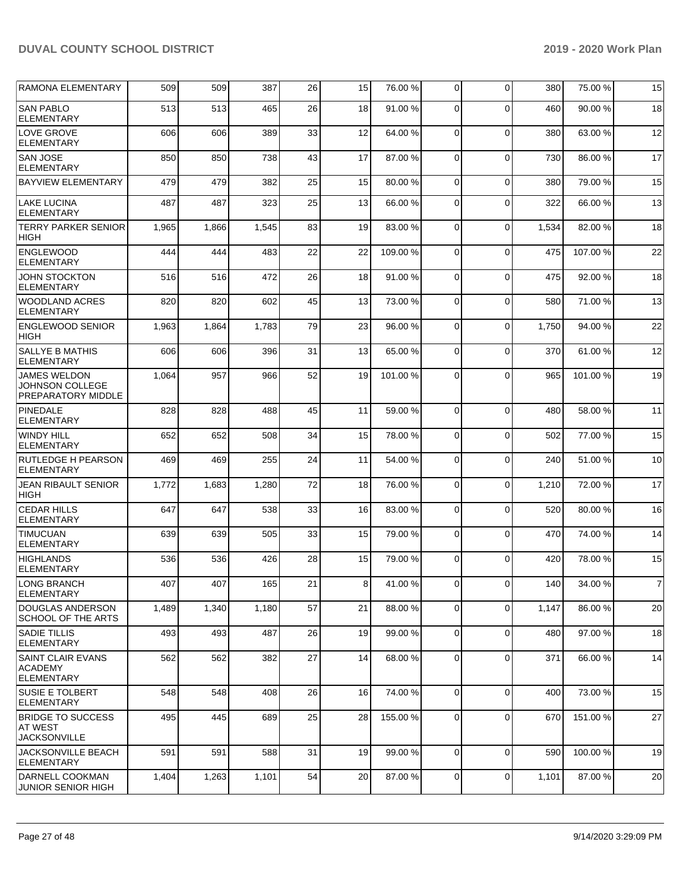| RAMONA ELEMENTARY                                                   | 509   | 509   | 387   | 26 | 15             | 76.00 %  | 0           | $\Omega$ | 380   | 75.00 % | 15             |
|---------------------------------------------------------------------|-------|-------|-------|----|----------------|----------|-------------|----------|-------|---------|----------------|
| <b>SAN PABLO</b><br><b>ELEMENTARY</b>                               | 513   | 513   | 465   | 26 | 18             | 91.00 %  | $\Omega$    | $\Omega$ | 460   | 90.00%  | 18             |
| <b>LOVE GROVE</b><br><b>ELEMENTARY</b>                              | 606   | 606   | 389   | 33 | 12             | 64.00 %  | $\Omega$    | $\Omega$ | 380   | 63.00 % | 12             |
| <b>SAN JOSE</b><br><b>ELEMENTARY</b>                                | 850   | 850   | 738   | 43 | 17             | 87.00 %  | $\Omega$    | $\Omega$ | 730   | 86.00%  | 17             |
| <b>BAYVIEW ELEMENTARY</b>                                           | 479   | 479   | 382   | 25 | 15             | 80.00 %  | $\Omega$    | $\Omega$ | 380   | 79.00 % | 15             |
| LAKE LUCINA<br><b>ELEMENTARY</b>                                    | 487   | 487   | 323   | 25 | 13             | 66.00 %  | $\Omega$    | $\Omega$ | 322   | 66.00 % | 13             |
| <b>TERRY PARKER SENIOR</b><br><b>HIGH</b>                           | 1,965 | 1,866 | 1,545 | 83 | 19             | 83.00%   | $\Omega$    | $\Omega$ | 1,534 | 82.00 % | 18             |
| <b>ENGLEWOOD</b><br><b>ELEMENTARY</b>                               | 444   | 444   | 483   | 22 | 22             | 109.00%  | $\Omega$    | $\Omega$ | 475   | 107.00% | 22             |
| <b>JOHN STOCKTON</b><br><b>ELEMENTARY</b>                           | 516   | 516   | 472   | 26 | 18             | 91.00 %  | $\Omega$    | $\Omega$ | 475   | 92.00 % | 18             |
| <b>WOODLAND ACRES</b><br><b>ELEMENTARY</b>                          | 820   | 820   | 602   | 45 | 13             | 73.00 %  | $\Omega$    | $\Omega$ | 580   | 71.00 % | 13             |
| <b>ENGLEWOOD SENIOR</b><br><b>HIGH</b>                              | 1,963 | 1,864 | 1,783 | 79 | 23             | 96.00 %  | $\Omega$    | $\Omega$ | 1,750 | 94.00 % | 22             |
| <b>SALLYE B MATHIS</b><br><b>ELEMENTARY</b>                         | 606   | 606   | 396   | 31 | 13             | 65.00 %  | $\Omega$    | $\Omega$ | 370   | 61.00%  | 12             |
| <b>JAMES WELDON</b><br><b>JOHNSON COLLEGE</b><br>PREPARATORY MIDDLE | 1,064 | 957   | 966   | 52 | 19             | 101.00%  | $\Omega$    | $\Omega$ | 965   | 101.00% | 19             |
| <b>PINEDALE</b><br><b>ELEMENTARY</b>                                | 828   | 828   | 488   | 45 | 11             | 59.00 %  | $\Omega$    | $\Omega$ | 480   | 58.00 % | 11             |
| <b>WINDY HILL</b><br><b>ELEMENTARY</b>                              | 652   | 652   | 508   | 34 | 15             | 78.00 %  | $\Omega$    | $\Omega$ | 502   | 77.00 % | 15             |
| <b>RUTLEDGE H PEARSON</b><br><b>ELEMENTARY</b>                      | 469   | 469   | 255   | 24 | 11             | 54.00 %  | $\Omega$    | $\Omega$ | 240   | 51.00 % | 10             |
| <b>JEAN RIBAULT SENIOR</b><br><b>HIGH</b>                           | 1,772 | 1,683 | 1,280 | 72 | 18             | 76.00 %  | $\Omega$    | $\Omega$ | 1,210 | 72.00 % | 17             |
| <b>CEDAR HILLS</b><br><b>ELEMENTARY</b>                             | 647   | 647   | 538   | 33 | 16             | 83.00 %  | $\Omega$    | $\Omega$ | 520   | 80.00 % | 16             |
| <b>TIMUCUAN</b><br><b>ELEMENTARY</b>                                | 639   | 639   | 505   | 33 | 15             | 79.00 %  | $\Omega$    | $\Omega$ | 470   | 74.00 % | 14             |
| <b>HIGHLANDS</b><br>ELEMENTARY                                      | 536   | 536   | 426   | 28 | 15             | 79.00 %  | $\Omega$    | $\Omega$ | 420   | 78.00 % | 15             |
| LONG BRANCH<br><b>ELEMENTARY</b>                                    | 407   | 407   | 165   | 21 | 8 <sup>1</sup> | 41.00%   | $\Omega$    | $\Omega$ | 140   | 34.00 % | $\overline{7}$ |
| <b>DOUGLAS ANDERSON</b><br>SCHOOL OF THE ARTS                       | 1,489 | 1,340 | 1,180 | 57 | 21             | 88.00 %  | 0           | $\Omega$ | 1,147 | 86.00 % | 20             |
| <b>SADIE TILLIS</b><br><b>ELEMENTARY</b>                            | 493   | 493   | 487   | 26 | 19             | 99.00 %  | 0           | $\Omega$ | 480   | 97.00 % | 18             |
| SAINT CLAIR EVANS<br><b>ACADEMY</b><br><b>ELEMENTARY</b>            | 562   | 562   | 382   | 27 | 14             | 68.00 %  | $\mathbf 0$ | $\Omega$ | 371   | 66.00 % | 14             |
| <b>SUSIE E TOLBERT</b><br><b>ELEMENTARY</b>                         | 548   | 548   | 408   | 26 | 16             | 74.00 %  | $\Omega$    | $\Omega$ | 400   | 73.00 % | 15             |
| <b>BRIDGE TO SUCCESS</b><br>AT WEST<br><b>JACKSONVILLE</b>          | 495   | 445   | 689   | 25 | 28             | 155.00 % | 0           | $\Omega$ | 670   | 151.00% | 27             |
| <b>JACKSONVILLE BEACH</b><br><b>ELEMENTARY</b>                      | 591   | 591   | 588   | 31 | 19             | 99.00 %  | $\mathbf 0$ | $\Omega$ | 590   | 100.00% | 19             |
| DARNELL COOKMAN<br><b>JUNIOR SENIOR HIGH</b>                        | 1,404 | 1,263 | 1,101 | 54 | 20             | 87.00%   | 0           | 0        | 1,101 | 87.00 % | 20             |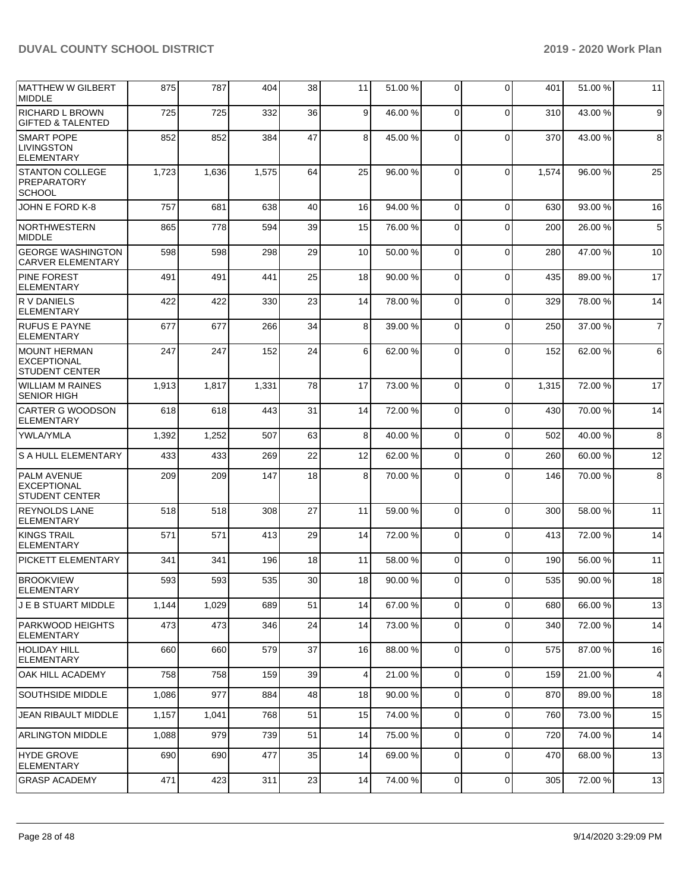| IMATTHEW W GILBERT<br><b>MIDDLE</b>                                 | 875   | 787   | 404   | 38 | 11 | 51.00 % | 0              | $\Omega$    | 401   | 51.00 % | 11             |
|---------------------------------------------------------------------|-------|-------|-------|----|----|---------|----------------|-------------|-------|---------|----------------|
| <b>RICHARD L BROWN</b><br><b>GIFTED &amp; TALENTED</b>              | 725   | 725   | 332   | 36 | 9  | 46.00 % | $\mathbf 0$    | $\Omega$    | 310   | 43.00 % | 9              |
| <b>SMART POPE</b><br><b>LIVINGSTON</b><br><b>ELEMENTARY</b>         | 852   | 852   | 384   | 47 | 8  | 45.00 % | $\Omega$       | $\Omega$    | 370   | 43.00 % | 8              |
| <b>STANTON COLLEGE</b><br><b>PREPARATORY</b><br><b>SCHOOL</b>       | 1,723 | 1,636 | 1,575 | 64 | 25 | 96.00 % | $\mathbf 0$    | $\Omega$    | 1,574 | 96.00 % | 25             |
| JOHN E FORD K-8                                                     | 757   | 681   | 638   | 40 | 16 | 94.00 % | $\mathbf 0$    | $\Omega$    | 630   | 93.00 % | 16             |
| NORTHWESTERN<br><b>MIDDLE</b>                                       | 865   | 778   | 594   | 39 | 15 | 76.00 % | 0              | $\Omega$    | 200   | 26.00 % | $\,$ 5 $\,$    |
| <b>GEORGE WASHINGTON</b><br><b>CARVER ELEMENTARY</b>                | 598   | 598   | 298   | 29 | 10 | 50.00 % | $\mathbf 0$    | $\Omega$    | 280   | 47.00%  | 10             |
| <b>PINE FOREST</b><br><b>ELEMENTARY</b>                             | 491   | 491   | 441   | 25 | 18 | 90.00 % | 0              | $\Omega$    | 435   | 89.00 % | 17             |
| <b>RV DANIELS</b><br>ELEMENTARY                                     | 422   | 422   | 330   | 23 | 14 | 78.00 % | $\mathbf 0$    | $\Omega$    | 329   | 78.00 % | 14             |
| <b>RUFUS E PAYNE</b><br><b>ELEMENTARY</b>                           | 677   | 677   | 266   | 34 | 8  | 39.00 % | $\mathbf 0$    | $\Omega$    | 250   | 37.00 % | $\overline{7}$ |
| <b>IMOUNT HERMAN</b><br><b>EXCEPTIONAL</b><br><b>STUDENT CENTER</b> | 247   | 247   | 152   | 24 | 6  | 62.00%  | 0              | $\Omega$    | 152   | 62.00 % | 6              |
| <b>WILLIAM M RAINES</b><br><b>SENIOR HIGH</b>                       | 1,913 | 1,817 | 1,331 | 78 | 17 | 73.00 % | $\mathbf 0$    | $\Omega$    | 1,315 | 72.00 % | 17             |
| <b>CARTER G WOODSON</b><br><b>ELEMENTARY</b>                        | 618   | 618   | 443   | 31 | 14 | 72.00 % | $\mathbf 0$    | $\Omega$    | 430   | 70.00 % | 14             |
| <b>YWLA/YMLA</b>                                                    | 1,392 | 1,252 | 507   | 63 | 8  | 40.00%  | $\mathbf 0$    | $\Omega$    | 502   | 40.00 % | 8              |
| <b>S A HULL ELEMENTARY</b>                                          | 433   | 433   | 269   | 22 | 12 | 62.00 % | $\mathbf 0$    | $\mathbf 0$ | 260   | 60.00 % | 12             |
| <b>PALM AVENUE</b><br><b>EXCEPTIONAL</b><br><b>STUDENT CENTER</b>   | 209   | 209   | 147   | 18 | 8  | 70.00%  | 0              | $\Omega$    | 146   | 70.00 % | 8              |
| <b>REYNOLDS LANE</b><br><b>ELEMENTARY</b>                           | 518   | 518   | 308   | 27 | 11 | 59.00 % | $\Omega$       | $\Omega$    | 300   | 58.00 % | 11             |
| <b>KINGS TRAIL</b><br><b>ELEMENTARY</b>                             | 571   | 571   | 413   | 29 | 14 | 72.00 % | $\mathbf 0$    | $\Omega$    | 413   | 72.00 % | 14             |
| PICKETT ELEMENTARY                                                  | 341   | 341   | 196   | 18 | 11 | 58.00 % | 0              | $\Omega$    | 190   | 56.00 % | 11             |
| <b>BROOKVIEW</b><br><b>ELEMENTARY</b>                               | 593   | 593   | 535   | 30 | 18 | 90.00 % | $\overline{0}$ | $\Omega$    | 535   | 90.00 % | 18             |
| <b>J E B STUART MIDDLE</b>                                          | 1,144 | 1,029 | 689   | 51 | 14 | 67.00 % | $\overline{0}$ | $\mathbf 0$ | 680   | 66.00 % | 13             |
| PARKWOOD HEIGHTS<br><b>ELEMENTARY</b>                               | 473   | 473   | 346   | 24 | 14 | 73.00 % | 0              | $\Omega$    | 340   | 72.00 % | 14             |
| <b>HOLIDAY HILL</b><br><b>ELEMENTARY</b>                            | 660   | 660   | 579   | 37 | 16 | 88.00 % | $\overline{0}$ | $\Omega$    | 575   | 87.00 % | 16             |
| OAK HILL ACADEMY                                                    | 758   | 758   | 159   | 39 | 4  | 21.00 % | $\mathbf 0$    | $\mathbf 0$ | 159   | 21.00 % | 4              |
| SOUTHSIDE MIDDLE                                                    | 1,086 | 977   | 884   | 48 | 18 | 90.00%  | 0              | 0           | 870   | 89.00 % | 18             |
| <b>JEAN RIBAULT MIDDLE</b>                                          | 1,157 | 1,041 | 768   | 51 | 15 | 74.00 % | 0              | 0           | 760   | 73.00 % | 15             |
| <b>ARLINGTON MIDDLE</b>                                             | 1,088 | 979   | 739   | 51 | 14 | 75.00 % | 0              | $\Omega$    | 720   | 74.00 % | 14             |
| <b>HYDE GROVE</b><br><b>ELEMENTARY</b>                              | 690   | 690   | 477   | 35 | 14 | 69.00 % | 0              | $\Omega$    | 470   | 68.00 % | 13             |
| <b>GRASP ACADEMY</b>                                                | 471   | 423   | 311   | 23 | 14 | 74.00 % | $\mathbf 0$    | 0           | 305   | 72.00 % | 13             |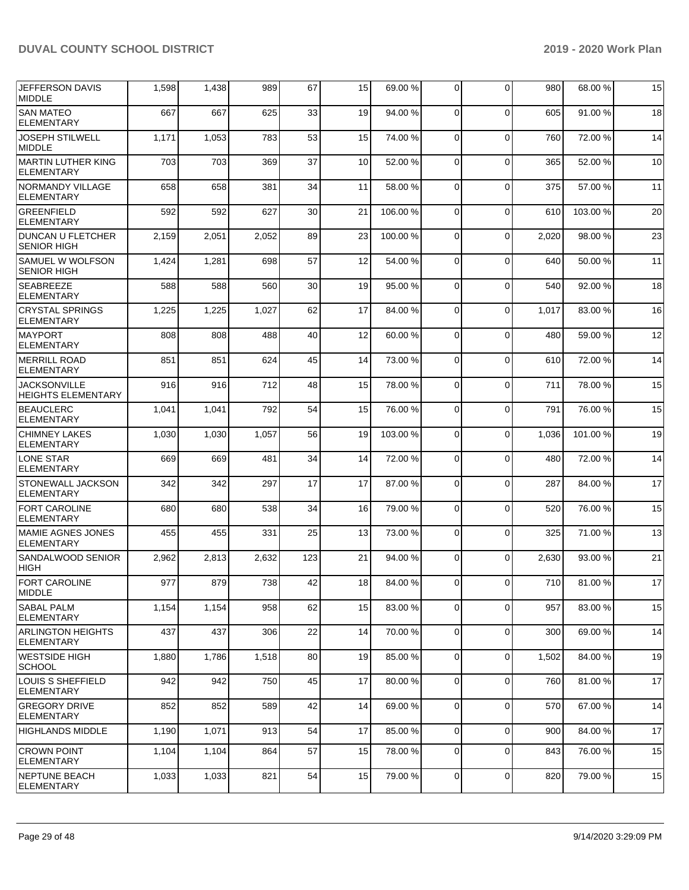| JEFFERSON DAVIS<br><b>MIDDLE</b>                 | 1,598 | 1,438 | 989   | 67  | 15 | 69.00 % | 0           | $\Omega$    | 980   | 68.00 % | 15     |
|--------------------------------------------------|-------|-------|-------|-----|----|---------|-------------|-------------|-------|---------|--------|
| <b>SAN MATEO</b><br><b>ELEMENTARY</b>            | 667   | 667   | 625   | 33  | 19 | 94.00 % | $\Omega$    | $\Omega$    | 605   | 91.00%  | 18     |
| <b>JOSEPH STILWELL</b><br><b>MIDDLE</b>          | 1,171 | 1,053 | 783   | 53  | 15 | 74.00%  | $\Omega$    | $\Omega$    | 760   | 72.00 % | 14     |
| MARTIN LUTHER KING<br><b>ELEMENTARY</b>          | 703   | 703   | 369   | 37  | 10 | 52.00 % | $\Omega$    | $\Omega$    | 365   | 52.00 % | 10     |
| <b>NORMANDY VILLAGE</b><br><b>ELEMENTARY</b>     | 658   | 658   | 381   | 34  | 11 | 58.00 % | $\Omega$    | $\Omega$    | 375   | 57.00 % | 11     |
| <b>GREENFIELD</b><br><b>ELEMENTARY</b>           | 592   | 592   | 627   | 30  | 21 | 106.00% | $\Omega$    | $\Omega$    | 610   | 103.00% | 20     |
| DUNCAN U FLETCHER<br><b>SENIOR HIGH</b>          | 2,159 | 2,051 | 2,052 | 89  | 23 | 100.00% | $\Omega$    | $\mathbf 0$ | 2,020 | 98.00 % | 23     |
| SAMUEL W WOLFSON<br><b>SENIOR HIGH</b>           | 1,424 | 1,281 | 698   | 57  | 12 | 54.00 % | $\Omega$    | $\Omega$    | 640   | 50.00 % | 11     |
| <b>SEABREEZE</b><br><b>ELEMENTARY</b>            | 588   | 588   | 560   | 30  | 19 | 95.00 % | $\Omega$    | $\Omega$    | 540   | 92.00 % | 18     |
| <b>CRYSTAL SPRINGS</b><br>ELEMENTARY             | 1,225 | 1,225 | 1,027 | 62  | 17 | 84.00 % | $\Omega$    | $\Omega$    | 1,017 | 83.00 % | 16     |
| <b>MAYPORT</b><br><b>ELEMENTARY</b>              | 808   | 808   | 488   | 40  | 12 | 60.00%  | $\Omega$    | $\Omega$    | 480   | 59.00 % | 12     |
| <b>MERRILL ROAD</b><br><b>ELEMENTARY</b>         | 851   | 851   | 624   | 45  | 14 | 73.00 % | $\Omega$    | $\Omega$    | 610   | 72.00 % | 14     |
| <b>JACKSONVILLE</b><br><b>HEIGHTS ELEMENTARY</b> | 916   | 916   | 712   | 48  | 15 | 78.00 % | $\Omega$    | $\mathbf 0$ | 711   | 78.00 % | 15     |
| <b>BEAUCLERC</b><br><b>ELEMENTARY</b>            | 1,041 | 1,041 | 792   | 54  | 15 | 76.00%  | $\Omega$    | $\Omega$    | 791   | 76.00 % | 15     |
| <b>CHIMNEY LAKES</b><br>ELEMENTARY               | 1,030 | 1,030 | 1,057 | 56  | 19 | 103.00% | $\Omega$    | $\Omega$    | 1,036 | 101.00% | 19     |
| LONE STAR<br><b>ELEMENTARY</b>                   | 669   | 669   | 481   | 34  | 14 | 72.00 % | $\Omega$    | $\Omega$    | 480   | 72.00 % | 14     |
| <b>STONEWALL JACKSON</b><br><b>ELEMENTARY</b>    | 342   | 342   | 297   | 17  | 17 | 87.00 % | $\Omega$    | $\Omega$    | 287   | 84.00 % | 17     |
| <b>FORT CAROLINE</b><br><b>ELEMENTARY</b>        | 680   | 680   | 538   | 34  | 16 | 79.00 % | $\Omega$    | $\Omega$    | 520   | 76.00 % | 15     |
| <b>MAMIE AGNES JONES</b><br><b>ELEMENTARY</b>    | 455   | 455   | 331   | 25  | 13 | 73.00 % | $\Omega$    | $\Omega$    | 325   | 71.00 % | 13     |
| SANDALWOOD SENIOR<br><b>HIGH</b>                 | 2,962 | 2,813 | 2,632 | 123 | 21 | 94.00 % | $\Omega$    | $\Omega$    | 2,630 | 93.00 % | 21     |
| <b>FORT CAROLINE</b><br><b>MIDDLE</b>            | 977   | 879   | 738   | 42  | 18 | 84.00%  | $\Omega$    | $\Omega$    | 710   | 81.00%  | $17\,$ |
| SABAL PALM<br><b>ELEMENTARY</b>                  | 1,154 | 1,154 | 958   | 62  | 15 | 83.00 % | 0           | $\mathbf 0$ | 957   | 83.00 % | 15     |
| <b>ARLINGTON HEIGHTS</b><br><b>ELEMENTARY</b>    | 437   | 437   | 306   | 22  | 14 | 70.00%  | $\mathbf 0$ | $\mathbf 0$ | 300   | 69.00 % | 14     |
| <b>WESTSIDE HIGH</b><br><b>SCHOOL</b>            | 1,880 | 1,786 | 1,518 | 80  | 19 | 85.00 % | $\mathbf 0$ | $\mathbf 0$ | 1,502 | 84.00 % | 19     |
| LOUIS S SHEFFIELD<br>ELEMENTARY                  | 942   | 942   | 750   | 45  | 17 | 80.00 % | 0           | $\mathbf 0$ | 760   | 81.00 % | 17     |
| <b>GREGORY DRIVE</b><br><b>ELEMENTARY</b>        | 852   | 852   | 589   | 42  | 14 | 69.00 % | $\Omega$    | $\Omega$    | 570   | 67.00 % | 14     |
| <b>HIGHLANDS MIDDLE</b>                          | 1,190 | 1,071 | 913   | 54  | 17 | 85.00 % | $\mathbf 0$ | $\Omega$    | 900   | 84.00 % | 17     |
| CROWN POINT<br><b>ELEMENTARY</b>                 | 1,104 | 1,104 | 864   | 57  | 15 | 78.00 % | $\mathbf 0$ | $\mathbf 0$ | 843   | 76.00 % | 15     |
| <b>NEPTUNE BEACH</b><br> ELEMENTARY              | 1,033 | 1,033 | 821   | 54  | 15 | 79.00 % | 0           | $\mathbf 0$ | 820   | 79.00 % | 15     |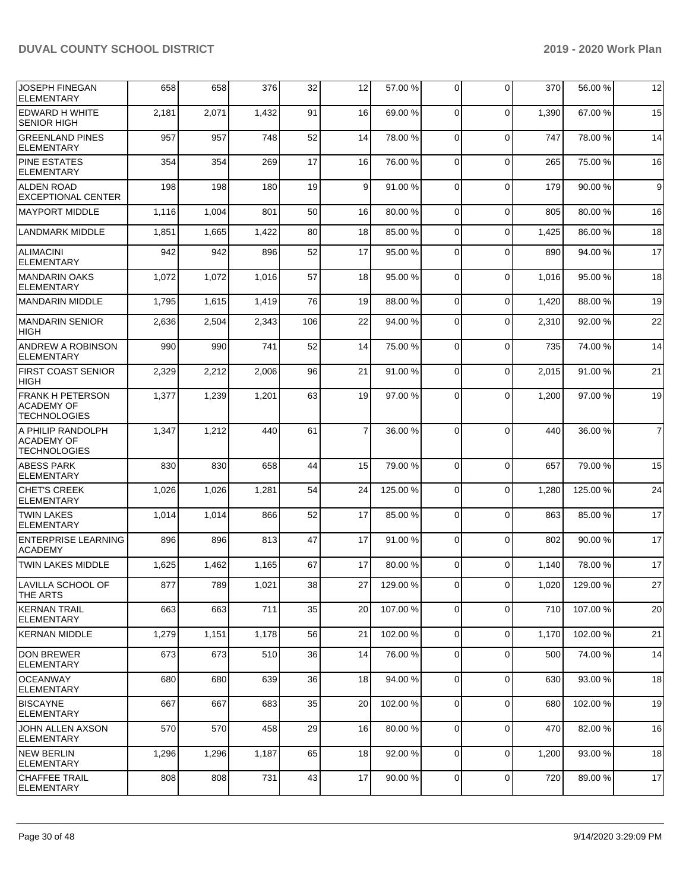| <b>JOSEPH FINEGAN</b><br><b>ELEMENTARY</b>                          | 658   | 658   | 376   | 32  | 12             | 57.00 %  | $\mathbf 0$    | $\Omega$       | 370   | 56.00 %        | 12             |
|---------------------------------------------------------------------|-------|-------|-------|-----|----------------|----------|----------------|----------------|-------|----------------|----------------|
| <b>EDWARD H WHITE</b><br><b>SENIOR HIGH</b>                         | 2,181 | 2,071 | 1,432 | 91  | 16             | 69.00 %  | $\mathbf 0$    | $\Omega$       | 1,390 | 67.00 %        | 15             |
| <b>GREENLAND PINES</b><br><b>ELEMENTARY</b>                         | 957   | 957   | 748   | 52  | 14             | 78.00 %  | $\mathbf 0$    | $\Omega$       | 747   | 78.00 %        | 14             |
| <b>PINE ESTATES</b><br><b>ELEMENTARY</b>                            | 354   | 354   | 269   | 17  | 16             | 76.00 %  | 0              | $\Omega$       | 265   | 75.00 %        | 16             |
| <b>ALDEN ROAD</b><br><b>EXCEPTIONAL CENTER</b>                      | 198   | 198   | 180   | 19  | 9              | 91.00%   | $\mathbf 0$    | $\Omega$       | 179   | 90.00 %        | 9              |
| <b>MAYPORT MIDDLE</b>                                               | 1,116 | 1,004 | 801   | 50  | 16             | 80.00 %  | $\mathbf 0$    | $\Omega$       | 805   | 80.00 %        | 16             |
| <b>LANDMARK MIDDLE</b>                                              | 1,851 | 1,665 | 1,422 | 80  | 18             | 85.00 %  | $\mathbf 0$    | $\Omega$       | 1,425 | 86.00 %        | 18             |
| <b>ALIMACINI</b><br><b>ELEMENTARY</b>                               | 942   | 942   | 896   | 52  | 17             | 95.00 %  | $\mathbf 0$    | $\Omega$       | 890   | 94.00 %        | 17             |
| <b>MANDARIN OAKS</b><br><b>ELEMENTARY</b>                           | 1,072 | 1,072 | 1,016 | 57  | 18             | 95.00 %  | 0              | $\Omega$       | 1,016 | 95.00 %        | 18             |
| IMANDARIN MIDDLE                                                    | 1,795 | 1,615 | 1,419 | 76  | 19             | 88.00 %  | $\mathbf 0$    | $\mathbf 0$    | 1,420 | 88.00 %        | 19             |
| <b>MANDARIN SENIOR</b><br><b>HIGH</b>                               | 2,636 | 2,504 | 2,343 | 106 | 22             | 94.00 %  | $\mathbf 0$    | $\Omega$       | 2,310 | 92.00 %        | 22             |
| <b>ANDREW A ROBINSON</b><br><b>ELEMENTARY</b>                       | 990   | 990   | 741   | 52  | 14             | 75.00 %  | $\mathbf 0$    | $\Omega$       | 735   | 74.00%         | 14             |
| <b>FIRST COAST SENIOR</b><br><b>HIGH</b>                            | 2,329 | 2,212 | 2,006 | 96  | 21             | 91.00 %  | 0              | $\Omega$       | 2,015 | 91.00 %        | 21             |
| <b>FRANK H PETERSON</b><br><b>ACADEMY OF</b><br><b>TECHNOLOGIES</b> | 1,377 | 1,239 | 1,201 | 63  | 19             | 97.00 %  | $\Omega$       | $\Omega$       | 1,200 | 97.00 %        | 19             |
| A PHILIP RANDOLPH<br><b>ACADEMY OF</b><br><b>TECHNOLOGIES</b>       | 1,347 | 1,212 | 440   | 61  | $\overline{7}$ | 36.00 %  | $\Omega$       | $\Omega$       | 440   | 36.00 %        | $\overline{7}$ |
| <b>ABESS PARK</b><br><b>ELEMENTARY</b>                              | 830   | 830   | 658   | 44  | 15             | 79.00 %  | $\mathbf 0$    | $\Omega$       | 657   | 79.00 %        | 15             |
| <b>CHET'S CREEK</b><br>ELEMENTARY                                   | 1,026 | 1,026 | 1,281 | 54  | 24             | 125.00 % | 0              | $\Omega$       | 1,280 | 125.00 %       | 24             |
| <b>TWIN LAKES</b><br><b>ELEMENTARY</b>                              | 1,014 | 1,014 | 866   | 52  | 17             | 85.00 %  | $\mathbf 0$    | $\Omega$       | 863   | 85.00 %        | 17             |
| <b>ENTERPRISE LEARNING</b><br><b>ACADEMY</b>                        | 896   | 896   | 813   | 47  | 17             | 91.00 %  | 0              | $\Omega$       | 802   | 90.00 %        | 17             |
| <b>TWIN LAKES MIDDLE</b>                                            | 1,625 | 1,462 | 1,165 | 67  | 17             | 80.00 %  | 0              | $\Omega$       | 1,140 | 78.00 %        | 17             |
| LAVILLA SCHOOL OF<br><b>THE ARTS</b>                                | 877   | 789   | 1,021 | 38  | 27             | 129.00%  | $\overline{0}$ | $\overline{0}$ |       | 1,020 129.00 % | $27\,$         |
| <b>KERNAN TRAIL</b><br><b>ELEMENTARY</b>                            | 663   | 663   | 711   | 35  | 20             | 107.00 % | $\overline{0}$ | $\Omega$       | 710   | 107.00%        | 20             |
| <b>KERNAN MIDDLE</b>                                                | 1,279 | 1,151 | 1,178 | 56  | 21             | 102.00%  | 0              | $\mathbf 0$    | 1,170 | 102.00%        | 21             |
| <b>DON BREWER</b><br><b>ELEMENTARY</b>                              | 673   | 673   | 510   | 36  | 14             | 76.00 %  | 0              | 0              | 500   | 74.00 %        | 14             |
| <b>OCEANWAY</b><br><b>ELEMENTARY</b>                                | 680   | 680   | 639   | 36  | 18             | 94.00%   | $\mathbf 0$    | $\Omega$       | 630   | 93.00 %        | 18             |
| <b>BISCAYNE</b><br><b>ELEMENTARY</b>                                | 667   | 667   | 683   | 35  | 20             | 102.00%  | $\mathbf 0$    | $\Omega$       | 680   | 102.00%        | 19             |
| <b>JOHN ALLEN AXSON</b><br><b>ELEMENTARY</b>                        | 570   | 570   | 458   | 29  | 16             | 80.00 %  | 0              | 0              | 470   | 82.00 %        | 16             |
| <b>NEW BERLIN</b><br><b>ELEMENTARY</b>                              | 1,296 | 1,296 | 1,187 | 65  | 18             | 92.00 %  | 0              | $\mathbf 0$    | 1,200 | 93.00 %        | 18             |
| <b>CHAFFEE TRAIL</b><br><b>ELEMENTARY</b>                           | 808   | 808   | 731   | 43  | 17             | 90.00 %  | $\mathbf 0$    | 0              | 720   | 89.00%         | 17             |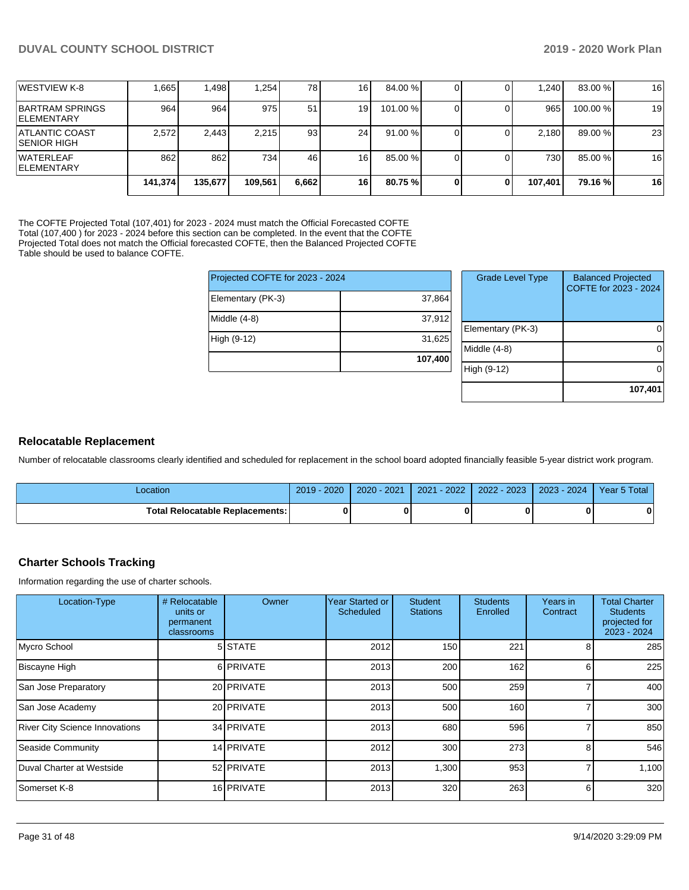| <b>IWESTVIEW K-8</b>                   | 1.665   | 1,498   | 1.254   | 78 l  | 16              | 84.00 %  |   | 1.240   | 83.00 %  | 16 |
|----------------------------------------|---------|---------|---------|-------|-----------------|----------|---|---------|----------|----|
| BARTRAM SPRINGS<br><b>IELEMENTARY</b>  | 964     | 964     | 975     | 51    | 19 <sub>l</sub> | 101.00 % |   | 965     | 100.00 % | 19 |
| <b>IATLANTIC COAST</b><br>ISENIOR HIGH | 2.572   | 2.443   | 2.215   | 93    | 24              | 91.00 %  |   | 2.180   | 89.00 %  | 23 |
| <b>WATERLEAF</b><br><b>IELEMENTARY</b> | 862     | 862     | 7341    | 46    | 16 <sub>l</sub> | 85.00 %  |   | 730 I   | 85.00 %  | 16 |
|                                        | 141,374 | 135,677 | 109,561 | 6,662 | 16              | 80.75 %  | 0 | 107,401 | 79.16 %  | 16 |

The COFTE Projected Total (107,401) for 2023 - 2024 must match the Official Forecasted COFTE Total (107,400 ) for 2023 - 2024 before this section can be completed. In the event that the COFTE Projected Total does not match the Official forecasted COFTE, then the Balanced Projected COFTE Table should be used to balance COFTE.

| Projected COFTE for 2023 - 2024 |         | <b>Grade Level T</b> |
|---------------------------------|---------|----------------------|
| Elementary (PK-3)               | 37,864  |                      |
| Middle (4-8)                    | 37,912  | Elementary (PK-3     |
| High (9-12)                     | 31,625  | Middle (4-8)         |
|                                 | 107,400 | High (9-12)          |
|                                 |         |                      |

| <b>Grade Level Type</b> | <b>Balanced Projected</b><br>COFTE for 2023 - 2024 |
|-------------------------|----------------------------------------------------|
| Elementary (PK-3)       |                                                    |
| Middle $(4-8)$          |                                                    |
| High (9-12)             |                                                    |
|                         | 107,401                                            |

#### **Relocatable Replacement**

Number of relocatable classrooms clearly identified and scheduled for replacement in the school board adopted financially feasible 5-year district work program.

| ∟ocation                               | $-2020$<br>2019 | $-2021$<br>2020 | $-2022$<br>2021 | 2022 - 2023 | 2023 - 2024 | Year 5 Total |
|----------------------------------------|-----------------|-----------------|-----------------|-------------|-------------|--------------|
| <b>Total Relocatable Replacements:</b> |                 |                 |                 |             |             |              |

### **Charter Schools Tracking**

Information regarding the use of charter schools.

| Location-Type                         | # Relocatable<br>units or<br>permanent<br>classrooms | Owner      | Year Started or<br>Scheduled | <b>Student</b><br><b>Stations</b> | <b>Students</b><br>Enrolled | Years in<br>Contract | <b>Total Charter</b><br><b>Students</b><br>projected for<br>2023 - 2024 |
|---------------------------------------|------------------------------------------------------|------------|------------------------------|-----------------------------------|-----------------------------|----------------------|-------------------------------------------------------------------------|
| Mycro School                          |                                                      | 5 STATE    | 2012                         | 150                               | 221                         | 8                    | 285                                                                     |
| Biscayne High                         |                                                      | 6 PRIVATE  | 2013                         | 200                               | 162                         | 6                    | 225                                                                     |
| San Jose Preparatory                  |                                                      | 20 PRIVATE | 2013                         | 500                               | 259                         |                      | 400                                                                     |
| San Jose Academy                      |                                                      | 20 PRIVATE | 2013                         | 500                               | 160 <sup>1</sup>            |                      | 300                                                                     |
| <b>River City Science Innovations</b> |                                                      | 34 PRIVATE | 2013                         | 680                               | 596                         |                      | 850                                                                     |
| Seaside Community                     |                                                      | 14 PRIVATE | 2012                         | 300                               | 273                         | 8                    | 546                                                                     |
| Duval Charter at Westside             |                                                      | 52 PRIVATE | 2013                         | 1,300                             | 953                         |                      | 1,100                                                                   |
| Somerset K-8                          |                                                      | 16 PRIVATE | 2013                         | 320                               | 263                         | 6                    | 320                                                                     |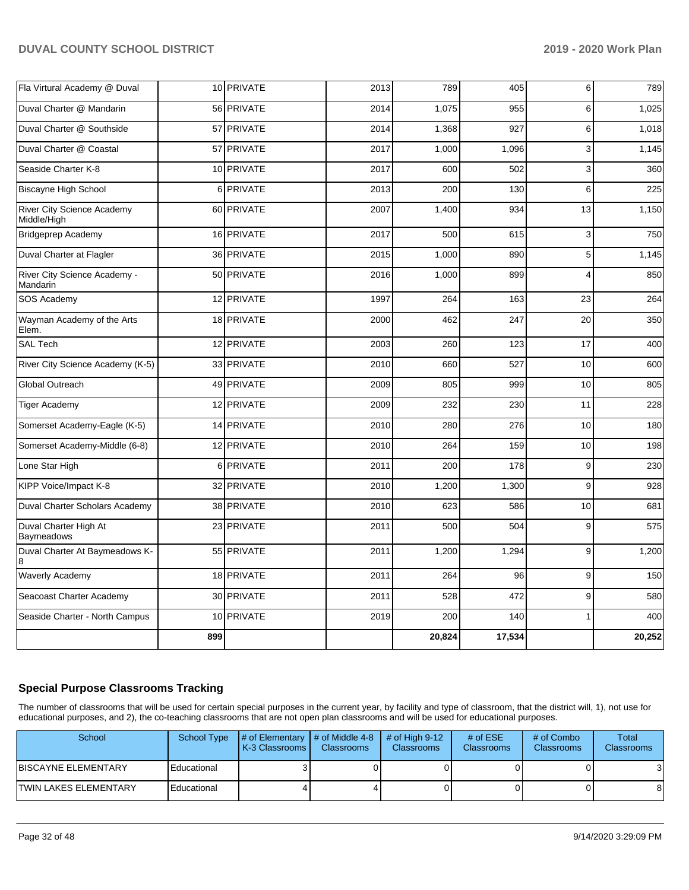| Fla Virtural Academy @ Duval                     |     | 10 PRIVATE | 2013 | 789    | 405    | 6            | 789    |
|--------------------------------------------------|-----|------------|------|--------|--------|--------------|--------|
| Duval Charter @ Mandarin                         |     | 56 PRIVATE | 2014 | 1,075  | 955    | 6            | 1,025  |
| Duval Charter @ Southside                        |     | 57 PRIVATE | 2014 | 1,368  | 927    | 6            | 1,018  |
| Duval Charter @ Coastal                          |     | 57 PRIVATE | 2017 | 1,000  | 1,096  | 3            | 1,145  |
| Seaside Charter K-8                              |     | 10 PRIVATE | 2017 | 600    | 502    | 3            | 360    |
| <b>Biscayne High School</b>                      |     | 6 PRIVATE  | 2013 | 200    | 130    | 6            | 225    |
| <b>River City Science Academy</b><br>Middle/High |     | 60 PRIVATE | 2007 | 1,400  | 934    | 13           | 1,150  |
| Bridgeprep Academy                               |     | 16 PRIVATE | 2017 | 500    | 615    | 3            | 750    |
| Duval Charter at Flagler                         |     | 36 PRIVATE | 2015 | 1,000  | 890    | 5            | 1,145  |
| River City Science Academy -<br>Mandarin         |     | 50 PRIVATE | 2016 | 1,000  | 899    | 4            | 850    |
| SOS Academy                                      |     | 12 PRIVATE | 1997 | 264    | 163    | 23           | 264    |
| Wayman Academy of the Arts<br>Elem.              |     | 18 PRIVATE | 2000 | 462    | 247    | 20           | 350    |
| <b>SAL Tech</b>                                  |     | 12 PRIVATE | 2003 | 260    | 123    | 17           | 400    |
| River City Science Academy (K-5)                 |     | 33 PRIVATE | 2010 | 660    | 527    | 10           | 600    |
| Global Outreach                                  |     | 49 PRIVATE | 2009 | 805    | 999    | 10           | 805    |
| Tiger Academy                                    |     | 12 PRIVATE | 2009 | 232    | 230    | 11           | 228    |
| Somerset Academy-Eagle (K-5)                     |     | 14 PRIVATE | 2010 | 280    | 276    | 10           | 180    |
| Somerset Academy-Middle (6-8)                    |     | 12 PRIVATE | 2010 | 264    | 159    | 10           | 198    |
| Lone Star High                                   | 6   | PRIVATE    | 2011 | 200    | 178    | 9            | 230    |
| KIPP Voice/Impact K-8                            |     | 32 PRIVATE | 2010 | 1,200  | 1,300  | 9            | 928    |
| Duval Charter Scholars Academy                   |     | 38 PRIVATE | 2010 | 623    | 586    | 10           | 681    |
| Duval Charter High At<br>Baymeadows              |     | 23 PRIVATE | 2011 | 500    | 504    | 9            | 575    |
| Duval Charter At Baymeadows K-<br>8              |     | 55 PRIVATE | 2011 | 1,200  | 1,294  | 9            | 1,200  |
| Waverly Academy                                  |     | 18 PRIVATE | 2011 | 264    | 96     | 9            | 150    |
| Seacoast Charter Academy                         |     | 30 PRIVATE | 2011 | 528    | 472    | 9            | 580    |
| Seaside Charter - North Campus                   |     | 10 PRIVATE | 2019 | 200    | 140    | $\mathbf{1}$ | 400    |
|                                                  | 899 |            |      | 20,824 | 17,534 |              | 20,252 |

## **Special Purpose Classrooms Tracking**

The number of classrooms that will be used for certain special purposes in the current year, by facility and type of classroom, that the district will, 1), not use for educational purposes, and 2), the co-teaching classrooms that are not open plan classrooms and will be used for educational purposes.

| School                       |             | School Type $\left  \frac{4}{7}$ of Elementary $\left  \frac{4}{7}$ of Middle 4-8<br><b>IK-3 Classrooms L</b> | <b>Classrooms</b> | $\#$ of High 9-12<br><b>Classrooms</b> | # of $ESE$<br><b>Classrooms</b> | # of Combo<br><b>Classrooms</b> | <b>Total</b><br><b>Classrooms</b> |
|------------------------------|-------------|---------------------------------------------------------------------------------------------------------------|-------------------|----------------------------------------|---------------------------------|---------------------------------|-----------------------------------|
| <b>BISCAYNE ELEMENTARY</b>   | Educational |                                                                                                               |                   |                                        |                                 |                                 |                                   |
| <b>TWIN LAKES ELEMENTARY</b> | Educational |                                                                                                               |                   |                                        |                                 |                                 |                                   |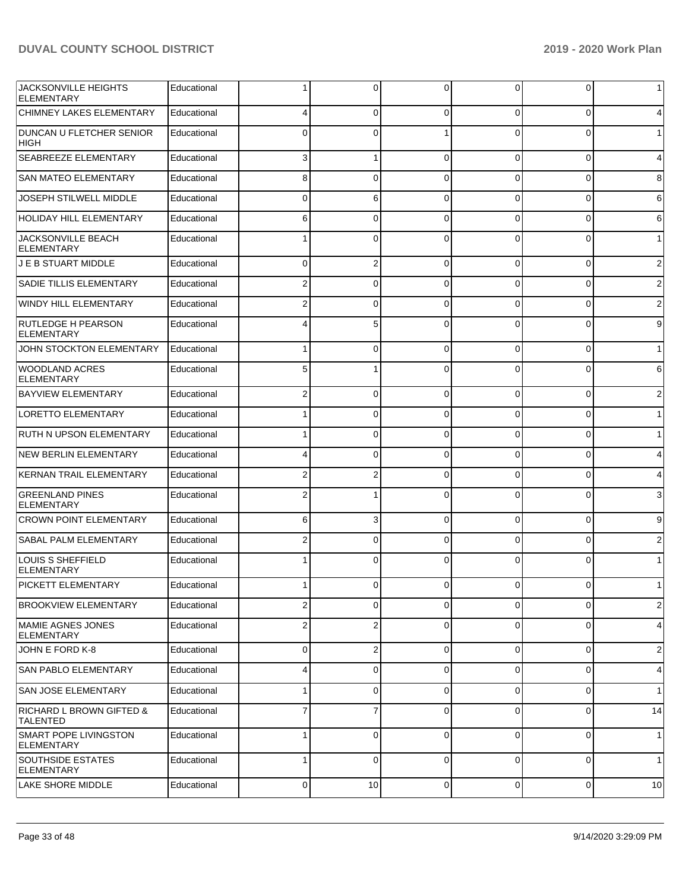| <b>JACKSONVILLE HEIGHTS</b><br><b>ELEMENTARY</b>       | Educational |   | 0        | 0           | 0           | 0        | $\mathbf{1}$   |
|--------------------------------------------------------|-------------|---|----------|-------------|-------------|----------|----------------|
| CHIMNEY LAKES ELEMENTARY                               | Educational | 4 | $\Omega$ | $\Omega$    | 0           | 0        | 4              |
| <b>DUNCAN U FLETCHER SENIOR</b><br>HIGH                | Educational | 0 | 0        |             | 0           | $\Omega$ | $\mathbf{1}$   |
| SEABREEZE ELEMENTARY                                   | Educational | 3 |          | $\Omega$    | 0           | 0        | 4              |
| <b>SAN MATEO ELEMENTARY</b>                            | Educational | 8 | 0        | $\Omega$    | 0           | 0        | 8              |
| JOSEPH STILWELL MIDDLE                                 | Educational | 0 | 6        | $\Omega$    | 0           | 0        | 6              |
| <b>HOLIDAY HILL ELEMENTARY</b>                         | Educational | 6 | 0        | $\Omega$    | 0           | 0        | 6              |
| <b>JACKSONVILLE BEACH</b><br><b>ELEMENTARY</b>         | Educational |   | 0        | $\Omega$    | 0           | ŋ        | $\mathbf{1}$   |
| J E B STUART MIDDLE                                    | Educational | 0 | 2        | $\mathbf 0$ | 0           | 0        | $\overline{2}$ |
| <b>SADIE TILLIS ELEMENTARY</b>                         | Educational | 2 | 0        | 0           | 0           | 0        | $\overline{c}$ |
| WINDY HILL ELEMENTARY                                  | Educational | 2 | 0        | $\Omega$    | 0           | 0        | $\overline{2}$ |
| <b>RUTLEDGE H PEARSON</b><br>ELEMENTARY                | Educational |   | 5        | $\Omega$    | 0           | 0        | 9              |
| JOHN STOCKTON ELEMENTARY                               | Educational |   | $\Omega$ | $\Omega$    | $\Omega$    | 0        | $\mathbf{1}$   |
| <b>WOODLAND ACRES</b><br><b>ELEMENTARY</b>             | Educational | 5 |          | $\Omega$    | 0           | 0        | 6              |
| <b>BAYVIEW ELEMENTARY</b>                              | Educational | 2 | 0        | $\Omega$    | 0           | 0        | $\overline{2}$ |
| <b>LORETTO ELEMENTARY</b>                              | Educational |   | 0        | $\Omega$    | 0           | 0        | $\mathbf{1}$   |
| <b>RUTH N UPSON ELEMENTARY</b>                         | Educational |   | 0        | $\Omega$    | 0           | 0        | $\mathbf{1}$   |
| NEW BERLIN ELEMENTARY                                  | Educational |   | 0        | $\Omega$    | 0           | 0        | 4              |
| <b>KERNAN TRAIL ELEMENTARY</b>                         | Educational | 2 | 2        | $\Omega$    | 0           | 0        | 4              |
| <b>GREENLAND PINES</b><br><b>ELEMENTARY</b>            | Educational | 2 |          | $\Omega$    | 0           | ŋ        | 3              |
| <b>CROWN POINT ELEMENTARY</b>                          | Educational | 6 | 3        | $\Omega$    | 0           | 0        | 9              |
| SABAL PALM ELEMENTARY                                  | Educational | 2 | 0        | $\Omega$    | 0           | 0        | $\overline{2}$ |
| LOUIS S SHEFFIELD<br><b>ELEMENTARY</b>                 | Educational |   | 0        | $\Omega$    | 0           | ŋ        | $\mathbf{1}$   |
| PICKETT ELEMENTARY                                     | Educational |   | ∩        | $\Omega$    | $\Omega$    | U        | $\mathbf{1}$   |
| BROOKVIEW ELEMENTARY                                   | Educational | 2 | 0        | $\Omega$    | 0           | 0        | $\overline{c}$ |
| MAMIE AGNES JONES<br><b>ELEMENTARY</b>                 | Educational | 2 | 2        | $\Omega$    | $\mathbf 0$ | $\Omega$ | $\overline{4}$ |
| JOHN E FORD K-8                                        | Educational | 0 | 2        | 0           | 0           | 0        | $\overline{c}$ |
| <b>SAN PABLO ELEMENTARY</b>                            | Educational | 4 | 0        | $\Omega$    | 0           | 0        | 4              |
| <b>SAN JOSE ELEMENTARY</b>                             | Educational |   | 0        | $\Omega$    | 0           | 0        | $\mathbf{1}$   |
| <b>RICHARD L BROWN GIFTED &amp;</b><br><b>TALENTED</b> | Educational |   | 7        | $\Omega$    | 0           | 0        | 14             |
| <b>SMART POPE LIVINGSTON</b><br> ELEMENTARY            | Educational |   | 0        | $\mathbf 0$ | 0           | 0        | $\mathbf{1}$   |
| <b>SOUTHSIDE ESTATES</b><br><b>ELEMENTARY</b>          | Educational |   | $\Omega$ | $\Omega$    | $\mathbf 0$ | 0        | $\mathbf{1}$   |
| <b>LAKE SHORE MIDDLE</b>                               | Educational | 0 | 10       | 0           | 0           | 0        | 10             |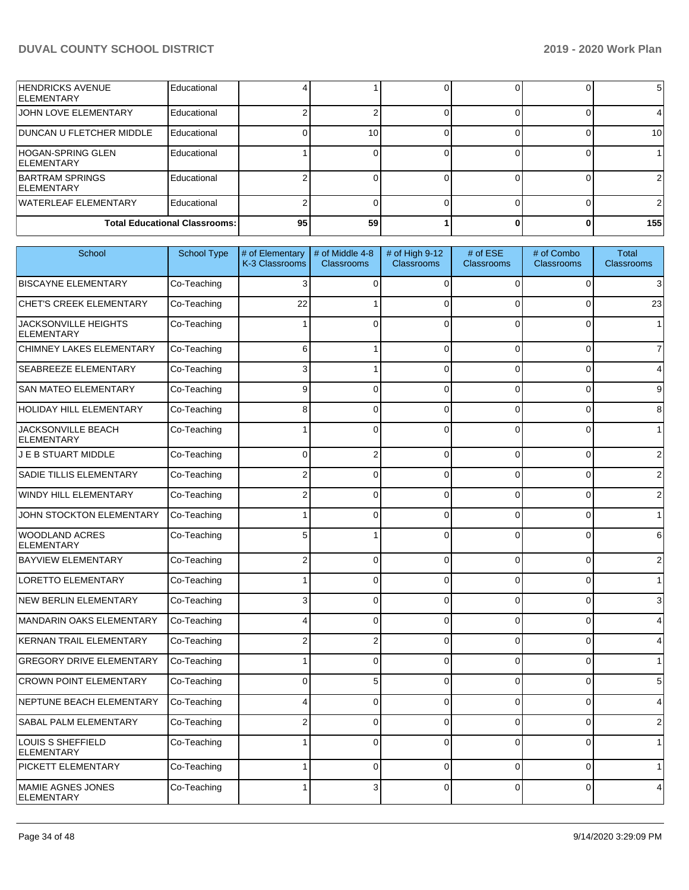| <b>HENDRICKS AVENUE</b><br><b>IELEMENTARY</b> | Educational                          |    |    |  | 5 <sup>1</sup> |
|-----------------------------------------------|--------------------------------------|----|----|--|----------------|
| <b>JOHN LOVE ELEMENTARY</b>                   | Educational                          |    |    |  |                |
| <b>DUNCAN U FLETCHER MIDDLE</b>               | Educational                          |    | 10 |  | 10             |
| HOGAN-SPRING GLEN<br><b>IELEMENTARY</b>       | Educational                          |    |    |  |                |
| BARTRAM SPRINGS<br><b>IELEMENTARY</b>         | Educational                          |    |    |  | 21             |
| <b>WATERLEAF ELEMENTARY</b>                   | Educational                          |    |    |  |                |
|                                               | <b>Total Educational Classrooms:</b> | 95 | 59 |  | 155            |

| School                                           | School Type | # of Elementary<br>K-3 Classrooms | # of Middle 4-8<br><b>Classrooms</b> | # of High 9-12<br><b>Classrooms</b> | # of $ESE$<br><b>Classrooms</b> | # of Combo<br><b>Classrooms</b> | <b>Total</b><br><b>Classrooms</b> |
|--------------------------------------------------|-------------|-----------------------------------|--------------------------------------|-------------------------------------|---------------------------------|---------------------------------|-----------------------------------|
| <b>BISCAYNE ELEMENTARY</b>                       | Co-Teaching | 3                                 | $\Omega$                             | $\Omega$                            | $\Omega$                        | 0                               | 3                                 |
| <b>CHET'S CREEK ELEMENTARY</b>                   | Co-Teaching | 22                                |                                      | $\Omega$                            | $\Omega$                        | 0                               | 23                                |
| <b>JACKSONVILLE HEIGHTS</b><br><b>ELEMENTARY</b> | Co-Teaching | $\mathbf{1}$                      | $\Omega$                             | $\Omega$                            | $\Omega$                        | $\Omega$                        | $\mathbf{1}$                      |
| CHIMNEY LAKES ELEMENTARY                         | Co-Teaching | 6                                 | 1                                    | $\Omega$                            | 0                               | 0                               | $\overline{7}$                    |
| SEABREEZE ELEMENTARY                             | Co-Teaching | 3                                 | 1                                    | $\Omega$                            | $\Omega$                        | $\Omega$                        | 4                                 |
| <b>SAN MATEO ELEMENTARY</b>                      | Co-Teaching | 9                                 | $\mathbf 0$                          | $\Omega$                            | $\Omega$                        | 0                               | 9                                 |
| HOLIDAY HILL ELEMENTARY                          | Co-Teaching | 8                                 | $\Omega$                             | $\Omega$                            | $\Omega$                        | $\overline{0}$                  | 8                                 |
| <b>JACKSONVILLE BEACH</b><br><b>ELEMENTARY</b>   | Co-Teaching | 1                                 | $\Omega$                             | $\Omega$                            | $\Omega$                        | $\Omega$                        | $\mathbf{1}$                      |
| J E B STUART MIDDLE                              | Co-Teaching | $\mathbf 0$                       | 2                                    | $\mathbf 0$                         | 0                               | 0                               | 2                                 |
| SADIE TILLIS ELEMENTARY                          | Co-Teaching | $\overline{2}$                    | $\Omega$                             | $\Omega$                            | $\Omega$                        | $\Omega$                        | $\overline{2}$                    |
| <b>WINDY HILL ELEMENTARY</b>                     | Co-Teaching | $\boldsymbol{2}$                  | $\Omega$                             | $\Omega$                            | $\Omega$                        | $\overline{0}$                  | $\overline{2}$                    |
| JOHN STOCKTON ELEMENTARY                         | Co-Teaching |                                   | $\Omega$                             | $\Omega$                            | $\Omega$                        | $\Omega$                        | $\mathbf{1}$                      |
| <b>WOODLAND ACRES</b><br><b>ELEMENTARY</b>       | Co-Teaching | 5                                 |                                      | $\Omega$                            | $\Omega$                        | 0                               | 6                                 |
| <b>BAYVIEW ELEMENTARY</b>                        | Co-Teaching | $\overline{2}$                    | $\Omega$                             | $\Omega$                            | $\Omega$                        | $\Omega$                        | 2                                 |
| <b>LORETTO ELEMENTARY</b>                        | Co-Teaching | 1                                 | $\Omega$                             | $\Omega$                            | $\Omega$                        | $\overline{0}$                  | $\mathbf{1}$                      |
| NEW BERLIN ELEMENTARY                            | Co-Teaching | 3                                 | $\Omega$                             | $\Omega$                            | $\Omega$                        | $\Omega$                        | 3                                 |
| <b>MANDARIN OAKS ELEMENTARY</b>                  | Co-Teaching | 4                                 | $\Omega$                             | $\Omega$                            | $\Omega$                        | $\Omega$                        | 4                                 |
| <b>KERNAN TRAIL ELEMENTARY</b>                   | Co-Teaching | $\overline{2}$                    | $\overline{2}$                       | $\Omega$                            | $\Omega$                        | $\overline{0}$                  | 4                                 |
| <b>GREGORY DRIVE ELEMENTARY</b>                  | Co-Teaching | 1                                 | $\Omega$                             | $\Omega$                            | $\Omega$                        | $\Omega$                        | $\mathbf{1}$                      |
| <b>CROWN POINT ELEMENTARY</b>                    | Co-Teaching | $\Omega$                          | 5                                    | $\Omega$                            | $\Omega$                        | $\Omega$                        | 5                                 |
| NEPTUNE BEACH ELEMENTARY                         | Co-Teaching | $\overline{4}$                    | $\overline{0}$                       | $\Omega$                            | $\Omega$                        | $\overline{0}$                  | 4                                 |
| SABAL PALM ELEMENTARY                            | Co-Teaching | $\overline{c}$                    | $\Omega$                             | $\Omega$                            | $\Omega$                        | $\Omega$                        | $\overline{2}$                    |
| LOUIS S SHEFFIELD<br><b>ELEMENTARY</b>           | Co-Teaching | 1                                 | $\Omega$                             | $\Omega$                            | $\Omega$                        | $\overline{0}$                  | $\mathbf{1}$                      |
| PICKETT ELEMENTARY                               | Co-Teaching | 1                                 | $\mathbf 0$                          | $\Omega$                            | $\Omega$                        | 0                               | $\mathbf{1}$                      |
| MAMIE AGNES JONES<br><b>ELEMENTARY</b>           | Co-Teaching |                                   | 3                                    | $\Omega$                            | $\Omega$                        | $\Omega$                        | 4                                 |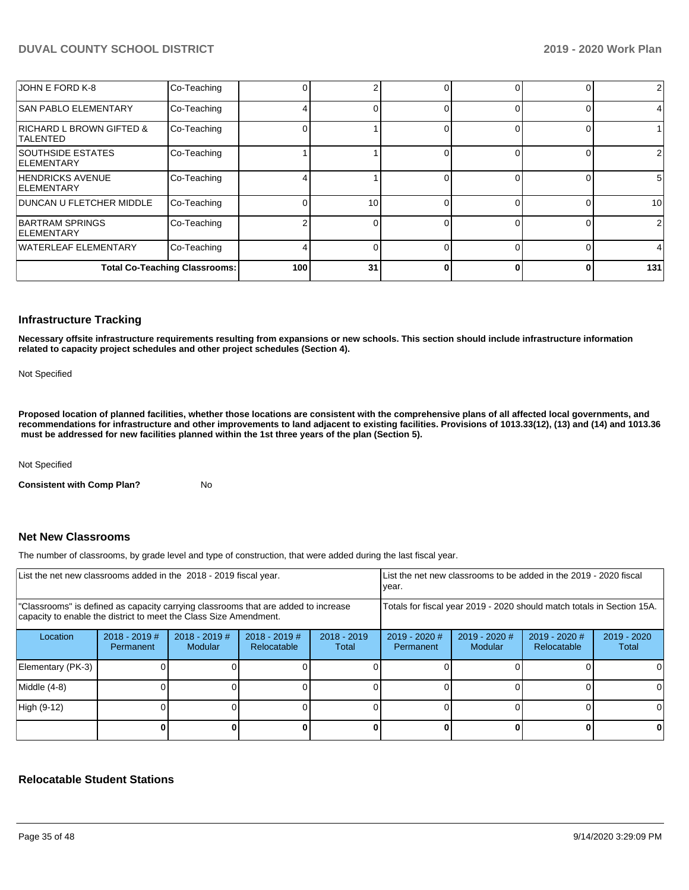| JOHN E FORD K-8                                 | Co-Teaching                          |     |    |  |   |     |
|-------------------------------------------------|--------------------------------------|-----|----|--|---|-----|
| <b>SAN PABLO ELEMENTARY</b>                     | Co-Teaching                          |     |    |  |   |     |
| <b>RICHARD L BROWN GIFTED &amp;</b><br>TALENTED | Co-Teaching                          |     |    |  |   |     |
| <b>SOUTHSIDE ESTATES</b><br><b>ELEMENTARY</b>   | Co-Teaching                          |     |    |  |   |     |
| <b>HENDRICKS AVENUE</b><br><b>ELEMENTARY</b>    | Co-Teaching                          |     |    |  |   | 5   |
| <b>IDUNCAN U FLETCHER MIDDLE</b>                | Co-Teaching                          |     | 10 |  |   | 10  |
| <b>BARTRAM SPRINGS</b><br><b>ELEMENTARY</b>     | Co-Teaching                          |     |    |  |   | 2   |
| <b>WATERLEAF ELEMENTARY</b>                     | Co-Teaching                          |     |    |  |   |     |
|                                                 | <b>Total Co-Teaching Classrooms:</b> | 100 | 31 |  | n | 131 |

#### **Infrastructure Tracking**

**Necessary offsite infrastructure requirements resulting from expansions or new schools. This section should include infrastructure information related to capacity project schedules and other project schedules (Section 4).** 

Not Specified

**Proposed location of planned facilities, whether those locations are consistent with the comprehensive plans of all affected local governments, and recommendations for infrastructure and other improvements to land adjacent to existing facilities. Provisions of 1013.33(12), (13) and (14) and 1013.36** must be addressed for new facilities planned within the 1st three years of the plan (Section 5).

Not Specified

**Consistent with Comp Plan?** No

#### **Net New Classrooms**

The number of classrooms, by grade level and type of construction, that were added during the last fiscal year.

|                                                                                                                                                         | List the net new classrooms added in the 2018 - 2019 fiscal year. |                                   |                                                                        |                        |                              | List the net new classrooms to be added in the 2019 - 2020 fiscal<br>year. |                                |                      |
|---------------------------------------------------------------------------------------------------------------------------------------------------------|-------------------------------------------------------------------|-----------------------------------|------------------------------------------------------------------------|------------------------|------------------------------|----------------------------------------------------------------------------|--------------------------------|----------------------|
| "Classrooms" is defined as capacity carrying classrooms that are added to increase<br>capacity to enable the district to meet the Class Size Amendment. |                                                                   |                                   | Totals for fiscal year 2019 - 2020 should match totals in Section 15A. |                        |                              |                                                                            |                                |                      |
| Location                                                                                                                                                | $2018 - 2019$ #<br>Permanent                                      | $2018 - 2019$ #<br><b>Modular</b> | $2018 - 2019$ #<br>Relocatable                                         | $2018 - 2019$<br>Total | $2019 - 2020$ #<br>Permanent | $2019 - 2020$ #<br><b>Modular</b>                                          | $2019 - 2020$ #<br>Relocatable | 2019 - 2020<br>Total |
| Elementary (PK-3)                                                                                                                                       |                                                                   |                                   |                                                                        |                        |                              |                                                                            |                                |                      |
| Middle (4-8)                                                                                                                                            |                                                                   |                                   |                                                                        |                        |                              |                                                                            |                                |                      |
| High (9-12)                                                                                                                                             |                                                                   |                                   |                                                                        |                        |                              |                                                                            |                                | ΩI                   |
|                                                                                                                                                         |                                                                   |                                   |                                                                        |                        |                              |                                                                            |                                | 0                    |

## **Relocatable Student Stations**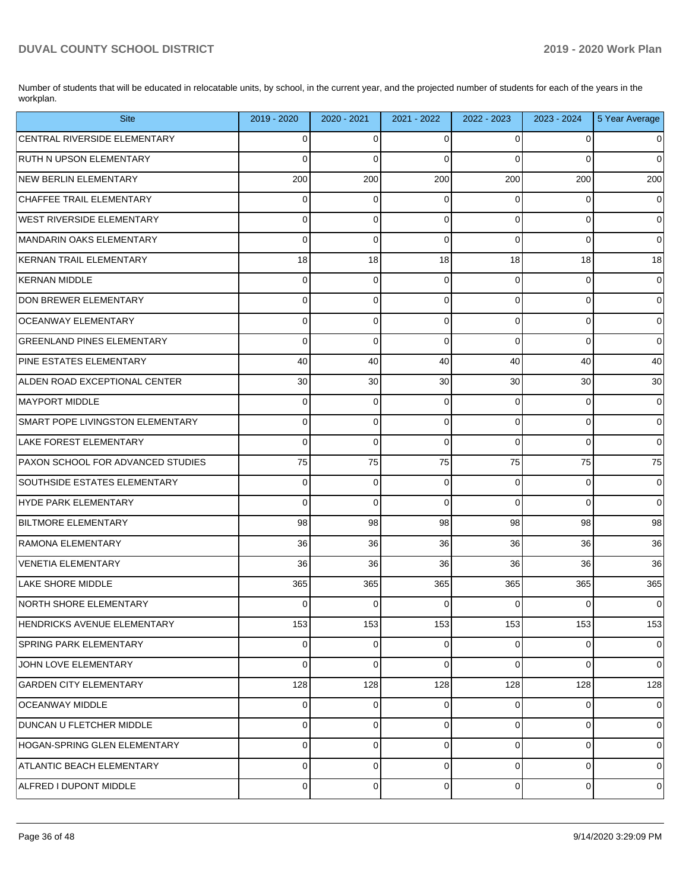Number of students that will be educated in relocatable units, by school, in the current year, and the projected number of students for each of the years in the workplan.

| <b>Site</b>                              | 2019 - 2020    | 2020 - 2021 | 2021 - 2022    | 2022 - 2023    | 2023 - 2024    | 5 Year Average |
|------------------------------------------|----------------|-------------|----------------|----------------|----------------|----------------|
| CENTRAL RIVERSIDE ELEMENTARY             | $\overline{0}$ | 0           | $\Omega$       | $\Omega$       | $\mathbf 0$    | $\overline{0}$ |
| <b>RUTH N UPSON ELEMENTARY</b>           | $\Omega$       | $\Omega$    | $\Omega$       | $\Omega$       | $\Omega$       | $\Omega$       |
| NEW BERLIN ELEMENTARY                    | 200            | 200         | 200            | 200            | 200            | 200            |
| CHAFFEE TRAIL ELEMENTARY                 | $\Omega$       | $\Omega$    | $\Omega$       | $\Omega$       | $\mathbf 0$    | $\overline{0}$ |
| WEST RIVERSIDE ELEMENTARY                | $\Omega$       | $\Omega$    | $\Omega$       | $\Omega$       | $\overline{0}$ | $\overline{0}$ |
| MANDARIN OAKS ELEMENTARY                 | $\Omega$       | $\Omega$    | $\Omega$       | $\Omega$       | $\Omega$       | $\overline{0}$ |
| KERNAN TRAIL ELEMENTARY                  | 18             | 18          | 18             | 18             | 18             | 18             |
| KERNAN MIDDLE                            | $\Omega$       | $\mathbf 0$ | $\Omega$       | $\Omega$       | $\overline{0}$ | $\overline{0}$ |
| <b>DON BREWER ELEMENTARY</b>             | $\Omega$       | $\Omega$    | $\Omega$       | $\Omega$       | $\mathbf 0$    | $\overline{0}$ |
| OCEANWAY ELEMENTARY                      | $\Omega$       | $\mathbf 0$ | $\Omega$       | $\Omega$       | $\overline{0}$ | $\overline{0}$ |
| <b>GREENLAND PINES ELEMENTARY</b>        | $\Omega$       | $\Omega$    | $\Omega$       | $\Omega$       | $\Omega$       | $\overline{0}$ |
| <b>PINE ESTATES ELEMENTARY</b>           | 40             | 40          | 40             | 40             | 40             | 40             |
| ALDEN ROAD EXCEPTIONAL CENTER            | 30             | 30          | 30             | 30             | 30             | 30             |
| MAYPORT MIDDLE                           | $\Omega$       | $\mathbf 0$ | $\Omega$       | $\Omega$       | $\mathbf 0$    | $\overline{0}$ |
| SMART POPE LIVINGSTON ELEMENTARY         | $\Omega$       | $\Omega$    | $\Omega$       | $\Omega$       | $\overline{0}$ | $\overline{0}$ |
| LAKE FOREST ELEMENTARY                   | $\Omega$       | $\Omega$    | $\Omega$       | $\Omega$       | $\Omega$       | $\overline{0}$ |
| <b>PAXON SCHOOL FOR ADVANCED STUDIES</b> | 75             | 75          | 75             | 75             | 75             | 75             |
| SOUTHSIDE ESTATES ELEMENTARY             | $\Omega$       | $\mathbf 0$ | $\Omega$       | $\Omega$       | $\mathbf 0$    | $\overline{0}$ |
| HYDE PARK ELEMENTARY                     | $\Omega$       | $\Omega$    | $\Omega$       | $\Omega$       | $\Omega$       | $\overline{0}$ |
| <b>BILTMORE ELEMENTARY</b>               | 98             | 98          | 98             | 98             | 98             | 98             |
| RAMONA ELEMENTARY                        | 36             | 36          | 36             | 36             | 36             | 36             |
| VENETIA ELEMENTARY                       | 36             | 36          | 36             | 36             | 36             | 36             |
| LAKE SHORE MIDDLE                        | 365            | 365         | 365            | 365            | 365            | 365            |
| NORTH SHORE ELEMENTARY                   | 0              | $\mathbf 0$ | 0              | $\Omega$       | $\mathbf 0$    | $\overline{0}$ |
| <b>HENDRICKS AVENUE ELEMENTARY</b>       | 153            | 153         | 153            | 153            | 153            | 153            |
| <b>SPRING PARK ELEMENTARY</b>            | $\overline{0}$ | 0           | $\overline{0}$ | $\overline{0}$ | $\overline{0}$ | $\overline{0}$ |
| JOHN LOVE ELEMENTARY                     | $\Omega$       | $\mathbf 0$ | $\Omega$       | $\Omega$       | $\overline{0}$ | $\overline{0}$ |
| <b>GARDEN CITY ELEMENTARY</b>            | 128            | 128         | 128            | 128            | 128            | 128            |
| <b>OCEANWAY MIDDLE</b>                   | $\overline{0}$ | $\mathbf 0$ | 0              | $\Omega$       | $\mathbf 0$    | $\overline{0}$ |
| DUNCAN U FLETCHER MIDDLE                 | $\overline{0}$ | $\mathbf 0$ | $\overline{0}$ | $\Omega$       | $\overline{0}$ | $\mathbf 0$    |
| HOGAN-SPRING GLEN ELEMENTARY             | $\overline{0}$ | $\mathbf 0$ | $\mathbf 0$    | $\overline{0}$ | $\mathbf 0$    | $\mathbf 0$    |
| ATLANTIC BEACH ELEMENTARY                | $\overline{0}$ | $\mathbf 0$ | $\overline{0}$ | $\overline{0}$ | $\mathbf 0$    | $\mathbf 0$    |
| ALFRED I DUPONT MIDDLE                   | $\overline{0}$ | 0           | $\mathbf 0$    | $\overline{0}$ | $\overline{0}$ | $\mathbf 0$    |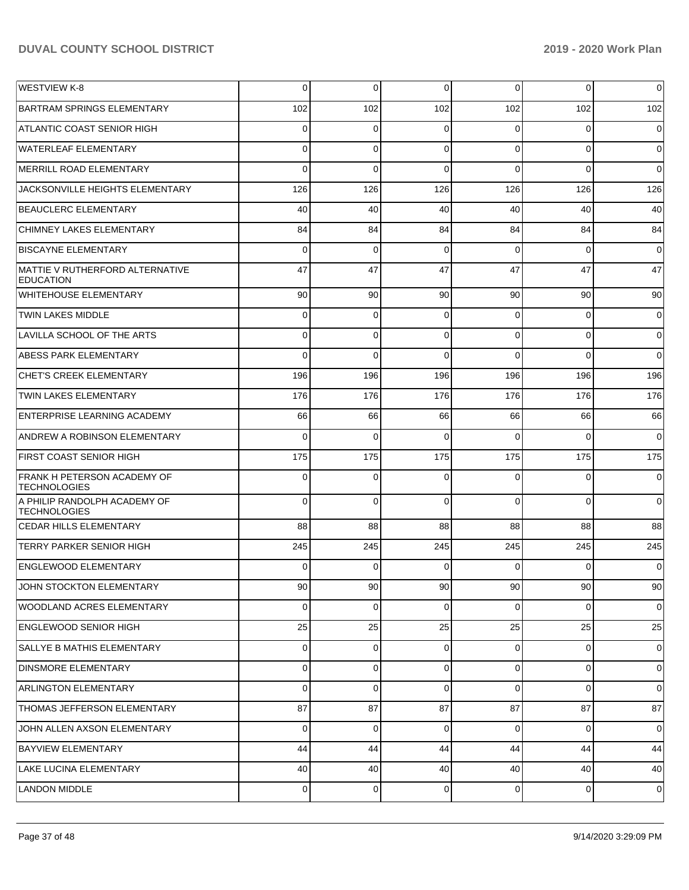| <b>WESTVIEW K-8</b>                                       | $\Omega$ | $\mathbf 0$    | $\mathbf 0$ | $\Omega$       | $\overline{0}$ | $\overline{0}$ |
|-----------------------------------------------------------|----------|----------------|-------------|----------------|----------------|----------------|
| <b>BARTRAM SPRINGS ELEMENTARY</b>                         | 102      | 102            | 102         | 102            | 102            | 102            |
| ATLANTIC COAST SENIOR HIGH                                | $\Omega$ | 0              | $\Omega$    | 0              | $\overline{0}$ | $\mathbf 0$    |
| <b>WATERLEAF ELEMENTARY</b>                               | $\Omega$ | $\mathbf 0$    | 0           | $\Omega$       | $\overline{0}$ | $\mathbf 0$    |
| MERRILL ROAD ELEMENTARY                                   | $\Omega$ | $\mathbf 0$    | $\Omega$    | $\Omega$       | $\Omega$       | $\overline{0}$ |
| JACKSONVILLE HEIGHTS ELEMENTARY                           | 126      | 126            | 126         | 126            | 126            | 126            |
| <b>BEAUCLERC ELEMENTARY</b>                               | 40       | 40             | 40          | 40             | 40             | 40             |
| CHIMNEY LAKES ELEMENTARY                                  | 84       | 84             | 84          | 84             | 84             | 84             |
| <b>BISCAYNE ELEMENTARY</b>                                | $\Omega$ | 0              | $\Omega$    | $\Omega$       | $\Omega$       | $\overline{0}$ |
| MATTIE V RUTHERFORD ALTERNATIVE<br><b>EDUCATION</b>       | 47       | 47             | 47          | 47             | 47             | 47             |
| <b>WHITEHOUSE ELEMENTARY</b>                              | 90       | 90             | 90          | 90             | 90             | 90             |
| <b>TWIN LAKES MIDDLE</b>                                  | $\Omega$ | $\mathbf 0$    | $\Omega$    | $\Omega$       | $\overline{0}$ | $\overline{0}$ |
| LAVILLA SCHOOL OF THE ARTS                                | 0        | 0              | $\Omega$    | $\Omega$       | $\overline{0}$ | $\overline{0}$ |
| ABESS PARK ELEMENTARY                                     | $\Omega$ | $\Omega$       | $\Omega$    | $\Omega$       | $\Omega$       | $\overline{0}$ |
| CHET'S CREEK ELEMENTARY                                   | 196      | 196            | 196         | 196            | 196            | 196            |
| <b>TWIN LAKES ELEMENTARY</b>                              | 176      | 176            | 176         | 176            | 176            | 176            |
| ENTERPRISE LEARNING ACADEMY                               | 66       | 66             | 66          | 66             | 66             | 66             |
| ANDREW A ROBINSON ELEMENTARY                              | $\Omega$ | $\Omega$       | $\Omega$    | $\Omega$       | $\Omega$       | $\overline{0}$ |
| <b>FIRST COAST SENIOR HIGH</b>                            | 175      | 175            | 175         | 175            | 175            | 175            |
| <b>FRANK H PETERSON ACADEMY OF</b><br><b>TECHNOLOGIES</b> | $\Omega$ | $\Omega$       | $\Omega$    | 0              | $\Omega$       | $\overline{0}$ |
| A PHILIP RANDOLPH ACADEMY OF<br><b>TECHNOLOGIES</b>       | 0        | $\mathbf 0$    | $\Omega$    | $\Omega$       | $\mathbf 0$    | $\overline{0}$ |
| <b>CEDAR HILLS ELEMENTARY</b>                             | 88       | 88             | 88          | 88             | 88             | 88             |
| <b>TERRY PARKER SENIOR HIGH</b>                           | 245      | 245            | 245         | 245            | 245            | 245            |
| <b>ENGLEWOOD ELEMENTARY</b>                               | $\Omega$ | 0              | $\Omega$    | 0              | $\overline{0}$ | $\overline{0}$ |
| JOHN STOCKTON ELEMENTARY                                  | 90       | 90             | 90 I        | 90             | 90             | 90             |
| <b>WOODLAND ACRES ELEMENTARY</b>                          | 0        | $\overline{0}$ | $\Omega$    | $\Omega$       | $\overline{0}$ | $\mathbf 0$    |
| ENGLEWOOD SENIOR HIGH                                     | 25       | 25             | 25          | 25             | 25             | 25             |
| SALLYE B MATHIS ELEMENTARY                                | $\Omega$ | $\overline{0}$ | 0           | 0              | $\overline{0}$ | $\mathbf 0$    |
| <b>DINSMORE ELEMENTARY</b>                                | 0        | $\overline{0}$ | 0           | 0              | $\overline{0}$ | $\overline{0}$ |
| <b>ARLINGTON ELEMENTARY</b>                               | $\Omega$ | $\mathbf 0$    | $\mathbf 0$ | $\Omega$       | $\overline{0}$ | $\mathbf 0$    |
| THOMAS JEFFERSON ELEMENTARY                               | 87       | 87             | 87          | 87             | 87             | 87             |
| JOHN ALLEN AXSON ELEMENTARY                               | $\Omega$ | $\overline{0}$ | 0           | $\Omega$       | $\overline{0}$ | $\overline{0}$ |
| <b>BAYVIEW ELEMENTARY</b>                                 | 44       | 44             | 44          | 44             | 44             | 44             |
| LAKE LUCINA ELEMENTARY                                    | 40       | 40             | 40          | 40             | 40             | 40             |
| <b>LANDON MIDDLE</b>                                      | 0        | $\overline{0}$ | 0           | $\overline{0}$ | $\overline{0}$ | $\mathbf 0$    |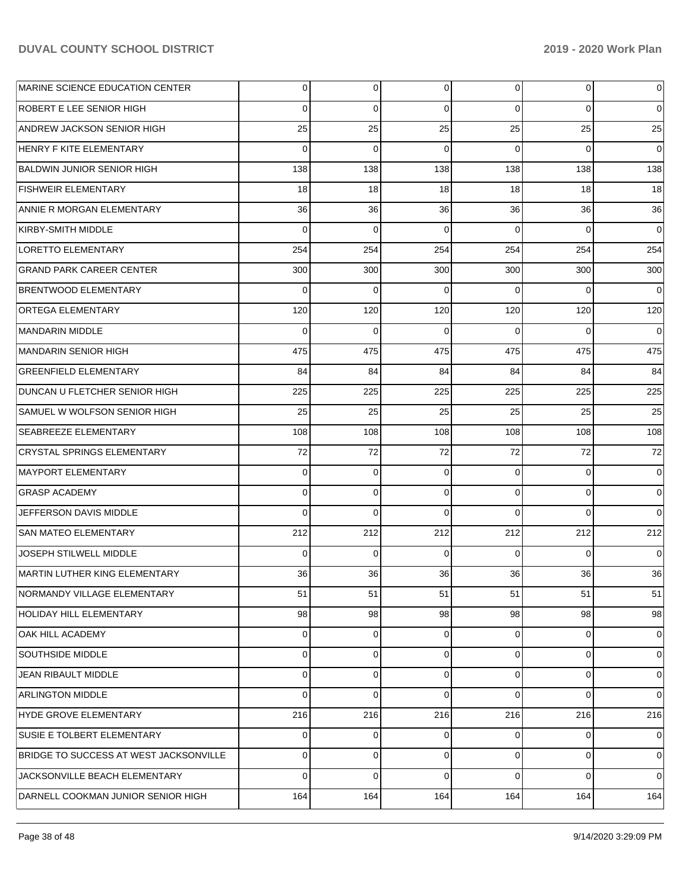| MARINE SCIENCE EDUCATION CENTER        | 0   | 0        | $\overline{0}$ | $\overline{0}$ | $\overline{0}$ | $\mathbf 0$    |
|----------------------------------------|-----|----------|----------------|----------------|----------------|----------------|
| ROBERT E LEE SENIOR HIGH               | 0   | 0        | $\Omega$       | 0              | $\overline{0}$ | $\overline{0}$ |
| <b>ANDREW JACKSON SENIOR HIGH</b>      | 25  | 25       | 25             | 25             | 25             | 25             |
| <b>HENRY F KITE ELEMENTARY</b>         | 0   | 0        | $\Omega$       | $\Omega$       | $\overline{0}$ | $\overline{0}$ |
| BALDWIN JUNIOR SENIOR HIGH             | 138 | 138      | 138            | 138            | 138            | 138            |
| <b>FISHWEIR ELEMENTARY</b>             | 18  | 18       | 18             | 18             | 18             | 18             |
| ANNIE R MORGAN ELEMENTARY              | 36  | 36       | 36             | 36             | 36             | 36             |
| KIRBY-SMITH MIDDLE                     | 0   | 0        | $\Omega$       | $\Omega$       | $\overline{0}$ | $\overline{0}$ |
| LORETTO ELEMENTARY                     | 254 | 254      | 254            | 254            | 254            | 254            |
| <b>GRAND PARK CAREER CENTER</b>        | 300 | 300      | 300            | 300            | 300            | 300            |
| <b>BRENTWOOD ELEMENTARY</b>            | 0   | 0        | $\Omega$       | $\Omega$       | $\Omega$       | $\overline{0}$ |
| ORTEGA ELEMENTARY                      | 120 | 120      | 120            | 120            | 120            | 120            |
| MANDARIN MIDDLE                        | 0   | 0        | $\Omega$       | $\Omega$       | $\Omega$       | $\overline{0}$ |
| <b>MANDARIN SENIOR HIGH</b>            | 475 | 475      | 475            | 475            | 475            | 475            |
| <b>GREENFIELD ELEMENTARY</b>           | 84  | 84       | 84             | 84             | 84             | 84             |
| DUNCAN U FLETCHER SENIOR HIGH          | 225 | 225      | 225            | 225            | 225            | 225            |
| SAMUEL W WOLFSON SENIOR HIGH           | 25  | 25       | 25             | 25             | 25             | 25             |
| SEABREEZE ELEMENTARY                   | 108 | 108      | 108            | 108            | 108            | 108            |
| <b>CRYSTAL SPRINGS ELEMENTARY</b>      | 72  | 72       | 72             | 72             | 72             | 72             |
| MAYPORT ELEMENTARY                     | 0   | 0        | $\Omega$       | 0              | $\overline{0}$ | $\overline{0}$ |
| <b>GRASP ACADEMY</b>                   | 0   | 0        | $\Omega$       | 0              | $\overline{0}$ | $\overline{0}$ |
| JEFFERSON DAVIS MIDDLE                 | 0   | $\Omega$ | $\Omega$       | $\Omega$       | $\Omega$       | $\overline{0}$ |
| SAN MATEO ELEMENTARY                   | 212 | 212      | 212            | 212            | 212            | 212            |
| <b>JOSEPH STILWELL MIDDLE</b>          | 0   | 0        | $\Omega$       | $\Omega$       | $\overline{0}$ | $\overline{0}$ |
| MARTIN LUTHER KING ELEMENTARY          | 36  | 36       | 36             | 36             | 36             | 36             |
| NORMANDY VILLAGE ELEMENTARY            | 51  | 51       | 51             | 51             | 51             | 51             |
| HOLIDAY HILL ELEMENTARY                | 98  | 98       | 98             | 98             | 98             | 98             |
| OAK HILL ACADEMY                       | 0   | 0        | $\Omega$       | 0              | $\overline{0}$ | $\mathbf 0$    |
| <b>SOUTHSIDE MIDDLE</b>                | 0   | 0        | $\Omega$       | 0              | $\overline{0}$ | $\mathbf 0$    |
| JEAN RIBAULT MIDDLE                    | 0   | 0        | $\Omega$       | 0              | $\overline{0}$ | $\mathbf 0$    |
| <b>ARLINGTON MIDDLE</b>                | 0   | 0        | $\Omega$       | 0              | $\overline{0}$ | $\overline{0}$ |
| HYDE GROVE ELEMENTARY                  | 216 | 216      | 216            | 216            | 216            | 216            |
| <b>SUSIE E TOLBERT ELEMENTARY</b>      | 0   | 0        | $\Omega$       | 0              | $\overline{0}$ | $\mathbf 0$    |
| BRIDGE TO SUCCESS AT WEST JACKSONVILLE | 0   | 0        | $\Omega$       | 0              | $\overline{0}$ | $\overline{0}$ |
| JACKSONVILLE BEACH ELEMENTARY          | 0   | 0        | $\Omega$       | 0              | $\overline{0}$ | $\overline{0}$ |
| DARNELL COOKMAN JUNIOR SENIOR HIGH     | 164 | 164      | 164            | 164            | 164            | 164            |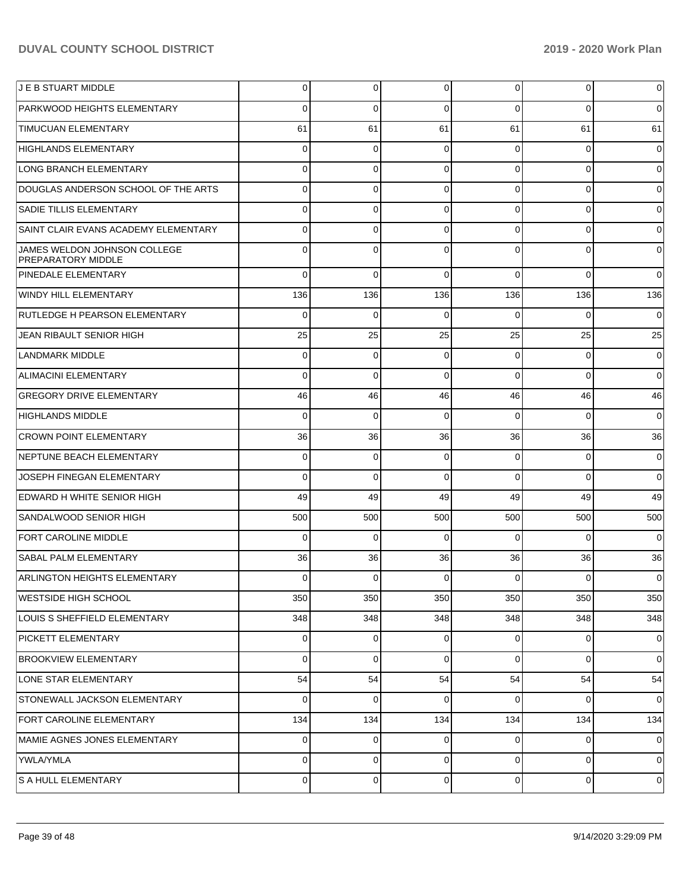| J E B STUART MIDDLE                                       | $\Omega$    | $\overline{0}$ | 0        | $\Omega$       | $\overline{0}$ | $\mathbf 0$    |
|-----------------------------------------------------------|-------------|----------------|----------|----------------|----------------|----------------|
| PARKWOOD HEIGHTS ELEMENTARY                               | 0           | 0              | $\Omega$ | $\Omega$       | $\Omega$       | $\overline{0}$ |
| <b>TIMUCUAN ELEMENTARY</b>                                | 61          | 61             | 61       | 61             | 61             | 61             |
| <b>HIGHLANDS ELEMENTARY</b>                               | 0           | 0              | 0        | 0              | $\overline{0}$ | $\overline{0}$ |
| LONG BRANCH ELEMENTARY                                    | 0           | $\overline{0}$ | $\Omega$ | $\Omega$       | $\overline{0}$ | $\overline{0}$ |
| DOUGLAS ANDERSON SCHOOL OF THE ARTS                       | 0           | $\overline{0}$ | $\Omega$ | $\Omega$       | $\overline{0}$ | $\mathbf 0$    |
| <b>SADIE TILLIS ELEMENTARY</b>                            | 0           | $\overline{0}$ | $\Omega$ | $\Omega$       | $\overline{0}$ | $\mathbf 0$    |
| SAINT CLAIR EVANS ACADEMY ELEMENTARY                      | $\Omega$    | $\mathbf 0$    | $\Omega$ | $\Omega$       | $\overline{0}$ | $\overline{0}$ |
| JAMES WELDON JOHNSON COLLEGE<br><b>PREPARATORY MIDDLE</b> | 0           | 0              | $\Omega$ | $\Omega$       | $\Omega$       | $\overline{0}$ |
| <b>PINEDALE ELEMENTARY</b>                                | $\Omega$    | $\Omega$       | $\Omega$ | $\Omega$       | $\Omega$       | $\overline{0}$ |
| <b>WINDY HILL ELEMENTARY</b>                              | 136         | 136            | 136      | 136            | 136            | 136            |
| RUTLEDGE H PEARSON ELEMENTARY                             | $\Omega$    | $\Omega$       | $\Omega$ | $\Omega$       | $\Omega$       | $\overline{0}$ |
| JEAN RIBAULT SENIOR HIGH                                  | 25          | 25             | 25       | 25             | 25             | 25             |
| LANDMARK MIDDLE                                           | 0           | $\mathbf 0$    | $\Omega$ | $\Omega$       | $\overline{0}$ | $\overline{0}$ |
| ALIMACINI ELEMENTARY                                      | $\Omega$    | $\mathbf 0$    | $\Omega$ | $\Omega$       | $\Omega$       | $\overline{0}$ |
| <b>GREGORY DRIVE ELEMENTARY</b>                           | 46          | 46             | 46       | 46             | 46             | 46             |
| HIGHLANDS MIDDLE                                          | $\Omega$    | $\mathbf 0$    | $\Omega$ | $\Omega$       | $\Omega$       | $\overline{0}$ |
| <b>CROWN POINT ELEMENTARY</b>                             | 36          | 36             | 36       | 36             | 36             | 36             |
| NEPTUNE BEACH ELEMENTARY                                  | 0           | 0              | $\Omega$ | $\Omega$       | $\overline{0}$ | $\overline{0}$ |
| JOSEPH FINEGAN ELEMENTARY                                 | $\Omega$    | $\Omega$       | $\Omega$ | $\Omega$       | $\Omega$       | $\overline{0}$ |
| <b>EDWARD H WHITE SENIOR HIGH</b>                         | 49          | 49             | 49       | 49             | 49             | 49             |
| SANDALWOOD SENIOR HIGH                                    | 500         | 500            | 500      | 500            | 500            | 500            |
| <b>FORT CAROLINE MIDDLE</b>                               | $\Omega$    | $\mathbf 0$    | $\Omega$ | $\Omega$       | $\Omega$       | $\overline{0}$ |
| <b>SABAL PALM ELEMENTARY</b>                              | 36          | 36             | 36       | 36             | 36             | 36             |
| ARLINGTON HEIGHTS ELEMENTARY                              | 0           | $\overline{0}$ | 0        | 0              | $\overline{0}$ | $\overline{0}$ |
| <b>WESTSIDE HIGH SCHOOL</b>                               | 350         | 350            | 350      | 350            | 350            | 350            |
| LOUIS S SHEFFIELD ELEMENTARY                              | 348         | 348            | 348      | 348            | 348            | 348            |
| PICKETT ELEMENTARY                                        | $\mathbf 0$ | $\overline{0}$ | $\Omega$ | 0              | $\overline{0}$ | $\mathbf 0$    |
| <b>BROOKVIEW ELEMENTARY</b>                               | 0           | $\mathbf{0}$   | $\Omega$ | 0              | $\overline{0}$ | $\overline{0}$ |
| LONE STAR ELEMENTARY                                      | 54          | 54             | 54       | 54             | 54             | 54             |
| STONEWALL JACKSON ELEMENTARY                              | $\mathbf 0$ | $\overline{0}$ | $\Omega$ | 0              | $\overline{0}$ | $\overline{0}$ |
| <b>FORT CAROLINE ELEMENTARY</b>                           | 134         | 134            | 134      | 134            | 134            | 134            |
| MAMIE AGNES JONES ELEMENTARY                              | $\mathbf 0$ | $\overline{0}$ | 0        | 0              | $\overline{0}$ | $\mathbf 0$    |
| YWLA/YMLA                                                 | $\mathbf 0$ | $\overline{0}$ | $\Omega$ | 0              | $\overline{0}$ | $\mathbf 0$    |
| S A HULL ELEMENTARY                                       | 0           | $\overline{0}$ | 0        | $\overline{0}$ | $\overline{0}$ | $\mathbf 0$    |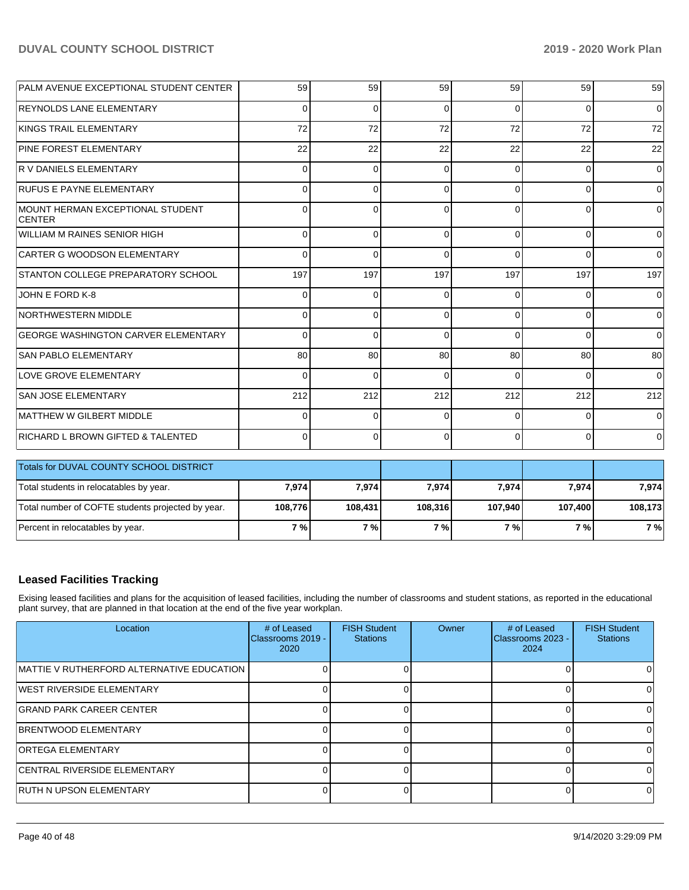| PALM AVENUE EXCEPTIONAL STUDENT CENTER            | 59       | 59       | 59       | 59           | 59       | 59          |
|---------------------------------------------------|----------|----------|----------|--------------|----------|-------------|
| <b>REYNOLDS LANE ELEMENTARY</b>                   | $\Omega$ | $\Omega$ | $\Omega$ | 0            | $\Omega$ | $\mathbf 0$ |
| KINGS TRAIL ELEMENTARY                            | 72       | 72       | 72       | 72           | 72       | 72          |
| PINE FOREST ELEMENTARY                            | 22       | 22       | 22       | 22           | 22       | 22          |
| R V DANIELS ELEMENTARY                            | $\Omega$ | $\Omega$ | $\Omega$ | 0            | $\Omega$ | $\Omega$    |
| <b>RUFUS E PAYNE ELEMENTARY</b>                   | $\Omega$ | $\Omega$ | $\Omega$ | 0            | $\Omega$ | $\Omega$    |
| MOUNT HERMAN EXCEPTIONAL STUDENT<br><b>CENTER</b> | $\Omega$ | $\Omega$ | $\Omega$ | $\Omega$     | $\Omega$ | $\Omega$    |
| WILLIAM M RAINES SENIOR HIGH                      | $\Omega$ | $\Omega$ | $\Omega$ | $\Omega$     | $\Omega$ | $\Omega$    |
| <b>CARTER G WOODSON ELEMENTARY</b>                | $\Omega$ | $\Omega$ | $\Omega$ | $\Omega$     | $\Omega$ | 0           |
| STANTON COLLEGE PREPARATORY SCHOOL                | 197      | 197      | 197      | 197          | 197      | 197         |
| JOHN E FORD K-8                                   | $\Omega$ | $\Omega$ | $\Omega$ | $\Omega$     | $\Omega$ | $\Omega$    |
| <b>NORTHWESTERN MIDDLE</b>                        | 0        | 0        | $\Omega$ | 0            | $\Omega$ | 0           |
| <b>GEORGE WASHINGTON CARVER ELEMENTARY</b>        | $\Omega$ | $\Omega$ | $\Omega$ | $\Omega$     | $\Omega$ | $\Omega$    |
| <b>SAN PABLO ELEMENTARY</b>                       | 80       | 80       | 80       | 80           | 80       | 80          |
| LOVE GROVE ELEMENTARY                             | $\Omega$ | $\Omega$ | $\Omega$ | $\Omega$     | $\Omega$ | $\Omega$    |
| <b>SAN JOSE ELEMENTARY</b>                        | 212      | 212      | 212      | 212          | 212      | 212         |
| <b>MATTHEW W GILBERT MIDDLE</b>                   | $\Omega$ | $\Omega$ | $\Omega$ | <sup>0</sup> | $\Omega$ | O           |
| RICHARD L BROWN GIFTED & TALENTED                 | $\Omega$ | $\Omega$ | $\Omega$ | 0            | $\Omega$ | 0           |
| Totals for DUVAL COUNTY SCHOOL DISTRICT           |          |          |          |              |          |             |
| Total students in relocatables by year.           | 7,974    | 7,974    | 7,974    | 7,974        | 7,974    | 7,974       |
| Total number of COFTE students projected by year. | 108,776  | 108,431  | 108,316  | 107,940      | 107,400  | 108,173     |
| Percent in relocatables by year.                  | 7%       | 7%       | 7%       | 7 %          | 7%       | 7%          |

## **Leased Facilities Tracking**

Exising leased facilities and plans for the acquisition of leased facilities, including the number of classrooms and student stations, as reported in the educational plant survey, that are planned in that location at the end of the five year workplan.

| Location                                  | # of Leased<br>IClassrooms 2019 -<br>2020 | <b>FISH Student</b><br><b>Stations</b> | Owner | # of Leased<br>Classrooms 2023 -<br>2024 | <b>FISH Student</b><br><b>Stations</b> |
|-------------------------------------------|-------------------------------------------|----------------------------------------|-------|------------------------------------------|----------------------------------------|
| MATTIE V RUTHERFORD ALTERNATIVE EDUCATION |                                           |                                        |       |                                          |                                        |
| <b>IWEST RIVERSIDE ELEMENTARY</b>         |                                           |                                        |       |                                          |                                        |
| <b>GRAND PARK CAREER CENTER</b>           |                                           |                                        |       |                                          |                                        |
| <b>BRENTWOOD ELEMENTARY</b>               |                                           |                                        |       |                                          |                                        |
| <b>ORTEGA ELEMENTARY</b>                  |                                           |                                        |       |                                          |                                        |
| <b>CENTRAL RIVERSIDE ELEMENTARY</b>       |                                           |                                        |       |                                          |                                        |
| <b>RUTH N UPSON ELEMENTARY</b>            |                                           |                                        |       |                                          |                                        |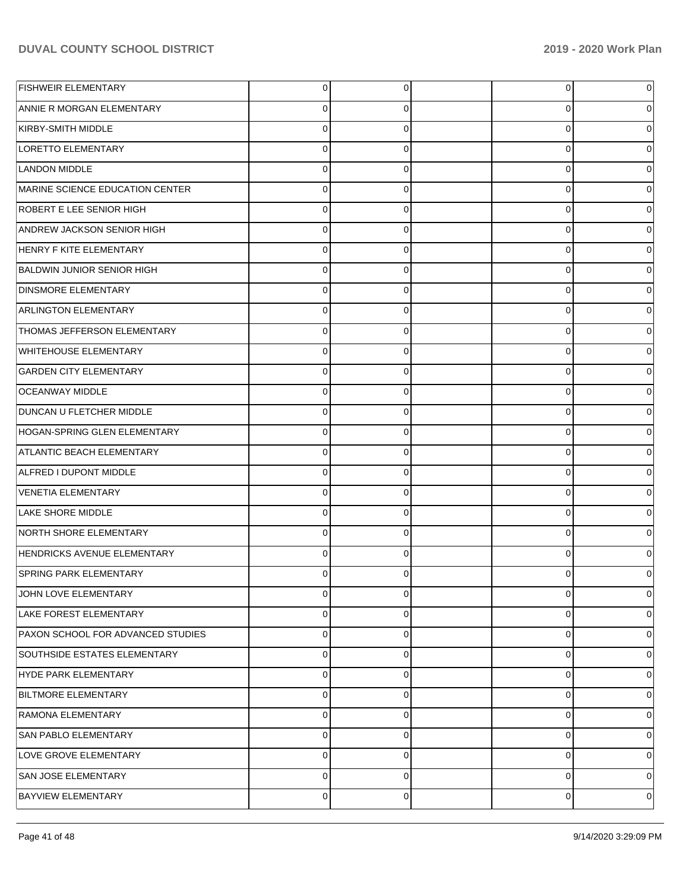| <b>FISHWEIR ELEMENTARY</b>         | 0 | 0           | $\overline{0}$ | 0        |
|------------------------------------|---|-------------|----------------|----------|
| ANNIE R MORGAN ELEMENTARY          | 0 | 0           | 0              | 0        |
| KIRBY-SMITH MIDDLE                 | 0 | 0           | 0              | $\Omega$ |
| LORETTO ELEMENTARY                 | 0 | 0           | 0              | 0        |
| <b>LANDON MIDDLE</b>               | 0 | 0           | 0              | 0        |
| MARINE SCIENCE EDUCATION CENTER    | 0 | 0           | 0              | 0        |
| ROBERT E LEE SENIOR HIGH           | 0 | 0           | 0              | 0        |
| <b>ANDREW JACKSON SENIOR HIGH</b>  | 0 | 0           | 0              | 0        |
| HENRY F KITE ELEMENTARY            | 0 | 0           | 0              | 0        |
| <b>BALDWIN JUNIOR SENIOR HIGH</b>  | 0 | 0           | 0              | 0        |
| <b>DINSMORE ELEMENTARY</b>         | 0 | 0           | 0              | 0        |
| <b>ARLINGTON ELEMENTARY</b>        | 0 | 0           | 0              | 0        |
| <b>THOMAS JEFFERSON ELEMENTARY</b> | 0 | 0           | 0              | 0        |
| <b>WHITEHOUSE ELEMENTARY</b>       | 0 | 0           | 0              | 0        |
| <b>GARDEN CITY ELEMENTARY</b>      | 0 | 0           | 0              | 0        |
| <b>OCEANWAY MIDDLE</b>             | 0 | 0           | 0              | 0        |
| <b>DUNCAN U FLETCHER MIDDLE</b>    | 0 | 0           | 0              | 0        |
| HOGAN-SPRING GLEN ELEMENTARY       | 0 | 0           | 0              | 0        |
| <b>ATLANTIC BEACH ELEMENTARY</b>   | 0 | 0           | 0              | 0        |
| ALFRED I DUPONT MIDDLE             | 0 | 0           | 0              | 0        |
| VENETIA ELEMENTARY                 | 0 | 0           | 0              | 0        |
| LAKE SHORE MIDDLE                  | 0 | 0           | 0              | 0        |
| NORTH SHORE ELEMENTARY             | 0 | 0           | 0              | 0        |
| <b>HENDRICKS AVENUE ELEMENTARY</b> | 0 | 0           | 0              | 0        |
| <b>SPRING PARK ELEMENTARY</b>      |   |             | 0              |          |
| JOHN LOVE ELEMENTARY               | 0 | 0           | $\overline{0}$ | 0        |
| LAKE FOREST ELEMENTARY             | 0 | 0           | 0              | 0        |
| PAXON SCHOOL FOR ADVANCED STUDIES  | 0 | 0           | 0              | 0        |
| SOUTHSIDE ESTATES ELEMENTARY       | 0 | 0           | 0              | 0        |
| HYDE PARK ELEMENTARY               | 0 | $\Omega$    | $\mathbf 0$    | 0        |
| <b>BILTMORE ELEMENTARY</b>         | 0 | $\Omega$    | 0              | 0        |
| <b>RAMONA ELEMENTARY</b>           | 0 | $\Omega$    | 0              | 0        |
| <b>SAN PABLO ELEMENTARY</b>        | 0 | 0           | 0              | 0        |
| LOVE GROVE ELEMENTARY              | 0 | $\Omega$    | 0              | 0        |
| <b>SAN JOSE ELEMENTARY</b>         | 0 | $\Omega$    | 0              | 0        |
| <b>BAYVIEW ELEMENTARY</b>          | 0 | $\mathbf 0$ | 0              | 0        |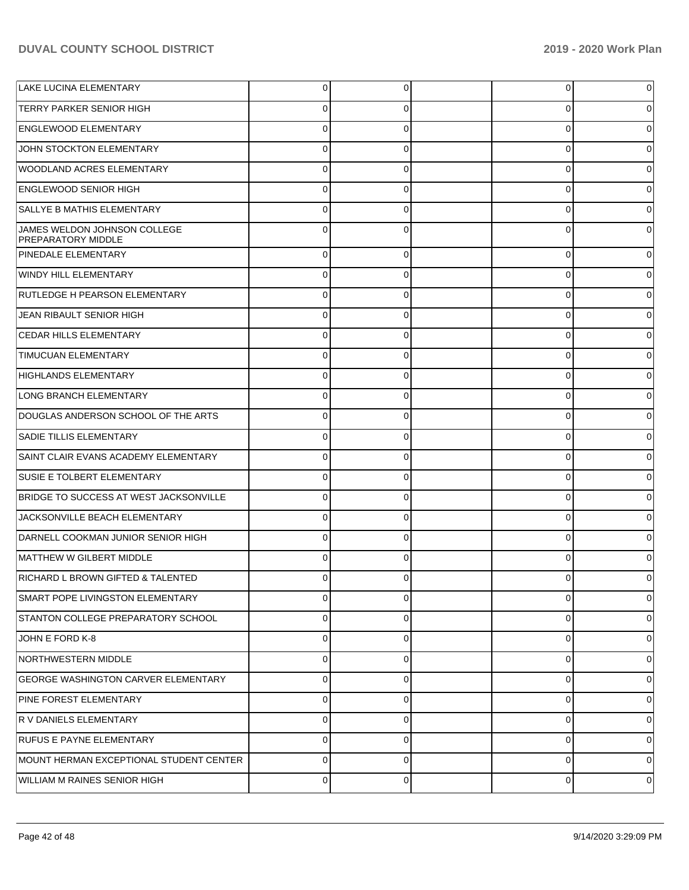| LAKE LUCINA ELEMENTARY                                    | $\overline{0}$ | 0        | 0        | $\overline{0}$ |
|-----------------------------------------------------------|----------------|----------|----------|----------------|
| <b>TERRY PARKER SENIOR HIGH</b>                           | 0              | $\Omega$ | 0        | 0              |
| <b>ENGLEWOOD ELEMENTARY</b>                               | $\mathbf 0$    | $\Omega$ | $\Omega$ | 0              |
| JOHN STOCKTON ELEMENTARY                                  | $\mathbf 0$    | $\Omega$ | 0        | 0              |
| <b>WOODLAND ACRES ELEMENTARY</b>                          | $\mathbf 0$    | $\Omega$ | 0        | 0              |
| <b>ENGLEWOOD SENIOR HIGH</b>                              | $\mathbf 0$    | $\Omega$ | 0        | 0              |
| SALLYE B MATHIS ELEMENTARY                                | $\mathbf 0$    | $\Omega$ | $\Omega$ | 0              |
| JAMES WELDON JOHNSON COLLEGE<br><b>PREPARATORY MIDDLE</b> | 0              | $\Omega$ | 0        | 0              |
| <b>PINEDALE ELEMENTARY</b>                                | 0              |          | 0        | $\overline{0}$ |
| WINDY HILL ELEMENTARY                                     | 0              |          | U        | $\overline{0}$ |
| <b>RUTLEDGE H PEARSON ELEMENTARY</b>                      | 0              |          | U        | $\overline{0}$ |
| JEAN RIBAULT SENIOR HIGH                                  | $\mathbf 0$    | 0        | U        | $\overline{0}$ |
| <b>CEDAR HILLS ELEMENTARY</b>                             | 0              |          | U        | $\Omega$       |
| <b>TIMUCUAN ELEMENTARY</b>                                | 0              |          | U        | 0              |
| <b>HIGHLANDS ELEMENTARY</b>                               | 0              |          | O        | 0              |
| LONG BRANCH ELEMENTARY                                    | 0              |          | U        | 0              |
| DOUGLAS ANDERSON SCHOOL OF THE ARTS                       | 0              |          |          | 0              |
| SADIE TILLIS ELEMENTARY                                   | 0              |          | U        | 0              |
| SAINT CLAIR EVANS ACADEMY ELEMENTARY                      | $\mathbf 0$    |          | U        | $\Omega$       |
| SUSIE E TOLBERT ELEMENTARY                                | $\mathbf 0$    | ∩        | U        | $\overline{0}$ |
| BRIDGE TO SUCCESS AT WEST JACKSONVILLE                    | 0              |          | U        | $\overline{0}$ |
| JACKSONVILLE BEACH ELEMENTARY                             | $\mathbf 0$    |          | 0        | $\overline{0}$ |
| DARNELL COOKMAN JUNIOR SENIOR HIGH                        | 0              |          | O        | 0              |
| MATTHEW W GILBERT MIDDLE                                  | 0              |          | O        | 0              |
| RICHARD L BROWN GIFTED & TALENTED                         | 0              |          |          | 0              |
| SMART POPE LIVINGSTON ELEMENTARY                          | $\mathbf 0$    | $\Omega$ | $\Omega$ | $\overline{0}$ |
| STANTON COLLEGE PREPARATORY SCHOOL                        | $\mathbf 0$    | 0        | 0        | $\overline{0}$ |
| JOHN E FORD K-8                                           | $\mathbf 0$    | ∩        | $\Omega$ | $\overline{0}$ |
| NORTHWESTERN MIDDLE                                       | $\mathbf 0$    | 0        | 0        | $\overline{0}$ |
| <b>GEORGE WASHINGTON CARVER ELEMENTARY</b>                | $\mathbf 0$    | ∩        | $\Omega$ | $\overline{0}$ |
| <b>PINE FOREST ELEMENTARY</b>                             | $\mathbf 0$    | 0        | 0        | $\overline{0}$ |
| R V DANIELS ELEMENTARY                                    | $\mathbf 0$    | ∩        | $\Omega$ | $\overline{0}$ |
| <b>RUFUS E PAYNE ELEMENTARY</b>                           | $\mathbf 0$    | 0        | 0        | $\overline{0}$ |
| MOUNT HERMAN EXCEPTIONAL STUDENT CENTER                   | $\mathbf 0$    | ∩        | 0        | $\overline{0}$ |
| WILLIAM M RAINES SENIOR HIGH                              | 0              | $\Omega$ | 0        | 0              |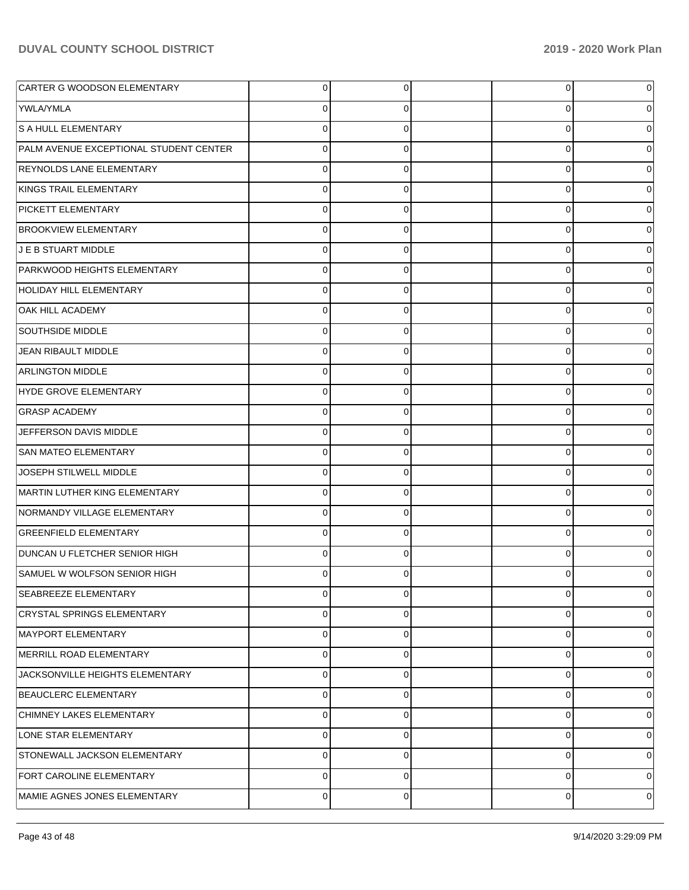| CARTER G WOODSON ELEMENTARY            | $\overline{0}$ | 0 | 0 | 0 |
|----------------------------------------|----------------|---|---|---|
| YWLA/YMLA                              | 0              | 0 | 0 | 0 |
| S A HULL ELEMENTARY                    | $\mathbf{0}$   | 0 | 0 | 0 |
| PALM AVENUE EXCEPTIONAL STUDENT CENTER | $\mathbf 0$    | 0 | 0 | 0 |
| <b>REYNOLDS LANE ELEMENTARY</b>        | $\mathbf{0}$   | 0 | 0 | 0 |
| KINGS TRAIL ELEMENTARY                 | $\mathbf 0$    | 0 | 0 | 0 |
| PICKETT ELEMENTARY                     | $\mathbf{0}$   | 0 | 0 | 0 |
| <b>BROOKVIEW ELEMENTARY</b>            | $\mathbf 0$    | 0 | 0 | 0 |
| J E B STUART MIDDLE                    | $\mathbf{0}$   | 0 | 0 | 0 |
| PARKWOOD HEIGHTS ELEMENTARY            | $\mathbf 0$    | 0 | 0 | 0 |
| HOLIDAY HILL ELEMENTARY                | $\mathbf{0}$   | 0 | 0 | 0 |
| <b>OAK HILL ACADEMY</b>                | $\mathbf 0$    | 0 | 0 | 0 |
| <b>SOUTHSIDE MIDDLE</b>                | $\mathbf{0}$   | 0 | 0 | 0 |
| JEAN RIBAULT MIDDLE                    | $\mathbf 0$    | 0 | 0 | 0 |
| <b>ARLINGTON MIDDLE</b>                | $\mathbf{0}$   | 0 | 0 | 0 |
| <b>HYDE GROVE ELEMENTARY</b>           | $\mathbf 0$    | 0 | 0 | 0 |
| <b>GRASP ACADEMY</b>                   | $\mathbf{0}$   | 0 | 0 | 0 |
| JEFFERSON DAVIS MIDDLE                 | $\mathbf 0$    | 0 | 0 | 0 |
| <b>SAN MATEO ELEMENTARY</b>            | $\mathbf 0$    | 0 | 0 | 0 |
| JOSEPH STILWELL MIDDLE                 | $\mathbf 0$    | 0 | 0 | 0 |
| MARTIN LUTHER KING ELEMENTARY          | $\mathbf{0}$   | 0 | 0 | 0 |
| NORMANDY VILLAGE ELEMENTARY            | $\mathbf 0$    | 0 | 0 | 0 |
| <b>GREENFIELD ELEMENTARY</b>           | $\mathbf 0$    | 0 | 0 | 0 |
| DUNCAN U FLETCHER SENIOR HIGH          | $\mathbf 0$    | 0 | 0 | 0 |
| SAMUEL W WOLFSON SENIOR HIGH           | 0              | 0 | 0 |   |
| <b>SEABREEZE ELEMENTARY</b>            | $\overline{0}$ | 0 | 0 | 0 |
| CRYSTAL SPRINGS ELEMENTARY             | $\mathbf 0$    | 0 | 0 | 0 |
| MAYPORT ELEMENTARY                     | $\mathbf{0}$   | 0 | 0 | 0 |
| MERRILL ROAD ELEMENTARY                | $\mathbf{0}$   | 0 | 0 | 0 |
| JACKSONVILLE HEIGHTS ELEMENTARY        | $\mathbf{0}$   | 0 | 0 | 0 |
| BEAUCLERC ELEMENTARY                   | $\mathbf{0}$   | 0 | 0 | 0 |
| CHIMNEY LAKES ELEMENTARY               | $\mathbf{0}$   | 0 | 0 | 0 |
| LONE STAR ELEMENTARY                   | $\mathbf{0}$   | 0 | 0 | 0 |
| STONEWALL JACKSON ELEMENTARY           | $\mathbf{0}$   | 0 | 0 | 0 |
| <b>FORT CAROLINE ELEMENTARY</b>        | $\mathbf 0$    | 0 | 0 | 0 |
| MAMIE AGNES JONES ELEMENTARY           | $\mathbf{0}$   | 0 | 0 | 0 |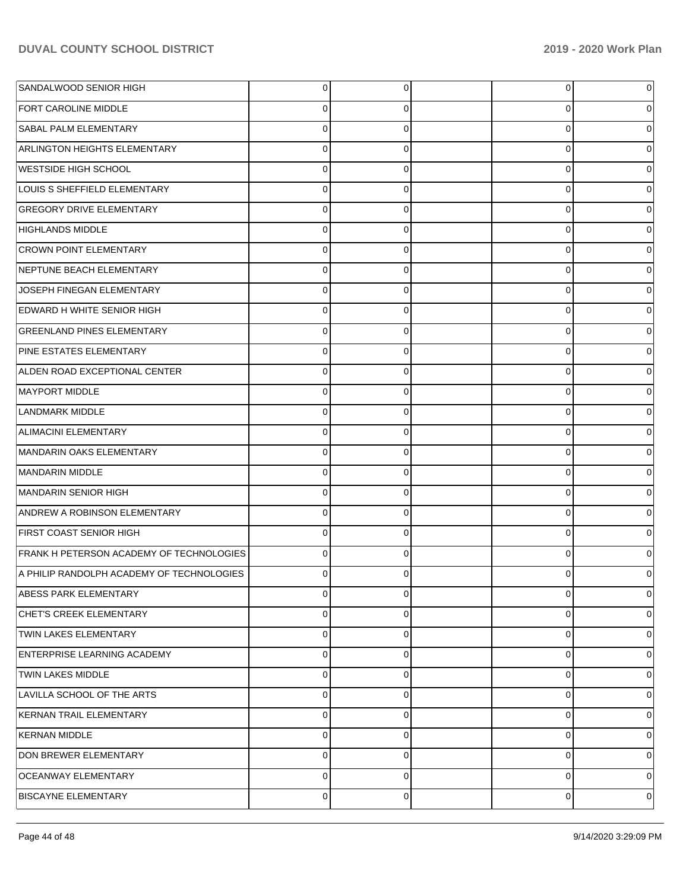| SANDALWOOD SENIOR HIGH                          | 0           | 0              | $\overline{0}$ | 0 |
|-------------------------------------------------|-------------|----------------|----------------|---|
| <b>FORT CAROLINE MIDDLE</b>                     | 0           | 0              | 0              | 0 |
| <b>SABAL PALM ELEMENTARY</b>                    | $\mathbf 0$ | 0              | 0              | 0 |
| ARLINGTON HEIGHTS ELEMENTARY                    | 0           | 0              | 0              | 0 |
| <b>WESTSIDE HIGH SCHOOL</b>                     | 0           | 0              | 0              |   |
| LOUIS S SHEFFIELD ELEMENTARY                    | 0           | 0              | 0              | 0 |
| <b>GREGORY DRIVE ELEMENTARY</b>                 | 0           | 0              | 0              | 0 |
| <b>HIGHLANDS MIDDLE</b>                         | 0           | 0              | 0              | 0 |
| <b>CROWN POINT ELEMENTARY</b>                   | 0           | 0              | 0              | 0 |
| NEPTUNE BEACH ELEMENTARY                        | 0           | 0              | 0              | 0 |
| JOSEPH FINEGAN ELEMENTARY                       | 0           | 0              | 0              |   |
| <b>EDWARD H WHITE SENIOR HIGH</b>               | 0           | 0              | 0              | 0 |
| <b>GREENLAND PINES ELEMENTARY</b>               | 0           | 0              | 0              | 0 |
| <b>PINE ESTATES ELEMENTARY</b>                  | 0           | 0              | 0              | 0 |
| ALDEN ROAD EXCEPTIONAL CENTER                   | 0           | 0              | 0              | 0 |
| MAYPORT MIDDLE                                  | 0           | 0              | 0              | 0 |
| LANDMARK MIDDLE                                 | 0           | 0              | 0              |   |
| ALIMACINI ELEMENTARY                            | 0           | 0              | 0              | 0 |
| MANDARIN OAKS ELEMENTARY                        | 0           | 0              | 0              | 0 |
| MANDARIN MIDDLE                                 | 0           | 0              | 0              | 0 |
| MANDARIN SENIOR HIGH                            | 0           | 0              | 0              | 0 |
| ANDREW A ROBINSON ELEMENTARY                    | 0           | 0              | 0              | 0 |
| <b>FIRST COAST SENIOR HIGH</b>                  | 0           | 0              | 0              |   |
| <b>FRANK H PETERSON ACADEMY OF TECHNOLOGIES</b> | 0           | 0              | 0              | 0 |
| A PHILIP RANDOLPH ACADEMY OF TECHNOLOGIES       | 0           | 0              | 0              |   |
| <b>ABESS PARK ELEMENTARY</b>                    | 0           | $\overline{0}$ | $\overline{0}$ | 0 |
| <b>CHET'S CREEK ELEMENTARY</b>                  | 0           | 0              | 0              | 0 |
| TWIN LAKES ELEMENTARY                           | 0           | 0              | 0              | 0 |
| <b>ENTERPRISE LEARNING ACADEMY</b>              | 0           | 0              | 0              | 0 |
| <b>TWIN LAKES MIDDLE</b>                        | $\mathbf 0$ | 0              | 0              | 0 |
| LAVILLA SCHOOL OF THE ARTS                      | 0           | 0              | 0              | 0 |
| KERNAN TRAIL ELEMENTARY                         | $\mathbf 0$ | 0              | 0              | 0 |
| <b>KERNAN MIDDLE</b>                            | 0           | 0              | 0              | 0 |
| DON BREWER ELEMENTARY                           | 0           | 0              | $\mathbf 0$    | 0 |
| <b>OCEANWAY ELEMENTARY</b>                      | 0           | 0              | 0              | 0 |
| <b>BISCAYNE ELEMENTARY</b>                      | 0           | 0              | 0              | 0 |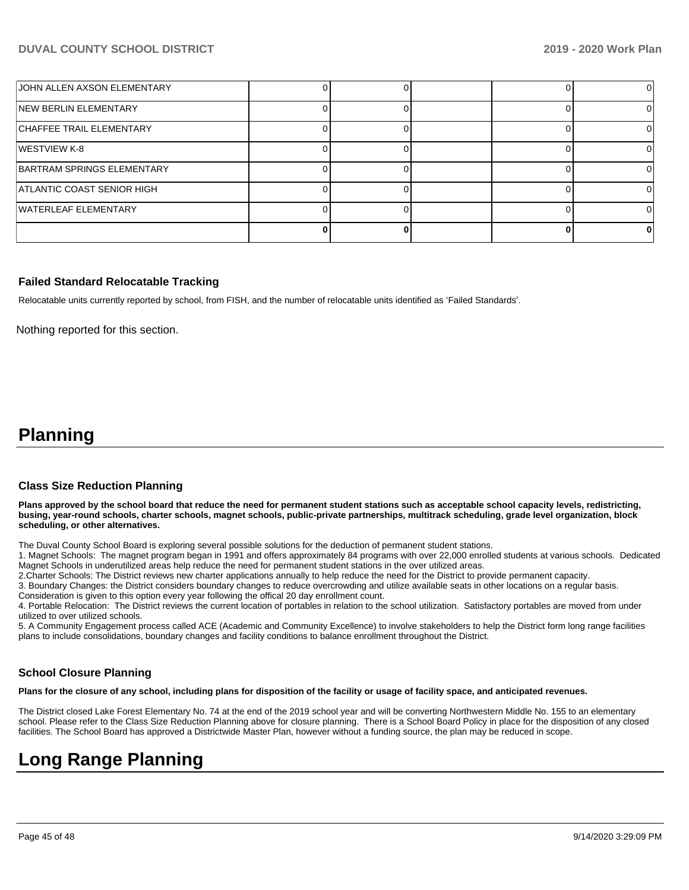| <b>JOHN ALLEN AXSON ELEMENTARY</b> |  |  |  |
|------------------------------------|--|--|--|
| <b>NEW BERLIN ELEMENTARY</b>       |  |  |  |
| <b>CHAFFEE TRAIL ELEMENTARY</b>    |  |  |  |
| <b>IWESTVIEW K-8</b>               |  |  |  |
| BARTRAM SPRINGS ELEMENTARY         |  |  |  |
| ATLANTIC COAST SENIOR HIGH         |  |  |  |
| <b>WATERLEAF ELEMENTARY</b>        |  |  |  |
|                                    |  |  |  |

#### **Failed Standard Relocatable Tracking**

Relocatable units currently reported by school, from FISH, and the number of relocatable units identified as 'Failed Standards'.

Nothing reported for this section.

# **Planning**

#### **Class Size Reduction Planning**

**Plans approved by the school board that reduce the need for permanent student stations such as acceptable school capacity levels, redistricting, busing, year-round schools, charter schools, magnet schools, public-private partnerships, multitrack scheduling, grade level organization, block scheduling, or other alternatives.**

The Duval County School Board is exploring several possible solutions for the deduction of permanent student stations.

1. Magnet Schools: The magnet program began in 1991 and offers approximately 84 programs with over 22,000 enrolled students at various schools. Dedicated Magnet Schools in underutilized areas help reduce the need for permanent student stations in the over utilized areas.

2.Charter Schools: The District reviews new charter applications annually to help reduce the need for the District to provide permanent capacity.

3. Boundary Changes: the District considers boundary changes to reduce overcrowding and utilize available seats in other locations on a regular basis.

Consideration is given to this option every year following the offical 20 day enrollment count.

4. Portable Relocation: The District reviews the current location of portables in relation to the school utilization. Satisfactory portables are moved from under utilized to over utilized schools.

5. A Community Engagement process called ACE (Academic and Community Excellence) to involve stakeholders to help the District form long range facilities plans to include consolidations, boundary changes and facility conditions to balance enrollment throughout the District.

#### **School Closure Planning**

**Plans for the closure of any school, including plans for disposition of the facility or usage of facility space, and anticipated revenues.** 

The District closed Lake Forest Elementary No. 74 at the end of the 2019 school year and will be converting Northwestern Middle No. 155 to an elementary school. Please refer to the Class Size Reduction Planning above for closure planning. There is a School Board Policy in place for the disposition of any closed facilities. The School Board has approved a Districtwide Master Plan, however without a funding source, the plan may be reduced in scope.

# **Long Range Planning**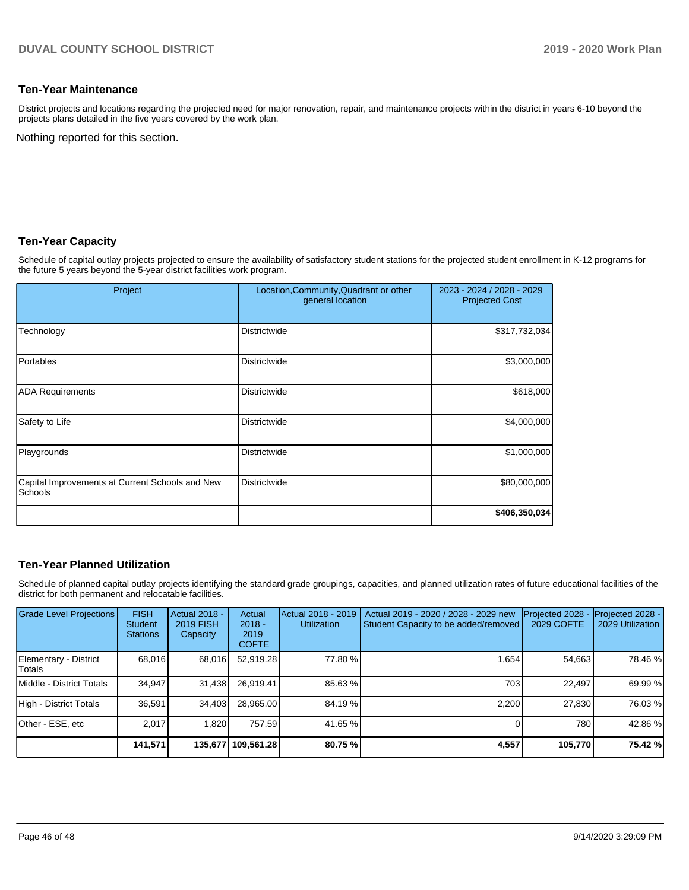#### **Ten-Year Maintenance**

District projects and locations regarding the projected need for major renovation, repair, and maintenance projects within the district in years 6-10 beyond the projects plans detailed in the five years covered by the work plan.

Nothing reported for this section.

### **Ten-Year Capacity**

Schedule of capital outlay projects projected to ensure the availability of satisfactory student stations for the projected student enrollment in K-12 programs for the future 5 years beyond the 5-year district facilities work program.

| Project                                                    | Location, Community, Quadrant or other<br>general location | 2023 - 2024 / 2028 - 2029<br><b>Projected Cost</b> |
|------------------------------------------------------------|------------------------------------------------------------|----------------------------------------------------|
| Technology                                                 | Districtwide                                               | \$317,732,034                                      |
| Portables                                                  | Districtwide                                               | \$3,000,000                                        |
| <b>ADA Requirements</b>                                    | <b>Districtwide</b>                                        | \$618,000                                          |
| Safety to Life                                             | <b>Districtwide</b>                                        | \$4,000,000                                        |
| Playgrounds                                                | <b>Districtwide</b>                                        | \$1,000,000                                        |
| Capital Improvements at Current Schools and New<br>Schools | Districtwide                                               | \$80,000,000                                       |
|                                                            |                                                            | \$406,350,034                                      |

## **Ten-Year Planned Utilization**

Schedule of planned capital outlay projects identifying the standard grade groupings, capacities, and planned utilization rates of future educational facilities of the district for both permanent and relocatable facilities.

| <b>Grade Level Projections</b>   | <b>FISH</b><br><b>Student</b><br><b>Stations</b> | <b>Actual 2018 -</b><br><b>2019 FISH</b><br>Capacity | Actual<br>$2018 -$<br>2019<br><b>COFTE</b> | Actual 2018 - 2019<br><b>Utilization</b> | Actual 2019 - 2020 / 2028 - 2029 new<br>Student Capacity to be added/removed | Projected 2028<br><b>2029 COFTE</b> | Projected 2028 -<br>2029 Utilization |
|----------------------------------|--------------------------------------------------|------------------------------------------------------|--------------------------------------------|------------------------------------------|------------------------------------------------------------------------------|-------------------------------------|--------------------------------------|
| Elementary - District<br> Totals | 68.016                                           | 68,016                                               | 52,919.28                                  | 77.80 %                                  | 1.654                                                                        | 54.663                              | 78.46 %                              |
| Middle - District Totals         | 34.947                                           | 31,438                                               | 26.919.41                                  | 85.63 %                                  | 703                                                                          | 22.497                              | 69.99 %                              |
| High - District Totals           | 36,591                                           | 34.403                                               | 28.965.00                                  | 84.19%                                   | 2.200                                                                        | 27.830                              | 76.03%                               |
| Other - ESE. etc                 | 2.017                                            | 1.820                                                | 757.59                                     | 41.65 %                                  |                                                                              | 780                                 | 42.86%                               |
|                                  | 141,571                                          |                                                      | 135,677   109,561.28                       | 80.75 %                                  | 4,557                                                                        | 105,770                             | 75.42 %                              |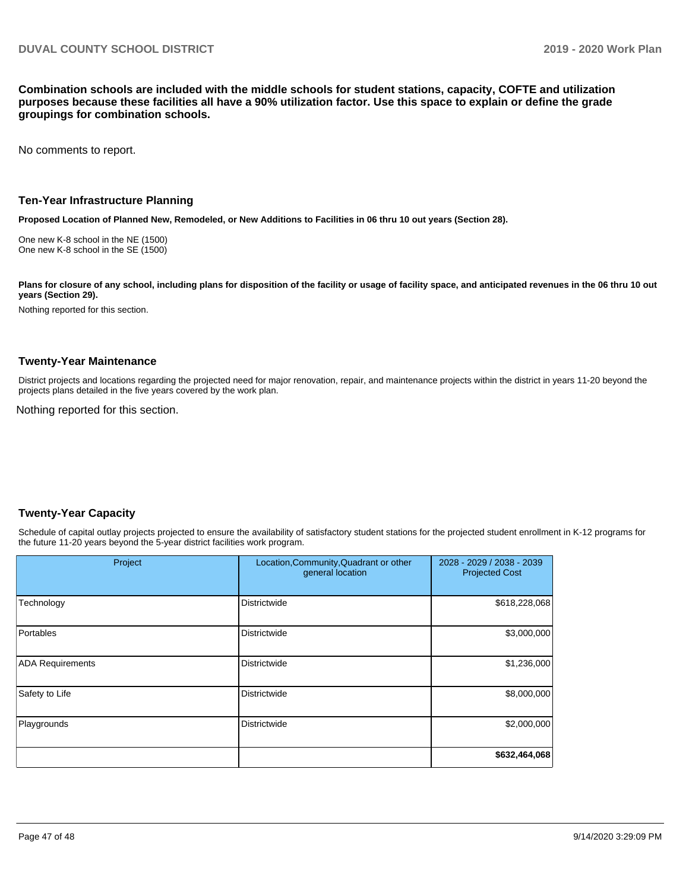**Combination schools are included with the middle schools for student stations, capacity, COFTE and utilization purposes because these facilities all have a 90% utilization factor. Use this space to explain or define the grade groupings for combination schools.** 

No comments to report.

#### **Ten-Year Infrastructure Planning**

**Proposed Location of Planned New, Remodeled, or New Additions to Facilities in 06 thru 10 out years (Section 28).**

One new K-8 school in the NE (1500) One new K-8 school in the SE (1500)

Plans for closure of any school, including plans for disposition of the facility or usage of facility space, and anticipated revenues in the 06 thru 10 out **years (Section 29).**

Nothing reported for this section.

#### **Twenty-Year Maintenance**

District projects and locations regarding the projected need for major renovation, repair, and maintenance projects within the district in years 11-20 beyond the projects plans detailed in the five years covered by the work plan.

Nothing reported for this section.

#### **Twenty-Year Capacity**

Schedule of capital outlay projects projected to ensure the availability of satisfactory student stations for the projected student enrollment in K-12 programs for the future 11-20 years beyond the 5-year district facilities work program.

| Project                 | Location, Community, Quadrant or other<br>general location | 2028 - 2029 / 2038 - 2039<br><b>Projected Cost</b> |
|-------------------------|------------------------------------------------------------|----------------------------------------------------|
| Technology              | Districtwide                                               | \$618,228,068                                      |
| Portables               | Districtwide                                               | \$3,000,000                                        |
| <b>ADA Requirements</b> | <b>Districtwide</b>                                        | \$1,236,000                                        |
| Safety to Life          | <b>Districtwide</b>                                        | \$8,000,000                                        |
| Playgrounds             | <b>Districtwide</b>                                        | \$2,000,000                                        |
|                         |                                                            | \$632,464,068                                      |